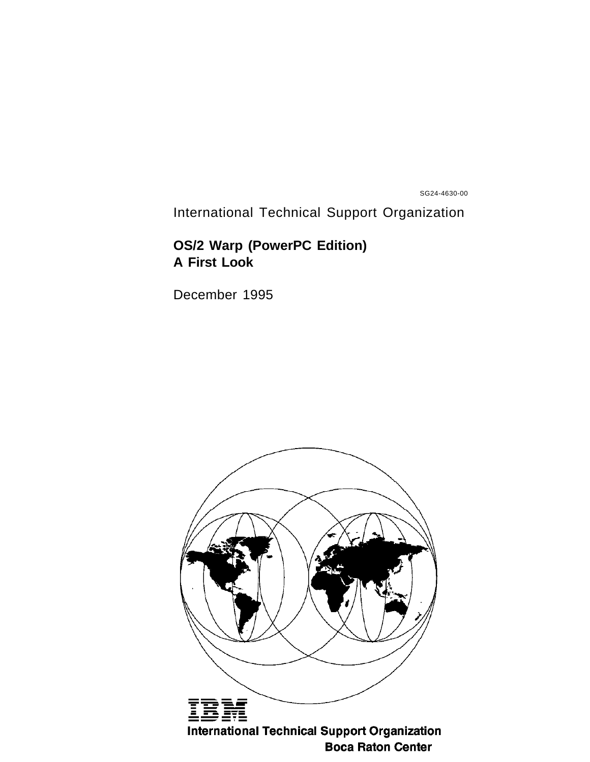SG24-4630-00

International Technical Support Organization

**OS/2 Warp (PowerPC Edition) A First Look**

December 1995

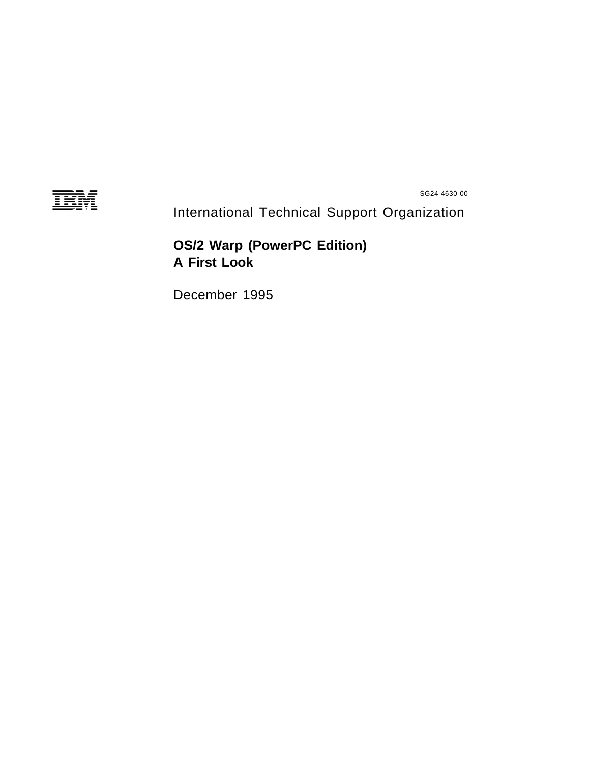

<sup>9624-4630-00</sup><br>International Technical Support Organization

**OS/2 Warp (PowerPC Edition) A First Look**

December 1995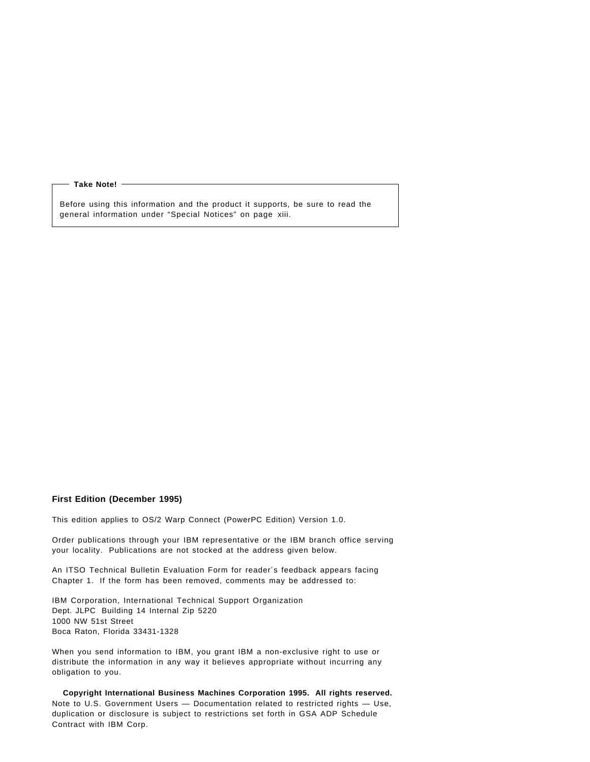#### **Take Note!**

Before using this information and the product it supports, be sure to read the general information under "Special Notices" on page xiii.

#### **First Edition (December 1995)**

This edition applies to OS/2 Warp Connect (PowerPC Edition) Version 1.0.

Order publications through your IBM representative or the IBM branch office serving your locality. Publications are not stocked at the address given below.

An ITSO Technical Bulletin Evaluation Form for reader′s feedback appears facing Chapter 1. If the form has been removed, comments may be addressed to:

IBM Corporation, International Technical Support Organization Dept. JLPC Building 14 Internal Zip 5220 1000 NW 51st Street Boca Raton, Florida 33431-1328

When you send information to IBM, you grant IBM a non-exclusive right to use or distribute the information in any way it believes appropriate without incurring any obligation to you.

 **Copyright International Business Machines Corporation 1995. All rights reserved.** Note to U.S. Government Users — Documentation related to restricted rights — Use, duplication or disclosure is subject to restrictions set forth in GSA ADP Schedule Contract with IBM Corp.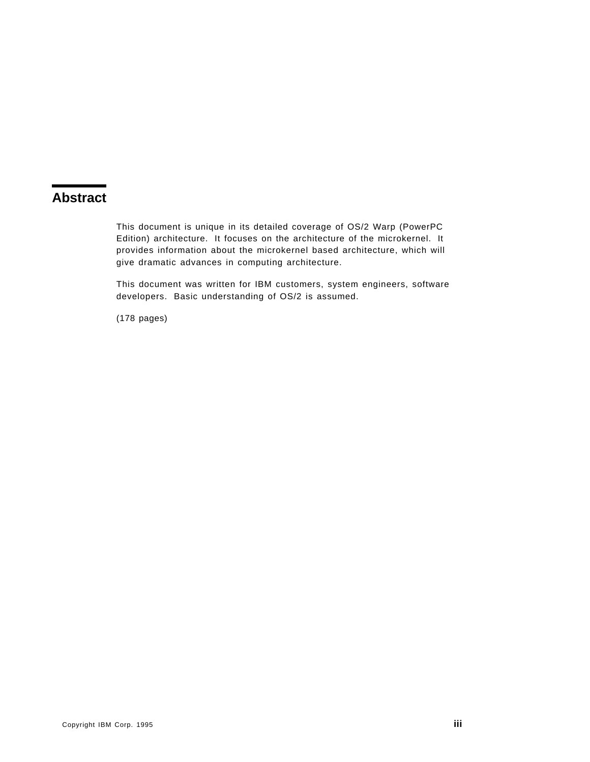# **Abstract**

This document is unique in its detailed coverage of OS/2 Warp (PowerPC Edition) architecture. It focuses on the architecture of the microkernel. It provides information about the microkernel based architecture, which will give dramatic advances in computing architecture.

This document was written for IBM customers, system engineers, software developers. Basic understanding of OS/2 is assumed.

(178 pages)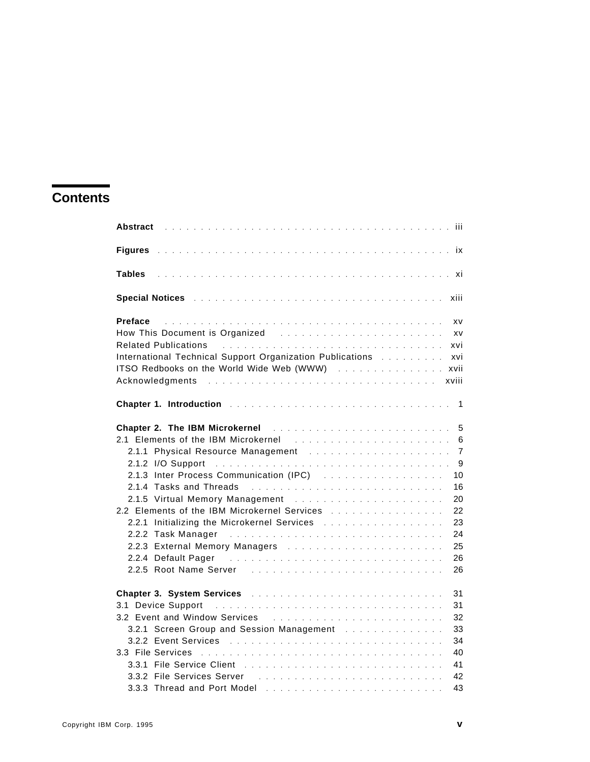# **Contents**

| Abstract                                                                                                                                                                                                                              |
|---------------------------------------------------------------------------------------------------------------------------------------------------------------------------------------------------------------------------------------|
| Figures descriptions and a series and a series and a series and a series in the international series of the in                                                                                                                        |
| <b>Tables</b>                                                                                                                                                                                                                         |
| Special Notices and and an arrangement of the contract of the second state of the Special State of the Special State of the Special State of the Special State of the Special State of the Special State of the Special State<br>xiii |
| Preface<br>XV                                                                                                                                                                                                                         |
| XV<br>xvi                                                                                                                                                                                                                             |
| International Technical Support Organization Publications [11] [11] International Technical Support Organization Publications [11] International Technical Support<br>xvi<br>ITSO Redbooks on the World Wide Web (WWW)  xvii          |
| Acknowledgments and account to the contract of the contract of the Acknowledgments and account to the contract<br>xviii                                                                                                               |
| Chapter 1. Introduction <b>Constantine Chapter 1. International Chapter 1.</b> International Chapter 2. 2014<br>$\mathbf{1}$                                                                                                          |
| Chapter 2. The IBM Microkernel <b>Constant Chapter 2. The IBM Microkernel Constant Constant Chapter</b><br>5                                                                                                                          |
| 6<br>$\overline{7}$<br>2.1.1 Physical Resource Management Alberts Alberts Alberts Alberts Alberts Alberts Alberts Alberts Alberts Alb                                                                                                 |
| 9<br>2.1.2 I/O Support <b>Matter Access 2.1.2 Inc.</b> 2. Access 2.1.2 I/O Support <b>Matter Access 2.1.2 Inc.</b> 2.1.2 Inc.                                                                                                         |
| 2.1.3 Inter Process Communication (IPC) And Allen Alexander And The Process Communication (IPC)<br>10 <sup>1</sup><br>16                                                                                                              |
| 2.1.5 Virtual Memory Management<br>20                                                                                                                                                                                                 |
| 2.2 Elements of the IBM Microkernel Services<br>22<br>2.2.1 Initializing the Microkernel Services<br>23                                                                                                                               |
| 2.2.2 Task Manager (1996). The contract of the contract of the contract of the contract of the contract of the<br>24                                                                                                                  |
| 25<br>26                                                                                                                                                                                                                              |
| 26                                                                                                                                                                                                                                    |
| Chapter 3. System Services <b>Construction Chapter 3. System Services</b> Construction Construction<br>31<br>31                                                                                                                       |
| 32                                                                                                                                                                                                                                    |
| 3.2.1 Screen Group and Session Management [1] [1] Screen Group and Session Management [1] [1] [1] Screen Screen<br>33<br>34                                                                                                           |
| 40                                                                                                                                                                                                                                    |
| 41<br>42                                                                                                                                                                                                                              |
| 43                                                                                                                                                                                                                                    |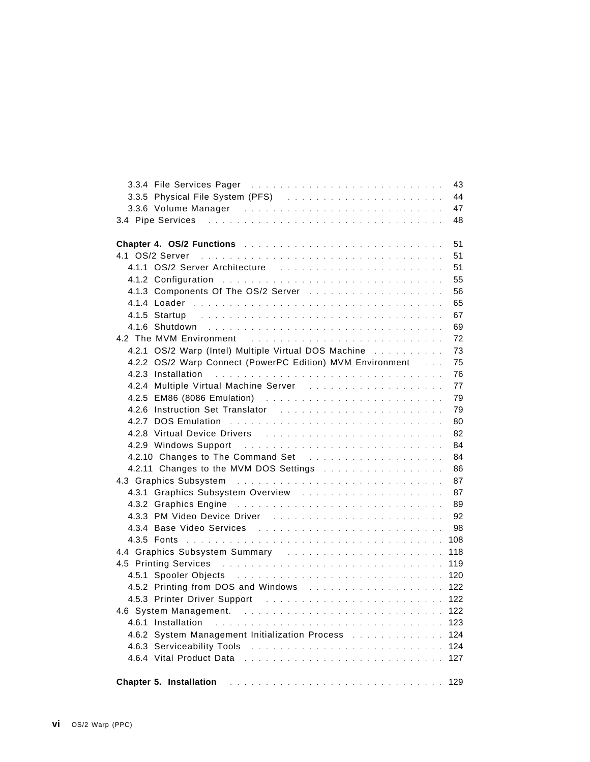| 43                                                                                                                                                                                                                                        |
|-------------------------------------------------------------------------------------------------------------------------------------------------------------------------------------------------------------------------------------------|
| 44<br>3.3.5 Physical File System (PFS) And a subset of the set of the set of the System (PFS)                                                                                                                                             |
| 47<br>3.3.6 Volume Manager (Alberta Alberta Alberta Alberta Alberta Alberta Alberta Alberta Alberta Alberta Alberta                                                                                                                       |
| 3.4 Pipe Services <b>Manual Accept Accept Accept Accept Accept Accept Accept Accept Accept Accept Accept</b><br>48                                                                                                                        |
| 51<br><b>Chapter 4. OS/2 Functions</b> and a substitution of the contract of the Chapter of the Chapter of the Chapter of the Chapter of the Chapter of the Chapter of the Chapter of the Chapter of the Chapter of the Chapter of the Ch |
| 51                                                                                                                                                                                                                                        |
| 51                                                                                                                                                                                                                                        |
| 55                                                                                                                                                                                                                                        |
| 56<br>4.1.3 Components Of The OS/2 Server                                                                                                                                                                                                 |
| 65                                                                                                                                                                                                                                        |
| 67                                                                                                                                                                                                                                        |
| 69                                                                                                                                                                                                                                        |
| 72<br>4.2 The MVM Environment                                                                                                                                                                                                             |
| 4.2.1 OS/2 Warp (Intel) Multiple Virtual DOS Machine<br>73                                                                                                                                                                                |
| 4.2.2 OS/2 Warp Connect (PowerPC Edition) MVM Environment<br>75                                                                                                                                                                           |
| 76                                                                                                                                                                                                                                        |
| 77                                                                                                                                                                                                                                        |
| 79                                                                                                                                                                                                                                        |
| 4.2.6 Instruction Set Translator (Alberta Alberta Alberta Alberta Alberta Alberta Alberta Alberta Alberta Alberta Alberta Alberta Alberta Alberta Alberta Alberta Alberta Alberta Alberta Alberta Alberta Alberta Alberta Albe<br>79      |
| 80                                                                                                                                                                                                                                        |
| 82                                                                                                                                                                                                                                        |
| 84<br>4.2.9 Windows Support <b>Construction Construct of Construction</b> Construction Construction Construction Construction                                                                                                             |
| 4.2.10 Changes to The Command Set [1] and the contract of the Command Set [1] and the contract of the Command<br>84                                                                                                                       |
| 4.2.11 Changes to the MVM DOS Settings<br>86                                                                                                                                                                                              |
| 87                                                                                                                                                                                                                                        |
| 87                                                                                                                                                                                                                                        |
| 4.3.2 Graphics Engine Alberta Alberta Alberta Alberta Alberta Alberta Alberta Alberta Alberta Alberta Alberta A<br>-89                                                                                                                    |
| -92                                                                                                                                                                                                                                       |
| 98                                                                                                                                                                                                                                        |
| 108                                                                                                                                                                                                                                       |
| 118<br>4.4 Graphics Subsystem Summary Alberts Alberts Alberts Alberts Alberts Alberts Alberts Alberts Alberts Alberts                                                                                                                     |
| 4.5 Printing Services entertainment and the contract of the contract of the contract of the Principles Principles of the Contract of the Principles Principles of the Contract of the Principles Principles Principles Princip            |
| 4.5.1 Spooler Objects entertainment and the series and series are series and series are series and the SAS and                                                                                                                            |
| 4.5.2 Printing from DOS and Windows extendional contracts and 122                                                                                                                                                                         |
| 4.5.3 Printer Driver Support (1996) 1996 1997 10: 10: 10: 10: 10: 10: 122                                                                                                                                                                 |
| 4.6 System Management. Electronic and all and the service of the service of the System Management.<br>122                                                                                                                                 |
| 4.6.1 Installation<br>123                                                                                                                                                                                                                 |
| 4.6.2 System Management Initialization Process<br>124                                                                                                                                                                                     |
| 124                                                                                                                                                                                                                                       |
|                                                                                                                                                                                                                                           |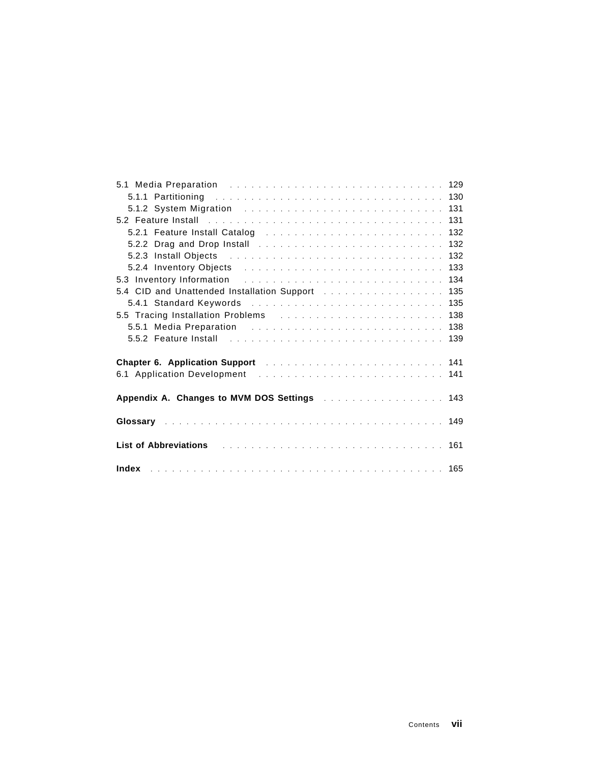| 5.1.2 System Migration <b>Constructs of the Construct of America</b> 2.1.2 System Migration 2.1.2 Constructs 2.1.2 O                                                                                                                 |
|--------------------------------------------------------------------------------------------------------------------------------------------------------------------------------------------------------------------------------------|
|                                                                                                                                                                                                                                      |
| 5.2.1 Feature Install Catalog (and all contracts of the contracts of the state of the state of the state of the                                                                                                                      |
|                                                                                                                                                                                                                                      |
| 5.2.3 Install Objects <b>Container and Contain Container and Container and Container and Container and Container</b>                                                                                                                 |
| 5.2.4 Inventory Objects entertainment is a series of the series of the series of the series of the series of t                                                                                                                       |
| 5.3 Inventory Information (1) and (1) and (1) and (1) and (1) and (1) and (1) and (1) and (1) and (1) and (1) and (1) and (1) and (1) and (1) and (1) and (1) and (1) and (1) and (1) and (1) and (1) and (1) and (1) and (1)        |
| 5.4 CID and Unattended Installation Support  135                                                                                                                                                                                     |
|                                                                                                                                                                                                                                      |
|                                                                                                                                                                                                                                      |
|                                                                                                                                                                                                                                      |
| 5.5.2 Feature Install enterprise in the contract of the state of the state of the state of the state of the st                                                                                                                       |
|                                                                                                                                                                                                                                      |
| <b>Chapter 6. Application Support Activities:</b> All Active Active Active Active Active Active Active Active Active                                                                                                                 |
| 6.1 Application Development resources and services are all the services of the Services and Application Development                                                                                                                  |
|                                                                                                                                                                                                                                      |
| Appendix A. Changes to MVM DOS Settings A. A. A. A. A. A. A. A. A. 143                                                                                                                                                               |
|                                                                                                                                                                                                                                      |
|                                                                                                                                                                                                                                      |
|                                                                                                                                                                                                                                      |
| List of Abbreviations and all the state of the state of the state of the state of the state of the state of the                                                                                                                      |
|                                                                                                                                                                                                                                      |
| Index <b>Experiment Contract Contract Contract Contract Contract Contract Contract Contract Contract Contract Contract Contract Contract Contract Contract Contract Contract Contract Contract Contract Contract Contract Contra</b> |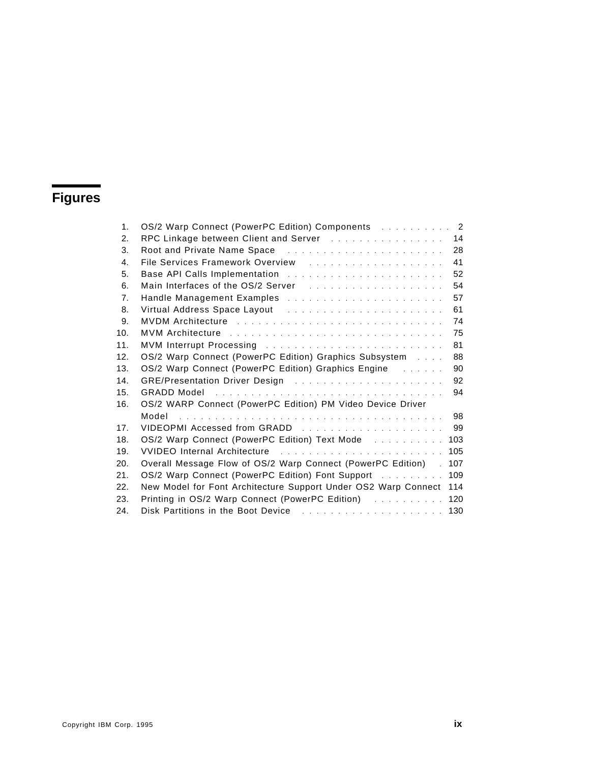# **Figures**

| 1.              | OS/2 Warp Connect (PowerPC Edition) Components 2                                                                        |     |
|-----------------|-------------------------------------------------------------------------------------------------------------------------|-----|
| 2.              | RPC Linkage between Client and Server Fig.                                                                              | 14  |
| 3.              | Root and Private Name Space <b>Container and Space Containers</b> and a series and a series of the Space Containers and | 28  |
| 4.              | File Services Framework Overview File File Services Framework Overview File Services Framework                          | 41  |
| 5.              | Base API Calls Implementation (Fig. 1991) and the set of the Calls Implementation (Fig. 1991) and the Calls Co          | 52  |
| 6.              | Main Interfaces of the OS/2 Server <b>Constant Contact Constant Constant Constant Constant</b>                          | 54  |
| 7.              | Handle Management Examples (Alberta Alberta Alberta Alberta Alberta Alberta Alberta Alberta Alberta Alberta Al          | 57  |
| 8.              |                                                                                                                         | 61  |
| 9.              |                                                                                                                         | 74  |
| 10.             |                                                                                                                         | 75  |
| 11.             | MVM Interrupt Processing research and the contract of the MVM Interrupt Processing research and the contract of         | 81  |
| 12.             | OS/2 Warp Connect (PowerPC Edition) Graphics Subsystem                                                                  | 88  |
| 13.             | OS/2 Warp Connect (PowerPC Edition) Graphics Engine                                                                     | 90  |
| 14.             |                                                                                                                         | 92  |
| 15.             | GRADD Model (Alternative Alternative Alternative Alternative Alternative Alternative Alternative Alternative A          | 94  |
| 16.             | OS/2 WARP Connect (PowerPC Edition) PM Video Device Driver                                                              |     |
|                 | Model                                                                                                                   | 98  |
| 17 <sub>1</sub> |                                                                                                                         | 99  |
| 18.             | OS/2 Warp Connect (PowerPC Edition) Text Mode [1] [1]                                                                   | 103 |
| 19.             | VVIDEO Internal Architecture enterpresentation and all the set of the VIDEO Internal Architecture enterpresent          | 105 |
| 20.             | Overall Message Flow of OS/2 Warp Connect (PowerPC Edition).                                                            | 107 |
| 21.             |                                                                                                                         | 109 |
| 22.             | New Model for Font Architecture Support Under OS2 Warp Connect                                                          | 114 |
| 23.             | Printing in OS/2 Warp Connect (PowerPC Edition)                                                                         | 120 |
| 24.             |                                                                                                                         |     |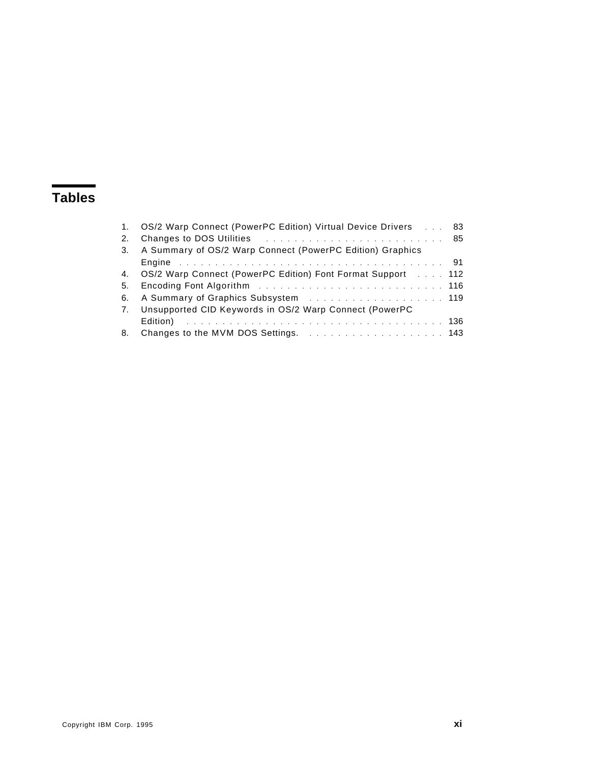# **Tables**

|    | 1. OS/2 Warp Connect (PowerPC Edition) Virtual Device Drivers 83 |
|----|------------------------------------------------------------------|
| 2. |                                                                  |
| 3. | A Summary of OS/2 Warp Connect (PowerPC Edition) Graphics        |
|    |                                                                  |
|    | 4. OS/2 Warp Connect (PowerPC Edition) Font Format Support 112   |
|    |                                                                  |
| 6. |                                                                  |
|    | 7. Unsupported CID Keywords in OS/2 Warp Connect (PowerPC        |
|    | Edition)                                                         |
|    |                                                                  |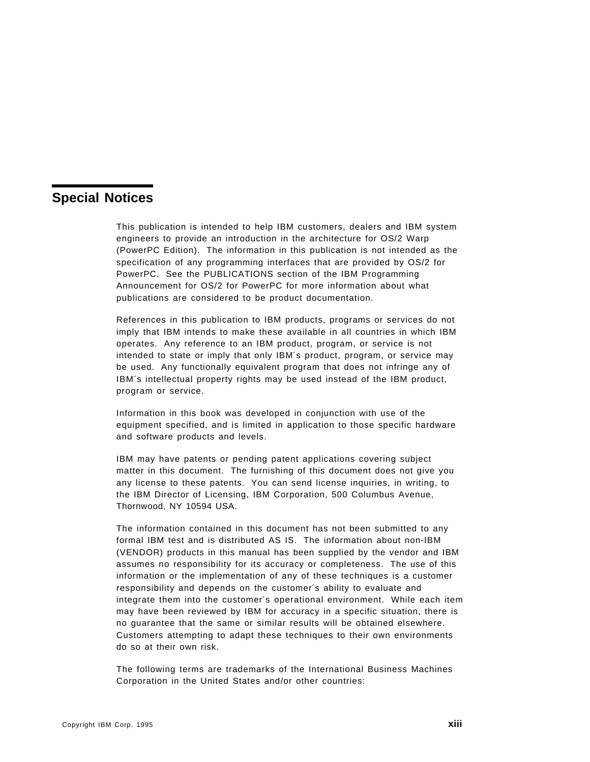# **Special Notices**

This publication is intended to help IBM customers, dealers and IBM system engineers to provide an introduction in the architecture for OS/2 Warp (PowerPC Edition). The information in this publication is not intended as the specification of any programming interfaces that are provided by OS/2 for PowerPC. See the PUBLICATIONS section of the IBM Programming Announcement for OS/2 for PowerPC for more information about what publications are considered to be product documentation.

References in this publication to IBM products, programs or services do not imply that IBM intends to make these available in all countries in which IBM operates. Any reference to an IBM product, program, or service is not intended to state or imply that only IBM′s product, program, or service may be used. Any functionally equivalent program that does not infringe any of IBM′s intellectual property rights may be used instead of the IBM product, program or service.

Information in this book was developed in conjunction with use of the equipment specified, and is limited in application to those specific hardware and software products and levels.

IBM may have patents or pending patent applications covering subject matter in this document. The furnishing of this document does not give you any license to these patents. You can send license inquiries, in writing, to the IBM Director of Licensing, IBM Corporation, 500 Columbus Avenue, Thornwood, NY 10594 USA.

The information contained in this document has not been submitted to any formal IBM test and is distributed AS IS. The information about non-IBM (VENDOR) products in this manual has been supplied by the vendor and IBM assumes no responsibility for its accuracy or completeness. The use of this information or the implementation of any of these techniques is a customer responsibility and depends on the customer′s ability to evaluate and integrate them into the customer′s operational environment. While each item may have been reviewed by IBM for accuracy in a specific situation, there is no guarantee that the same or similar results will be obtained elsewhere. Customers attempting to adapt these techniques to their own environments do so at their own risk.

The following terms are trademarks of the International Business Machines Corporation in the United States and/or other countries: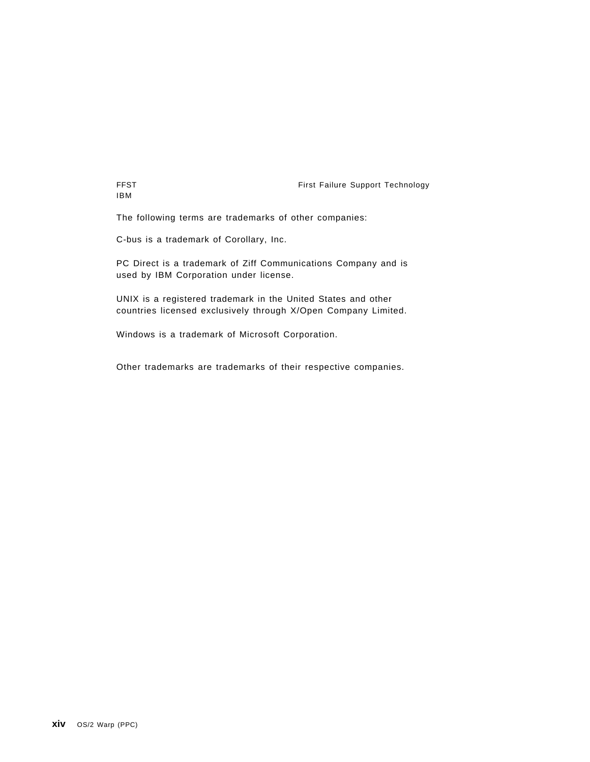FFST First Failure Support Technology

IBM

The following terms are trademarks of other companies:

C-bus is a trademark of Corollary, Inc.

PC Direct is a trademark of Ziff Communications Company and is used by IBM Corporation under license.

UNIX is a registered trademark in the United States and other countries licensed exclusively through X/Open Company Limited.

Windows is a trademark of Microsoft Corporation.

Other trademarks are trademarks of their respective companies.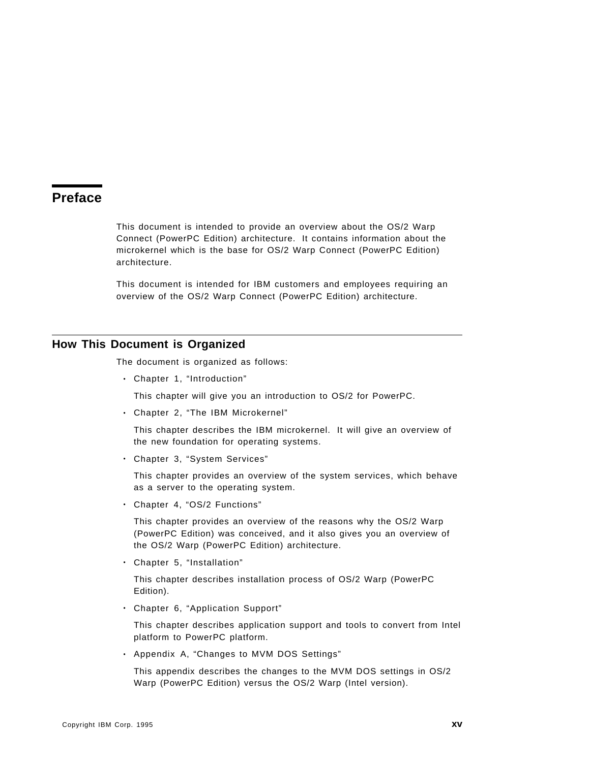# **Preface**

This document is intended to provide an overview about the OS/2 Warp Connect (PowerPC Edition) architecture. It contains information about the microkernel which is the base for OS/2 Warp Connect (PowerPC Edition) architecture.

This document is intended for IBM customers and employees requiring an overview of the OS/2 Warp Connect (PowerPC Edition) architecture.

### **How This Document is Organized**

The document is organized as follows:

• Chapter 1, "Introduction"

This chapter will give you an introduction to OS/2 for PowerPC.

• Chapter 2, "The IBM Microkernel"

This chapter describes the IBM microkernel. It will give an overview of the new foundation for operating systems.

• Chapter 3, "System Services"

This chapter provides an overview of the system services, which behave as a server to the operating system.

• Chapter 4, "OS/2 Functions"

This chapter provides an overview of the reasons why the OS/2 Warp (PowerPC Edition) was conceived, and it also gives you an overview of the OS/2 Warp (PowerPC Edition) architecture.

• Chapter 5, "Installation"

This chapter describes installation process of OS/2 Warp (PowerPC Edition).

• Chapter 6, "Application Support"

This chapter describes application support and tools to convert from Intel platform to PowerPC platform.

• Appendix A, "Changes to MVM DOS Settings"

This appendix describes the changes to the MVM DOS settings in OS/2 Warp (PowerPC Edition) versus the OS/2 Warp (Intel version).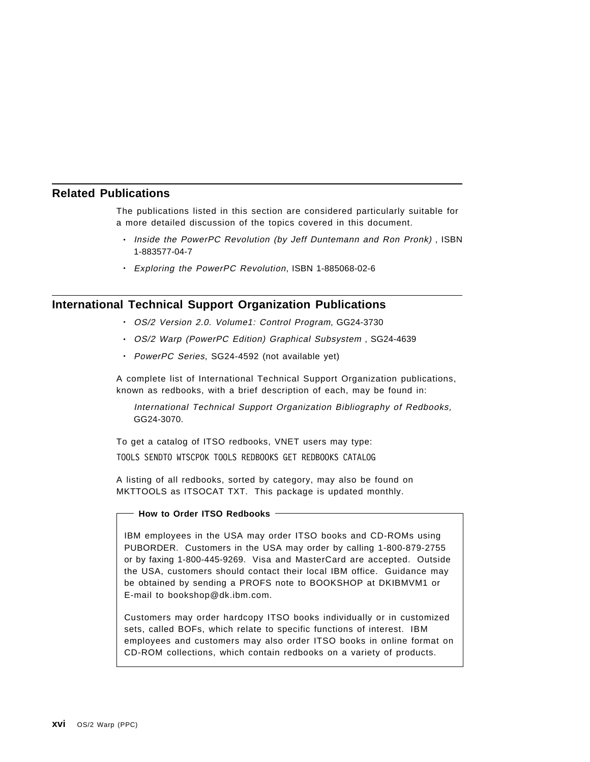### **Related Publications**

The publications listed in this section are considered particularly suitable for a more detailed discussion of the topics covered in this document.

- Inside the PowerPC Revolution (by Jeff Duntemann and Ron Pronk) , ISBN 1-883577-04-7
- Exploring the PowerPC Revolution, ISBN 1-885068-02-6

## **International Technical Support Organization Publications**

- OS/2 Version 2.0. Volume1: Control Program, GG24-3730
- OS/2 Warp (PowerPC Edition) Graphical Subsystem , SG24-4639
- PowerPC Series, SG24-4592 (not available yet)

A complete list of International Technical Support Organization publications, known as redbooks, with a brief description of each, may be found in:

International Technical Support Organization Bibliography of Redbooks, GG24-3070.

To get a catalog of ITSO redbooks, VNET users may type: TOOLS SENDTO WTSCPOK TOOLS REDBOOKS GET REDBOOKS CATALOG

A listing of all redbooks, sorted by category, may also be found on MKTTOOLS as ITSOCAT TXT. This package is updated monthly.

### **How to Order ITSO Redbooks**

IBM employees in the USA may order ITSO books and CD-ROMs using PUBORDER. Customers in the USA may order by calling 1-800-879-2755 or by faxing 1-800-445-9269. Visa and MasterCard are accepted. Outside the USA, customers should contact their local IBM office. Guidance may be obtained by sending a PROFS note to BOOKSHOP at DKIBMVM1 or E-mail to bookshop@dk.ibm.com.

Customers may order hardcopy ITSO books individually or in customized sets, called BOFs, which relate to specific functions of interest. IBM employees and customers may also order ITSO books in online format on CD-ROM collections, which contain redbooks on a variety of products.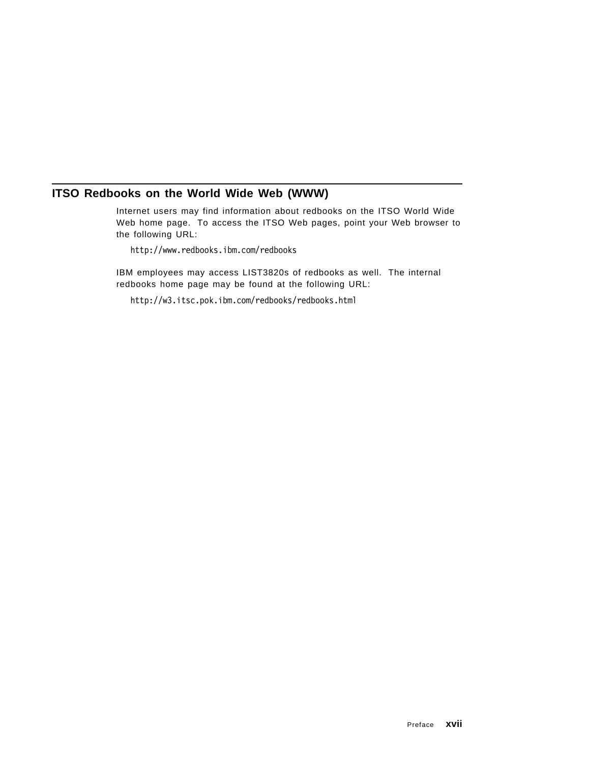# **ITSO Redbooks on the World Wide Web (WWW)**

Internet users may find information about redbooks on the ITSO World Wide Web home page. To access the ITSO Web pages, point your Web browser to the following URL:

http://www.redbooks.ibm.com/redbooks

IBM employees may access LIST3820s of redbooks as well. The internal redbooks home page may be found at the following URL:

http://w3.itsc.pok.ibm.com/redbooks/redbooks.html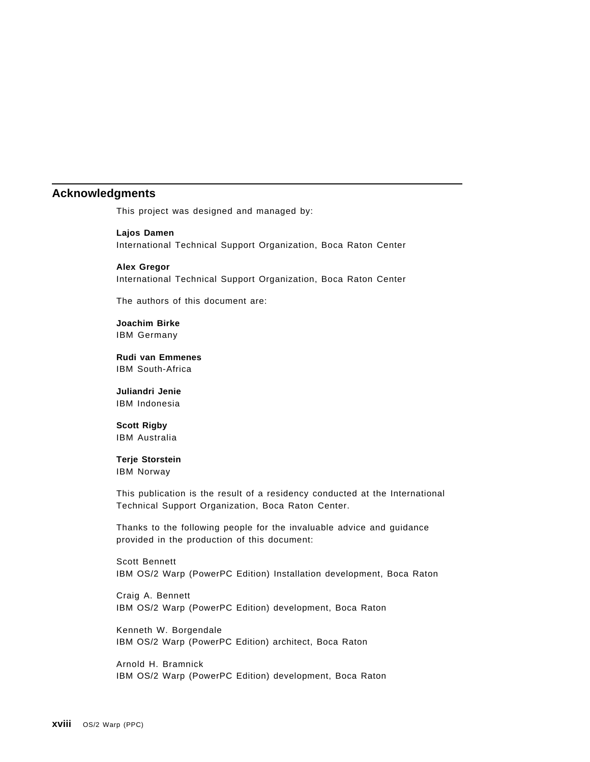#### **Acknowledgments**

This project was designed and managed by:

#### **Lajos Damen**

International Technical Support Organization, Boca Raton Center

#### **Alex Gregor**

International Technical Support Organization, Boca Raton Center

The authors of this document are:

**Joachim Birke** IBM Germany

**Rudi van Emmenes** IBM South-Africa

**Juliandri Jenie** IBM Indonesia

**Scott Rigby** IBM Australia

#### **Terje Storstein** IBM Norway

This publication is the result of a residency conducted at the International Technical Support Organization, Boca Raton Center.

Thanks to the following people for the invaluable advice and guidance provided in the production of this document:

Scott Bennett IBM OS/2 Warp (PowerPC Edition) Installation development, Boca Raton

Craig A. Bennett IBM OS/2 Warp (PowerPC Edition) development, Boca Raton

Kenneth W. Borgendale IBM OS/2 Warp (PowerPC Edition) architect, Boca Raton

Arnold H. Bramnick IBM OS/2 Warp (PowerPC Edition) development, Boca Raton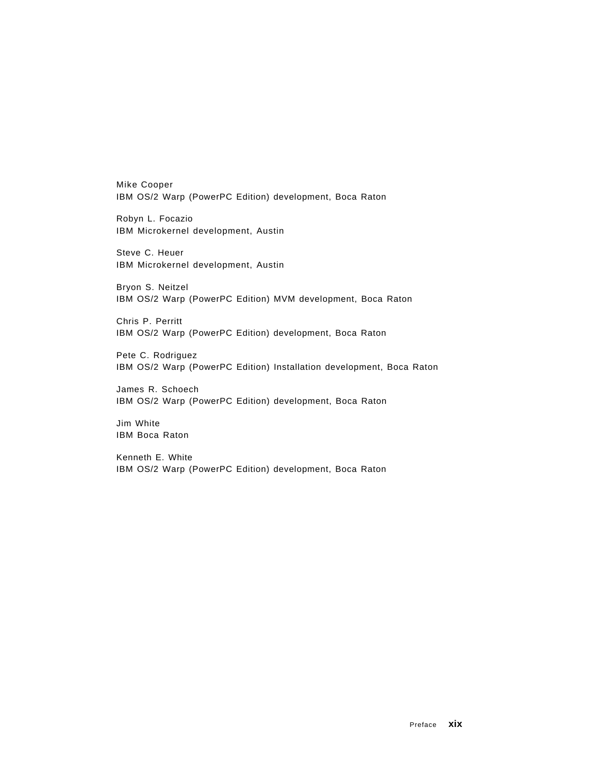Mike Cooper IBM OS/2 Warp (PowerPC Edition) development, Boca Raton

Robyn L. Focazio IBM Microkernel development, Austin

Steve C. Heuer IBM Microkernel development, Austin

Bryon S. Neitzel IBM OS/2 Warp (PowerPC Edition) MVM development, Boca Raton

Chris P. Perritt IBM OS/2 Warp (PowerPC Edition) development, Boca Raton

Pete C. Rodriguez IBM OS/2 Warp (PowerPC Edition) Installation development, Boca Raton

James R. Schoech IBM OS/2 Warp (PowerPC Edition) development, Boca Raton

Jim White IBM Boca Raton

Kenneth E. White IBM OS/2 Warp (PowerPC Edition) development, Boca Raton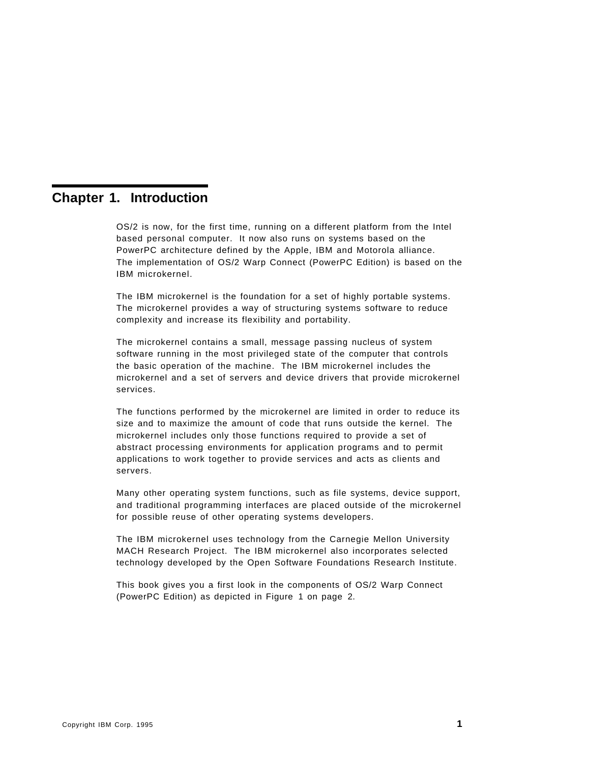# **Chapter 1. Introduction**

OS/2 is now, for the first time, running on a different platform from the Intel based personal computer. It now also runs on systems based on the PowerPC architecture defined by the Apple, IBM and Motorola alliance. The implementation of OS/2 Warp Connect (PowerPC Edition) is based on the IBM microkernel.

The IBM microkernel is the foundation for a set of highly portable systems. The microkernel provides a way of structuring systems software to reduce complexity and increase its flexibility and portability.

The microkernel contains a small, message passing nucleus of system software running in the most privileged state of the computer that controls the basic operation of the machine. The IBM microkernel includes the microkernel and a set of servers and device drivers that provide microkernel services.

The functions performed by the microkernel are limited in order to reduce its size and to maximize the amount of code that runs outside the kernel. The microkernel includes only those functions required to provide a set of abstract processing environments for application programs and to permit applications to work together to provide services and acts as clients and servers.

Many other operating system functions, such as file systems, device support, and traditional programming interfaces are placed outside of the microkernel for possible reuse of other operating systems developers.

The IBM microkernel uses technology from the Carnegie Mellon University MACH Research Project. The IBM microkernel also incorporates selected technology developed by the Open Software Foundations Research Institute.

This book gives you a first look in the components of OS/2 Warp Connect (PowerPC Edition) as depicted in Figure 1 on page 2.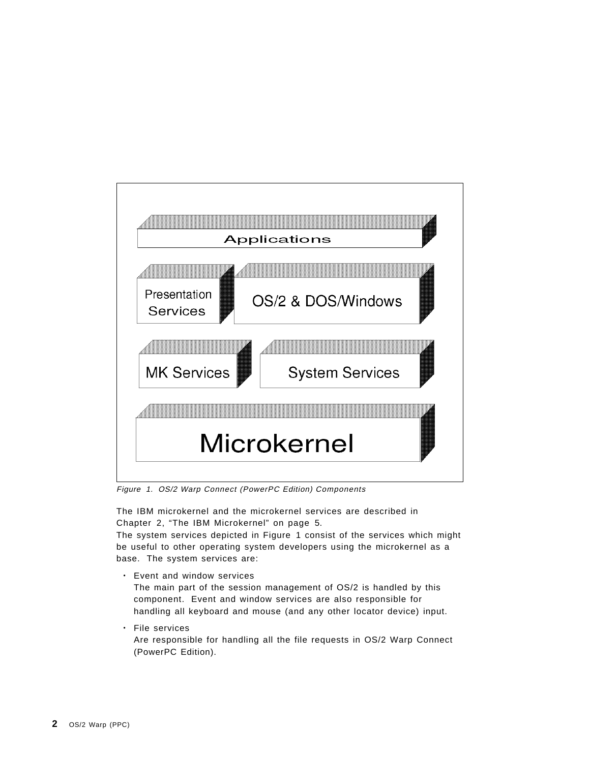

Figure 1. OS/2 Warp Connect (PowerPC Edition) Components

The IBM microkernel and the microkernel services are described in Chapter 2, "The IBM Microkernel" on page 5.

The system services depicted in Figure 1 consist of the services which might be useful to other operating system developers using the microkernel as a base. The system services are:

• Event and window services

The main part of the session management of OS/2 is handled by this component. Event and window services are also responsible for handling all keyboard and mouse (and any other locator device) input.

• File services

Are responsible for handling all the file requests in OS/2 Warp Connect (PowerPC Edition).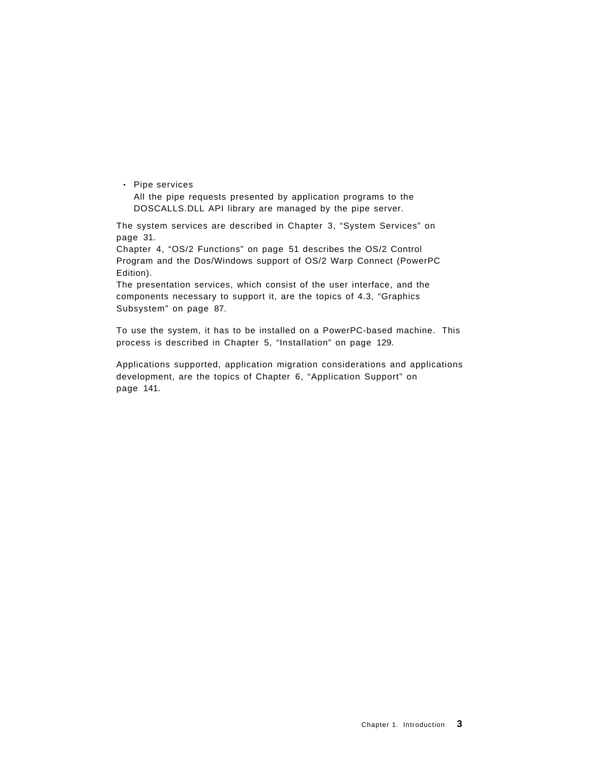• Pipe services

All the pipe requests presented by application programs to the DOSCALLS.DLL API library are managed by the pipe server.

The system services are described in Chapter 3, "System Services" on page 31.

Chapter 4, "OS/2 Functions" on page 51 describes the OS/2 Control Program and the Dos/Windows support of OS/2 Warp Connect (PowerPC Edition).

The presentation services, which consist of the user interface, and the components necessary to support it, are the topics of 4.3, "Graphics Subsystem" on page 87.

To use the system, it has to be installed on a PowerPC-based machine. This process is described in Chapter 5, "Installation" on page 129.

Applications supported, application migration considerations and applications development, are the topics of Chapter 6, "Application Support" on page 141.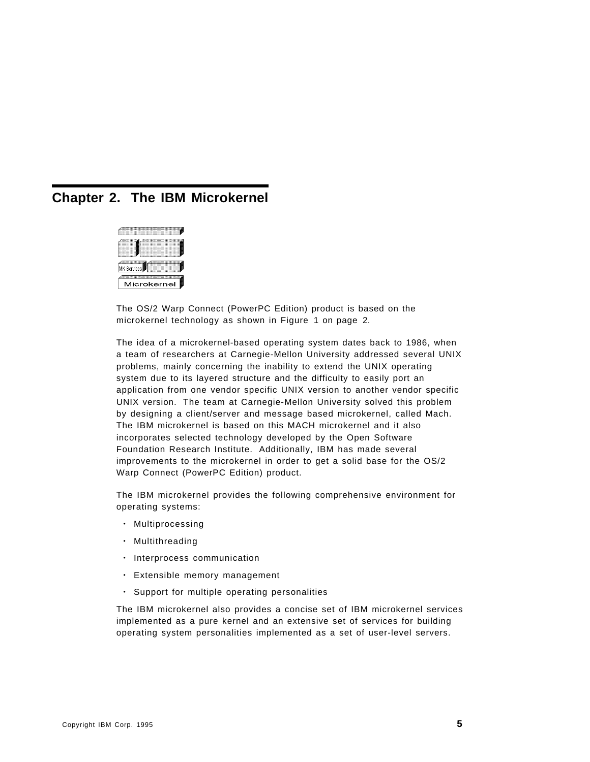# **Chapter 2. The IBM Microkernel**

| Microkernel           |  |
|-----------------------|--|
|                       |  |
| MK Services <b>De</b> |  |
|                       |  |
|                       |  |
|                       |  |
|                       |  |
|                       |  |
|                       |  |

The OS/2 Warp Connect (PowerPC Edition) product is based on the microkernel technology as shown in Figure 1 on page 2.

The idea of a microkernel-based operating system dates back to 1986, when a team of researchers at Carnegie-Mellon University addressed several UNIX problems, mainly concerning the inability to extend the UNIX operating system due to its layered structure and the difficulty to easily port an application from one vendor specific UNIX version to another vendor specific UNIX version. The team at Carnegie-Mellon University solved this problem by designing a client/server and message based microkernel, called Mach. The IBM microkernel is based on this MACH microkernel and it also incorporates selected technology developed by the Open Software Foundation Research Institute. Additionally, IBM has made several improvements to the microkernel in order to get a solid base for the OS/2 Warp Connect (PowerPC Edition) product.

The IBM microkernel provides the following comprehensive environment for operating systems:

- Multiprocessing
- Multithreading
- Interprocess communication
- Extensible memory management
- Support for multiple operating personalities

The IBM microkernel also provides a concise set of IBM microkernel services implemented as a pure kernel and an extensive set of services for building operating system personalities implemented as a set of user-level servers.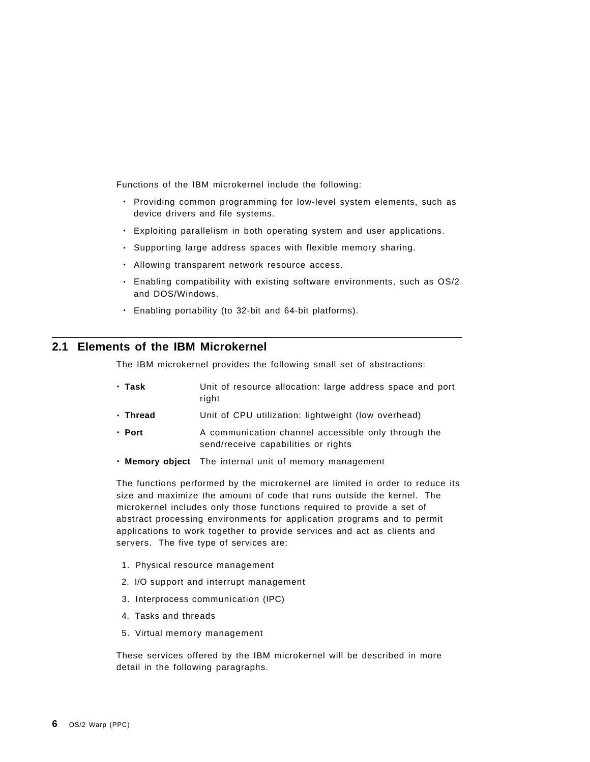Functions of the IBM microkernel include the following:

- Providing common programming for low-level system elements, such as device drivers and file systems.
- Exploiting parallelism in both operating system and user applications.
- Supporting large address spaces with flexible memory sharing.
- Allowing transparent network resource access.
- Enabling compatibility with existing software environments, such as OS/2 and DOS/Windows.
- Enabling portability (to 32-bit and 64-bit platforms).

## **2.1 Elements of the IBM Microkernel**

The IBM microkernel provides the following small set of abstractions:

- **Task** Unit of resource allocation: large address space and port right
- **Thread** Unit of CPU utilization: lightweight (low overhead)
- Port **A** communication channel accessible only through the send/receive capabilities or rights
- **Memory object** The internal unit of memory management

The functions performed by the microkernel are limited in order to reduce its size and maximize the amount of code that runs outside the kernel. The microkernel includes only those functions required to provide a set of abstract processing environments for application programs and to permit applications to work together to provide services and act as clients and servers. The five type of services are:

- 1. Physical resource management
- 2. I/O support and interrupt management
- 3. Interprocess communication (IPC)
- 4. Tasks and threads
- 5. Virtual memory management

These services offered by the IBM microkernel will be described in more detail in the following paragraphs.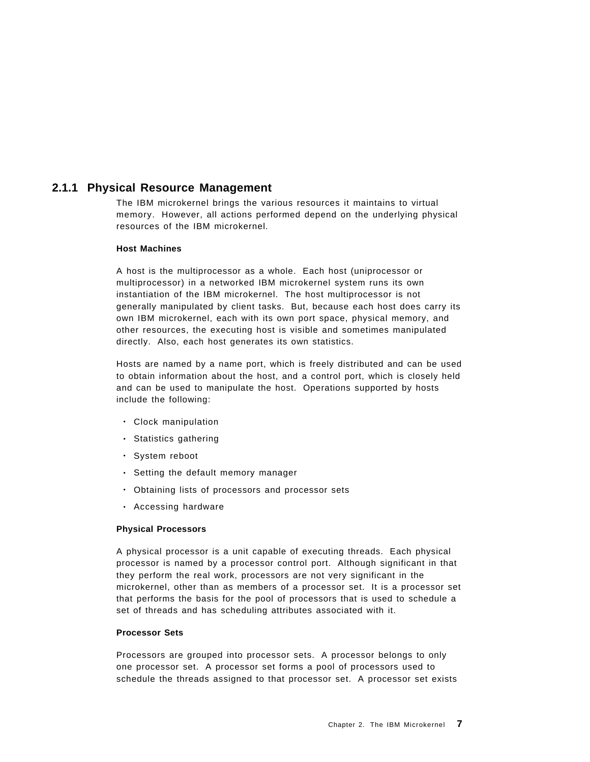## **2.1.1 Physical Resource Management**

The IBM microkernel brings the various resources it maintains to virtual memory. However, all actions performed depend on the underlying physical resources of the IBM microkernel.

#### **Host Machines**

A host is the multiprocessor as a whole. Each host (uniprocessor or multiprocessor) in a networked IBM microkernel system runs its own instantiation of the IBM microkernel. The host multiprocessor is not generally manipulated by client tasks. But, because each host does carry its own IBM microkernel, each with its own port space, physical memory, and other resources, the executing host is visible and sometimes manipulated directly. Also, each host generates its own statistics.

Hosts are named by a name port, which is freely distributed and can be used to obtain information about the host, and a control port, which is closely held and can be used to manipulate the host. Operations supported by hosts include the following:

- Clock manipulation
- Statistics gathering
- System reboot
- Setting the default memory manager
- Obtaining lists of processors and processor sets
- Accessing hardware

#### **Physical Processors**

A physical processor is a unit capable of executing threads. Each physical processor is named by a processor control port. Although significant in that they perform the real work, processors are not very significant in the microkernel, other than as members of a processor set. It is a processor set that performs the basis for the pool of processors that is used to schedule a set of threads and has scheduling attributes associated with it.

#### **Processor Sets**

Processors are grouped into processor sets. A processor belongs to only one processor set. A processor set forms a pool of processors used to schedule the threads assigned to that processor set. A processor set exists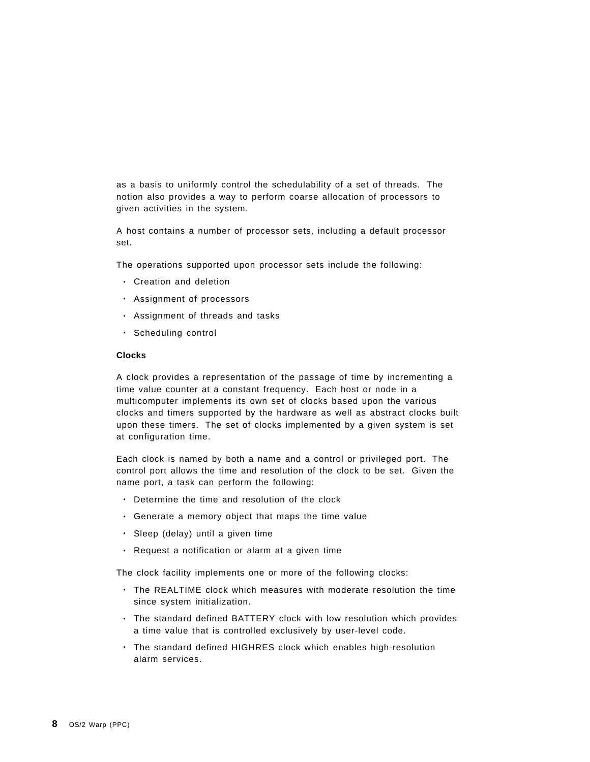as a basis to uniformly control the schedulability of a set of threads. The notion also provides a way to perform coarse allocation of processors to given activities in the system.

A host contains a number of processor sets, including a default processor set.

The operations supported upon processor sets include the following:

- Creation and deletion
- Assignment of processors
- Assignment of threads and tasks
- Scheduling control

#### **Clocks**

A clock provides a representation of the passage of time by incrementing a time value counter at a constant frequency. Each host or node in a multicomputer implements its own set of clocks based upon the various clocks and timers supported by the hardware as well as abstract clocks built upon these timers. The set of clocks implemented by a given system is set at configuration time.

Each clock is named by both a name and a control or privileged port. The control port allows the time and resolution of the clock to be set. Given the name port, a task can perform the following:

- Determine the time and resolution of the clock
- Generate a memory object that maps the time value
- Sleep (delay) until a given time
- Request a notification or alarm at a given time

The clock facility implements one or more of the following clocks:

- The REALTIME clock which measures with moderate resolution the time since system initialization.
- The standard defined BATTERY clock with low resolution which provides a time value that is controlled exclusively by user-level code.
- The standard defined HIGHRES clock which enables high-resolution alarm services.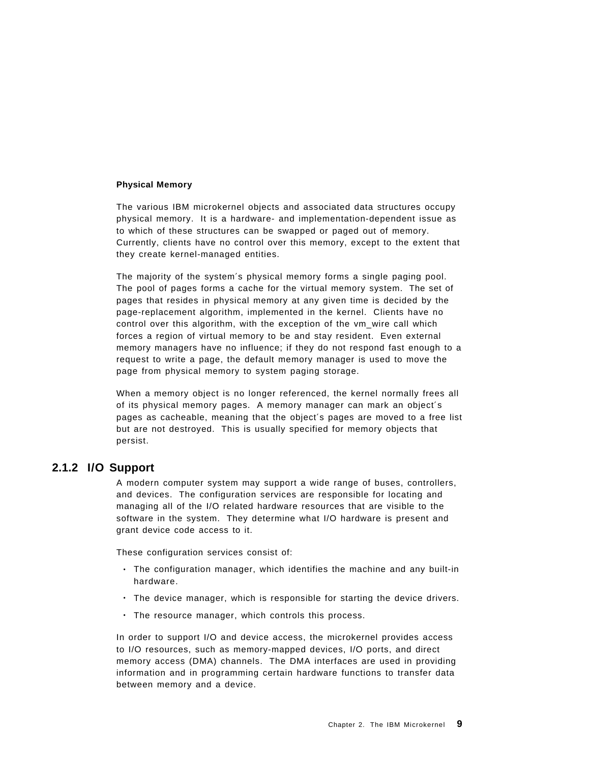#### **Physical Memory**

The various IBM microkernel objects and associated data structures occupy physical memory. It is a hardware- and implementation-dependent issue as to which of these structures can be swapped or paged out of memory. Currently, clients have no control over this memory, except to the extent that they create kernel-managed entities.

The majority of the system′s physical memory forms a single paging pool. The pool of pages forms a cache for the virtual memory system. The set of pages that resides in physical memory at any given time is decided by the page-replacement algorithm, implemented in the kernel. Clients have no control over this algorithm, with the exception of the vm\_wire call which forces a region of virtual memory to be and stay resident. Even external memory managers have no influence; if they do not respond fast enough to a request to write a page, the default memory manager is used to move the page from physical memory to system paging storage.

When a memory object is no longer referenced, the kernel normally frees all of its physical memory pages. A memory manager can mark an object′s pages as cacheable, meaning that the object′s pages are moved to a free list but are not destroyed. This is usually specified for memory objects that persist.

### **2.1.2 I/O Support**

A modern computer system may support a wide range of buses, controllers, and devices. The configuration services are responsible for locating and managing all of the I/O related hardware resources that are visible to the software in the system. They determine what I/O hardware is present and grant device code access to it.

These configuration services consist of:

- The configuration manager, which identifies the machine and any built-in hardware.
- The device manager, which is responsible for starting the device drivers.
- The resource manager, which controls this process.

In order to support I/O and device access, the microkernel provides access to I/O resources, such as memory-mapped devices, I/O ports, and direct memory access (DMA) channels. The DMA interfaces are used in providing information and in programming certain hardware functions to transfer data between memory and a device.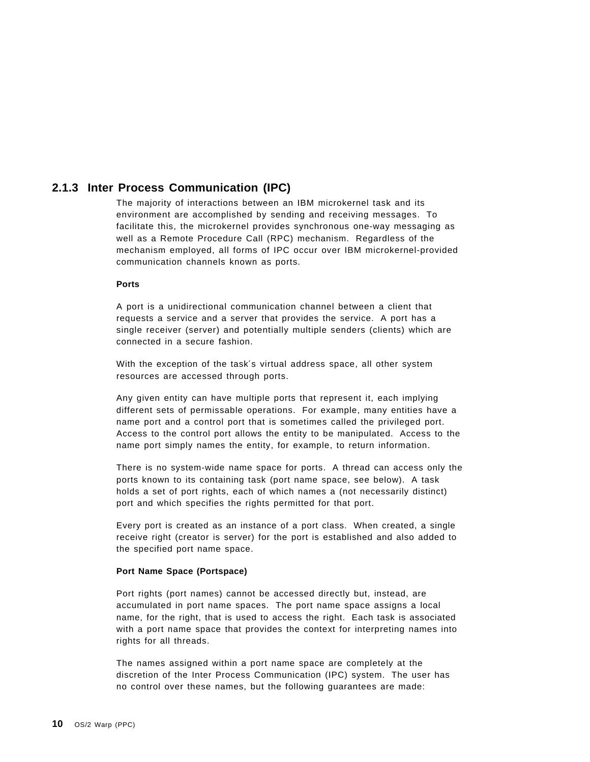## **2.1.3 Inter Process Communication (IPC)**

The majority of interactions between an IBM microkernel task and its environment are accomplished by sending and receiving messages. To facilitate this, the microkernel provides synchronous one-way messaging as well as a Remote Procedure Call (RPC) mechanism. Regardless of the mechanism employed, all forms of IPC occur over IBM microkernel-provided communication channels known as ports.

#### **Ports**

A port is a unidirectional communication channel between a client that requests a service and a server that provides the service. A port has a single receiver (server) and potentially multiple senders (clients) which are connected in a secure fashion.

With the exception of the task′s virtual address space, all other system resources are accessed through ports.

Any given entity can have multiple ports that represent it, each implying different sets of permissable operations. For example, many entities have a name port and a control port that is sometimes called the privileged port. Access to the control port allows the entity to be manipulated. Access to the name port simply names the entity, for example, to return information.

There is no system-wide name space for ports. A thread can access only the ports known to its containing task (port name space, see below). A task holds a set of port rights, each of which names a (not necessarily distinct) port and which specifies the rights permitted for that port.

Every port is created as an instance of a port class. When created, a single receive right (creator is server) for the port is established and also added to the specified port name space.

#### **Port Name Space (Portspace)**

Port rights (port names) cannot be accessed directly but, instead, are accumulated in port name spaces. The port name space assigns a local name, for the right, that is used to access the right. Each task is associated with a port name space that provides the context for interpreting names into rights for all threads.

The names assigned within a port name space are completely at the discretion of the Inter Process Communication (IPC) system. The user has no control over these names, but the following guarantees are made: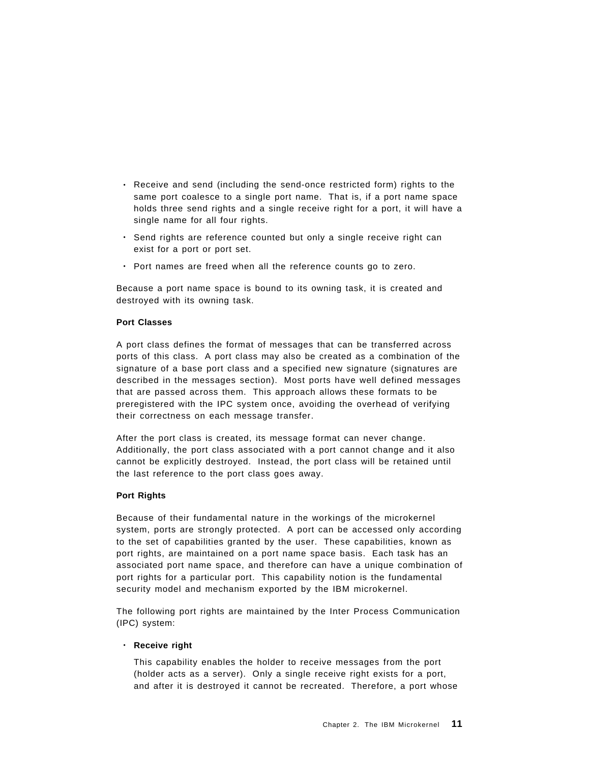- Receive and send (including the send-once restricted form) rights to the same port coalesce to a single port name. That is, if a port name space holds three send rights and a single receive right for a port, it will have a single name for all four rights.
- Send rights are reference counted but only a single receive right can exist for a port or port set.
- Port names are freed when all the reference counts go to zero.

Because a port name space is bound to its owning task, it is created and destroyed with its owning task.

#### **Port Classes**

A port class defines the format of messages that can be transferred across ports of this class. A port class may also be created as a combination of the signature of a base port class and a specified new signature (signatures are described in the messages section). Most ports have well defined messages that are passed across them. This approach allows these formats to be preregistered with the IPC system once, avoiding the overhead of verifying their correctness on each message transfer.

After the port class is created, its message format can never change. Additionally, the port class associated with a port cannot change and it also cannot be explicitly destroyed. Instead, the port class will be retained until the last reference to the port class goes away.

#### **Port Rights**

Because of their fundamental nature in the workings of the microkernel system, ports are strongly protected. A port can be accessed only according to the set of capabilities granted by the user. These capabilities, known as port rights, are maintained on a port name space basis. Each task has an associated port name space, and therefore can have a unique combination of port rights for a particular port. This capability notion is the fundamental security model and mechanism exported by the IBM microkernel.

The following port rights are maintained by the Inter Process Communication (IPC) system:

#### • **Receive right**

This capability enables the holder to receive messages from the port (holder acts as a server). Only a single receive right exists for a port, and after it is destroyed it cannot be recreated. Therefore, a port whose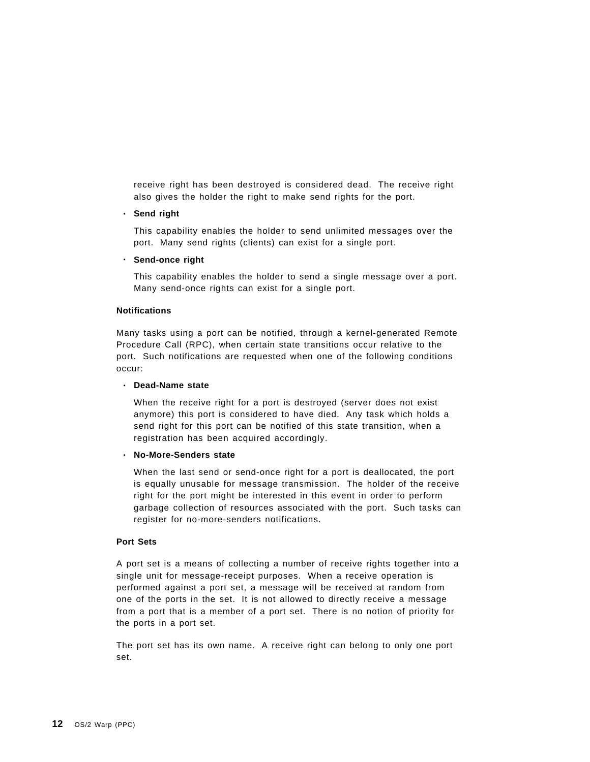receive right has been destroyed is considered dead. The receive right also gives the holder the right to make send rights for the port.

• **Send right**

This capability enables the holder to send unlimited messages over the port. Many send rights (clients) can exist for a single port.

• **Send-once right**

This capability enables the holder to send a single message over a port. Many send-once rights can exist for a single port.

#### **Notifications**

Many tasks using a port can be notified, through a kernel-generated Remote Procedure Call (RPC), when certain state transitions occur relative to the port. Such notifications are requested when one of the following conditions occur:

#### • **Dead-Name state**

When the receive right for a port is destroyed (server does not exist anymore) this port is considered to have died. Any task which holds a send right for this port can be notified of this state transition, when a registration has been acquired accordingly.

#### • **No-More-Senders state**

When the last send or send-once right for a port is deallocated, the port is equally unusable for message transmission. The holder of the receive right for the port might be interested in this event in order to perform garbage collection of resources associated with the port. Such tasks can register for no-more-senders notifications.

#### **Port Sets**

A port set is a means of collecting a number of receive rights together into a single unit for message-receipt purposes. When a receive operation is performed against a port set, a message will be received at random from one of the ports in the set. It is not allowed to directly receive a message from a port that is a member of a port set. There is no notion of priority for the ports in a port set.

The port set has its own name. A receive right can belong to only one port set.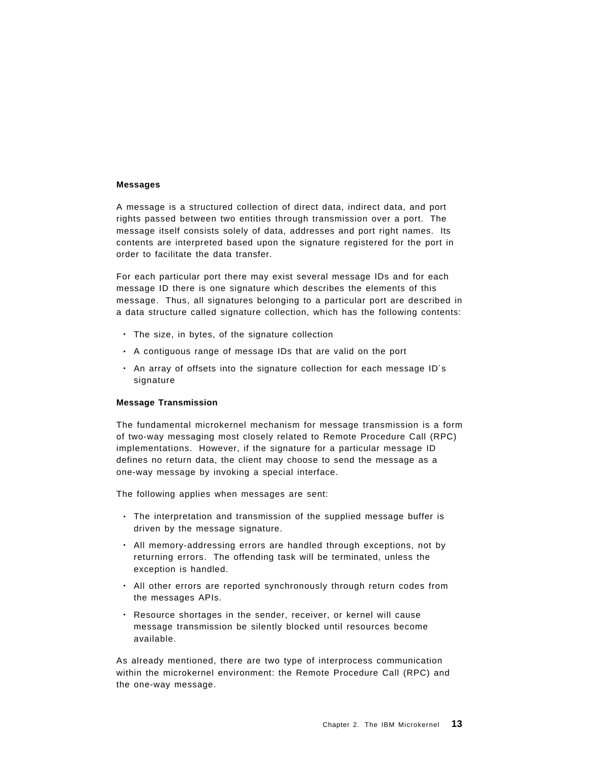#### **Messages**

A message is a structured collection of direct data, indirect data, and port rights passed between two entities through transmission over a port. The message itself consists solely of data, addresses and port right names. Its contents are interpreted based upon the signature registered for the port in order to facilitate the data transfer.

For each particular port there may exist several message IDs and for each message ID there is one signature which describes the elements of this message. Thus, all signatures belonging to a particular port are described in a data structure called signature collection, which has the following contents:

- The size, in bytes, of the signature collection
- A contiguous range of message IDs that are valid on the port
- An array of offsets into the signature collection for each message ID′s signature

#### **Message Transmission**

The fundamental microkernel mechanism for message transmission is a form of two-way messaging most closely related to Remote Procedure Call (RPC) implementations. However, if the signature for a particular message ID defines no return data, the client may choose to send the message as a one-way message by invoking a special interface.

The following applies when messages are sent:

- The interpretation and transmission of the supplied message buffer is driven by the message signature.
- All memory-addressing errors are handled through exceptions, not by returning errors. The offending task will be terminated, unless the exception is handled.
- All other errors are reported synchronously through return codes from the messages APIs.
- Resource shortages in the sender, receiver, or kernel will cause message transmission be silently blocked until resources become available.

As already mentioned, there are two type of interprocess communication within the microkernel environment: the Remote Procedure Call (RPC) and the one-way message.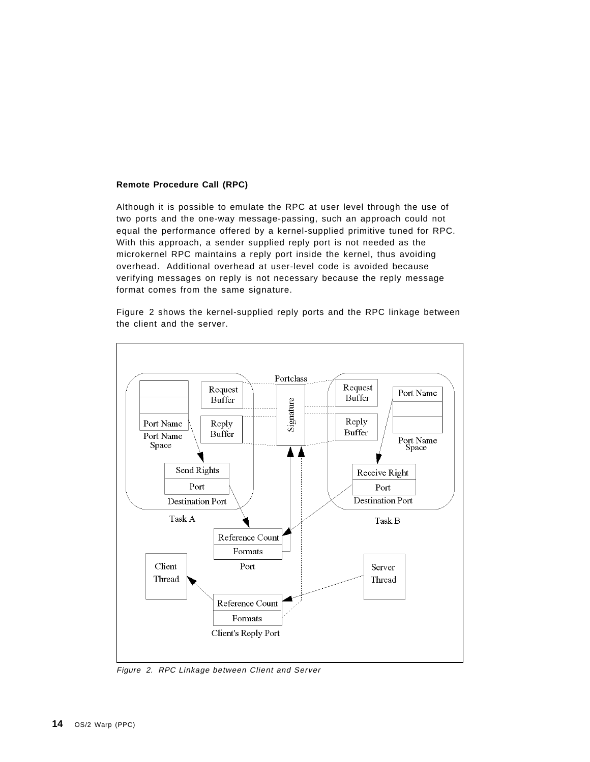#### **Remote Procedure Call (RPC)**

Although it is possible to emulate the RPC at user level through the use of two ports and the one-way message-passing, such an approach could not equal the performance offered by a kernel-supplied primitive tuned for RPC. With this approach, a sender supplied reply port is not needed as the microkernel RPC maintains a reply port inside the kernel, thus avoiding overhead. Additional overhead at user-level code is avoided because verifying messages on reply is not necessary because the reply message format comes from the same signature.

Figure 2 shows the kernel-supplied reply ports and the RPC linkage between the client and the server.



Figure 2. RPC Linkage between Client and Server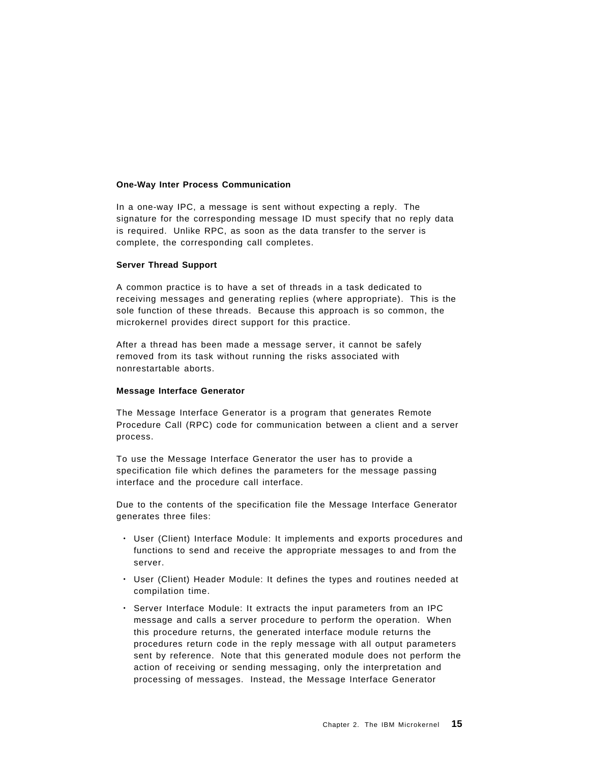### **One-Way Inter Process Communication**

In a one-way IPC, a message is sent without expecting a reply. The signature for the corresponding message ID must specify that no reply data is required. Unlike RPC, as soon as the data transfer to the server is complete, the corresponding call completes.

### **Server Thread Support**

A common practice is to have a set of threads in a task dedicated to receiving messages and generating replies (where appropriate). This is the sole function of these threads. Because this approach is so common, the microkernel provides direct support for this practice.

After a thread has been made a message server, it cannot be safely removed from its task without running the risks associated with nonrestartable aborts.

### **Message Interface Generator**

The Message Interface Generator is a program that generates Remote Procedure Call (RPC) code for communication between a client and a server process.

To use the Message Interface Generator the user has to provide a specification file which defines the parameters for the message passing interface and the procedure call interface.

Due to the contents of the specification file the Message Interface Generator generates three files:

- User (Client) Interface Module: It implements and exports procedures and functions to send and receive the appropriate messages to and from the server.
- User (Client) Header Module: It defines the types and routines needed at compilation time.
- Server Interface Module: It extracts the input parameters from an IPC message and calls a server procedure to perform the operation. When this procedure returns, the generated interface module returns the procedures return code in the reply message with all output parameters sent by reference. Note that this generated module does not perform the action of receiving or sending messaging, only the interpretation and processing of messages. Instead, the Message Interface Generator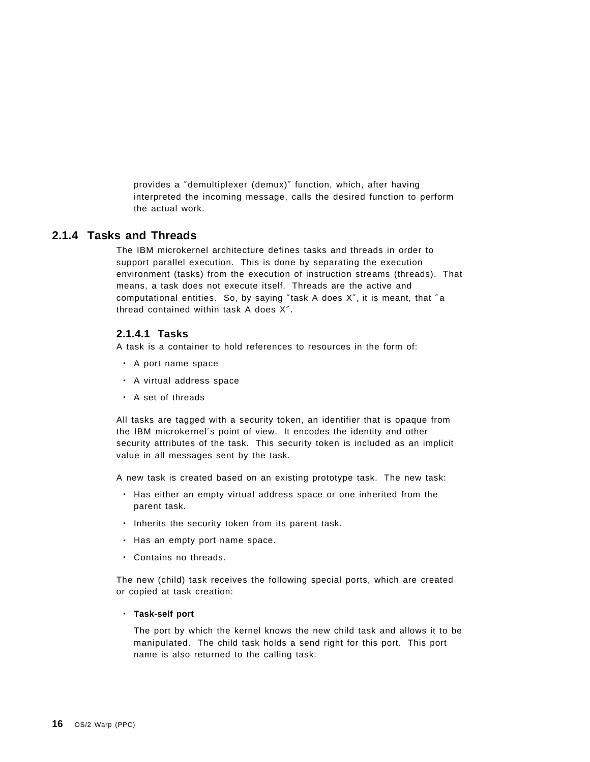provides a ″demultiplexer (demux)″ function, which, after having interpreted the incoming message, calls the desired function to perform the actual work.

# **2.1.4 Tasks and Threads**

The IBM microkernel architecture defines tasks and threads in order to support parallel execution. This is done by separating the execution environment (tasks) from the execution of instruction streams (threads). That means, a task does not execute itself. Threads are the active and computational entities. So, by saying ″task A does X″, it is meant, that ″a thread contained within task A does X″.

# **2.1.4.1 Tasks**

A task is a container to hold references to resources in the form of:

- A port name space
- A virtual address space
- A set of threads

All tasks are tagged with a security token, an identifier that is opaque from the IBM microkernel′s point of view. It encodes the identity and other security attributes of the task. This security token is included as an implicit value in all messages sent by the task.

A new task is created based on an existing prototype task. The new task:

- Has either an empty virtual address space or one inherited from the parent task.
- Inherits the security token from its parent task.
- Has an empty port name space.
- Contains no threads.

The new (child) task receives the following special ports, which are created or copied at task creation:

### • **Task-self port**

The port by which the kernel knows the new child task and allows it to be manipulated. The child task holds a send right for this port. This port name is also returned to the calling task.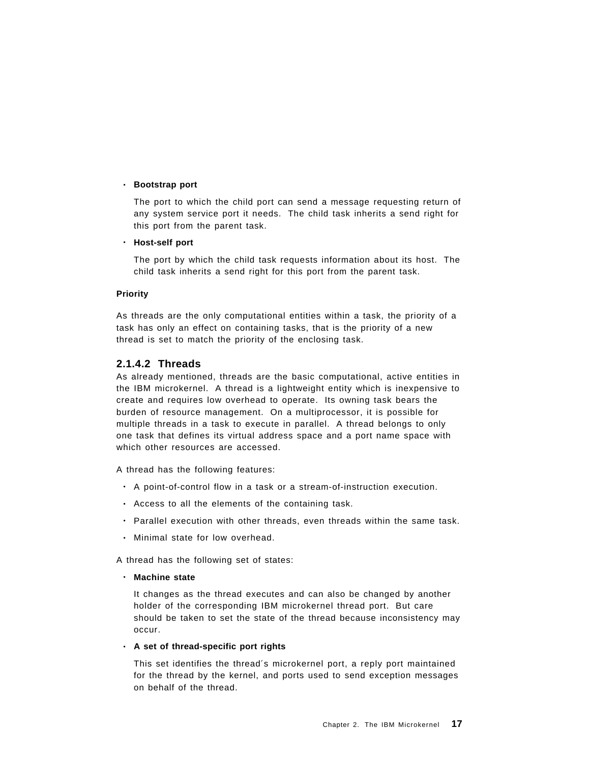### • **Bootstrap port**

The port to which the child port can send a message requesting return of any system service port it needs. The child task inherits a send right for this port from the parent task.

### • **Host-self port**

The port by which the child task requests information about its host. The child task inherits a send right for this port from the parent task.

### **Priority**

As threads are the only computational entities within a task, the priority of a task has only an effect on containing tasks, that is the priority of a new thread is set to match the priority of the enclosing task.

## **2.1.4.2 Threads**

As already mentioned, threads are the basic computational, active entities in the IBM microkernel. A thread is a lightweight entity which is inexpensive to create and requires low overhead to operate. Its owning task bears the burden of resource management. On a multiprocessor, it is possible for multiple threads in a task to execute in parallel. A thread belongs to only one task that defines its virtual address space and a port name space with which other resources are accessed.

A thread has the following features:

- A point-of-control flow in a task or a stream-of-instruction execution.
- Access to all the elements of the containing task.
- Parallel execution with other threads, even threads within the same task.
- Minimal state for low overhead.

A thread has the following set of states:

### • **Machine state**

It changes as the thread executes and can also be changed by another holder of the corresponding IBM microkernel thread port. But care should be taken to set the state of the thread because inconsistency may occur.

### • **A set of thread-specific port rights**

This set identifies the thread′s microkernel port, a reply port maintained for the thread by the kernel, and ports used to send exception messages on behalf of the thread.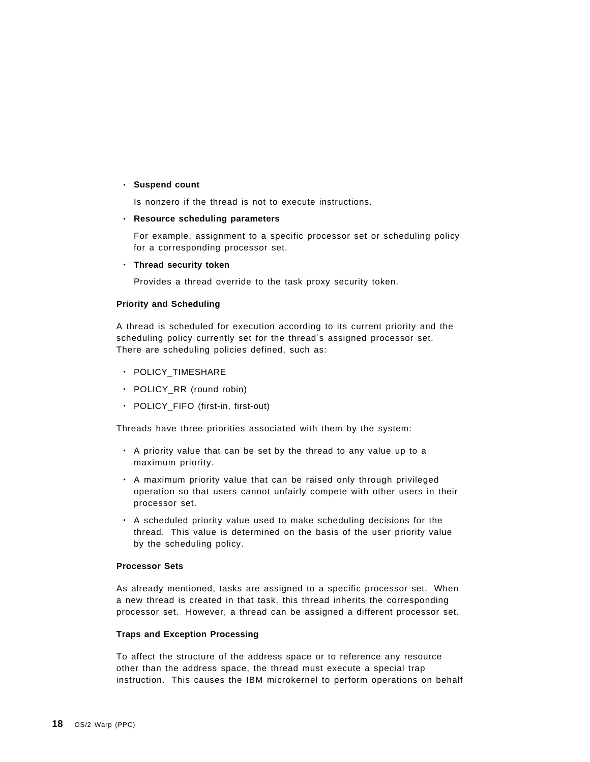### • **Suspend count**

Is nonzero if the thread is not to execute instructions.

### • **Resource scheduling parameters**

For example, assignment to a specific processor set or scheduling policy for a corresponding processor set.

• **Thread security token**

Provides a thread override to the task proxy security token.

### **Priority and Scheduling**

A thread is scheduled for execution according to its current priority and the scheduling policy currently set for the thread′s assigned processor set. There are scheduling policies defined, such as:

- POLICY\_TIMESHARE
- POLICY\_RR (round robin)
- POLICY\_FIFO (first-in, first-out)

Threads have three priorities associated with them by the system:

- A priority value that can be set by the thread to any value up to a maximum priority.
- A maximum priority value that can be raised only through privileged operation so that users cannot unfairly compete with other users in their processor set.
- A scheduled priority value used to make scheduling decisions for the thread. This value is determined on the basis of the user priority value by the scheduling policy.

### **Processor Sets**

As already mentioned, tasks are assigned to a specific processor set. When a new thread is created in that task, this thread inherits the corresponding processor set. However, a thread can be assigned a different processor set.

### **Traps and Exception Processing**

To affect the structure of the address space or to reference any resource other than the address space, the thread must execute a special trap instruction. This causes the IBM microkernel to perform operations on behalf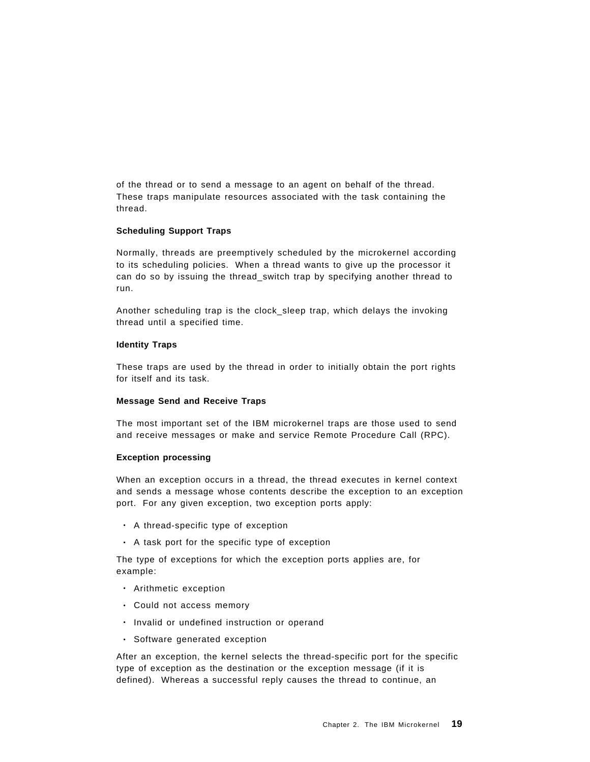of the thread or to send a message to an agent on behalf of the thread. These traps manipulate resources associated with the task containing the thread.

## **Scheduling Support Traps**

Normally, threads are preemptively scheduled by the microkernel according to its scheduling policies. When a thread wants to give up the processor it can do so by issuing the thread\_switch trap by specifying another thread to run.

Another scheduling trap is the clock\_sleep trap, which delays the invoking thread until a specified time.

## **Identity Traps**

These traps are used by the thread in order to initially obtain the port rights for itself and its task.

### **Message Send and Receive Traps**

The most important set of the IBM microkernel traps are those used to send and receive messages or make and service Remote Procedure Call (RPC).

### **Exception processing**

When an exception occurs in a thread, the thread executes in kernel context and sends a message whose contents describe the exception to an exception port. For any given exception, two exception ports apply:

- A thread-specific type of exception
- A task port for the specific type of exception

The type of exceptions for which the exception ports applies are, for example:

- Arithmetic exception
- Could not access memory
- Invalid or undefined instruction or operand
- Software generated exception

After an exception, the kernel selects the thread-specific port for the specific type of exception as the destination or the exception message (if it is defined). Whereas a successful reply causes the thread to continue, an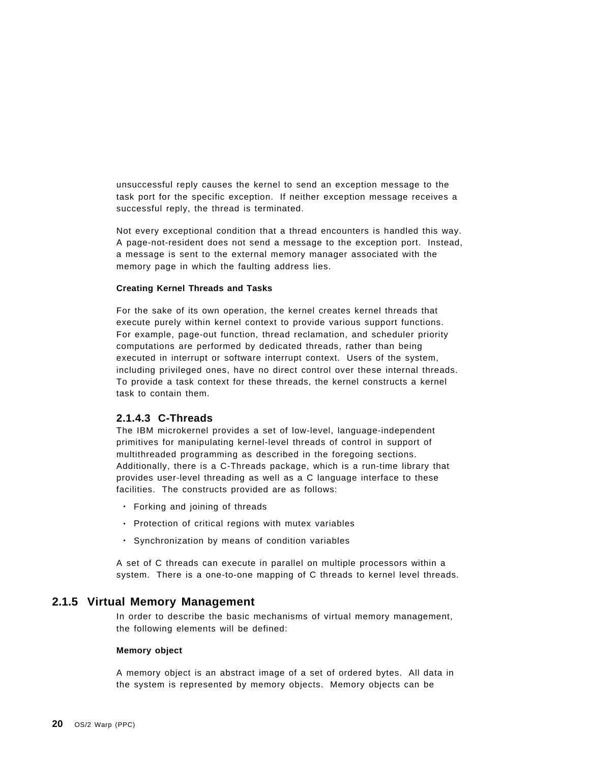unsuccessful reply causes the kernel to send an exception message to the task port for the specific exception. If neither exception message receives a successful reply, the thread is terminated.

Not every exceptional condition that a thread encounters is handled this way. A page-not-resident does not send a message to the exception port. Instead, a message is sent to the external memory manager associated with the memory page in which the faulting address lies.

### **Creating Kernel Threads and Tasks**

For the sake of its own operation, the kernel creates kernel threads that execute purely within kernel context to provide various support functions. For example, page-out function, thread reclamation, and scheduler priority computations are performed by dedicated threads, rather than being executed in interrupt or software interrupt context. Users of the system, including privileged ones, have no direct control over these internal threads. To provide a task context for these threads, the kernel constructs a kernel task to contain them.

# **2.1.4.3 C-Threads**

The IBM microkernel provides a set of low-level, language-independent primitives for manipulating kernel-level threads of control in support of multithreaded programming as described in the foregoing sections. Additionally, there is a C-Threads package, which is a run-time library that provides user-level threading as well as a C language interface to these facilities. The constructs provided are as follows:

- Forking and joining of threads
- Protection of critical regions with mutex variables
- Synchronization by means of condition variables

A set of C threads can execute in parallel on multiple processors within a system. There is a one-to-one mapping of C threads to kernel level threads.

# **2.1.5 Virtual Memory Management**

In order to describe the basic mechanisms of virtual memory management, the following elements will be defined:

### **Memory object**

A memory object is an abstract image of a set of ordered bytes. All data in the system is represented by memory objects. Memory objects can be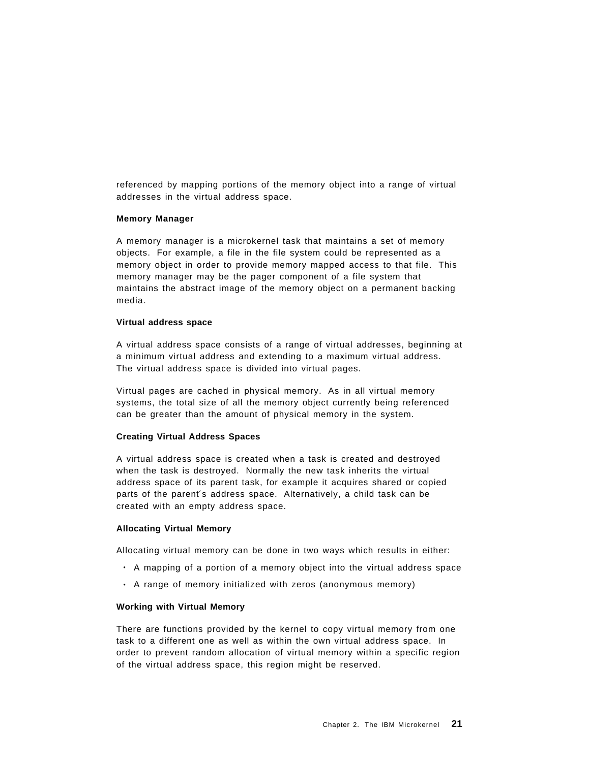referenced by mapping portions of the memory object into a range of virtual addresses in the virtual address space.

### **Memory Manager**

A memory manager is a microkernel task that maintains a set of memory objects. For example, a file in the file system could be represented as a memory object in order to provide memory mapped access to that file. This memory manager may be the pager component of a file system that maintains the abstract image of the memory object on a permanent backing media.

### **Virtual address space**

A virtual address space consists of a range of virtual addresses, beginning at a minimum virtual address and extending to a maximum virtual address. The virtual address space is divided into virtual pages.

Virtual pages are cached in physical memory. As in all virtual memory systems, the total size of all the memory object currently being referenced can be greater than the amount of physical memory in the system.

### **Creating Virtual Address Spaces**

A virtual address space is created when a task is created and destroyed when the task is destroyed. Normally the new task inherits the virtual address space of its parent task, for example it acquires shared or copied parts of the parent′s address space. Alternatively, a child task can be created with an empty address space.

### **Allocating Virtual Memory**

Allocating virtual memory can be done in two ways which results in either:

- A mapping of a portion of a memory object into the virtual address space
- A range of memory initialized with zeros (anonymous memory)

### **Working with Virtual Memory**

There are functions provided by the kernel to copy virtual memory from one task to a different one as well as within the own virtual address space. In order to prevent random allocation of virtual memory within a specific region of the virtual address space, this region might be reserved.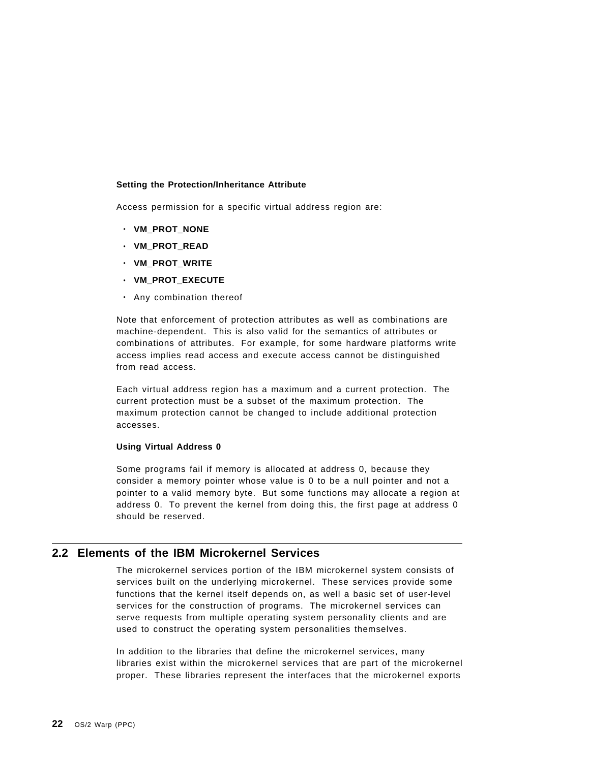### **Setting the Protection/Inheritance Attribute**

Access permission for a specific virtual address region are:

- **VM\_PROT\_NONE**
- **VM\_PROT\_READ**
- **VM\_PROT\_WRITE**
- **VM\_PROT\_EXECUTE**
- Any combination thereof

Note that enforcement of protection attributes as well as combinations are machine-dependent. This is also valid for the semantics of attributes or combinations of attributes. For example, for some hardware platforms write access implies read access and execute access cannot be distinguished from read access.

Each virtual address region has a maximum and a current protection. The current protection must be a subset of the maximum protection. The maximum protection cannot be changed to include additional protection accesses.

### **Using Virtual Address 0**

Some programs fail if memory is allocated at address 0, because they consider a memory pointer whose value is 0 to be a null pointer and not a pointer to a valid memory byte. But some functions may allocate a region at address 0. To prevent the kernel from doing this, the first page at address 0 should be reserved.

# **2.2 Elements of the IBM Microkernel Services**

The microkernel services portion of the IBM microkernel system consists of services built on the underlying microkernel. These services provide some functions that the kernel itself depends on, as well a basic set of user-level services for the construction of programs. The microkernel services can serve requests from multiple operating system personality clients and are used to construct the operating system personalities themselves.

In addition to the libraries that define the microkernel services, many libraries exist within the microkernel services that are part of the microkernel proper. These libraries represent the interfaces that the microkernel exports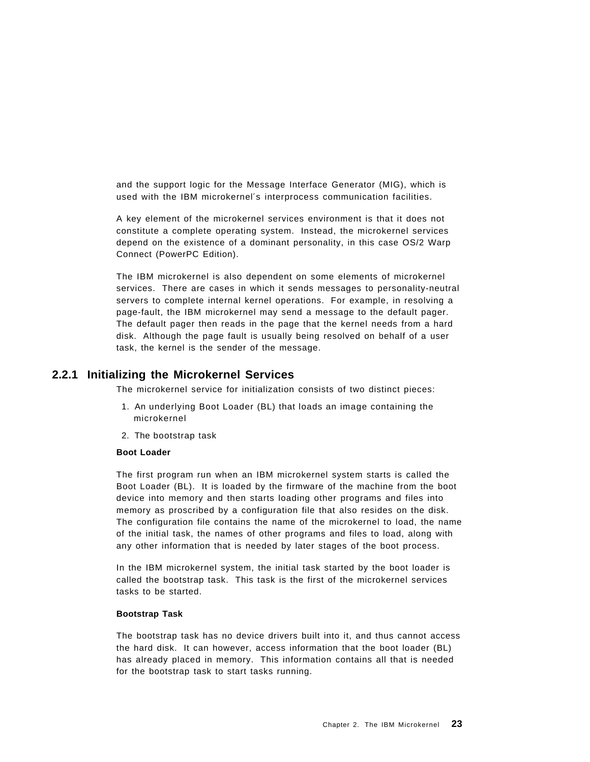and the support logic for the Message Interface Generator (MIG), which is used with the IBM microkernel′s interprocess communication facilities.

A key element of the microkernel services environment is that it does not constitute a complete operating system. Instead, the microkernel services depend on the existence of a dominant personality, in this case OS/2 Warp Connect (PowerPC Edition).

The IBM microkernel is also dependent on some elements of microkernel services. There are cases in which it sends messages to personality-neutral servers to complete internal kernel operations. For example, in resolving a page-fault, the IBM microkernel may send a message to the default pager. The default pager then reads in the page that the kernel needs from a hard disk. Although the page fault is usually being resolved on behalf of a user task, the kernel is the sender of the message.

# **2.2.1 Initializing the Microkernel Services**

The microkernel service for initialization consists of two distinct pieces:

- 1. An underlying Boot Loader (BL) that loads an image containing the microkernel
- 2. The bootstrap task

### **Boot Loader**

The first program run when an IBM microkernel system starts is called the Boot Loader (BL). It is loaded by the firmware of the machine from the boot device into memory and then starts loading other programs and files into memory as proscribed by a configuration file that also resides on the disk. The configuration file contains the name of the microkernel to load, the name of the initial task, the names of other programs and files to load, along with any other information that is needed by later stages of the boot process.

In the IBM microkernel system, the initial task started by the boot loader is called the bootstrap task. This task is the first of the microkernel services tasks to be started.

### **Bootstrap Task**

The bootstrap task has no device drivers built into it, and thus cannot access the hard disk. It can however, access information that the boot loader (BL) has already placed in memory. This information contains all that is needed for the bootstrap task to start tasks running.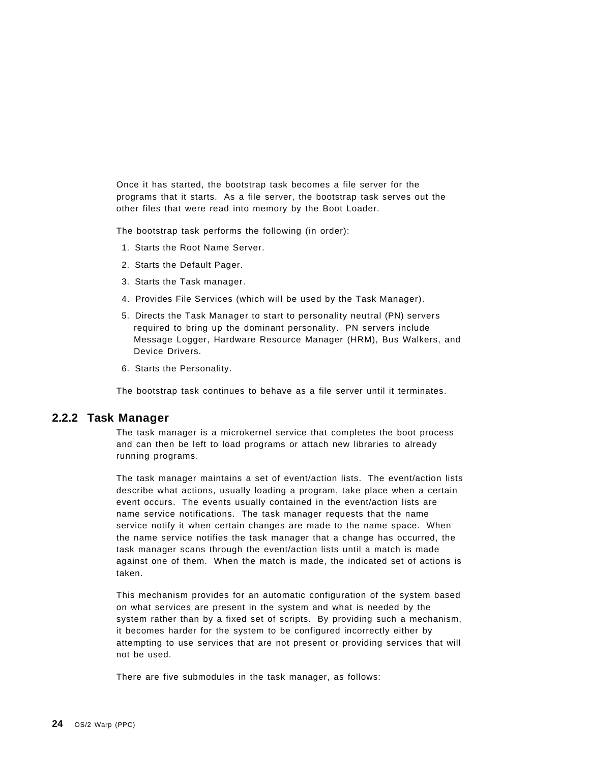Once it has started, the bootstrap task becomes a file server for the programs that it starts. As a file server, the bootstrap task serves out the other files that were read into memory by the Boot Loader.

The bootstrap task performs the following (in order):

- 1. Starts the Root Name Server.
- 2. Starts the Default Pager.
- 3. Starts the Task manager.
- 4. Provides File Services (which will be used by the Task Manager).
- 5. Directs the Task Manager to start to personality neutral (PN) servers required to bring up the dominant personality. PN servers include Message Logger, Hardware Resource Manager (HRM), Bus Walkers, and Device Drivers.
- 6. Starts the Personality.

The bootstrap task continues to behave as a file server until it terminates.

## **2.2.2 Task Manager**

The task manager is a microkernel service that completes the boot process and can then be left to load programs or attach new libraries to already running programs.

The task manager maintains a set of event/action lists. The event/action lists describe what actions, usually loading a program, take place when a certain event occurs. The events usually contained in the event/action lists are name service notifications. The task manager requests that the name service notify it when certain changes are made to the name space. When the name service notifies the task manager that a change has occurred, the task manager scans through the event/action lists until a match is made against one of them. When the match is made, the indicated set of actions is taken.

This mechanism provides for an automatic configuration of the system based on what services are present in the system and what is needed by the system rather than by a fixed set of scripts. By providing such a mechanism, it becomes harder for the system to be configured incorrectly either by attempting to use services that are not present or providing services that will not be used.

There are five submodules in the task manager, as follows: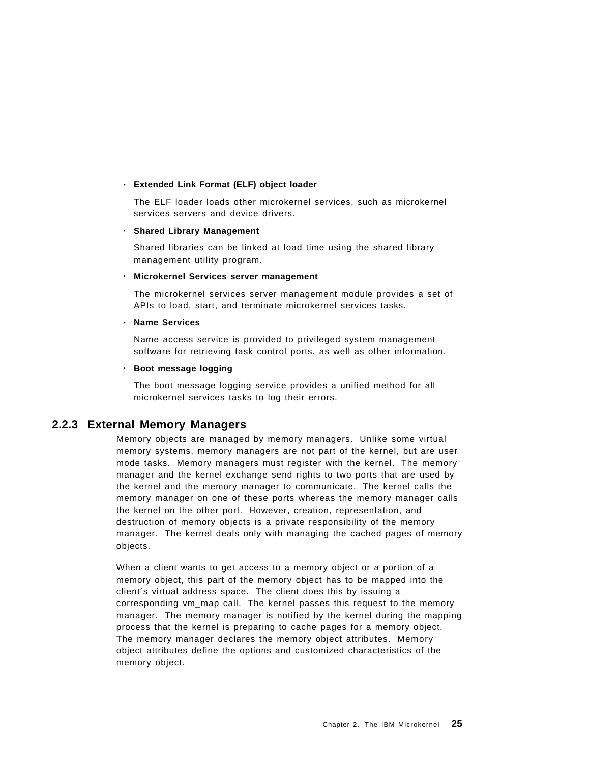### • **Extended Link Format (ELF) object loader**

The ELF loader loads other microkernel services, such as microkernel services servers and device drivers.

### • **Shared Library Management**

Shared libraries can be linked at load time using the shared library management utility program.

### • **Microkernel Services server management**

The microkernel services server management module provides a set of APIs to load, start, and terminate microkernel services tasks.

### • **Name Services**

Name access service is provided to privileged system management software for retrieving task control ports, as well as other information.

### • **Boot message logging**

The boot message logging service provides a unified method for all microkernel services tasks to log their errors.

## **2.2.3 External Memory Managers**

Memory objects are managed by memory managers. Unlike some virtual memory systems, memory managers are not part of the kernel, but are user mode tasks. Memory managers must register with the kernel. The memory manager and the kernel exchange send rights to two ports that are used by the kernel and the memory manager to communicate. The kernel calls the memory manager on one of these ports whereas the memory manager calls the kernel on the other port. However, creation, representation, and destruction of memory objects is a private responsibility of the memory manager. The kernel deals only with managing the cached pages of memory objects.

When a client wants to get access to a memory object or a portion of a memory object, this part of the memory object has to be mapped into the client′s virtual address space. The client does this by issuing a corresponding vm\_map call. The kernel passes this request to the memory manager. The memory manager is notified by the kernel during the mapping process that the kernel is preparing to cache pages for a memory object. The memory manager declares the memory object attributes. Memory object attributes define the options and customized characteristics of the memory object.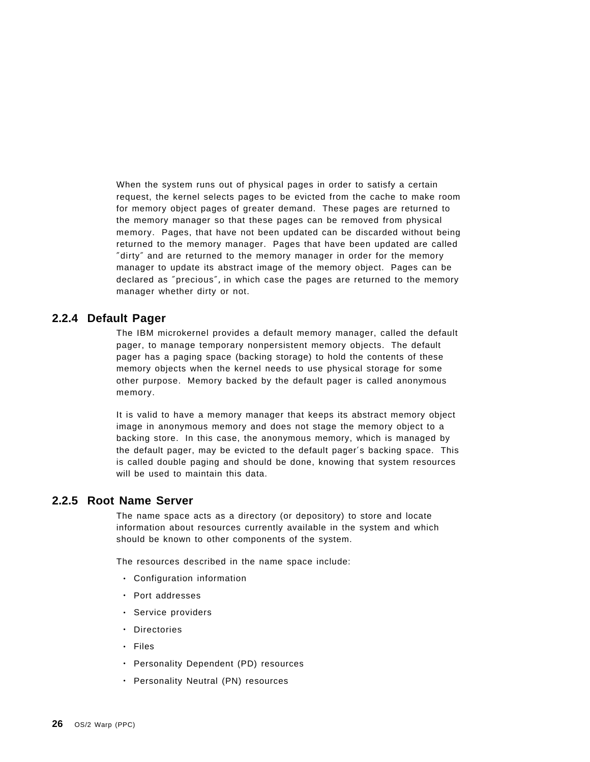When the system runs out of physical pages in order to satisfy a certain request, the kernel selects pages to be evicted from the cache to make room for memory object pages of greater demand. These pages are returned to the memory manager so that these pages can be removed from physical memory. Pages, that have not been updated can be discarded without being returned to the memory manager. Pages that have been updated are called ″dirty″ and are returned to the memory manager in order for the memory manager to update its abstract image of the memory object. Pages can be declared as ″precious″, in which case the pages are returned to the memory manager whether dirty or not.

## **2.2.4 Default Pager**

The IBM microkernel provides a default memory manager, called the default pager, to manage temporary nonpersistent memory objects. The default pager has a paging space (backing storage) to hold the contents of these memory objects when the kernel needs to use physical storage for some other purpose. Memory backed by the default pager is called anonymous memory.

It is valid to have a memory manager that keeps its abstract memory object image in anonymous memory and does not stage the memory object to a backing store. In this case, the anonymous memory, which is managed by the default pager, may be evicted to the default pager′s backing space. This is called double paging and should be done, knowing that system resources will be used to maintain this data.

## **2.2.5 Root Name Server**

The name space acts as a directory (or depository) to store and locate information about resources currently available in the system and which should be known to other components of the system.

The resources described in the name space include:

- Configuration information
- Port addresses
- Service providers
- Directories
- Files
- Personality Dependent (PD) resources
- Personality Neutral (PN) resources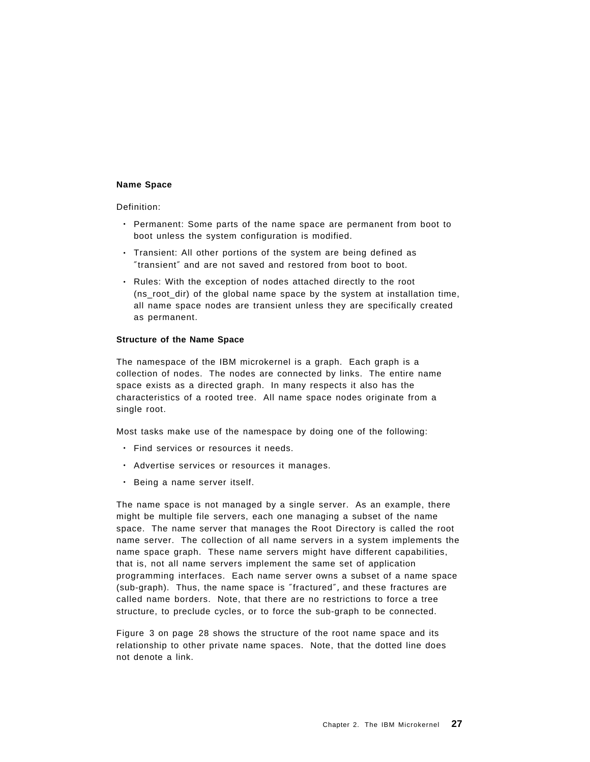### **Name Space**

### Definition:

- Permanent: Some parts of the name space are permanent from boot to boot unless the system configuration is modified.
- Transient: All other portions of the system are being defined as ″transient″ and are not saved and restored from boot to boot.
- Rules: With the exception of nodes attached directly to the root (ns\_root\_dir) of the global name space by the system at installation time, all name space nodes are transient unless they are specifically created as permanent.

## **Structure of the Name Space**

The namespace of the IBM microkernel is a graph. Each graph is a collection of nodes. The nodes are connected by links. The entire name space exists as a directed graph. In many respects it also has the characteristics of a rooted tree. All name space nodes originate from a single root.

Most tasks make use of the namespace by doing one of the following:

- Find services or resources it needs.
- Advertise services or resources it manages.
- Being a name server itself.

The name space is not managed by a single server. As an example, there might be multiple file servers, each one managing a subset of the name space. The name server that manages the Root Directory is called the root name server. The collection of all name servers in a system implements the name space graph. These name servers might have different capabilities, that is, not all name servers implement the same set of application programming interfaces. Each name server owns a subset of a name space (sub-graph). Thus, the name space is ″fractured″, and these fractures are called name borders. Note, that there are no restrictions to force a tree structure, to preclude cycles, or to force the sub-graph to be connected.

Figure 3 on page 28 shows the structure of the root name space and its relationship to other private name spaces. Note, that the dotted line does not denote a link.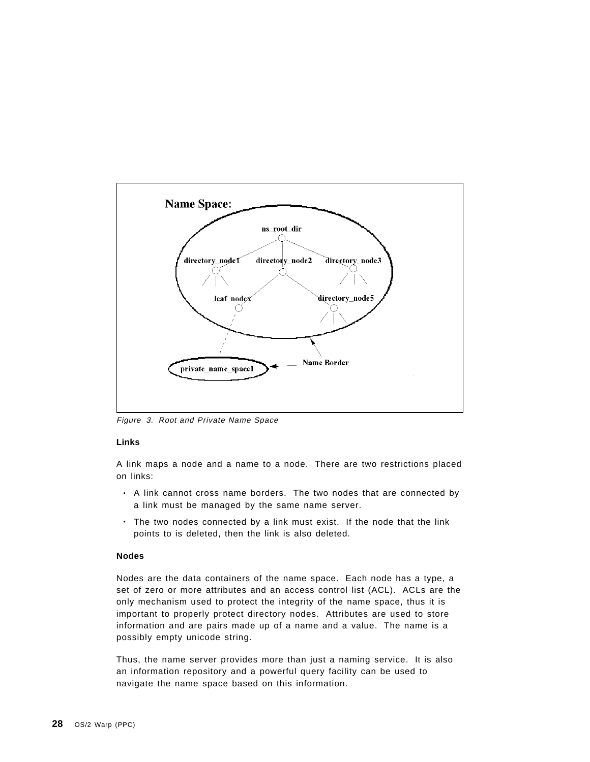

Figure 3. Root and Private Name Space

### **Links**

A link maps a node and a name to a node. There are two restrictions placed on links:

- A link cannot cross name borders. The two nodes that are connected by a link must be managed by the same name server.
- The two nodes connected by a link must exist. If the node that the link points to is deleted, then the link is also deleted.

### **Nodes**

Nodes are the data containers of the name space. Each node has a type, a set of zero or more attributes and an access control list (ACL). ACLs are the only mechanism used to protect the integrity of the name space, thus it is important to properly protect directory nodes. Attributes are used to store information and are pairs made up of a name and a value. The name is a possibly empty unicode string.

Thus, the name server provides more than just a naming service. It is also an information repository and a powerful query facility can be used to navigate the name space based on this information.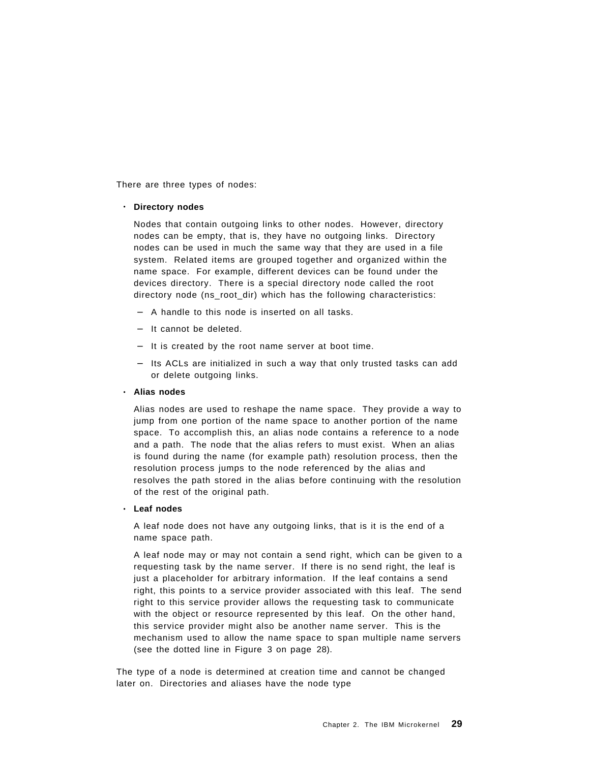There are three types of nodes:

### • **Directory nodes**

Nodes that contain outgoing links to other nodes. However, directory nodes can be empty, that is, they have no outgoing links. Directory nodes can be used in much the same way that they are used in a file system. Related items are grouped together and organized within the name space. For example, different devices can be found under the devices directory. There is a special directory node called the root directory node (ns\_root\_dir) which has the following characteristics:

- − A handle to this node is inserted on all tasks.
- − It cannot be deleted.
- − It is created by the root name server at boot time.
- − Its ACLs are initialized in such a way that only trusted tasks can add or delete outgoing links.

### • **Alias nodes**

Alias nodes are used to reshape the name space. They provide a way to jump from one portion of the name space to another portion of the name space. To accomplish this, an alias node contains a reference to a node and a path. The node that the alias refers to must exist. When an alias is found during the name (for example path) resolution process, then the resolution process jumps to the node referenced by the alias and resolves the path stored in the alias before continuing with the resolution of the rest of the original path.

### • **Leaf nodes**

A leaf node does not have any outgoing links, that is it is the end of a name space path.

A leaf node may or may not contain a send right, which can be given to a requesting task by the name server. If there is no send right, the leaf is just a placeholder for arbitrary information. If the leaf contains a send right, this points to a service provider associated with this leaf. The send right to this service provider allows the requesting task to communicate with the object or resource represented by this leaf. On the other hand, this service provider might also be another name server. This is the mechanism used to allow the name space to span multiple name servers (see the dotted line in Figure 3 on page 28).

The type of a node is determined at creation time and cannot be changed later on. Directories and aliases have the node type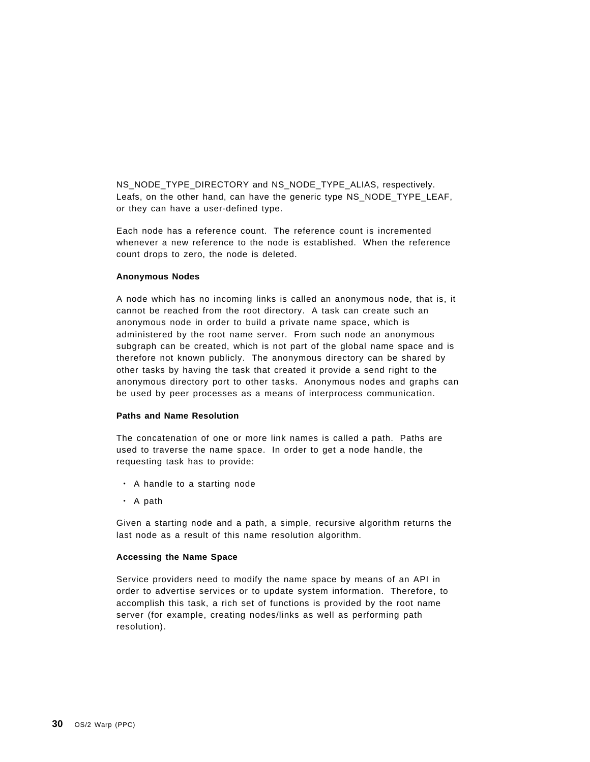NS\_NODE\_TYPE\_DIRECTORY and NS\_NODE\_TYPE\_ALIAS, respectively. Leafs, on the other hand, can have the generic type NS\_NODE\_TYPE\_LEAF, or they can have a user-defined type.

Each node has a reference count. The reference count is incremented whenever a new reference to the node is established. When the reference count drops to zero, the node is deleted.

### **Anonymous Nodes**

A node which has no incoming links is called an anonymous node, that is, it cannot be reached from the root directory. A task can create such an anonymous node in order to build a private name space, which is administered by the root name server. From such node an anonymous subgraph can be created, which is not part of the global name space and is therefore not known publicly. The anonymous directory can be shared by other tasks by having the task that created it provide a send right to the anonymous directory port to other tasks. Anonymous nodes and graphs can be used by peer processes as a means of interprocess communication.

### **Paths and Name Resolution**

The concatenation of one or more link names is called a path. Paths are used to traverse the name space. In order to get a node handle, the requesting task has to provide:

- A handle to a starting node
- A path

Given a starting node and a path, a simple, recursive algorithm returns the last node as a result of this name resolution algorithm.

### **Accessing the Name Space**

Service providers need to modify the name space by means of an API in order to advertise services or to update system information. Therefore, to accomplish this task, a rich set of functions is provided by the root name server (for example, creating nodes/links as well as performing path resolution).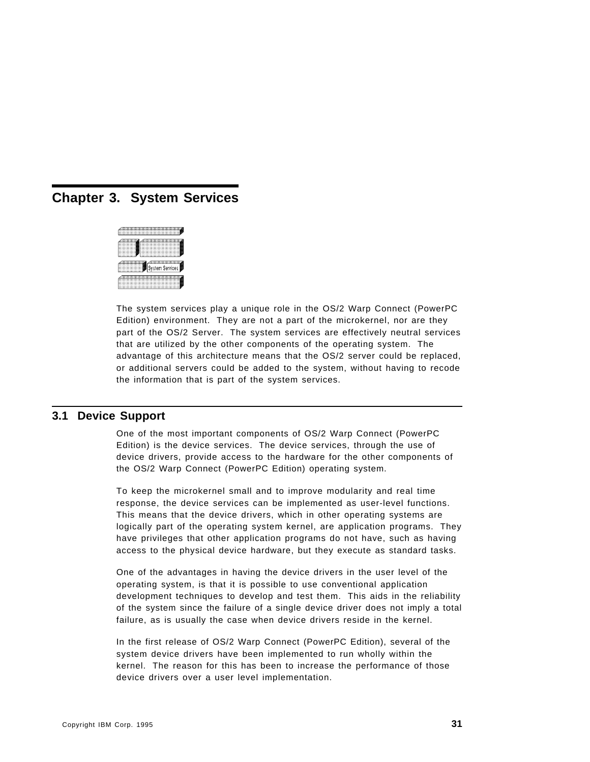# **Chapter 3. System Services**



The system services play a unique role in the OS/2 Warp Connect (PowerPC Edition) environment. They are not a part of the microkernel, nor are they part of the OS/2 Server. The system services are effectively neutral services that are utilized by the other components of the operating system. The advantage of this architecture means that the OS/2 server could be replaced, or additional servers could be added to the system, without having to recode the information that is part of the system services.

# **3.1 Device Support**

One of the most important components of OS/2 Warp Connect (PowerPC Edition) is the device services. The device services, through the use of device drivers, provide access to the hardware for the other components of the OS/2 Warp Connect (PowerPC Edition) operating system.

To keep the microkernel small and to improve modularity and real time response, the device services can be implemented as user-level functions. This means that the device drivers, which in other operating systems are logically part of the operating system kernel, are application programs. They have privileges that other application programs do not have, such as having access to the physical device hardware, but they execute as standard tasks.

One of the advantages in having the device drivers in the user level of the operating system, is that it is possible to use conventional application development techniques to develop and test them. This aids in the reliability of the system since the failure of a single device driver does not imply a total failure, as is usually the case when device drivers reside in the kernel.

In the first release of OS/2 Warp Connect (PowerPC Edition), several of the system device drivers have been implemented to run wholly within the kernel. The reason for this has been to increase the performance of those device drivers over a user level implementation.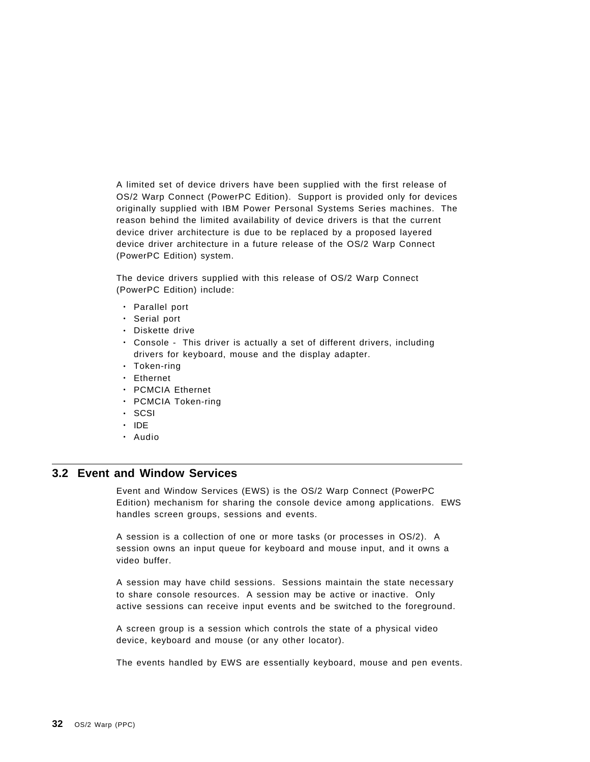A limited set of device drivers have been supplied with the first release of OS/2 Warp Connect (PowerPC Edition). Support is provided only for devices originally supplied with IBM Power Personal Systems Series machines. The reason behind the limited availability of device drivers is that the current device driver architecture is due to be replaced by a proposed layered device driver architecture in a future release of the OS/2 Warp Connect (PowerPC Edition) system.

The device drivers supplied with this release of OS/2 Warp Connect (PowerPC Edition) include:

- Parallel port
- Serial port
- Diskette drive
- Console This driver is actually a set of different drivers, including drivers for keyboard, mouse and the display adapter.
- Token-ring
- Ethernet
- PCMCIA Ethernet
- PCMCIA Token-ring
- SCSI
- IDE
- Audio

# **3.2 Event and Window Services**

Event and Window Services (EWS) is the OS/2 Warp Connect (PowerPC Edition) mechanism for sharing the console device among applications. EWS handles screen groups, sessions and events.

A session is a collection of one or more tasks (or processes in OS/2). A session owns an input queue for keyboard and mouse input, and it owns a video buffer.

A session may have child sessions. Sessions maintain the state necessary to share console resources. A session may be active or inactive. Only active sessions can receive input events and be switched to the foreground.

A screen group is a session which controls the state of a physical video device, keyboard and mouse (or any other locator).

The events handled by EWS are essentially keyboard, mouse and pen events.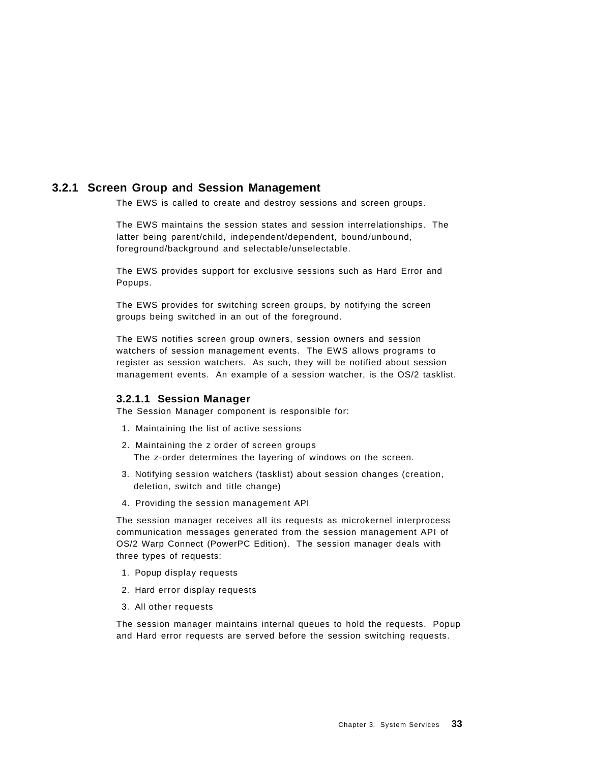# **3.2.1 Screen Group and Session Management**

The EWS is called to create and destroy sessions and screen groups.

The EWS maintains the session states and session interrelationships. The latter being parent/child, independent/dependent, bound/unbound, foreground/background and selectable/unselectable.

The EWS provides support for exclusive sessions such as Hard Error and Popups.

The EWS provides for switching screen groups, by notifying the screen groups being switched in an out of the foreground.

The EWS notifies screen group owners, session owners and session watchers of session management events. The EWS allows programs to register as session watchers. As such, they will be notified about session management events. An example of a session watcher, is the OS/2 tasklist.

## **3.2.1.1 Session Manager**

The Session Manager component is responsible for:

- 1. Maintaining the list of active sessions
- 2. Maintaining the z order of screen groups The z-order determines the layering of windows on the screen.
- 3. Notifying session watchers (tasklist) about session changes (creation, deletion, switch and title change)
- 4. Providing the session management API

The session manager receives all its requests as microkernel interprocess communication messages generated from the session management API of OS/2 Warp Connect (PowerPC Edition). The session manager deals with three types of requests:

- 1. Popup display requests
- 2. Hard error display requests
- 3. All other requests

The session manager maintains internal queues to hold the requests. Popup and Hard error requests are served before the session switching requests.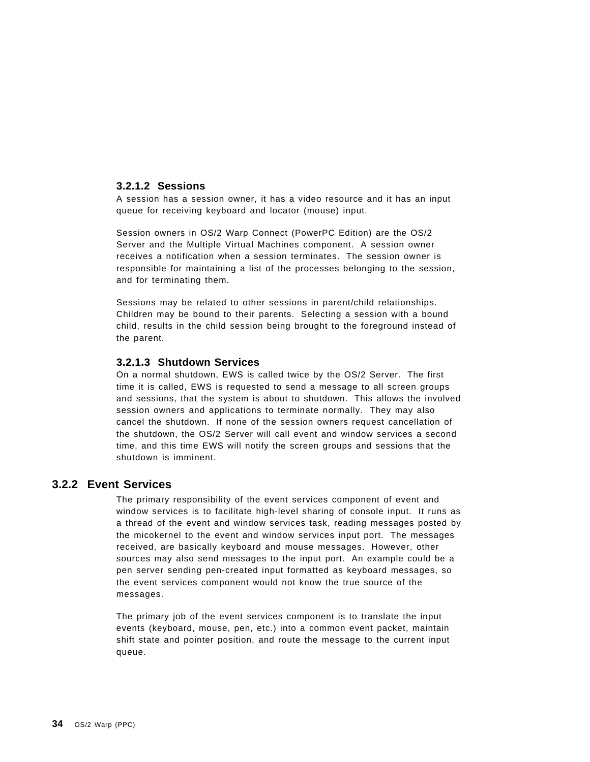## **3.2.1.2 Sessions**

A session has a session owner, it has a video resource and it has an input queue for receiving keyboard and locator (mouse) input.

Session owners in OS/2 Warp Connect (PowerPC Edition) are the OS/2 Server and the Multiple Virtual Machines component. A session owner receives a notification when a session terminates. The session owner is responsible for maintaining a list of the processes belonging to the session, and for terminating them.

Sessions may be related to other sessions in parent/child relationships. Children may be bound to their parents. Selecting a session with a bound child, results in the child session being brought to the foreground instead of the parent.

## **3.2.1.3 Shutdown Services**

On a normal shutdown, EWS is called twice by the OS/2 Server. The first time it is called, EWS is requested to send a message to all screen groups and sessions, that the system is about to shutdown. This allows the involved session owners and applications to terminate normally. They may also cancel the shutdown. If none of the session owners request cancellation of the shutdown, the OS/2 Server will call event and window services a second time, and this time EWS will notify the screen groups and sessions that the shutdown is imminent.

# **3.2.2 Event Services**

The primary responsibility of the event services component of event and window services is to facilitate high-level sharing of console input. It runs as a thread of the event and window services task, reading messages posted by the micokernel to the event and window services input port. The messages received, are basically keyboard and mouse messages. However, other sources may also send messages to the input port. An example could be a pen server sending pen-created input formatted as keyboard messages, so the event services component would not know the true source of the messages.

The primary job of the event services component is to translate the input events (keyboard, mouse, pen, etc.) into a common event packet, maintain shift state and pointer position, and route the message to the current input queue.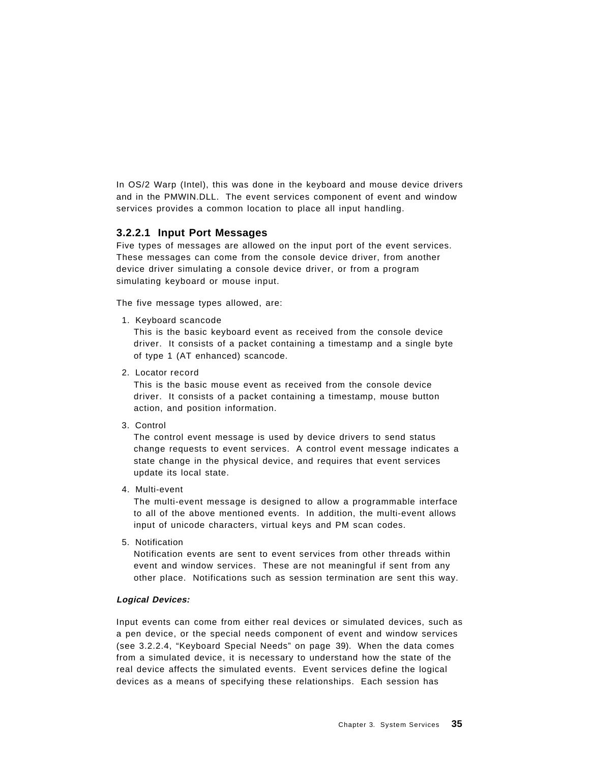In OS/2 Warp (Intel), this was done in the keyboard and mouse device drivers and in the PMWIN.DLL. The event services component of event and window services provides a common location to place all input handling.

# **3.2.2.1 Input Port Messages**

Five types of messages are allowed on the input port of the event services. These messages can come from the console device driver, from another device driver simulating a console device driver, or from a program simulating keyboard or mouse input.

The five message types allowed, are:

1. Keyboard scancode

This is the basic keyboard event as received from the console device driver. It consists of a packet containing a timestamp and a single byte of type 1 (AT enhanced) scancode.

2. Locator record

This is the basic mouse event as received from the console device driver. It consists of a packet containing a timestamp, mouse button action, and position information.

3. Control

The control event message is used by device drivers to send status change requests to event services. A control event message indicates a state change in the physical device, and requires that event services update its local state.

4. Multi-event

The multi-event message is designed to allow a programmable interface to all of the above mentioned events. In addition, the multi-event allows input of unicode characters, virtual keys and PM scan codes.

5. Notification

Notification events are sent to event services from other threads within event and window services. These are not meaningful if sent from any other place. Notifications such as session termination are sent this way.

### **Logical Devices:**

Input events can come from either real devices or simulated devices, such as a pen device, or the special needs component of event and window services (see 3.2.2.4, "Keyboard Special Needs" on page 39). When the data comes from a simulated device, it is necessary to understand how the state of the real device affects the simulated events. Event services define the logical devices as a means of specifying these relationships. Each session has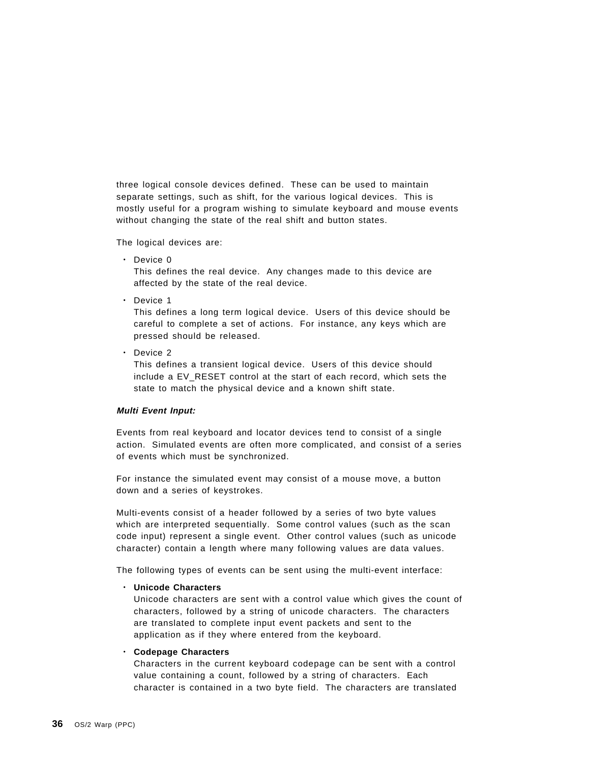three logical console devices defined. These can be used to maintain separate settings, such as shift, for the various logical devices. This is mostly useful for a program wishing to simulate keyboard and mouse events without changing the state of the real shift and button states.

The logical devices are:

• Device 0

This defines the real device. Any changes made to this device are affected by the state of the real device.

• Device 1

This defines a long term logical device. Users of this device should be careful to complete a set of actions. For instance, any keys which are pressed should be released.

• Device 2

This defines a transient logical device. Users of this device should include a EV\_RESET control at the start of each record, which sets the state to match the physical device and a known shift state.

### **Multi Event Input:**

Events from real keyboard and locator devices tend to consist of a single action. Simulated events are often more complicated, and consist of a series of events which must be synchronized.

For instance the simulated event may consist of a mouse move, a button down and a series of keystrokes.

Multi-events consist of a header followed by a series of two byte values which are interpreted sequentially. Some control values (such as the scan code input) represent a single event. Other control values (such as unicode character) contain a length where many following values are data values.

The following types of events can be sent using the multi-event interface:

### • **Unicode Characters**

Unicode characters are sent with a control value which gives the count of characters, followed by a string of unicode characters. The characters are translated to complete input event packets and sent to the application as if they where entered from the keyboard.

### • **Codepage Characters**

Characters in the current keyboard codepage can be sent with a control value containing a count, followed by a string of characters. Each character is contained in a two byte field. The characters are translated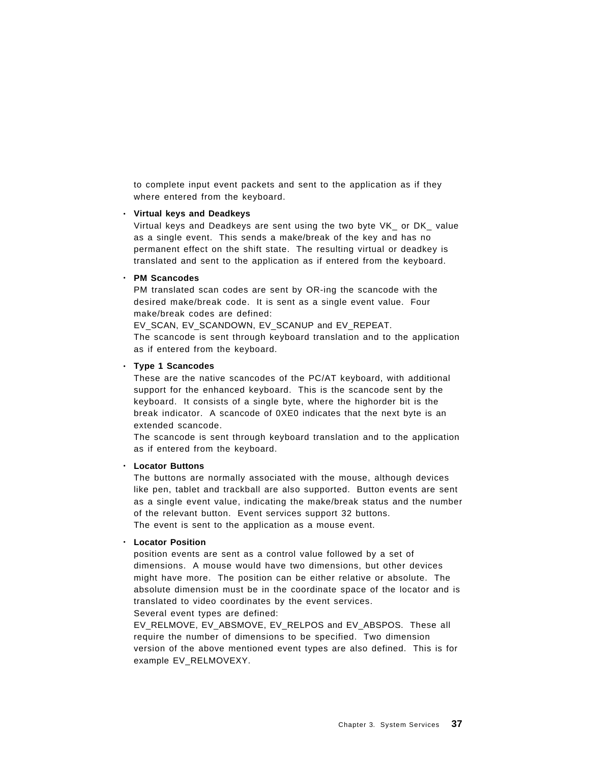to complete input event packets and sent to the application as if they where entered from the keyboard.

### • **Virtual keys and Deadkeys**

Virtual keys and Deadkeys are sent using the two byte VK\_ or DK\_ value as a single event. This sends a make/break of the key and has no permanent effect on the shift state. The resulting virtual or deadkey is translated and sent to the application as if entered from the keyboard.

### • **PM Scancodes**

PM translated scan codes are sent by OR-ing the scancode with the desired make/break code. It is sent as a single event value. Four make/break codes are defined:

EV\_SCAN, EV\_SCANDOWN, EV\_SCANUP and EV\_REPEAT.

The scancode is sent through keyboard translation and to the application as if entered from the keyboard.

## • **Type 1 Scancodes**

These are the native scancodes of the PC/AT keyboard, with additional support for the enhanced keyboard. This is the scancode sent by the keyboard. It consists of a single byte, where the highorder bit is the break indicator. A scancode of 0XE0 indicates that the next byte is an extended scancode.

The scancode is sent through keyboard translation and to the application as if entered from the keyboard.

### • **Locator Buttons**

The buttons are normally associated with the mouse, although devices like pen, tablet and trackball are also supported. Button events are sent as a single event value, indicating the make/break status and the number of the relevant button. Event services support 32 buttons. The event is sent to the application as a mouse event.

### • **Locator Position**

position events are sent as a control value followed by a set of dimensions. A mouse would have two dimensions, but other devices might have more. The position can be either relative or absolute. The absolute dimension must be in the coordinate space of the locator and is translated to video coordinates by the event services. Several event types are defined:

EV\_RELMOVE, EV\_ABSMOVE, EV\_RELPOS and EV\_ABSPOS. These all require the number of dimensions to be specified. Two dimension version of the above mentioned event types are also defined. This is for example EV\_RELMOVEXY.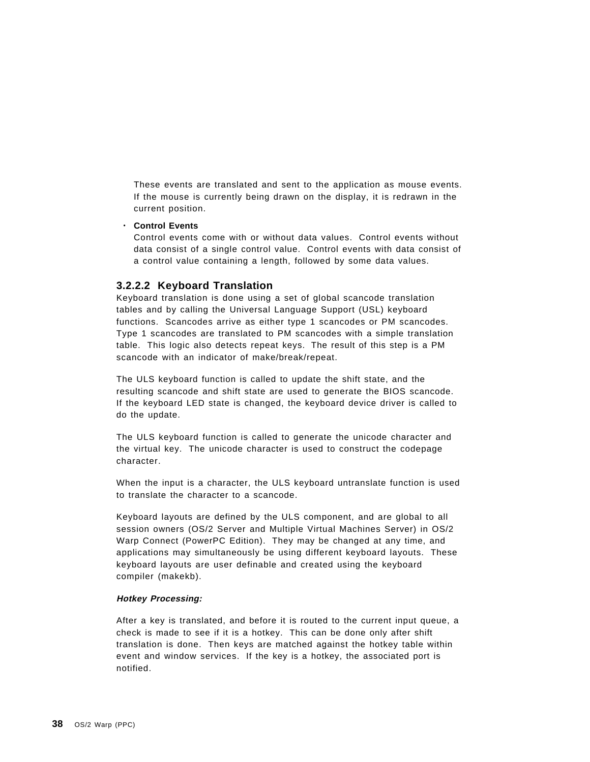These events are translated and sent to the application as mouse events. If the mouse is currently being drawn on the display, it is redrawn in the current position.

## • **Control Events**

Control events come with or without data values. Control events without data consist of a single control value. Control events with data consist of a control value containing a length, followed by some data values.

# **3.2.2.2 Keyboard Translation**

Keyboard translation is done using a set of global scancode translation tables and by calling the Universal Language Support (USL) keyboard functions. Scancodes arrive as either type 1 scancodes or PM scancodes. Type 1 scancodes are translated to PM scancodes with a simple translation table. This logic also detects repeat keys. The result of this step is a PM scancode with an indicator of make/break/repeat.

The ULS keyboard function is called to update the shift state, and the resulting scancode and shift state are used to generate the BIOS scancode. If the keyboard LED state is changed, the keyboard device driver is called to do the update.

The ULS keyboard function is called to generate the unicode character and the virtual key. The unicode character is used to construct the codepage character.

When the input is a character, the ULS keyboard untranslate function is used to translate the character to a scancode.

Keyboard layouts are defined by the ULS component, and are global to all session owners (OS/2 Server and Multiple Virtual Machines Server) in OS/2 Warp Connect (PowerPC Edition). They may be changed at any time, and applications may simultaneously be using different keyboard layouts. These keyboard layouts are user definable and created using the keyboard compiler (makekb).

### **Hotkey Processing:**

After a key is translated, and before it is routed to the current input queue, a check is made to see if it is a hotkey. This can be done only after shift translation is done. Then keys are matched against the hotkey table within event and window services. If the key is a hotkey, the associated port is notified.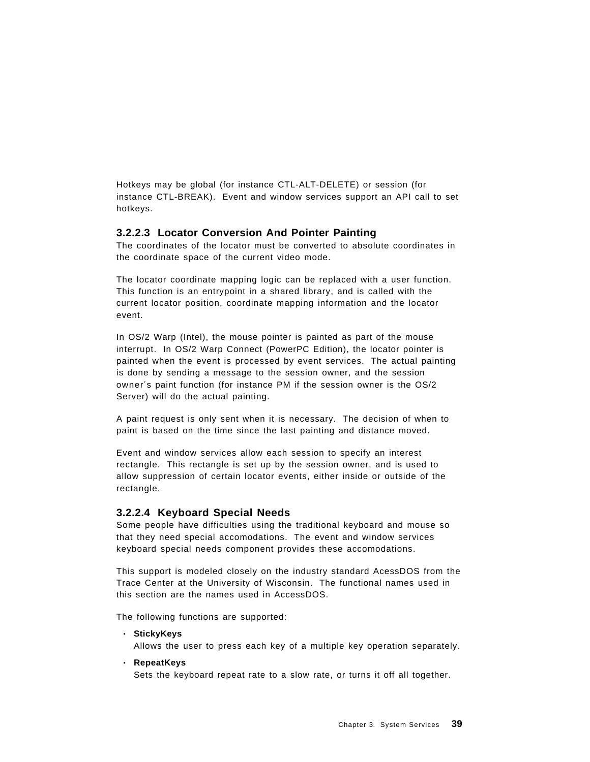Hotkeys may be global (for instance CTL-ALT-DELETE) or session (for instance CTL-BREAK). Event and window services support an API call to set hotkeys.

# **3.2.2.3 Locator Conversion And Pointer Painting**

The coordinates of the locator must be converted to absolute coordinates in the coordinate space of the current video mode.

The locator coordinate mapping logic can be replaced with a user function. This function is an entrypoint in a shared library, and is called with the current locator position, coordinate mapping information and the locator event.

In OS/2 Warp (Intel), the mouse pointer is painted as part of the mouse interrupt. In OS/2 Warp Connect (PowerPC Edition), the locator pointer is painted when the event is processed by event services. The actual painting is done by sending a message to the session owner, and the session owner′s paint function (for instance PM if the session owner is the OS/2 Server) will do the actual painting.

A paint request is only sent when it is necessary. The decision of when to paint is based on the time since the last painting and distance moved.

Event and window services allow each session to specify an interest rectangle. This rectangle is set up by the session owner, and is used to allow suppression of certain locator events, either inside or outside of the rectangle.

# **3.2.2.4 Keyboard Special Needs**

Some people have difficulties using the traditional keyboard and mouse so that they need special accomodations. The event and window services keyboard special needs component provides these accomodations.

This support is modeled closely on the industry standard AcessDOS from the Trace Center at the University of Wisconsin. The functional names used in this section are the names used in AccessDOS.

The following functions are supported:

• **StickyKeys**

Allows the user to press each key of a multiple key operation separately.

• **RepeatKeys**

Sets the keyboard repeat rate to a slow rate, or turns it off all together.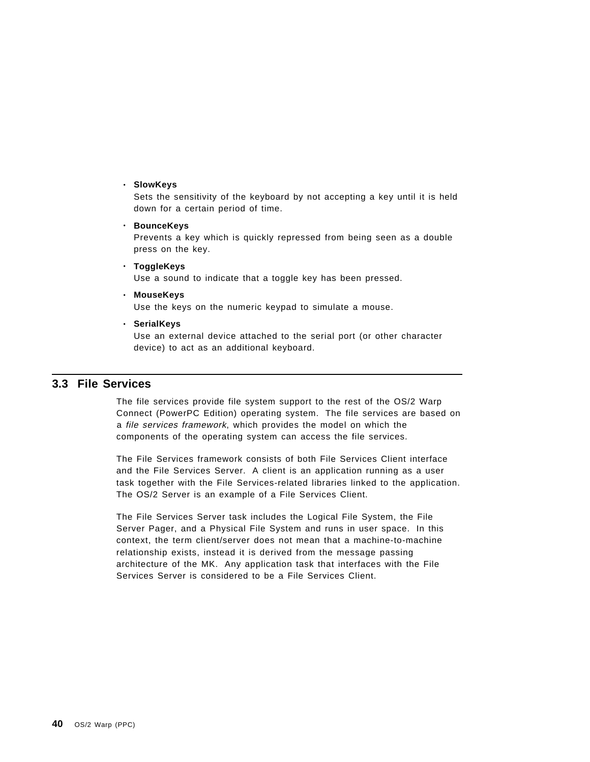### • **SlowKeys**

Sets the sensitivity of the keyboard by not accepting a key until it is held down for a certain period of time.

• **BounceKeys**

Prevents a key which is quickly repressed from being seen as a double press on the key.

• **ToggleKeys**

Use a sound to indicate that a toggle key has been pressed.

• **MouseKeys**

Use the keys on the numeric keypad to simulate a mouse.

• **SerialKeys**

Use an external device attached to the serial port (or other character device) to act as an additional keyboard.

# **3.3 File Services**

The file services provide file system support to the rest of the OS/2 Warp Connect (PowerPC Edition) operating system. The file services are based on a file services framework, which provides the model on which the components of the operating system can access the file services.

The File Services framework consists of both File Services Client interface and the File Services Server. A client is an application running as a user task together with the File Services-related libraries linked to the application. The OS/2 Server is an example of a File Services Client.

The File Services Server task includes the Logical File System, the File Server Pager, and a Physical File System and runs in user space. In this context, the term client/server does not mean that a machine-to-machine relationship exists, instead it is derived from the message passing architecture of the MK. Any application task that interfaces with the File Services Server is considered to be a File Services Client.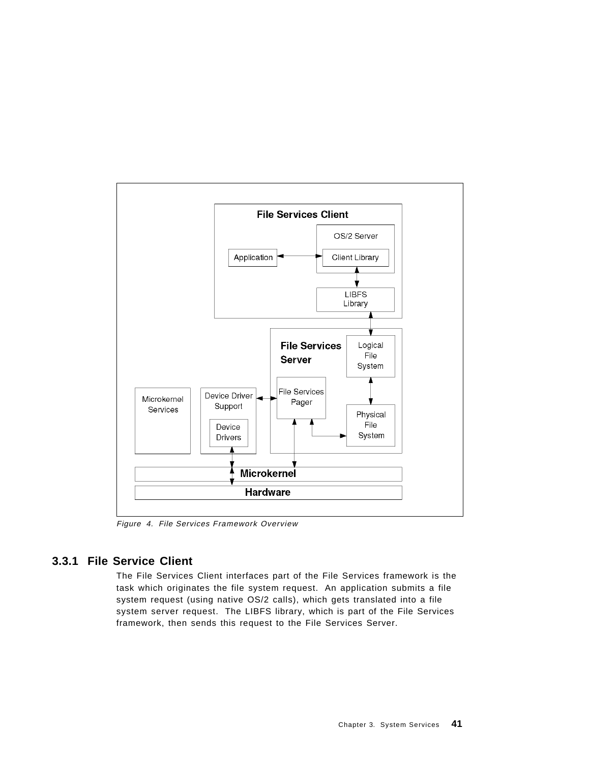

Figure 4. File Services Framework Overview

# **3.3.1 File Service Client**

The File Services Client interfaces part of the File Services framework is the task which originates the file system request. An application submits a file system request (using native OS/2 calls), which gets translated into a file system server request. The LIBFS library, which is part of the File Services framework, then sends this request to the File Services Server.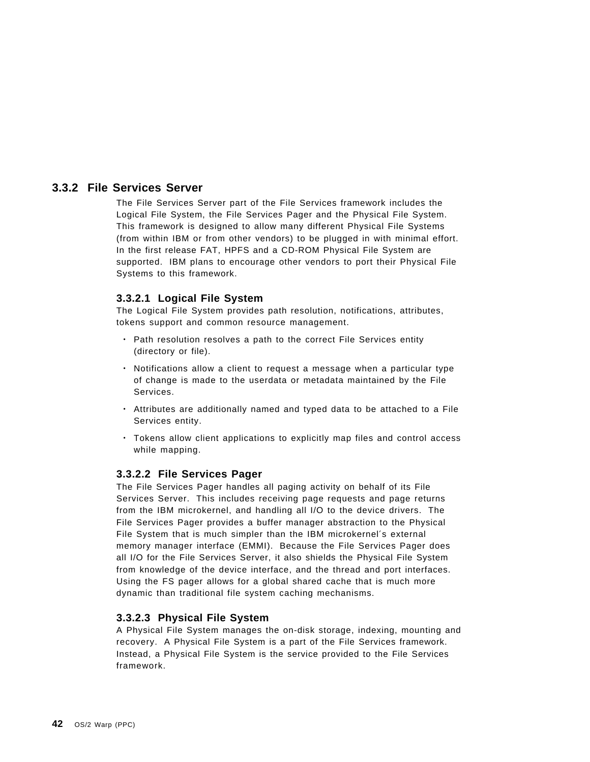# **3.3.2 File Services Server**

The File Services Server part of the File Services framework includes the Logical File System, the File Services Pager and the Physical File System. This framework is designed to allow many different Physical File Systems (from within IBM or from other vendors) to be plugged in with minimal effort. In the first release FAT, HPFS and a CD-ROM Physical File System are supported. IBM plans to encourage other vendors to port their Physical File Systems to this framework.

## **3.3.2.1 Logical File System**

The Logical File System provides path resolution, notifications, attributes, tokens support and common resource management.

- Path resolution resolves a path to the correct File Services entity (directory or file).
- Notifications allow a client to request a message when a particular type of change is made to the userdata or metadata maintained by the File Services.
- Attributes are additionally named and typed data to be attached to a File Services entity.
- Tokens allow client applications to explicitly map files and control access while mapping.

## **3.3.2.2 File Services Pager**

The File Services Pager handles all paging activity on behalf of its File Services Server. This includes receiving page requests and page returns from the IBM microkernel, and handling all I/O to the device drivers. The File Services Pager provides a buffer manager abstraction to the Physical File System that is much simpler than the IBM microkernel′s external memory manager interface (EMMI). Because the File Services Pager does all I/O for the File Services Server, it also shields the Physical File System from knowledge of the device interface, and the thread and port interfaces. Using the FS pager allows for a global shared cache that is much more dynamic than traditional file system caching mechanisms.

## **3.3.2.3 Physical File System**

A Physical File System manages the on-disk storage, indexing, mounting and recovery. A Physical File System is a part of the File Services framework. Instead, a Physical File System is the service provided to the File Services framework.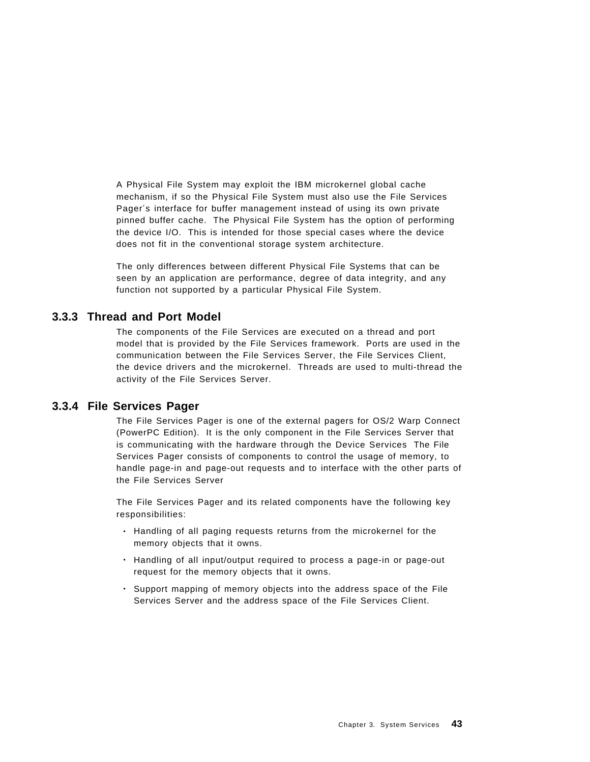A Physical File System may exploit the IBM microkernel global cache mechanism, if so the Physical File System must also use the File Services Pager′s interface for buffer management instead of using its own private pinned buffer cache. The Physical File System has the option of performing the device I/O. This is intended for those special cases where the device does not fit in the conventional storage system architecture.

The only differences between different Physical File Systems that can be seen by an application are performance, degree of data integrity, and any function not supported by a particular Physical File System.

# **3.3.3 Thread and Port Model**

The components of the File Services are executed on a thread and port model that is provided by the File Services framework. Ports are used in the communication between the File Services Server, the File Services Client, the device drivers and the microkernel. Threads are used to multi-thread the activity of the File Services Server.

# **3.3.4 File Services Pager**

The File Services Pager is one of the external pagers for OS/2 Warp Connect (PowerPC Edition). It is the only component in the File Services Server that is communicating with the hardware through the Device Services The File Services Pager consists of components to control the usage of memory, to handle page-in and page-out requests and to interface with the other parts of the File Services Server

The File Services Pager and its related components have the following key responsibilities:

- Handling of all paging requests returns from the microkernel for the memory objects that it owns.
- Handling of all input/output required to process a page-in or page-out request for the memory objects that it owns.
- Support mapping of memory objects into the address space of the File Services Server and the address space of the File Services Client.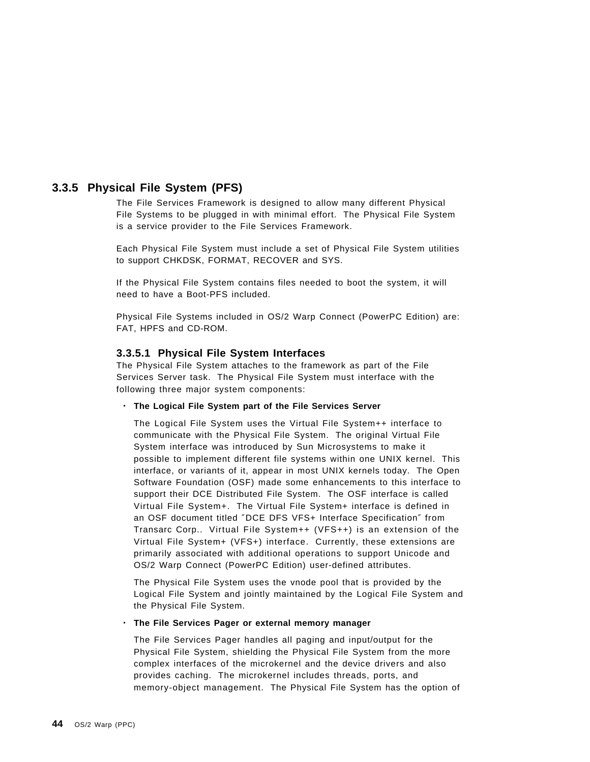# **3.3.5 Physical File System (PFS)**

The File Services Framework is designed to allow many different Physical File Systems to be plugged in with minimal effort. The Physical File System is a service provider to the File Services Framework.

Each Physical File System must include a set of Physical File System utilities to support CHKDSK, FORMAT, RECOVER and SYS.

If the Physical File System contains files needed to boot the system, it will need to have a Boot-PFS included.

Physical File Systems included in OS/2 Warp Connect (PowerPC Edition) are: FAT, HPFS and CD-ROM.

## **3.3.5.1 Physical File System Interfaces**

The Physical File System attaches to the framework as part of the File Services Server task. The Physical File System must interface with the following three major system components:

### • **The Logical File System part of the File Services Server**

The Logical File System uses the Virtual File System++ interface to communicate with the Physical File System. The original Virtual File System interface was introduced by Sun Microsystems to make it possible to implement different file systems within one UNIX kernel. This interface, or variants of it, appear in most UNIX kernels today. The Open Software Foundation (OSF) made some enhancements to this interface to support their DCE Distributed File System. The OSF interface is called Virtual File System+. The Virtual File System+ interface is defined in an OSF document titled ″DCE DFS VFS+ Interface Specification″ from Transarc Corp.. Virtual File System++ (VFS++) is an extension of the Virtual File System+ (VFS+) interface. Currently, these extensions are primarily associated with additional operations to support Unicode and OS/2 Warp Connect (PowerPC Edition) user-defined attributes.

The Physical File System uses the vnode pool that is provided by the Logical File System and jointly maintained by the Logical File System and the Physical File System.

### • **The File Services Pager or external memory manager**

The File Services Pager handles all paging and input/output for the Physical File System, shielding the Physical File System from the more complex interfaces of the microkernel and the device drivers and also provides caching. The microkernel includes threads, ports, and memory-object management. The Physical File System has the option of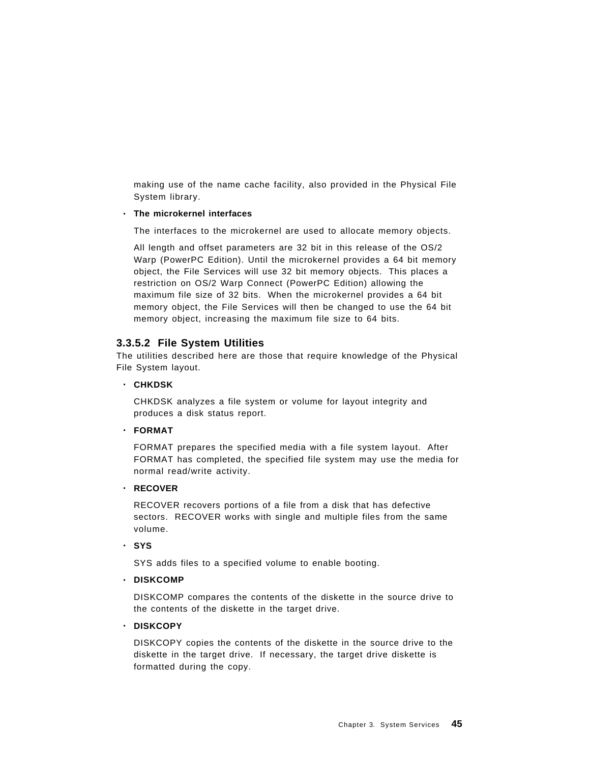making use of the name cache facility, also provided in the Physical File System library.

## • **The microkernel interfaces**

The interfaces to the microkernel are used to allocate memory objects.

All length and offset parameters are 32 bit in this release of the OS/2 Warp (PowerPC Edition). Until the microkernel provides a 64 bit memory object, the File Services will use 32 bit memory objects. This places a restriction on OS/2 Warp Connect (PowerPC Edition) allowing the maximum file size of 32 bits. When the microkernel provides a 64 bit memory object, the File Services will then be changed to use the 64 bit memory object, increasing the maximum file size to 64 bits.

# **3.3.5.2 File System Utilities**

The utilities described here are those that require knowledge of the Physical File System layout.

## • **CHKDSK**

CHKDSK analyzes a file system or volume for layout integrity and produces a disk status report.

## • **FORMAT**

FORMAT prepares the specified media with a file system layout. After FORMAT has completed, the specified file system may use the media for normal read/write activity.

• **RECOVER**

RECOVER recovers portions of a file from a disk that has defective sectors. RECOVER works with single and multiple files from the same volume.

• **SYS**

SYS adds files to a specified volume to enable booting.

### • **DISKCOMP**

DISKCOMP compares the contents of the diskette in the source drive to the contents of the diskette in the target drive.

## • **DISKCOPY**

DISKCOPY copies the contents of the diskette in the source drive to the diskette in the target drive. If necessary, the target drive diskette is formatted during the copy.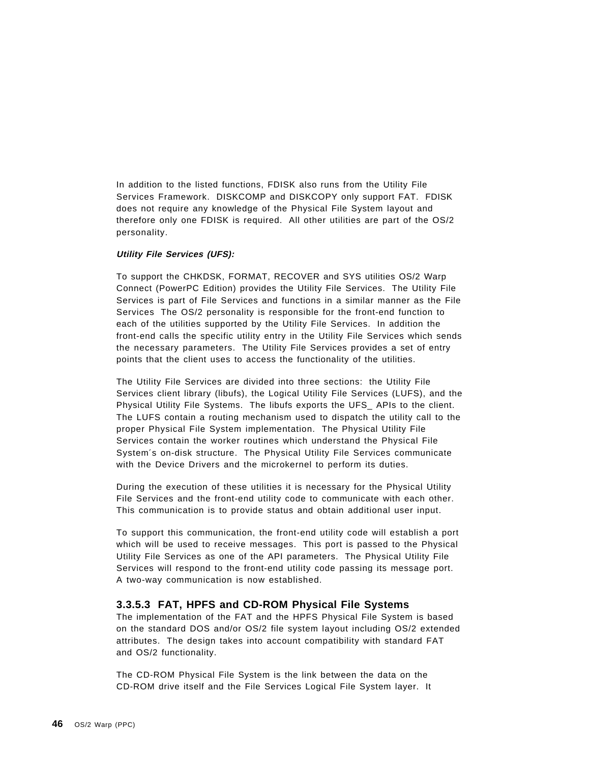In addition to the listed functions, FDISK also runs from the Utility File Services Framework. DISKCOMP and DISKCOPY only support FAT. FDISK does not require any knowledge of the Physical File System layout and therefore only one FDISK is required. All other utilities are part of the OS/2 personality.

### **Utility File Services (UFS):**

To support the CHKDSK, FORMAT, RECOVER and SYS utilities OS/2 Warp Connect (PowerPC Edition) provides the Utility File Services. The Utility File Services is part of File Services and functions in a similar manner as the File Services The OS/2 personality is responsible for the front-end function to each of the utilities supported by the Utility File Services. In addition the front-end calls the specific utility entry in the Utility File Services which sends the necessary parameters. The Utility File Services provides a set of entry points that the client uses to access the functionality of the utilities.

The Utility File Services are divided into three sections: the Utility File Services client library (libufs), the Logical Utility File Services (LUFS), and the Physical Utility File Systems. The libufs exports the UFS\_ APIs to the client. The LUFS contain a routing mechanism used to dispatch the utility call to the proper Physical File System implementation. The Physical Utility File Services contain the worker routines which understand the Physical File System′s on-disk structure. The Physical Utility File Services communicate with the Device Drivers and the microkernel to perform its duties.

During the execution of these utilities it is necessary for the Physical Utility File Services and the front-end utility code to communicate with each other. This communication is to provide status and obtain additional user input.

To support this communication, the front-end utility code will establish a port which will be used to receive messages. This port is passed to the Physical Utility File Services as one of the API parameters. The Physical Utility File Services will respond to the front-end utility code passing its message port. A two-way communication is now established.

## **3.3.5.3 FAT, HPFS and CD-ROM Physical File Systems**

The implementation of the FAT and the HPFS Physical File System is based on the standard DOS and/or OS/2 file system layout including OS/2 extended attributes. The design takes into account compatibility with standard FAT and OS/2 functionality.

The CD-ROM Physical File System is the link between the data on the CD-ROM drive itself and the File Services Logical File System layer. It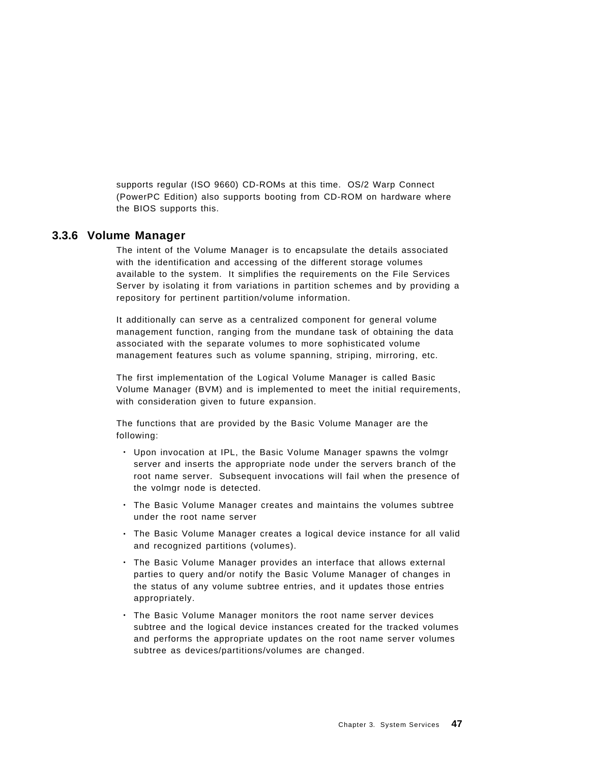supports regular (ISO 9660) CD-ROMs at this time. OS/2 Warp Connect (PowerPC Edition) also supports booting from CD-ROM on hardware where the BIOS supports this.

## **3.3.6 Volume Manager**

The intent of the Volume Manager is to encapsulate the details associated with the identification and accessing of the different storage volumes available to the system. It simplifies the requirements on the File Services Server by isolating it from variations in partition schemes and by providing a repository for pertinent partition/volume information.

It additionally can serve as a centralized component for general volume management function, ranging from the mundane task of obtaining the data associated with the separate volumes to more sophisticated volume management features such as volume spanning, striping, mirroring, etc.

The first implementation of the Logical Volume Manager is called Basic Volume Manager (BVM) and is implemented to meet the initial requirements, with consideration given to future expansion.

The functions that are provided by the Basic Volume Manager are the following:

- Upon invocation at IPL, the Basic Volume Manager spawns the volmgr server and inserts the appropriate node under the servers branch of the root name server. Subsequent invocations will fail when the presence of the volmgr node is detected.
- The Basic Volume Manager creates and maintains the volumes subtree under the root name server
- The Basic Volume Manager creates a logical device instance for all valid and recognized partitions (volumes).
- The Basic Volume Manager provides an interface that allows external parties to query and/or notify the Basic Volume Manager of changes in the status of any volume subtree entries, and it updates those entries appropriately.
- The Basic Volume Manager monitors the root name server devices subtree and the logical device instances created for the tracked volumes and performs the appropriate updates on the root name server volumes subtree as devices/partitions/volumes are changed.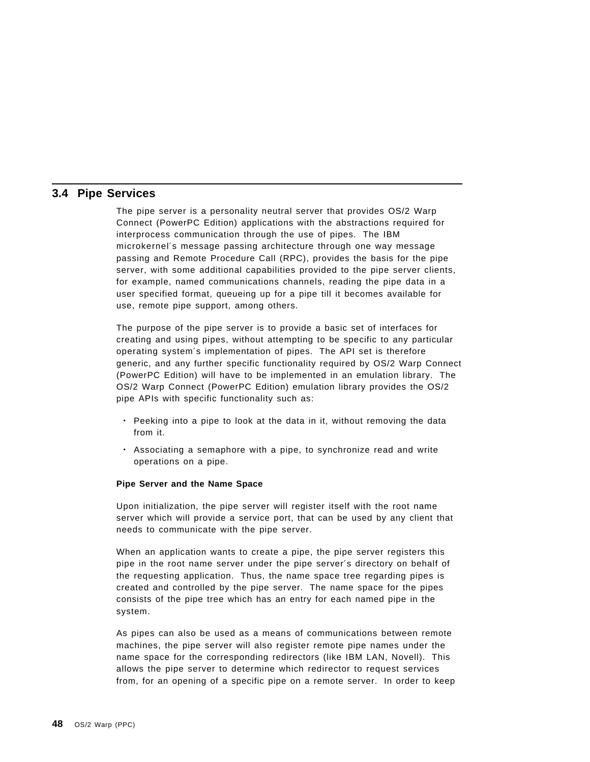## **3.4 Pipe Services**

The pipe server is a personality neutral server that provides OS/2 Warp Connect (PowerPC Edition) applications with the abstractions required for interprocess communication through the use of pipes. The IBM microkernel′s message passing architecture through one way message passing and Remote Procedure Call (RPC), provides the basis for the pipe server, with some additional capabilities provided to the pipe server clients, for example, named communications channels, reading the pipe data in a user specified format, queueing up for a pipe till it becomes available for use, remote pipe support, among others.

The purpose of the pipe server is to provide a basic set of interfaces for creating and using pipes, without attempting to be specific to any particular operating system′s implementation of pipes. The API set is therefore generic, and any further specific functionality required by OS/2 Warp Connect (PowerPC Edition) will have to be implemented in an emulation library. The OS/2 Warp Connect (PowerPC Edition) emulation library provides the OS/2 pipe APIs with specific functionality such as:

- Peeking into a pipe to look at the data in it, without removing the data from it.
- Associating a semaphore with a pipe, to synchronize read and write operations on a pipe.

### **Pipe Server and the Name Space**

Upon initialization, the pipe server will register itself with the root name server which will provide a service port, that can be used by any client that needs to communicate with the pipe server.

When an application wants to create a pipe, the pipe server registers this pipe in the root name server under the pipe server′s directory on behalf of the requesting application. Thus, the name space tree regarding pipes is created and controlled by the pipe server. The name space for the pipes consists of the pipe tree which has an entry for each named pipe in the system.

As pipes can also be used as a means of communications between remote machines, the pipe server will also register remote pipe names under the name space for the corresponding redirectors (like IBM LAN, Novell). This allows the pipe server to determine which redirector to request services from, for an opening of a specific pipe on a remote server. In order to keep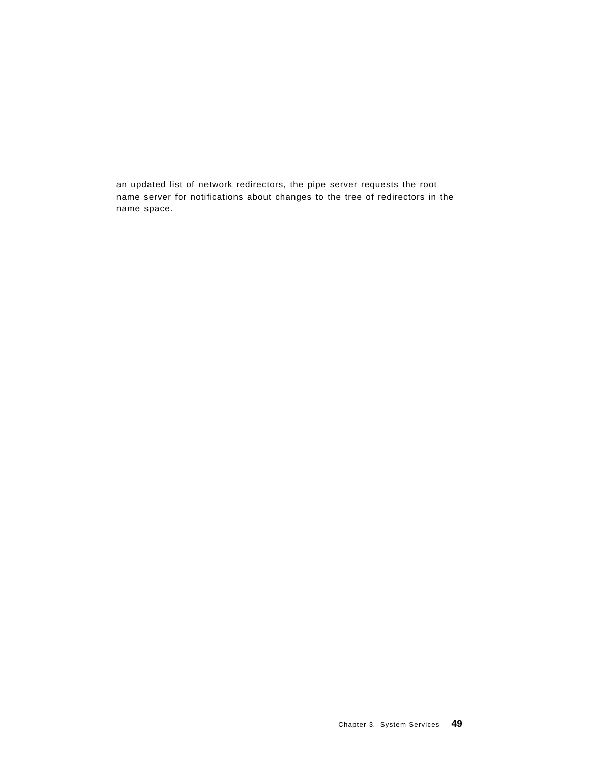an updated list of network redirectors, the pipe server requests the root name server for notifications about changes to the tree of redirectors in the name space.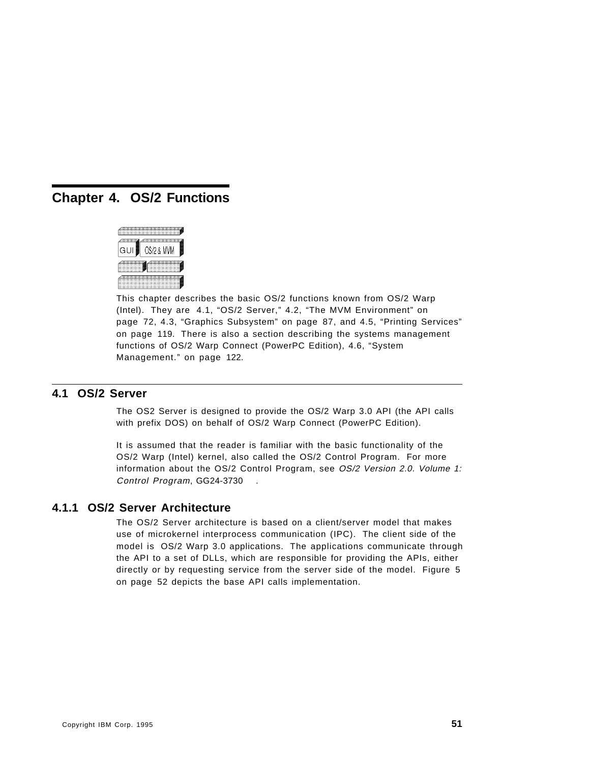# **Chapter 4. OS/2 Functions**



This chapter describes the basic OS/2 functions known from OS/2 Warp (Intel). They are 4.1, "OS/2 Server," 4.2, "The MVM Environment" on page 72, 4.3, "Graphics Subsystem" on page 87, and 4.5, "Printing Services" on page 119. There is also a section describing the systems management functions of OS/2 Warp Connect (PowerPC Edition), 4.6, "System Management." on page 122.

# **4.1 OS/2 Server**

The OS2 Server is designed to provide the OS/2 Warp 3.0 API (the API calls with prefix DOS) on behalf of OS/2 Warp Connect (PowerPC Edition).

It is assumed that the reader is familiar with the basic functionality of the OS/2 Warp (Intel) kernel, also called the OS/2 Control Program. For more information about the OS/2 Control Program, see OS/2 Version 2.0. Volume 1: Control Program, GG24-3730 .

# **4.1.1 OS/2 Server Architecture**

The OS/2 Server architecture is based on a client/server model that makes use of microkernel interprocess communication (IPC). The client side of the model is OS/2 Warp 3.0 applications. The applications communicate through the API to a set of DLLs, which are responsible for providing the APIs, either directly or by requesting service from the server side of the model. Figure 5 on page 52 depicts the base API calls implementation.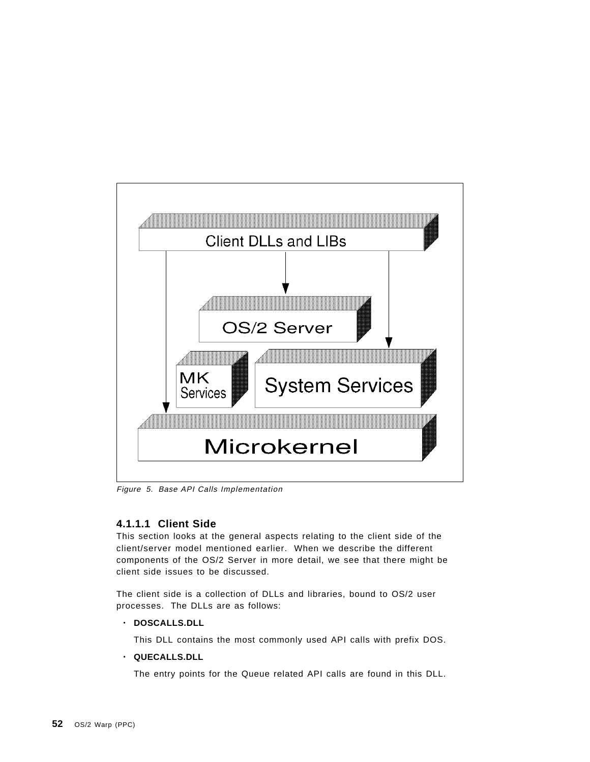

Figure 5. Base API Calls Implementation

## **4.1.1.1 Client Side**

This section looks at the general aspects relating to the client side of the client/server model mentioned earlier. When we describe the different components of the OS/2 Server in more detail, we see that there might be client side issues to be discussed.

The client side is a collection of DLLs and libraries, bound to OS/2 user processes. The DLLs are as follows:

• **DOSCALLS.DLL**

This DLL contains the most commonly used API calls with prefix DOS.

• **QUECALLS.DLL**

The entry points for the Queue related API calls are found in this DLL.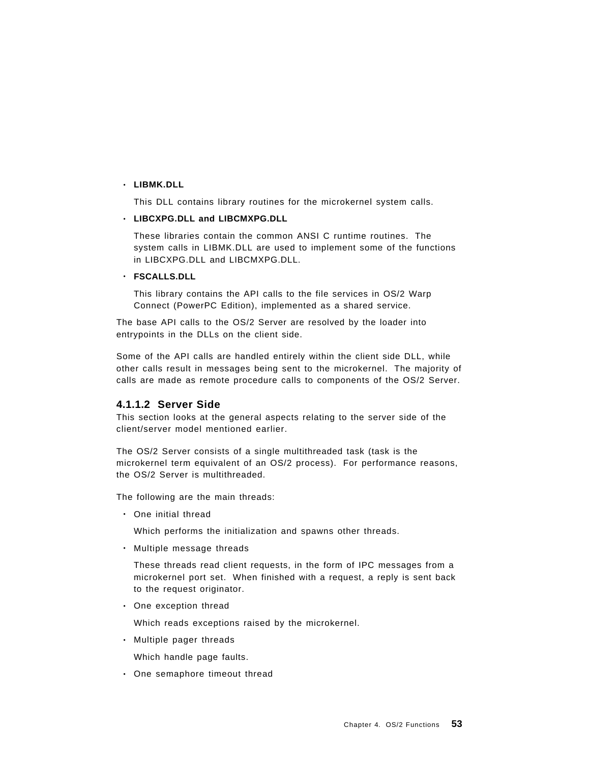### • **LIBMK.DLL**

This DLL contains library routines for the microkernel system calls.

### • **LIBCXPG.DLL and LIBCMXPG.DLL**

These libraries contain the common ANSI C runtime routines. The system calls in LIBMK.DLL are used to implement some of the functions in LIBCXPG.DLL and LIBCMXPG.DLL.

### • **FSCALLS.DLL**

This library contains the API calls to the file services in OS/2 Warp Connect (PowerPC Edition), implemented as a shared service.

The base API calls to the OS/2 Server are resolved by the loader into entrypoints in the DLLs on the client side.

Some of the API calls are handled entirely within the client side DLL, while other calls result in messages being sent to the microkernel. The majority of calls are made as remote procedure calls to components of the OS/2 Server.

## **4.1.1.2 Server Side**

This section looks at the general aspects relating to the server side of the client/server model mentioned earlier.

The OS/2 Server consists of a single multithreaded task (task is the microkernel term equivalent of an OS/2 process). For performance reasons, the OS/2 Server is multithreaded.

The following are the main threads:

• One initial thread

Which performs the initialization and spawns other threads.

• Multiple message threads

These threads read client requests, in the form of IPC messages from a microkernel port set. When finished with a request, a reply is sent back to the request originator.

• One exception thread

Which reads exceptions raised by the microkernel.

• Multiple pager threads

Which handle page faults.

• One semaphore timeout thread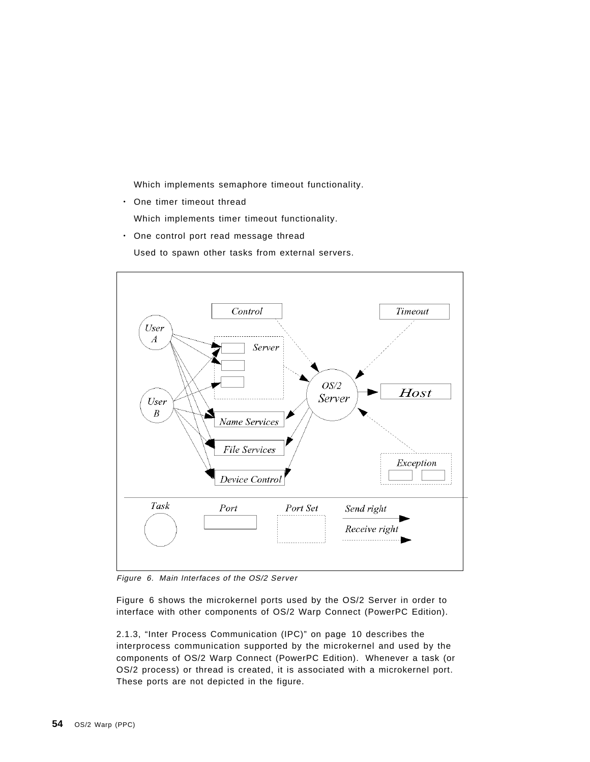Which implements semaphore timeout functionality.

• One timer timeout thread

Which implements timer timeout functionality.

• One control port read message thread

Used to spawn other tasks from external servers.



Figure 6. Main Interfaces of the OS/2 Server

Figure 6 shows the microkernel ports used by the OS/2 Server in order to interface with other components of OS/2 Warp Connect (PowerPC Edition).

2.1.3, "Inter Process Communication (IPC)" on page 10 describes the interprocess communication supported by the microkernel and used by the components of OS/2 Warp Connect (PowerPC Edition). Whenever a task (or OS/2 process) or thread is created, it is associated with a microkernel port. These ports are not depicted in the figure.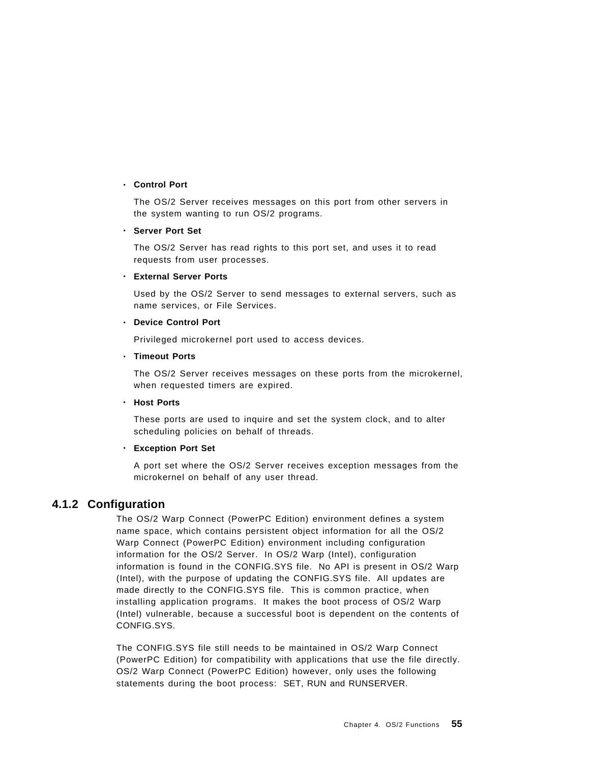### • **Control Port**

The OS/2 Server receives messages on this port from other servers in the system wanting to run OS/2 programs.

#### • **Server Port Set**

The OS/2 Server has read rights to this port set, and uses it to read requests from user processes.

#### • **External Server Ports**

Used by the OS/2 Server to send messages to external servers, such as name services, or File Services.

#### • **Device Control Port**

Privileged microkernel port used to access devices.

• **Timeout Ports**

The OS/2 Server receives messages on these ports from the microkernel, when requested timers are expired.

• **Host Ports**

These ports are used to inquire and set the system clock, and to alter scheduling policies on behalf of threads.

### • **Exception Port Set**

A port set where the OS/2 Server receives exception messages from the microkernel on behalf of any user thread.

## **4.1.2 Configuration**

The OS/2 Warp Connect (PowerPC Edition) environment defines a system name space, which contains persistent object information for all the OS/2 Warp Connect (PowerPC Edition) environment including configuration information for the OS/2 Server. In OS/2 Warp (Intel), configuration information is found in the CONFIG.SYS file. No API is present in OS/2 Warp (Intel), with the purpose of updating the CONFIG.SYS file. All updates are made directly to the CONFIG.SYS file. This is common practice, when installing application programs. It makes the boot process of OS/2 Warp (Intel) vulnerable, because a successful boot is dependent on the contents of CONFIG.SYS.

The CONFIG.SYS file still needs to be maintained in OS/2 Warp Connect (PowerPC Edition) for compatibility with applications that use the file directly. OS/2 Warp Connect (PowerPC Edition) however, only uses the following statements during the boot process: SET, RUN and RUNSERVER.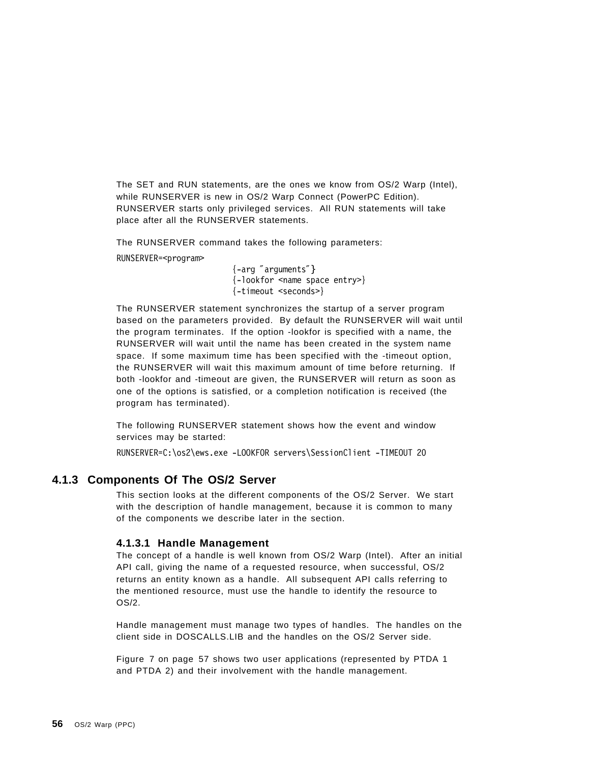The SET and RUN statements, are the ones we know from OS/2 Warp (Intel), while RUNSERVER is new in OS/2 Warp Connect (PowerPC Edition). RUNSERVER starts only privileged services. All RUN statements will take place after all the RUNSERVER statements.

The RUNSERVER command takes the following parameters:

RUNSERVER=<program>

{-arg ″arguments″} {-lookfor <name space entry>} {-timeout <seconds>}

The RUNSERVER statement synchronizes the startup of a server program based on the parameters provided. By default the RUNSERVER will wait until the program terminates. If the option -lookfor is specified with a name, the RUNSERVER will wait until the name has been created in the system name space. If some maximum time has been specified with the -timeout option, the RUNSERVER will wait this maximum amount of time before returning. If both -lookfor and -timeout are given, the RUNSERVER will return as soon as one of the options is satisfied, or a completion notification is received (the program has terminated).

The following RUNSERVER statement shows how the event and window services may be started:

RUNSERVER=C:\os2\ews.exe -LOOKFOR servers\SessionClient -TIMEOUT 20

## **4.1.3 Components Of The OS/2 Server**

This section looks at the different components of the OS/2 Server. We start with the description of handle management, because it is common to many of the components we describe later in the section.

### **4.1.3.1 Handle Management**

The concept of a handle is well known from OS/2 Warp (Intel). After an initial API call, giving the name of a requested resource, when successful, OS/2 returns an entity known as a handle. All subsequent API calls referring to the mentioned resource, must use the handle to identify the resource to OS/2.

Handle management must manage two types of handles. The handles on the client side in DOSCALLS.LIB and the handles on the OS/2 Server side.

Figure 7 on page 57 shows two user applications (represented by PTDA 1 and PTDA 2) and their involvement with the handle management.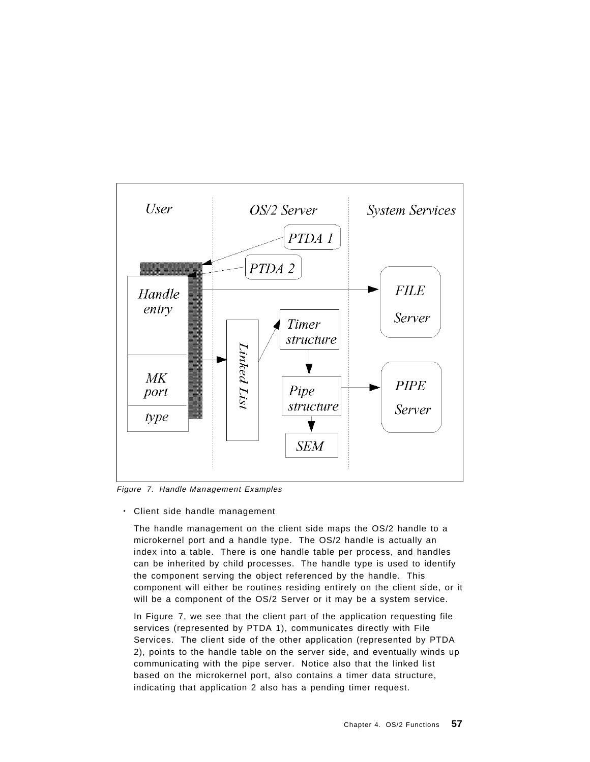

Figure 7. Handle Management Examples

• Client side handle management

The handle management on the client side maps the OS/2 handle to a microkernel port and a handle type. The OS/2 handle is actually an index into a table. There is one handle table per process, and handles can be inherited by child processes. The handle type is used to identify the component serving the object referenced by the handle. This component will either be routines residing entirely on the client side, or it will be a component of the OS/2 Server or it may be a system service.

In Figure 7, we see that the client part of the application requesting file services (represented by PTDA 1), communicates directly with File Services. The client side of the other application (represented by PTDA 2), points to the handle table on the server side, and eventually winds up communicating with the pipe server. Notice also that the linked list based on the microkernel port, also contains a timer data structure, indicating that application 2 also has a pending timer request.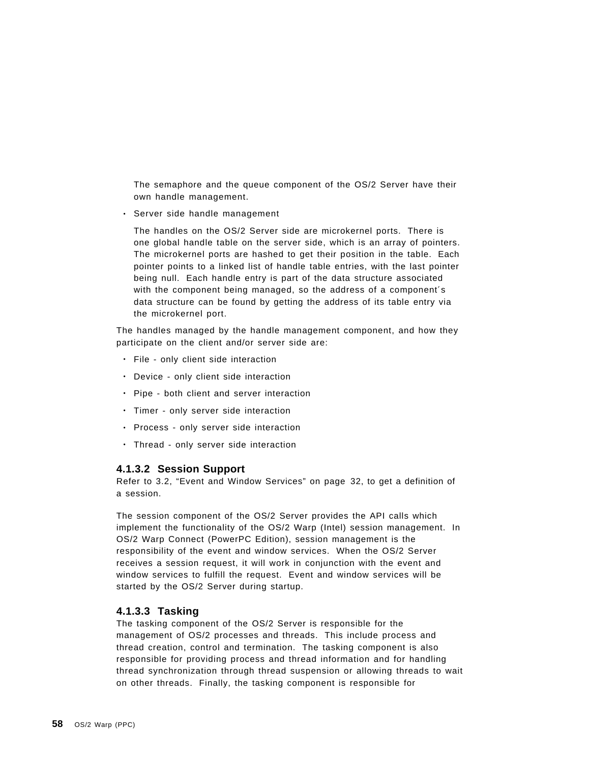The semaphore and the queue component of the OS/2 Server have their own handle management.

• Server side handle management

The handles on the OS/2 Server side are microkernel ports. There is one global handle table on the server side, which is an array of pointers. The microkernel ports are hashed to get their position in the table. Each pointer points to a linked list of handle table entries, with the last pointer being null. Each handle entry is part of the data structure associated with the component being managed, so the address of a component′s data structure can be found by getting the address of its table entry via the microkernel port.

The handles managed by the handle management component, and how they participate on the client and/or server side are:

- File only client side interaction
- Device only client side interaction
- Pipe both client and server interaction
- Timer only server side interaction
- Process only server side interaction
- Thread only server side interaction

### **4.1.3.2 Session Support**

Refer to 3.2, "Event and Window Services" on page 32, to get a definition of a session.

The session component of the OS/2 Server provides the API calls which implement the functionality of the OS/2 Warp (Intel) session management. In OS/2 Warp Connect (PowerPC Edition), session management is the responsibility of the event and window services. When the OS/2 Server receives a session request, it will work in conjunction with the event and window services to fulfill the request. Event and window services will be started by the OS/2 Server during startup.

### **4.1.3.3 Tasking**

The tasking component of the OS/2 Server is responsible for the management of OS/2 processes and threads. This include process and thread creation, control and termination. The tasking component is also responsible for providing process and thread information and for handling thread synchronization through thread suspension or allowing threads to wait on other threads. Finally, the tasking component is responsible for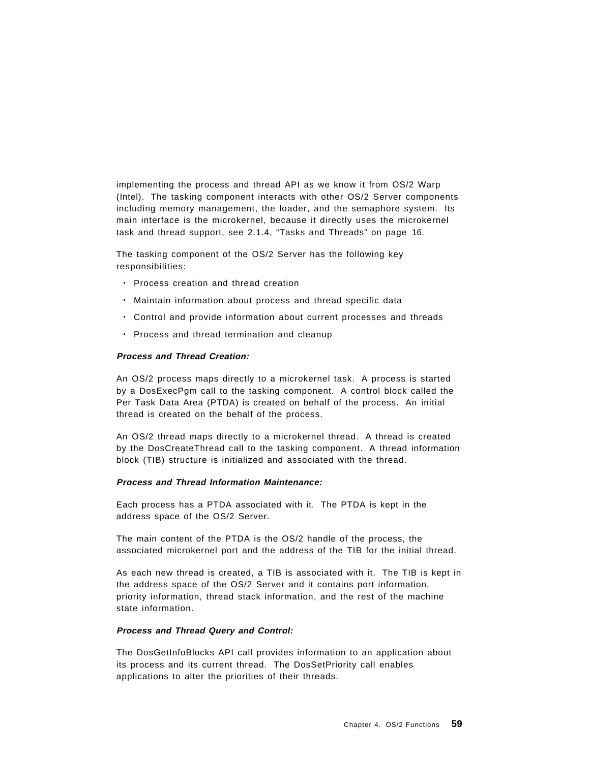implementing the process and thread API as we know it from OS/2 Warp (Intel). The tasking component interacts with other OS/2 Server components including memory management, the loader, and the semaphore system. Its main interface is the microkernel, because it directly uses the microkernel task and thread support, see 2.1.4, "Tasks and Threads" on page 16.

The tasking component of the OS/2 Server has the following key responsibilities:

- Process creation and thread creation
- Maintain information about process and thread specific data
- Control and provide information about current processes and threads
- Process and thread termination and cleanup

#### **Process and Thread Creation:**

An OS/2 process maps directly to a microkernel task. A process is started by a DosExecPgm call to the tasking component. A control block called the Per Task Data Area (PTDA) is created on behalf of the process. An initial thread is created on the behalf of the process.

An OS/2 thread maps directly to a microkernel thread. A thread is created by the DosCreateThread call to the tasking component. A thread information block (TIB) structure is initialized and associated with the thread.

#### **Process and Thread Information Maintenance:**

Each process has a PTDA associated with it. The PTDA is kept in the address space of the OS/2 Server.

The main content of the PTDA is the OS/2 handle of the process, the associated microkernel port and the address of the TIB for the initial thread.

As each new thread is created, a TIB is associated with it. The TIB is kept in the address space of the OS/2 Server and it contains port information, priority information, thread stack information, and the rest of the machine state information.

#### **Process and Thread Query and Control:**

The DosGetInfoBlocks API call provides information to an application about its process and its current thread. The DosSetPriority call enables applications to alter the priorities of their threads.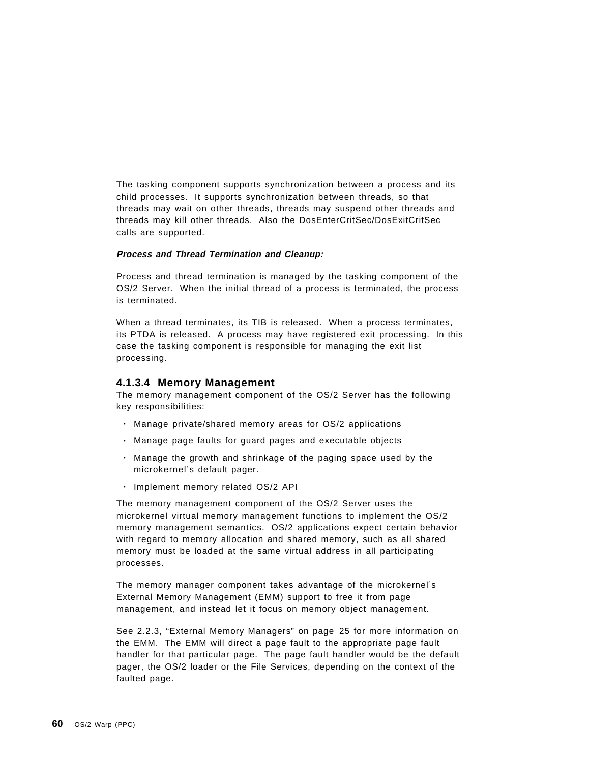The tasking component supports synchronization between a process and its child processes. It supports synchronization between threads, so that threads may wait on other threads, threads may suspend other threads and threads may kill other threads. Also the DosEnterCritSec/DosExitCritSec calls are supported.

#### **Process and Thread Termination and Cleanup:**

Process and thread termination is managed by the tasking component of the OS/2 Server. When the initial thread of a process is terminated, the process is terminated.

When a thread terminates, its TIB is released. When a process terminates, its PTDA is released. A process may have registered exit processing. In this case the tasking component is responsible for managing the exit list processing.

### **4.1.3.4 Memory Management**

The memory management component of the OS/2 Server has the following key responsibilities:

- Manage private/shared memory areas for OS/2 applications
- Manage page faults for guard pages and executable objects
- Manage the growth and shrinkage of the paging space used by the microkernel′s default pager.
- Implement memory related OS/2 API

The memory management component of the OS/2 Server uses the microkernel virtual memory management functions to implement the OS/2 memory management semantics. OS/2 applications expect certain behavior with regard to memory allocation and shared memory, such as all shared memory must be loaded at the same virtual address in all participating processes.

The memory manager component takes advantage of the microkernel′s External Memory Management (EMM) support to free it from page management, and instead let it focus on memory object management.

See 2.2.3, "External Memory Managers" on page 25 for more information on the EMM. The EMM will direct a page fault to the appropriate page fault handler for that particular page. The page fault handler would be the default pager, the OS/2 loader or the File Services, depending on the context of the faulted page.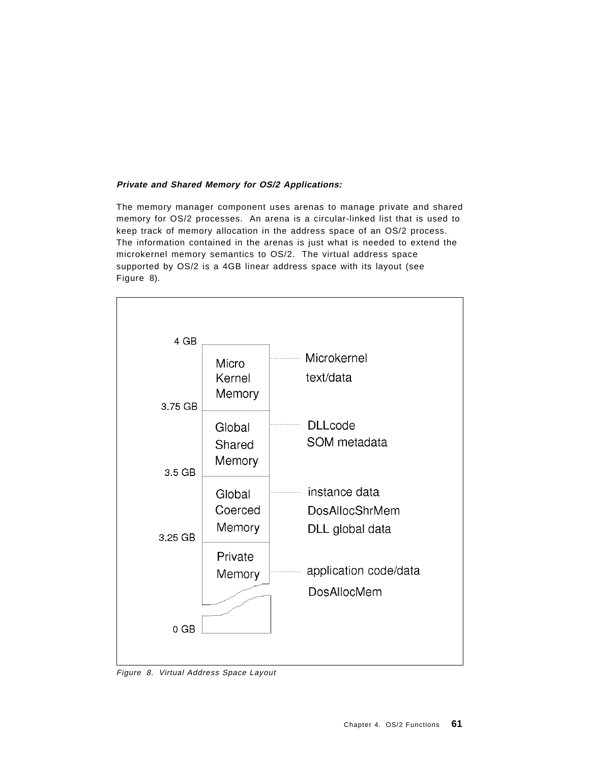### **Private and Shared Memory for OS/2 Applications:**

The memory manager component uses arenas to manage private and shared memory for OS/2 processes. An arena is a circular-linked list that is used to keep track of memory allocation in the address space of an OS/2 process. The information contained in the arenas is just what is needed to extend the microkernel memory semantics to OS/2. The virtual address space supported by OS/2 is a 4GB linear address space with its layout (see Figure 8).



Figure 8. Virtual Address Space Layout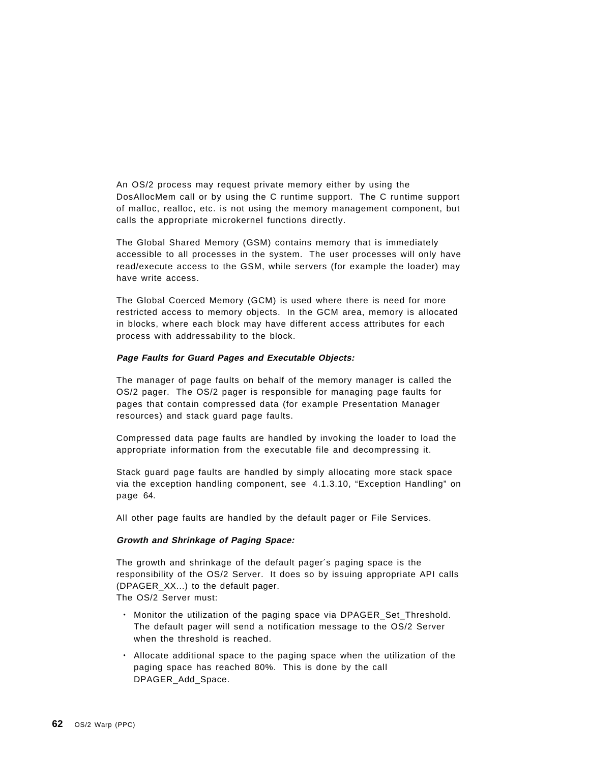An OS/2 process may request private memory either by using the DosAllocMem call or by using the C runtime support. The C runtime support of malloc, realloc, etc. is not using the memory management component, but calls the appropriate microkernel functions directly.

The Global Shared Memory (GSM) contains memory that is immediately accessible to all processes in the system. The user processes will only have read/execute access to the GSM, while servers (for example the loader) may have write access.

The Global Coerced Memory (GCM) is used where there is need for more restricted access to memory objects. In the GCM area, memory is allocated in blocks, where each block may have different access attributes for each process with addressability to the block.

### **Page Faults for Guard Pages and Executable Objects:**

The manager of page faults on behalf of the memory manager is called the OS/2 pager. The OS/2 pager is responsible for managing page faults for pages that contain compressed data (for example Presentation Manager resources) and stack guard page faults.

Compressed data page faults are handled by invoking the loader to load the appropriate information from the executable file and decompressing it.

Stack guard page faults are handled by simply allocating more stack space via the exception handling component, see 4.1.3.10, "Exception Handling" on page 64.

All other page faults are handled by the default pager or File Services.

### **Growth and Shrinkage of Paging Space:**

The growth and shrinkage of the default pager′s paging space is the responsibility of the OS/2 Server. It does so by issuing appropriate API calls (DPAGER\_XX...) to the default pager.

The OS/2 Server must:

- Monitor the utilization of the paging space via DPAGER\_Set\_Threshold. The default pager will send a notification message to the OS/2 Server when the threshold is reached.
- Allocate additional space to the paging space when the utilization of the paging space has reached 80%. This is done by the call DPAGER\_Add\_Space.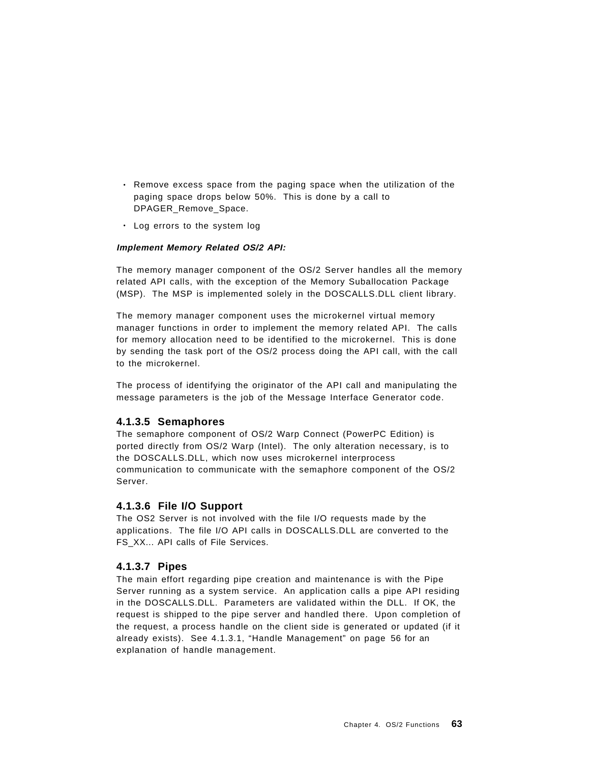- Remove excess space from the paging space when the utilization of the paging space drops below 50%. This is done by a call to DPAGER\_Remove\_Space.
- Log errors to the system log

### **Implement Memory Related OS/2 API:**

The memory manager component of the OS/2 Server handles all the memory related API calls, with the exception of the Memory Suballocation Package (MSP). The MSP is implemented solely in the DOSCALLS.DLL client library.

The memory manager component uses the microkernel virtual memory manager functions in order to implement the memory related API. The calls for memory allocation need to be identified to the microkernel. This is done by sending the task port of the OS/2 process doing the API call, with the call to the microkernel.

The process of identifying the originator of the API call and manipulating the message parameters is the job of the Message Interface Generator code.

### **4.1.3.5 Semaphores**

The semaphore component of OS/2 Warp Connect (PowerPC Edition) is ported directly from OS/2 Warp (Intel). The only alteration necessary, is to the DOSCALLS.DLL, which now uses microkernel interprocess communication to communicate with the semaphore component of the OS/2 Server.

## **4.1.3.6 File I/O Support**

The OS2 Server is not involved with the file I/O requests made by the applications. The file I/O API calls in DOSCALLS.DLL are converted to the FS\_XX... API calls of File Services.

## **4.1.3.7 Pipes**

The main effort regarding pipe creation and maintenance is with the Pipe Server running as a system service. An application calls a pipe API residing in the DOSCALLS.DLL. Parameters are validated within the DLL. If OK, the request is shipped to the pipe server and handled there. Upon completion of the request, a process handle on the client side is generated or updated (if it already exists). See 4.1.3.1, "Handle Management" on page 56 for an explanation of handle management.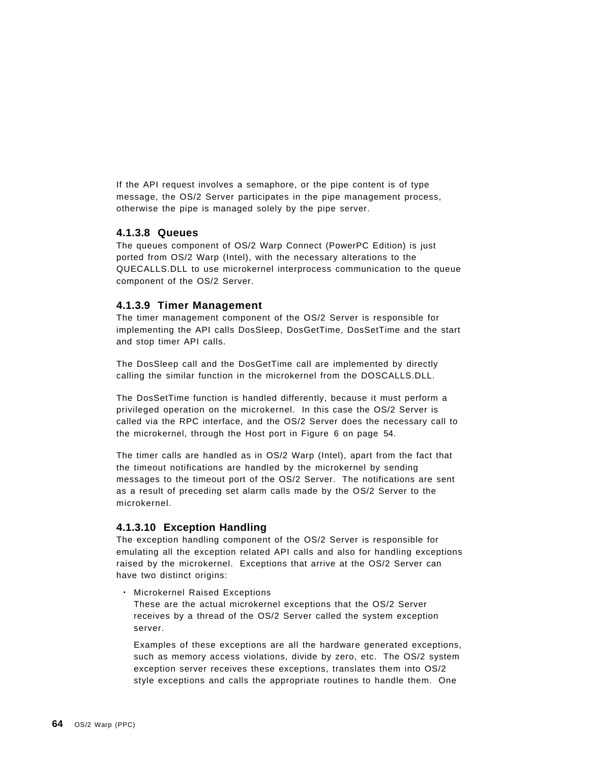If the API request involves a semaphore, or the pipe content is of type message, the OS/2 Server participates in the pipe management process, otherwise the pipe is managed solely by the pipe server.

### **4.1.3.8 Queues**

The queues component of OS/2 Warp Connect (PowerPC Edition) is just ported from OS/2 Warp (Intel), with the necessary alterations to the QUECALLS.DLL to use microkernel interprocess communication to the queue component of the OS/2 Server.

### **4.1.3.9 Timer Management**

The timer management component of the OS/2 Server is responsible for implementing the API calls DosSleep, DosGetTime, DosSetTime and the start and stop timer API calls.

The DosSleep call and the DosGetTime call are implemented by directly calling the similar function in the microkernel from the DOSCALLS.DLL.

The DosSetTime function is handled differently, because it must perform a privileged operation on the microkernel. In this case the OS/2 Server is called via the RPC interface, and the OS/2 Server does the necessary call to the microkernel, through the Host port in Figure 6 on page 54.

The timer calls are handled as in OS/2 Warp (Intel), apart from the fact that the timeout notifications are handled by the microkernel by sending messages to the timeout port of the OS/2 Server. The notifications are sent as a result of preceding set alarm calls made by the OS/2 Server to the microkernel.

### **4.1.3.10 Exception Handling**

The exception handling component of the OS/2 Server is responsible for emulating all the exception related API calls and also for handling exceptions raised by the microkernel. Exceptions that arrive at the OS/2 Server can have two distinct origins:

• Microkernel Raised Exceptions

These are the actual microkernel exceptions that the OS/2 Server receives by a thread of the OS/2 Server called the system exception server.

Examples of these exceptions are all the hardware generated exceptions, such as memory access violations, divide by zero, etc. The OS/2 system exception server receives these exceptions, translates them into OS/2 style exceptions and calls the appropriate routines to handle them. One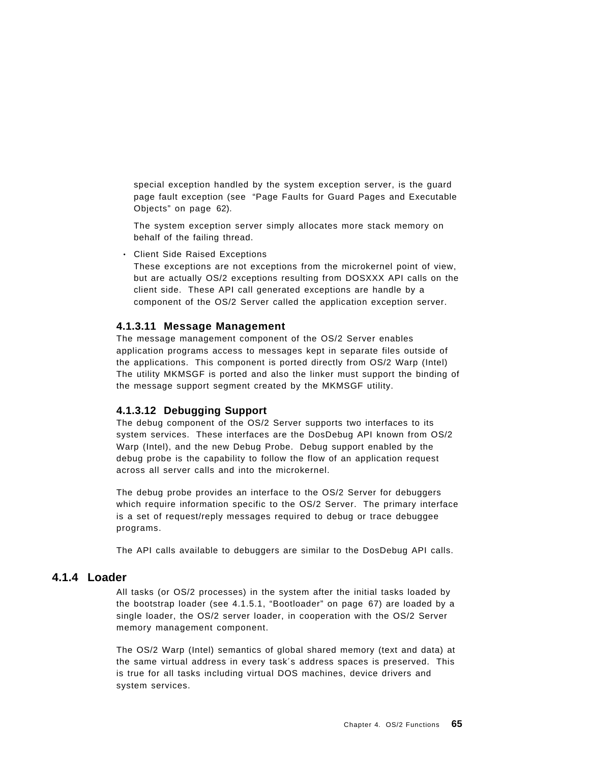special exception handled by the system exception server, is the guard page fault exception (see "Page Faults for Guard Pages and Executable Objects" on page 62).

The system exception server simply allocates more stack memory on behalf of the failing thread.

• Client Side Raised Exceptions

These exceptions are not exceptions from the microkernel point of view, but are actually OS/2 exceptions resulting from DOSXXX API calls on the client side. These API call generated exceptions are handle by a component of the OS/2 Server called the application exception server.

### **4.1.3.11 Message Management**

The message management component of the OS/2 Server enables application programs access to messages kept in separate files outside of the applications. This component is ported directly from OS/2 Warp (Intel) The utility MKMSGF is ported and also the linker must support the binding of the message support segment created by the MKMSGF utility.

### **4.1.3.12 Debugging Support**

The debug component of the OS/2 Server supports two interfaces to its system services. These interfaces are the DosDebug API known from OS/2 Warp (Intel), and the new Debug Probe. Debug support enabled by the debug probe is the capability to follow the flow of an application request across all server calls and into the microkernel.

The debug probe provides an interface to the OS/2 Server for debuggers which require information specific to the OS/2 Server. The primary interface is a set of request/reply messages required to debug or trace debuggee programs.

The API calls available to debuggers are similar to the DosDebug API calls.

# **4.1.4 Loader**

All tasks (or OS/2 processes) in the system after the initial tasks loaded by the bootstrap loader (see 4.1.5.1, "Bootloader" on page 67) are loaded by a single loader, the OS/2 server loader, in cooperation with the OS/2 Server memory management component.

The OS/2 Warp (Intel) semantics of global shared memory (text and data) at the same virtual address in every task′s address spaces is preserved. This is true for all tasks including virtual DOS machines, device drivers and system services.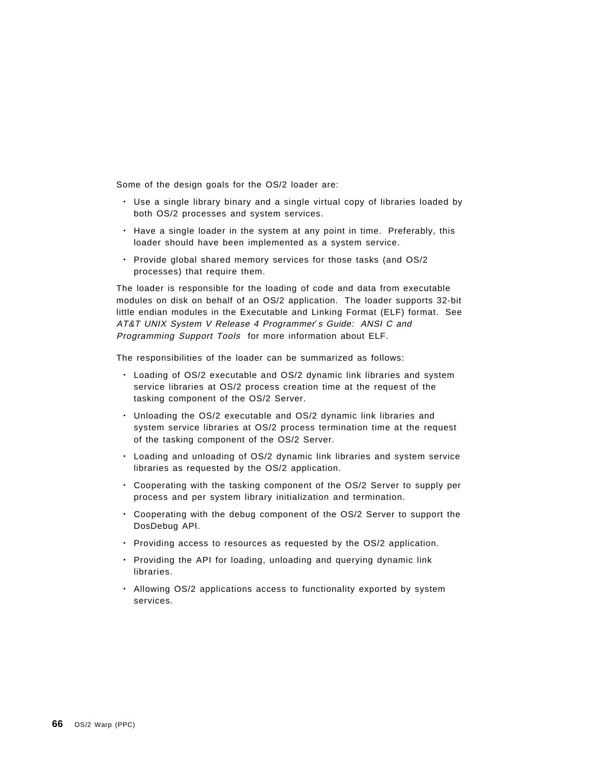Some of the design goals for the OS/2 loader are:

- Use a single library binary and a single virtual copy of libraries loaded by both OS/2 processes and system services.
- Have a single loader in the system at any point in time. Preferably, this loader should have been implemented as a system service.
- Provide global shared memory services for those tasks (and OS/2 processes) that require them.

The loader is responsible for the loading of code and data from executable modules on disk on behalf of an OS/2 application. The loader supports 32-bit little endian modules in the Executable and Linking Format (ELF) format. See AT&T UNIX System V Release 4 Programmer′s Guide: ANSI C and Programming Support Tools for more information about ELF.

The responsibilities of the loader can be summarized as follows:

- Loading of OS/2 executable and OS/2 dynamic link libraries and system service libraries at OS/2 process creation time at the request of the tasking component of the OS/2 Server.
- Unloading the OS/2 executable and OS/2 dynamic link libraries and system service libraries at OS/2 process termination time at the request of the tasking component of the OS/2 Server.
- Loading and unloading of OS/2 dynamic link libraries and system service libraries as requested by the OS/2 application.
- Cooperating with the tasking component of the OS/2 Server to supply per process and per system library initialization and termination.
- Cooperating with the debug component of the OS/2 Server to support the DosDebug API.
- Providing access to resources as requested by the OS/2 application.
- Providing the API for loading, unloading and querying dynamic link libraries.
- Allowing OS/2 applications access to functionality exported by system services.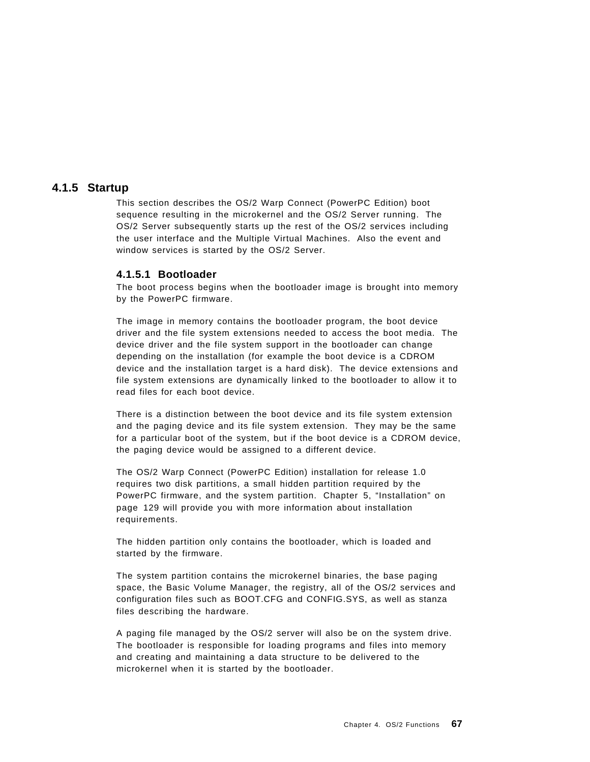# **4.1.5 Startup**

This section describes the OS/2 Warp Connect (PowerPC Edition) boot sequence resulting in the microkernel and the OS/2 Server running. The OS/2 Server subsequently starts up the rest of the OS/2 services including the user interface and the Multiple Virtual Machines. Also the event and window services is started by the OS/2 Server.

### **4.1.5.1 Bootloader**

The boot process begins when the bootloader image is brought into memory by the PowerPC firmware.

The image in memory contains the bootloader program, the boot device driver and the file system extensions needed to access the boot media. The device driver and the file system support in the bootloader can change depending on the installation (for example the boot device is a CDROM device and the installation target is a hard disk). The device extensions and file system extensions are dynamically linked to the bootloader to allow it to read files for each boot device.

There is a distinction between the boot device and its file system extension and the paging device and its file system extension. They may be the same for a particular boot of the system, but if the boot device is a CDROM device, the paging device would be assigned to a different device.

The OS/2 Warp Connect (PowerPC Edition) installation for release 1.0 requires two disk partitions, a small hidden partition required by the PowerPC firmware, and the system partition. Chapter 5, "Installation" on page 129 will provide you with more information about installation requirements.

The hidden partition only contains the bootloader, which is loaded and started by the firmware.

The system partition contains the microkernel binaries, the base paging space, the Basic Volume Manager, the registry, all of the OS/2 services and configuration files such as BOOT.CFG and CONFIG.SYS, as well as stanza files describing the hardware.

A paging file managed by the OS/2 server will also be on the system drive. The bootloader is responsible for loading programs and files into memory and creating and maintaining a data structure to be delivered to the microkernel when it is started by the bootloader.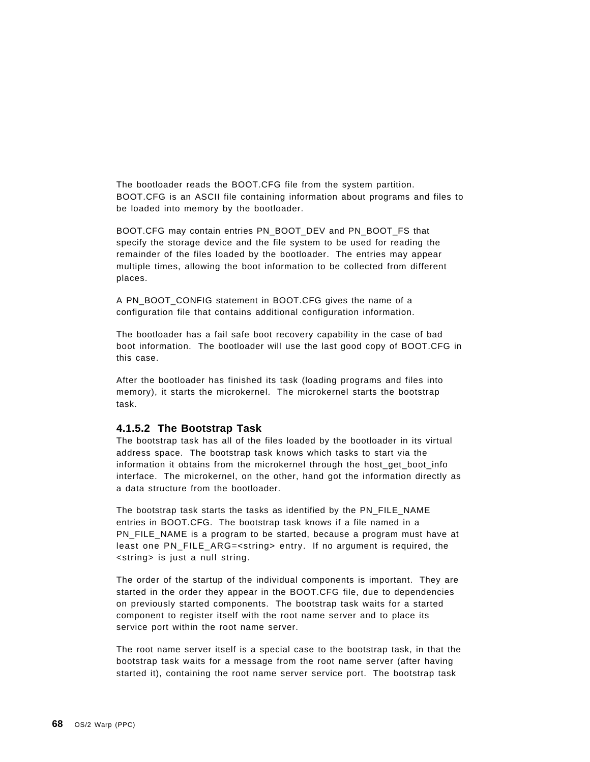The bootloader reads the BOOT.CFG file from the system partition. BOOT.CFG is an ASCII file containing information about programs and files to be loaded into memory by the bootloader.

BOOT.CFG may contain entries PN\_BOOT\_DEV and PN\_BOOT\_FS that specify the storage device and the file system to be used for reading the remainder of the files loaded by the bootloader. The entries may appear multiple times, allowing the boot information to be collected from different places.

A PN\_BOOT\_CONFIG statement in BOOT.CFG gives the name of a configuration file that contains additional configuration information.

The bootloader has a fail safe boot recovery capability in the case of bad boot information. The bootloader will use the last good copy of BOOT.CFG in this case.

After the bootloader has finished its task (loading programs and files into memory), it starts the microkernel. The microkernel starts the bootstrap task.

## **4.1.5.2 The Bootstrap Task**

The bootstrap task has all of the files loaded by the bootloader in its virtual address space. The bootstrap task knows which tasks to start via the information it obtains from the microkernel through the host\_get\_boot\_info interface. The microkernel, on the other, hand got the information directly as a data structure from the bootloader.

The bootstrap task starts the tasks as identified by the PN\_FILE\_NAME entries in BOOT.CFG. The bootstrap task knows if a file named in a PN\_FILE\_NAME is a program to be started, because a program must have at least one PN\_FILE\_ARG=<string> entry. If no argument is required, the <string> is just a null string.

The order of the startup of the individual components is important. They are started in the order they appear in the BOOT.CFG file, due to dependencies on previously started components. The bootstrap task waits for a started component to register itself with the root name server and to place its service port within the root name server.

The root name server itself is a special case to the bootstrap task, in that the bootstrap task waits for a message from the root name server (after having started it), containing the root name server service port. The bootstrap task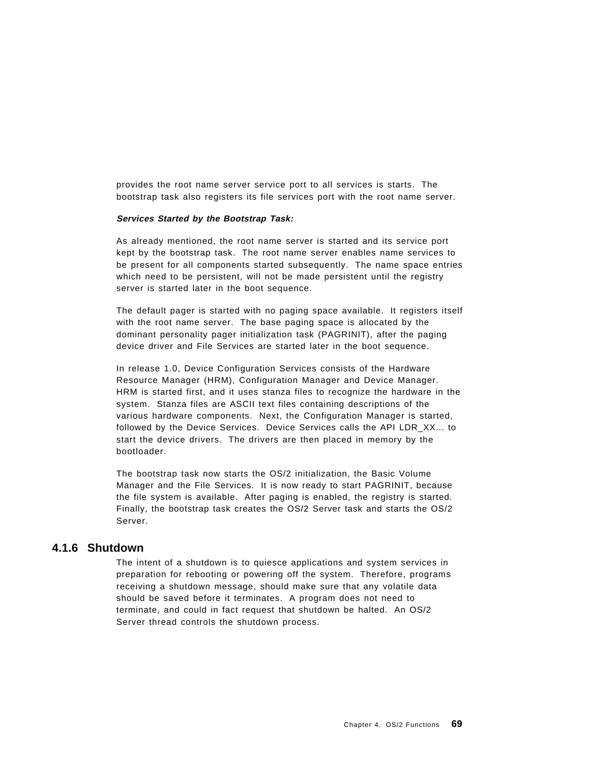provides the root name server service port to all services is starts. The bootstrap task also registers its file services port with the root name server.

#### **Services Started by the Bootstrap Task:**

As already mentioned, the root name server is started and its service port kept by the bootstrap task. The root name server enables name services to be present for all components started subsequently. The name space entries which need to be persistent, will not be made persistent until the registry server is started later in the boot sequence.

The default pager is started with no paging space available. It registers itself with the root name server. The base paging space is allocated by the dominant personality pager initialization task (PAGRINIT), after the paging device driver and File Services are started later in the boot sequence.

In release 1.0, Device Configuration Services consists of the Hardware Resource Manager (HRM), Configuration Manager and Device Manager. HRM is started first, and it uses stanza files to recognize the hardware in the system. Stanza files are ASCII text files containing descriptions of the various hardware components. Next, the Configuration Manager is started, followed by the Device Services. Device Services calls the API LDR\_XX... to start the device drivers. The drivers are then placed in memory by the bootloader.

The bootstrap task now starts the OS/2 initialization, the Basic Volume Manager and the File Services. It is now ready to start PAGRINIT, because the file system is available. After paging is enabled, the registry is started. Finally, the bootstrap task creates the OS/2 Server task and starts the OS/2 Server.

# **4.1.6 Shutdown**

The intent of a shutdown is to quiesce applications and system services in preparation for rebooting or powering off the system. Therefore, programs receiving a shutdown message, should make sure that any volatile data should be saved before it terminates. A program does not need to terminate, and could in fact request that shutdown be halted. An OS/2 Server thread controls the shutdown process.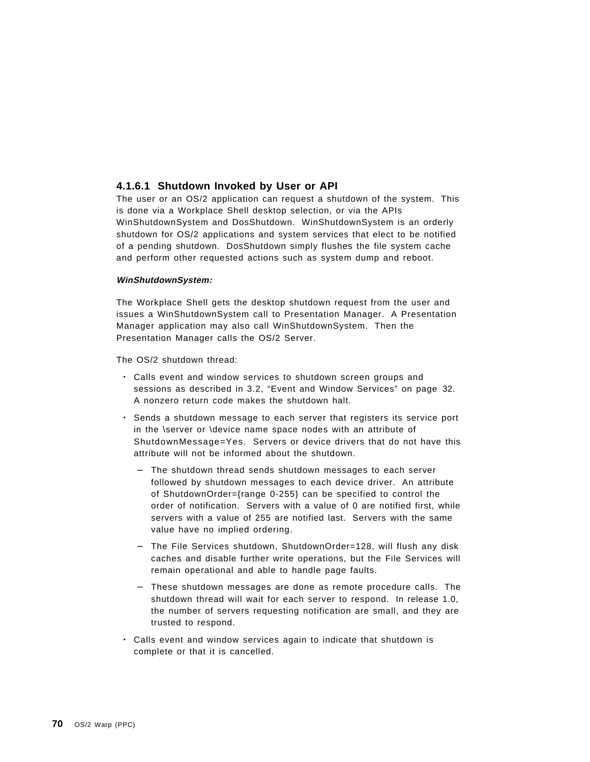## **4.1.6.1 Shutdown Invoked by User or API**

The user or an OS/2 application can request a shutdown of the system. This is done via a Workplace Shell desktop selection, or via the APIs WinShutdownSystem and DosShutdown. WinShutdownSystem is an orderly shutdown for OS/2 applications and system services that elect to be notified of a pending shutdown. DosShutdown simply flushes the file system cache and perform other requested actions such as system dump and reboot.

### **WinShutdownSystem:**

The Workplace Shell gets the desktop shutdown request from the user and issues a WinShutdownSystem call to Presentation Manager. A Presentation Manager application may also call WinShutdownSystem. Then the Presentation Manager calls the OS/2 Server.

The OS/2 shutdown thread:

- Calls event and window services to shutdown screen groups and sessions as described in 3.2, "Event and Window Services" on page 32. A nonzero return code makes the shutdown halt.
- Sends a shutdown message to each server that registers its service port in the \server or \device name space nodes with an attribute of ShutdownMessage=Yes. Servers or device drivers that do not have this attribute will not be informed about the shutdown.
	- − The shutdown thread sends shutdown messages to each server followed by shutdown messages to each device driver. An attribute of ShutdownOrder={range 0-255} can be specified to control the order of notification. Servers with a value of 0 are notified first, while servers with a value of 255 are notified last. Servers with the same value have no implied ordering.
	- − The File Services shutdown, ShutdownOrder=128, will flush any disk caches and disable further write operations, but the File Services will remain operational and able to handle page faults.
	- − These shutdown messages are done as remote procedure calls. The shutdown thread will wait for each server to respond. In release 1.0, the number of servers requesting notification are small, and they are trusted to respond.
- Calls event and window services again to indicate that shutdown is complete or that it is cancelled.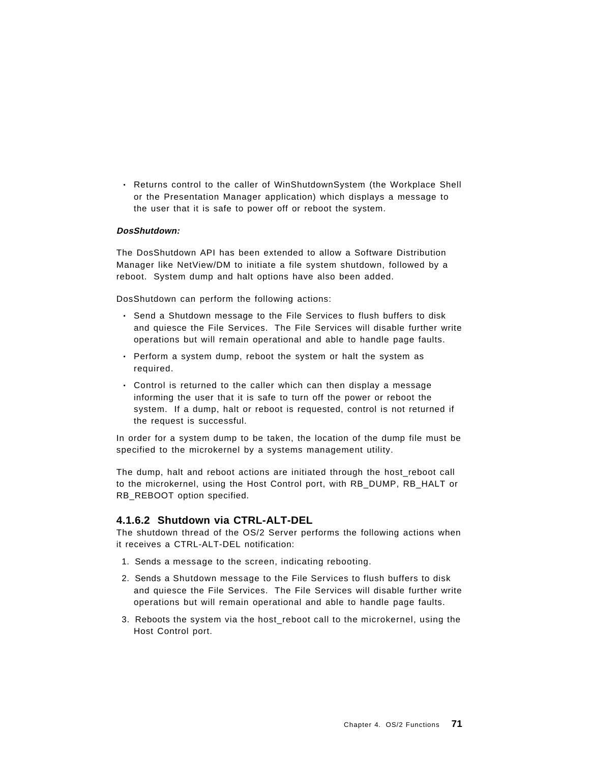• Returns control to the caller of WinShutdownSystem (the Workplace Shell or the Presentation Manager application) which displays a message to the user that it is safe to power off or reboot the system.

### **DosShutdown:**

The DosShutdown API has been extended to allow a Software Distribution Manager like NetView/DM to initiate a file system shutdown, followed by a reboot. System dump and halt options have also been added.

DosShutdown can perform the following actions:

- Send a Shutdown message to the File Services to flush buffers to disk and quiesce the File Services. The File Services will disable further write operations but will remain operational and able to handle page faults.
- Perform a system dump, reboot the system or halt the system as required.
- Control is returned to the caller which can then display a message informing the user that it is safe to turn off the power or reboot the system. If a dump, halt or reboot is requested, control is not returned if the request is successful.

In order for a system dump to be taken, the location of the dump file must be specified to the microkernel by a systems management utility.

The dump, halt and reboot actions are initiated through the host\_reboot call to the microkernel, using the Host Control port, with RB\_DUMP, RB\_HALT or RB\_REBOOT option specified.

### **4.1.6.2 Shutdown via CTRL-ALT-DEL**

The shutdown thread of the OS/2 Server performs the following actions when it receives a CTRL-ALT-DEL notification:

- 1. Sends a message to the screen, indicating rebooting.
- 2. Sends a Shutdown message to the File Services to flush buffers to disk and quiesce the File Services. The File Services will disable further write operations but will remain operational and able to handle page faults.
- 3. Reboots the system via the host\_reboot call to the microkernel, using the Host Control port.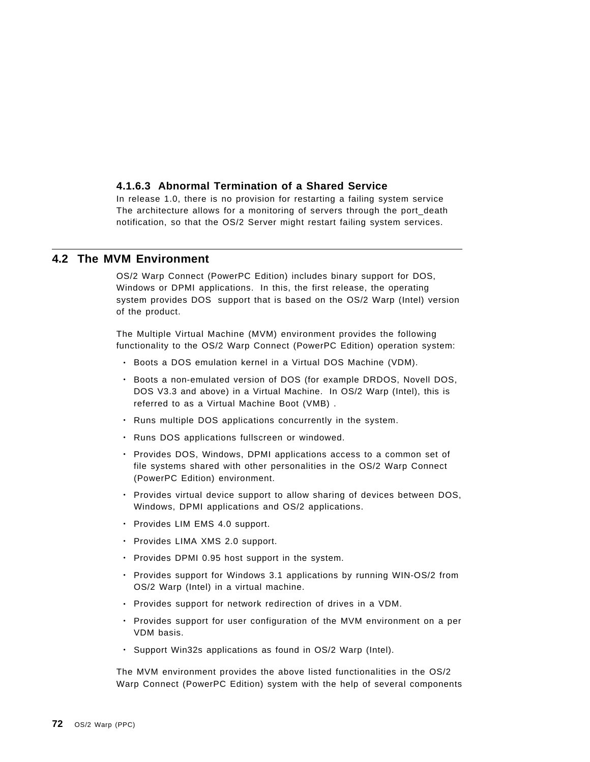### **4.1.6.3 Abnormal Termination of a Shared Service**

In release 1.0, there is no provision for restarting a failing system service The architecture allows for a monitoring of servers through the port\_death notification, so that the OS/2 Server might restart failing system services.

# **4.2 The MVM Environment**

OS/2 Warp Connect (PowerPC Edition) includes binary support for DOS, Windows or DPMI applications. In this, the first release, the operating system provides DOS support that is based on the OS/2 Warp (Intel) version of the product.

The Multiple Virtual Machine (MVM) environment provides the following functionality to the OS/2 Warp Connect (PowerPC Edition) operation system:

- Boots a DOS emulation kernel in a Virtual DOS Machine (VDM).
- Boots a non-emulated version of DOS (for example DRDOS, Novell DOS, DOS V3.3 and above) in a Virtual Machine. In OS/2 Warp (Intel), this is referred to as a Virtual Machine Boot (VMB) .
- Runs multiple DOS applications concurrently in the system.
- Runs DOS applications fullscreen or windowed.
- Provides DOS, Windows, DPMI applications access to a common set of file systems shared with other personalities in the OS/2 Warp Connect (PowerPC Edition) environment.
- Provides virtual device support to allow sharing of devices between DOS, Windows, DPMI applications and OS/2 applications.
- Provides LIM EMS 4.0 support.
- Provides LIMA XMS 2.0 support.
- Provides DPMI 0.95 host support in the system.
- Provides support for Windows 3.1 applications by running WIN-OS/2 from OS/2 Warp (Intel) in a virtual machine.
- Provides support for network redirection of drives in a VDM.
- Provides support for user configuration of the MVM environment on a per VDM basis.
- Support Win32s applications as found in OS/2 Warp (Intel).

The MVM environment provides the above listed functionalities in the OS/2 Warp Connect (PowerPC Edition) system with the help of several components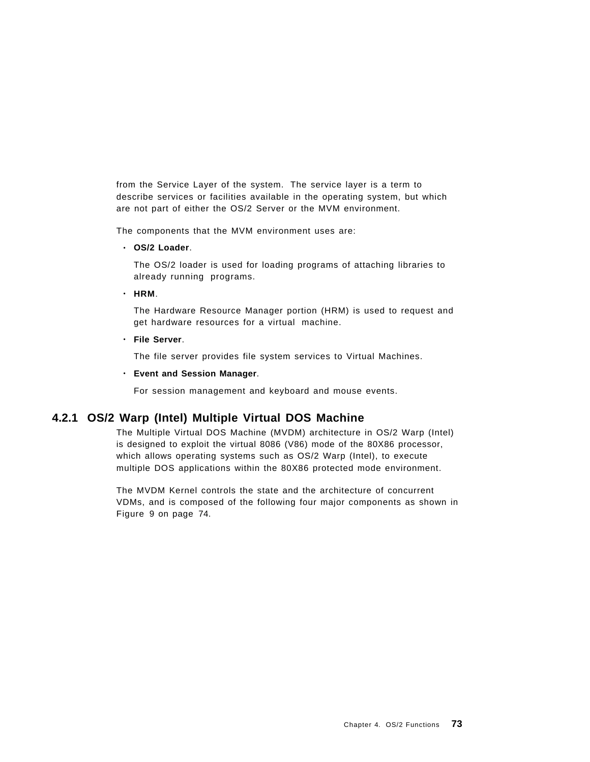from the Service Layer of the system. The service layer is a term to describe services or facilities available in the operating system, but which are not part of either the OS/2 Server or the MVM environment.

The components that the MVM environment uses are:

• **OS/2 Loader**.

The OS/2 loader is used for loading programs of attaching libraries to already running programs.

• **HRM**.

The Hardware Resource Manager portion (HRM) is used to request and get hardware resources for a virtual machine.

• **File Server**.

The file server provides file system services to Virtual Machines.

• **Event and Session Manager**.

For session management and keyboard and mouse events.

# **4.2.1 OS/2 Warp (Intel) Multiple Virtual DOS Machine**

The Multiple Virtual DOS Machine (MVDM) architecture in OS/2 Warp (Intel) is designed to exploit the virtual 8086 (V86) mode of the 80X86 processor, which allows operating systems such as OS/2 Warp (Intel), to execute multiple DOS applications within the 80X86 protected mode environment.

The MVDM Kernel controls the state and the architecture of concurrent VDMs, and is composed of the following four major components as shown in Figure 9 on page 74.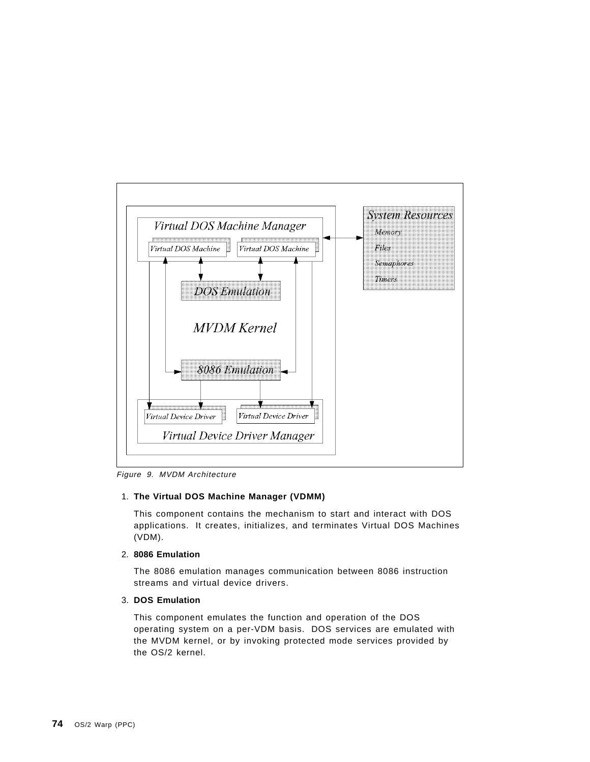

Figure 9. MVDM Architecture

### 1. **The Virtual DOS Machine Manager (VDMM)**

This component contains the mechanism to start and interact with DOS applications. It creates, initializes, and terminates Virtual DOS Machines (VDM).

#### 2. **8086 Emulation**

The 8086 emulation manages communication between 8086 instruction streams and virtual device drivers.

### 3. **DOS Emulation**

This component emulates the function and operation of the DOS operating system on a per-VDM basis. DOS services are emulated with the MVDM kernel, or by invoking protected mode services provided by the OS/2 kernel.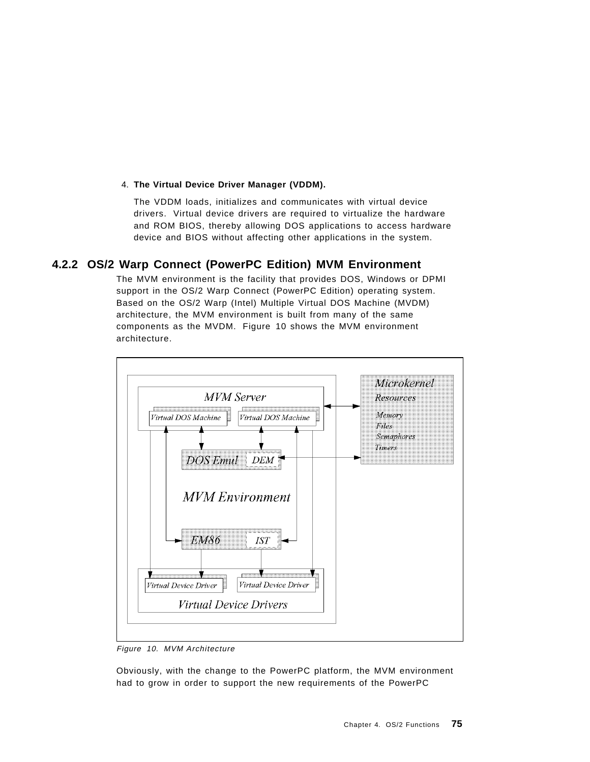### 4. **The Virtual Device Driver Manager (VDDM).**

The VDDM loads, initializes and communicates with virtual device drivers. Virtual device drivers are required to virtualize the hardware and ROM BIOS, thereby allowing DOS applications to access hardware device and BIOS without affecting other applications in the system.

# **4.2.2 OS/2 Warp Connect (PowerPC Edition) MVM Environment**

The MVM environment is the facility that provides DOS, Windows or DPMI support in the OS/2 Warp Connect (PowerPC Edition) operating system. Based on the OS/2 Warp (Intel) Multiple Virtual DOS Machine (MVDM) architecture, the MVM environment is built from many of the same components as the MVDM. Figure 10 shows the MVM environment architecture.



Figure 10. MVM Architecture

Obviously, with the change to the PowerPC platform, the MVM environment had to grow in order to support the new requirements of the PowerPC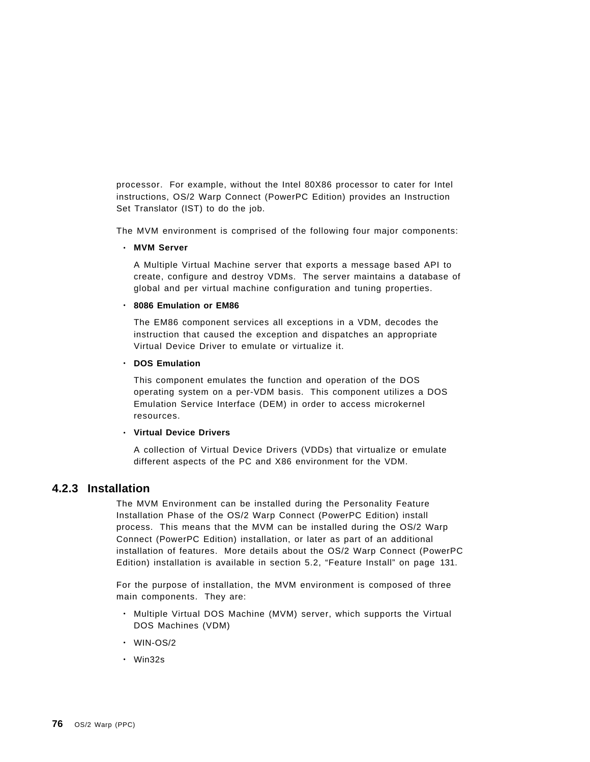processor. For example, without the Intel 80X86 processor to cater for Intel instructions, OS/2 Warp Connect (PowerPC Edition) provides an Instruction Set Translator (IST) to do the job.

The MVM environment is comprised of the following four major components:

### • **MVM Server**

A Multiple Virtual Machine server that exports a message based API to create, configure and destroy VDMs. The server maintains a database of global and per virtual machine configuration and tuning properties.

### • **8086 Emulation or EM86**

The EM86 component services all exceptions in a VDM, decodes the instruction that caused the exception and dispatches an appropriate Virtual Device Driver to emulate or virtualize it.

### • **DOS Emulation**

This component emulates the function and operation of the DOS operating system on a per-VDM basis. This component utilizes a DOS Emulation Service Interface (DEM) in order to access microkernel resources.

### • **Virtual Device Drivers**

A collection of Virtual Device Drivers (VDDs) that virtualize or emulate different aspects of the PC and X86 environment for the VDM.

# **4.2.3 Installation**

The MVM Environment can be installed during the Personality Feature Installation Phase of the OS/2 Warp Connect (PowerPC Edition) install process. This means that the MVM can be installed during the OS/2 Warp Connect (PowerPC Edition) installation, or later as part of an additional installation of features. More details about the OS/2 Warp Connect (PowerPC Edition) installation is available in section 5.2, "Feature Install" on page 131.

For the purpose of installation, the MVM environment is composed of three main components. They are:

- Multiple Virtual DOS Machine (MVM) server, which supports the Virtual DOS Machines (VDM)
- WIN-OS/2
- Win32s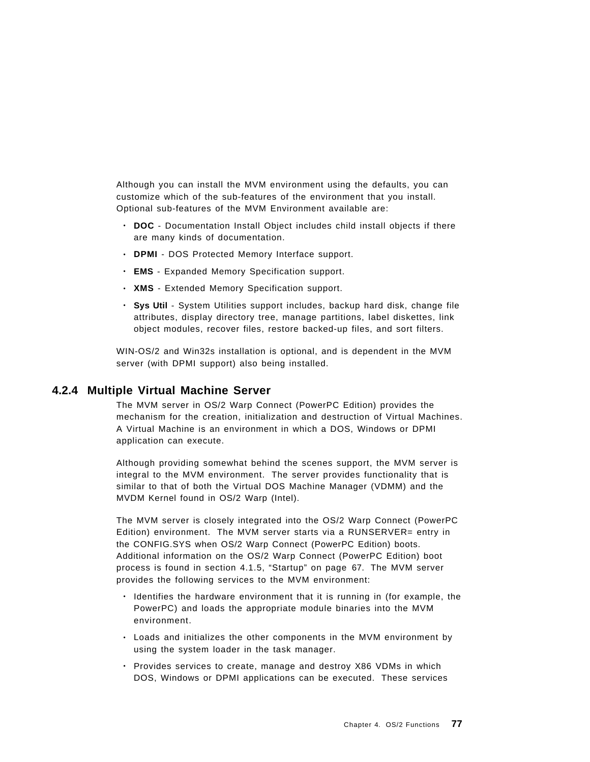Although you can install the MVM environment using the defaults, you can customize which of the sub-features of the environment that you install. Optional sub-features of the MVM Environment available are:

- **DOC** Documentation Install Object includes child install objects if there are many kinds of documentation.
- **DPMI** DOS Protected Memory Interface support.
- **EMS** Expanded Memory Specification support.
- **XMS** Extended Memory Specification support.
- **Sys Util** System Utilities support includes, backup hard disk, change file attributes, display directory tree, manage partitions, label diskettes, link object modules, recover files, restore backed-up files, and sort filters.

WIN-OS/2 and Win32s installation is optional, and is dependent in the MVM server (with DPMI support) also being installed.

# **4.2.4 Multiple Virtual Machine Server**

The MVM server in OS/2 Warp Connect (PowerPC Edition) provides the mechanism for the creation, initialization and destruction of Virtual Machines. A Virtual Machine is an environment in which a DOS, Windows or DPMI application can execute.

Although providing somewhat behind the scenes support, the MVM server is integral to the MVM environment. The server provides functionality that is similar to that of both the Virtual DOS Machine Manager (VDMM) and the MVDM Kernel found in OS/2 Warp (Intel).

The MVM server is closely integrated into the OS/2 Warp Connect (PowerPC Edition) environment. The MVM server starts via a RUNSERVER= entry in the CONFIG.SYS when OS/2 Warp Connect (PowerPC Edition) boots. Additional information on the OS/2 Warp Connect (PowerPC Edition) boot process is found in section 4.1.5, "Startup" on page 67. The MVM server provides the following services to the MVM environment:

- Identifies the hardware environment that it is running in (for example, the PowerPC) and loads the appropriate module binaries into the MVM environment.
- Loads and initializes the other components in the MVM environment by using the system loader in the task manager.
- Provides services to create, manage and destroy X86 VDMs in which DOS, Windows or DPMI applications can be executed. These services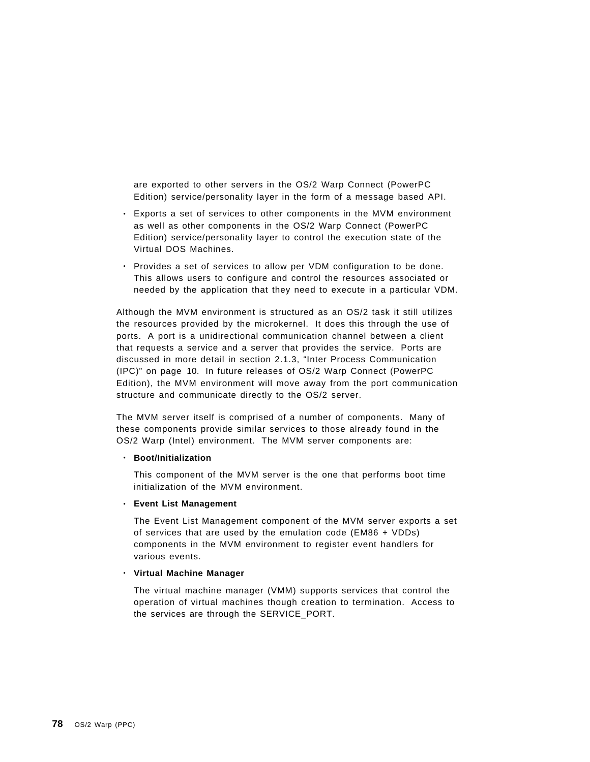are exported to other servers in the OS/2 Warp Connect (PowerPC Edition) service/personality layer in the form of a message based API.

- Exports a set of services to other components in the MVM environment as well as other components in the OS/2 Warp Connect (PowerPC Edition) service/personality layer to control the execution state of the Virtual DOS Machines.
- Provides a set of services to allow per VDM configuration to be done. This allows users to configure and control the resources associated or needed by the application that they need to execute in a particular VDM.

Although the MVM environment is structured as an OS/2 task it still utilizes the resources provided by the microkernel. It does this through the use of ports. A port is a unidirectional communication channel between a client that requests a service and a server that provides the service. Ports are discussed in more detail in section 2.1.3, "Inter Process Communication (IPC)" on page 10. In future releases of OS/2 Warp Connect (PowerPC Edition), the MVM environment will move away from the port communication structure and communicate directly to the OS/2 server.

The MVM server itself is comprised of a number of components. Many of these components provide similar services to those already found in the OS/2 Warp (Intel) environment. The MVM server components are:

### • **Boot/Initialization**

This component of the MVM server is the one that performs boot time initialization of the MVM environment.

#### • **Event List Management**

The Event List Management component of the MVM server exports a set of services that are used by the emulation code (EM86 + VDDs) components in the MVM environment to register event handlers for various events.

### • **Virtual Machine Manager**

The virtual machine manager (VMM) supports services that control the operation of virtual machines though creation to termination. Access to the services are through the SERVICE\_PORT.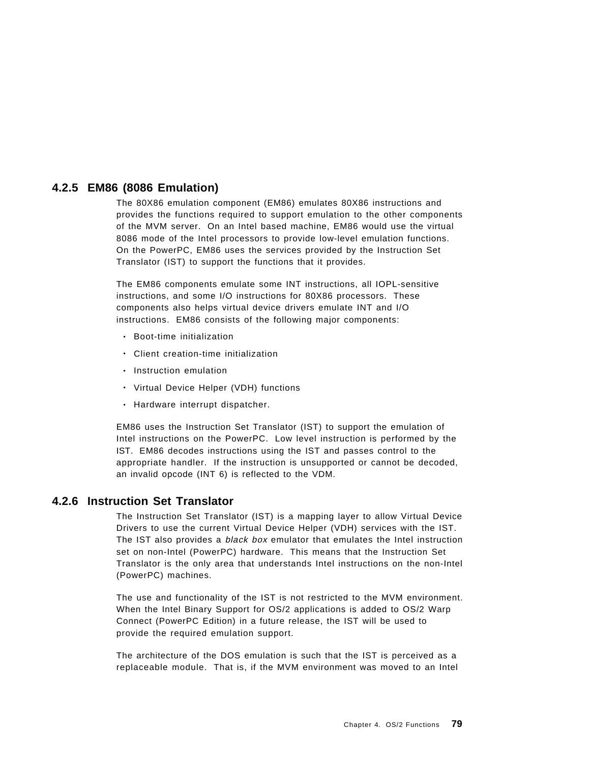# **4.2.5 EM86 (8086 Emulation)**

The 80X86 emulation component (EM86) emulates 80X86 instructions and provides the functions required to support emulation to the other components of the MVM server. On an Intel based machine, EM86 would use the virtual 8086 mode of the Intel processors to provide low-level emulation functions. On the PowerPC, EM86 uses the services provided by the Instruction Set Translator (IST) to support the functions that it provides.

The EM86 components emulate some INT instructions, all IOPL-sensitive instructions, and some I/O instructions for 80X86 processors. These components also helps virtual device drivers emulate INT and I/O instructions. EM86 consists of the following major components:

- Boot-time initialization
- Client creation-time initialization
- Instruction emulation
- Virtual Device Helper (VDH) functions
- Hardware interrupt dispatcher.

EM86 uses the Instruction Set Translator (IST) to support the emulation of Intel instructions on the PowerPC. Low level instruction is performed by the IST. EM86 decodes instructions using the IST and passes control to the appropriate handler. If the instruction is unsupported or cannot be decoded, an invalid opcode (INT 6) is reflected to the VDM.

# **4.2.6 Instruction Set Translator**

The Instruction Set Translator (IST) is a mapping layer to allow Virtual Device Drivers to use the current Virtual Device Helper (VDH) services with the IST. The IST also provides a *black box* emulator that emulates the Intel instruction set on non-Intel (PowerPC) hardware. This means that the Instruction Set Translator is the only area that understands Intel instructions on the non-Intel (PowerPC) machines.

The use and functionality of the IST is not restricted to the MVM environment. When the Intel Binary Support for OS/2 applications is added to OS/2 Warp Connect (PowerPC Edition) in a future release, the IST will be used to provide the required emulation support.

The architecture of the DOS emulation is such that the IST is perceived as a replaceable module. That is, if the MVM environment was moved to an Intel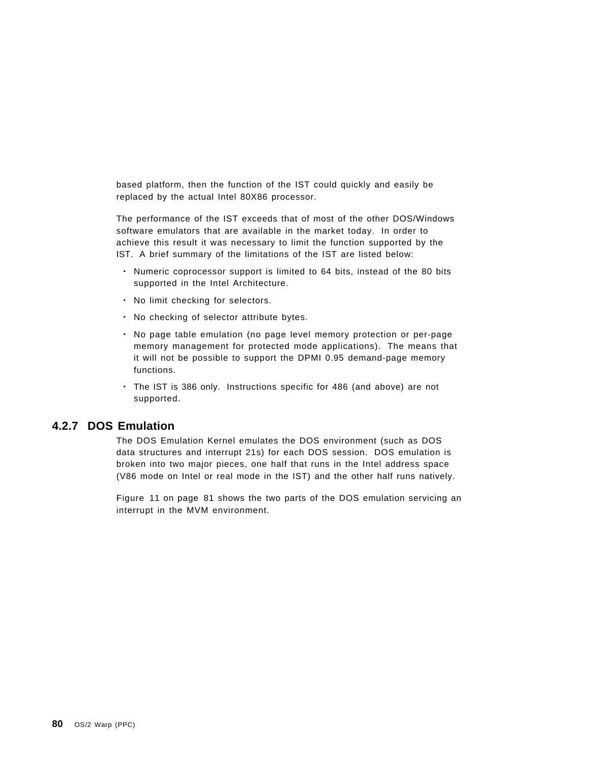based platform, then the function of the IST could quickly and easily be replaced by the actual Intel 80X86 processor.

The performance of the IST exceeds that of most of the other DOS/Windows software emulators that are available in the market today. In order to achieve this result it was necessary to limit the function supported by the IST. A brief summary of the limitations of the IST are listed below:

- Numeric coprocessor support is limited to 64 bits, instead of the 80 bits supported in the Intel Architecture.
- No limit checking for selectors.
- No checking of selector attribute bytes.
- No page table emulation (no page level memory protection or per-page memory management for protected mode applications). The means that it will not be possible to support the DPMI 0.95 demand-page memory functions.
- The IST is 386 only. Instructions specific for 486 (and above) are not supported.

# **4.2.7 DOS Emulation**

The DOS Emulation Kernel emulates the DOS environment (such as DOS data structures and interrupt 21s) for each DOS session. DOS emulation is broken into two major pieces, one half that runs in the Intel address space (V86 mode on Intel or real mode in the IST) and the other half runs natively.

Figure 11 on page 81 shows the two parts of the DOS emulation servicing an interrupt in the MVM environment.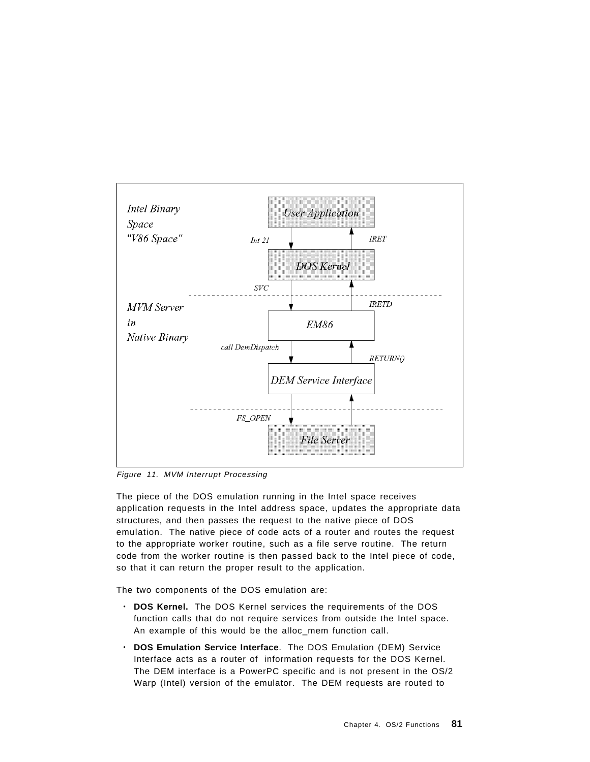

Figure 11. MVM Interrupt Processing

The piece of the DOS emulation running in the Intel space receives application requests in the Intel address space, updates the appropriate data structures, and then passes the request to the native piece of DOS emulation. The native piece of code acts of a router and routes the request to the appropriate worker routine, such as a file serve routine. The return code from the worker routine is then passed back to the Intel piece of code, so that it can return the proper result to the application.

The two components of the DOS emulation are:

- **DOS Kernel.** The DOS Kernel services the requirements of the DOS function calls that do not require services from outside the Intel space. An example of this would be the alloc\_mem function call.
- **DOS Emulation Service Interface**. The DOS Emulation (DEM) Service Interface acts as a router of information requests for the DOS Kernel. The DEM interface is a PowerPC specific and is not present in the OS/2 Warp (Intel) version of the emulator. The DEM requests are routed to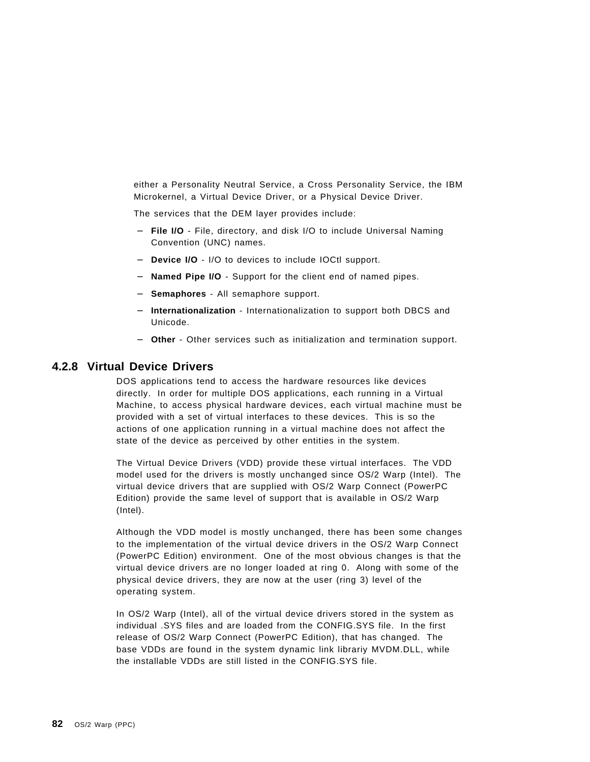either a Personality Neutral Service, a Cross Personality Service, the IBM Microkernel, a Virtual Device Driver, or a Physical Device Driver.

The services that the DEM layer provides include:

- − **File I/O** File, directory, and disk I/O to include Universal Naming Convention (UNC) names.
- − **Device I/O** I/O to devices to include IOCtl support.
- − **Named Pipe I/O** Support for the client end of named pipes.
- − **Semaphores** All semaphore support.
- − **Internationalization** Internationalization to support both DBCS and Unicode.
- − **Other** Other services such as initialization and termination support.

### **4.2.8 Virtual Device Drivers**

DOS applications tend to access the hardware resources like devices directly. In order for multiple DOS applications, each running in a Virtual Machine, to access physical hardware devices, each virtual machine must be provided with a set of virtual interfaces to these devices. This is so the actions of one application running in a virtual machine does not affect the state of the device as perceived by other entities in the system.

The Virtual Device Drivers (VDD) provide these virtual interfaces. The VDD model used for the drivers is mostly unchanged since OS/2 Warp (Intel). The virtual device drivers that are supplied with OS/2 Warp Connect (PowerPC Edition) provide the same level of support that is available in OS/2 Warp (Intel).

Although the VDD model is mostly unchanged, there has been some changes to the implementation of the virtual device drivers in the OS/2 Warp Connect (PowerPC Edition) environment. One of the most obvious changes is that the virtual device drivers are no longer loaded at ring 0. Along with some of the physical device drivers, they are now at the user (ring 3) level of the operating system.

In OS/2 Warp (Intel), all of the virtual device drivers stored in the system as individual .SYS files and are loaded from the CONFIG.SYS file. In the first release of OS/2 Warp Connect (PowerPC Edition), that has changed. The base VDDs are found in the system dynamic link librariy MVDM.DLL, while the installable VDDs are still listed in the CONFIG.SYS file.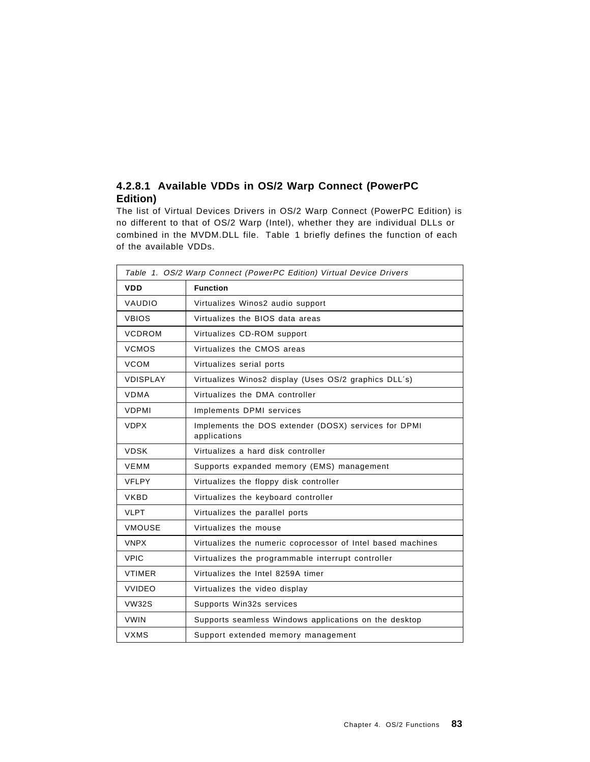# **4.2.8.1 Available VDDs in OS/2 Warp Connect (PowerPC Edition)**

The list of Virtual Devices Drivers in OS/2 Warp Connect (PowerPC Edition) is no different to that of OS/2 Warp (Intel), whether they are individual DLLs or combined in the MVDM.DLL file. Table 1 briefly defines the function of each of the available VDDs.

| Table 1. OS/2 Warp Connect (PowerPC Edition) Virtual Device Drivers |                                                                      |  |  |
|---------------------------------------------------------------------|----------------------------------------------------------------------|--|--|
| <b>VDD</b>                                                          | <b>Function</b>                                                      |  |  |
| <b>VAUDIO</b>                                                       | Virtualizes Winos2 audio support                                     |  |  |
| <b>VBIOS</b>                                                        | Virtualizes the BIOS data areas                                      |  |  |
| <b>VCDROM</b>                                                       | Virtualizes CD-ROM support                                           |  |  |
| <b>VCMOS</b>                                                        | Virtualizes the CMOS areas                                           |  |  |
| <b>VCOM</b>                                                         | Virtualizes serial ports                                             |  |  |
| <b>VDISPLAY</b>                                                     | Virtualizes Winos2 display (Uses OS/2 graphics DLL's)                |  |  |
| <b>VDMA</b>                                                         | Virtualizes the DMA controller                                       |  |  |
| <b>VDPMI</b>                                                        | Implements DPMI services                                             |  |  |
| <b>VDPX</b>                                                         | Implements the DOS extender (DOSX) services for DPMI<br>applications |  |  |
| <b>VDSK</b>                                                         | Virtualizes a hard disk controller                                   |  |  |
| <b>VEMM</b>                                                         | Supports expanded memory (EMS) management                            |  |  |
| <b>VFLPY</b>                                                        | Virtualizes the floppy disk controller                               |  |  |
| <b>VKBD</b>                                                         | Virtualizes the keyboard controller                                  |  |  |
| <b>VLPT</b>                                                         | Virtualizes the parallel ports                                       |  |  |
| <b>VMOUSE</b>                                                       | Virtualizes the mouse                                                |  |  |
| <b>VNPX</b>                                                         | Virtualizes the numeric coprocessor of Intel based machines          |  |  |
| <b>VPIC</b>                                                         | Virtualizes the programmable interrupt controller                    |  |  |
| <b>VTIMER</b>                                                       | Virtualizes the Intel 8259A timer                                    |  |  |
| <b>VVIDEO</b>                                                       | Virtualizes the video display                                        |  |  |
| <b>VW32S</b>                                                        | Supports Win32s services                                             |  |  |
| <b>VWIN</b>                                                         | Supports seamless Windows applications on the desktop                |  |  |
| <b>VXMS</b>                                                         | Support extended memory management                                   |  |  |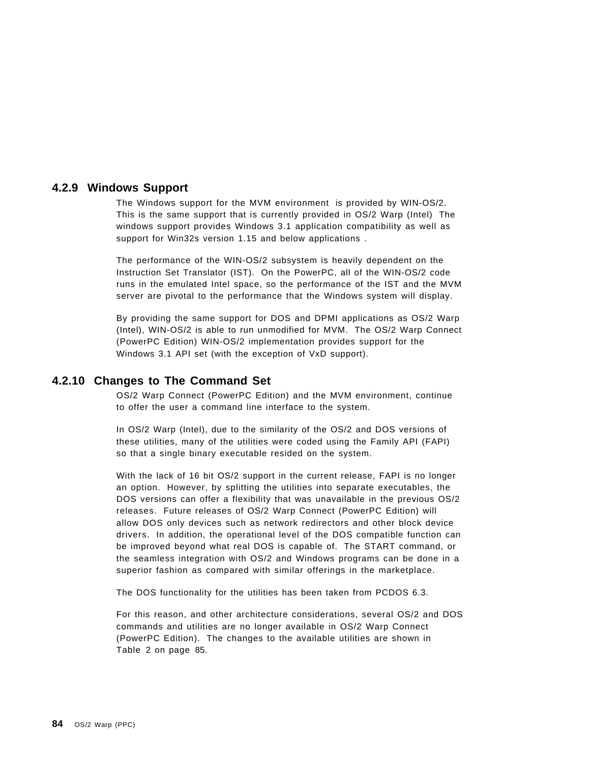## **4.2.9 Windows Support**

The Windows support for the MVM environment is provided by WIN-OS/2. This is the same support that is currently provided in OS/2 Warp (Intel) The windows support provides Windows 3.1 application compatibility as well as support for Win32s version 1.15 and below applications .

The performance of the WIN-OS/2 subsystem is heavily dependent on the Instruction Set Translator (IST). On the PowerPC, all of the WIN-OS/2 code runs in the emulated Intel space, so the performance of the IST and the MVM server are pivotal to the performance that the Windows system will display.

By providing the same support for DOS and DPMI applications as OS/2 Warp (Intel), WIN-OS/2 is able to run unmodified for MVM. The OS/2 Warp Connect (PowerPC Edition) WIN-OS/2 implementation provides support for the Windows 3.1 API set (with the exception of VxD support).

# **4.2.10 Changes to The Command Set**

OS/2 Warp Connect (PowerPC Edition) and the MVM environment, continue to offer the user a command line interface to the system.

In OS/2 Warp (Intel), due to the similarity of the OS/2 and DOS versions of these utilities, many of the utilities were coded using the Family API (FAPI) so that a single binary executable resided on the system.

With the lack of 16 bit OS/2 support in the current release, FAPI is no longer an option. However, by splitting the utilities into separate executables, the DOS versions can offer a flexibility that was unavailable in the previous OS/2 releases. Future releases of OS/2 Warp Connect (PowerPC Edition) will allow DOS only devices such as network redirectors and other block device drivers. In addition, the operational level of the DOS compatible function can be improved beyond what real DOS is capable of. The START command, or the seamless integration with OS/2 and Windows programs can be done in a superior fashion as compared with similar offerings in the marketplace.

The DOS functionality for the utilities has been taken from PCDOS 6.3.

For this reason, and other architecture considerations, several OS/2 and DOS commands and utilities are no longer available in OS/2 Warp Connect (PowerPC Edition). The changes to the available utilities are shown in Table 2 on page 85.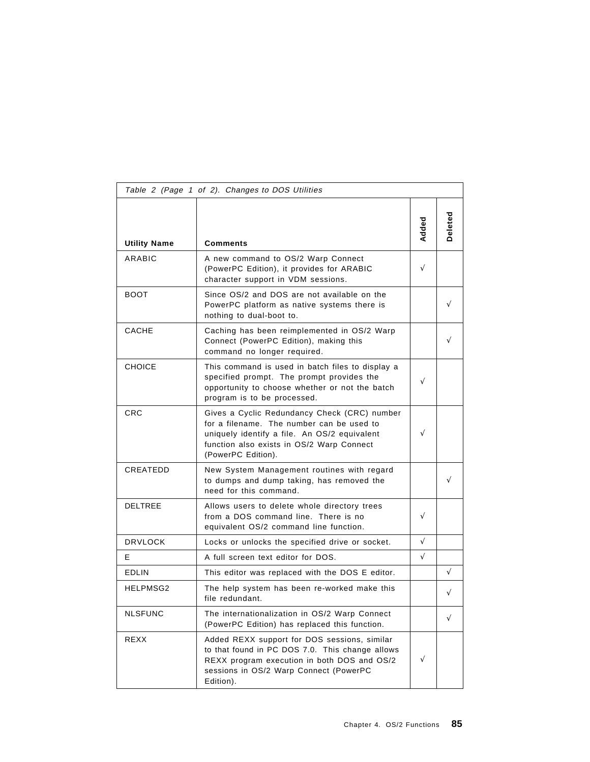|                     | Table 2 (Page 1 of 2). Changes to DOS Utilities                                                                                                                                                              |            |           |
|---------------------|--------------------------------------------------------------------------------------------------------------------------------------------------------------------------------------------------------------|------------|-----------|
| <b>Utility Name</b> | <b>Comments</b>                                                                                                                                                                                              | Added      | Deleted   |
| ARABIC              | A new command to OS/2 Warp Connect<br>(PowerPC Edition), it provides for ARABIC<br>character support in VDM sessions.                                                                                        | $\sqrt{ }$ |           |
| <b>BOOT</b>         | Since OS/2 and DOS are not available on the<br>PowerPC platform as native systems there is<br>nothing to dual-boot to.                                                                                       |            |           |
| <b>CACHE</b>        | Caching has been reimplemented in OS/2 Warp<br>Connect (PowerPC Edition), making this<br>command no longer required.                                                                                         |            |           |
| <b>CHOICE</b>       | This command is used in batch files to display a<br>specified prompt. The prompt provides the<br>opportunity to choose whether or not the batch<br>program is to be processed.                               | $\sqrt{}$  |           |
| <b>CRC</b>          | Gives a Cyclic Redundancy Check (CRC) number<br>for a filename. The number can be used to<br>uniquely identify a file. An OS/2 equivalent<br>function also exists in OS/2 Warp Connect<br>(PowerPC Edition). | $\sqrt{}$  |           |
| CREATEDD            | New System Management routines with regard<br>to dumps and dump taking, has removed the<br>need for this command.                                                                                            |            |           |
| <b>DELTREE</b>      | Allows users to delete whole directory trees<br>from a DOS command line. There is no<br>equivalent OS/2 command line function.                                                                               | $\sqrt{}$  |           |
| <b>DRVLOCK</b>      | Locks or unlocks the specified drive or socket.                                                                                                                                                              | $\sqrt{2}$ |           |
| Е                   | A full screen text editor for DOS.                                                                                                                                                                           | $\sqrt{}$  |           |
| <b>EDLIN</b>        | This editor was replaced with the DOS E editor.                                                                                                                                                              |            | $\sqrt{}$ |
| HELPMSG2            | The help system has been re-worked make this<br>file redundant.                                                                                                                                              |            | V         |
| <b>NLSFUNC</b>      | The internationalization in OS/2 Warp Connect<br>(PowerPC Edition) has replaced this function.                                                                                                               |            | $\sqrt{}$ |
| REXX                | Added REXX support for DOS sessions, similar<br>to that found in PC DOS 7.0. This change allows<br>REXX program execution in both DOS and OS/2<br>sessions in OS/2 Warp Connect (PowerPC<br>Edition).        | $\sqrt{}$  |           |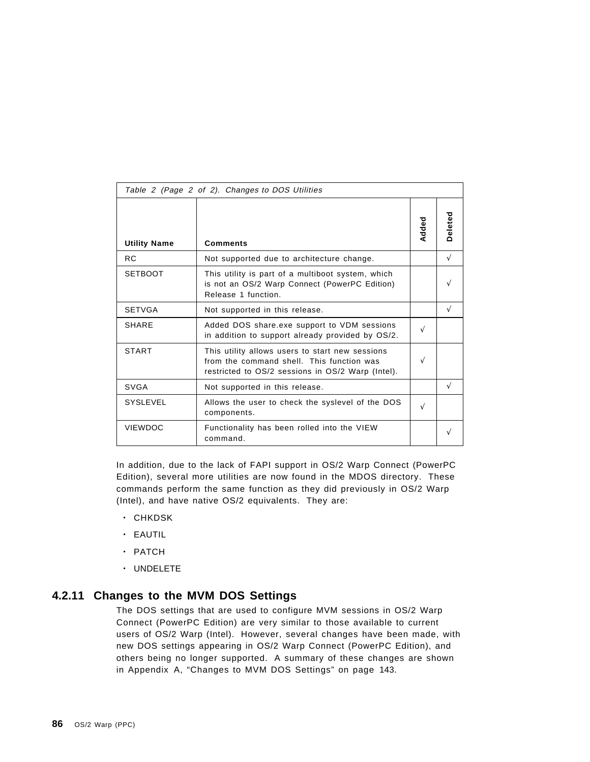| Table 2 (Page 2 of 2). Changes to DOS Utilities |                                                                                                                                                   |       |            |  |  |
|-------------------------------------------------|---------------------------------------------------------------------------------------------------------------------------------------------------|-------|------------|--|--|
| <b>Utility Name</b>                             | <b>Comments</b>                                                                                                                                   | Added | Deleted    |  |  |
| <b>RC</b>                                       | Not supported due to architecture change.                                                                                                         |       | $\sqrt{ }$ |  |  |
| <b>SETBOOT</b>                                  | This utility is part of a multiboot system, which<br>is not an OS/2 Warp Connect (PowerPC Edition)<br>Release 1 function.                         |       |            |  |  |
| <b>SETVGA</b>                                   | Not supported in this release.                                                                                                                    |       | V          |  |  |
| SHARF                                           | Added DOS share exe support to VDM sessions<br>in addition to support already provided by OS/2.                                                   |       |            |  |  |
| <b>START</b>                                    | This utility allows users to start new sessions<br>from the command shell. This function was<br>restricted to OS/2 sessions in OS/2 Warp (Intel). |       |            |  |  |
| <b>SVGA</b>                                     | Not supported in this release.                                                                                                                    |       | $\sqrt{ }$ |  |  |
| <b>SYSLEVEL</b>                                 | Allows the user to check the syslevel of the DOS<br>components.                                                                                   |       |            |  |  |
| <b>VIEWDOC</b>                                  | Functionality has been rolled into the VIEW<br>command.                                                                                           |       |            |  |  |

In addition, due to the lack of FAPI support in OS/2 Warp Connect (PowerPC Edition), several more utilities are now found in the MDOS directory. These commands perform the same function as they did previously in OS/2 Warp (Intel), and have native OS/2 equivalents. They are:

- CHKDSK
- EAUTIL
- PATCH
- UNDELETE

## **4.2.11 Changes to the MVM DOS Settings**

The DOS settings that are used to configure MVM sessions in OS/2 Warp Connect (PowerPC Edition) are very similar to those available to current users of OS/2 Warp (Intel). However, several changes have been made, with new DOS settings appearing in OS/2 Warp Connect (PowerPC Edition), and others being no longer supported. A summary of these changes are shown in Appendix A, "Changes to MVM DOS Settings" on page 143.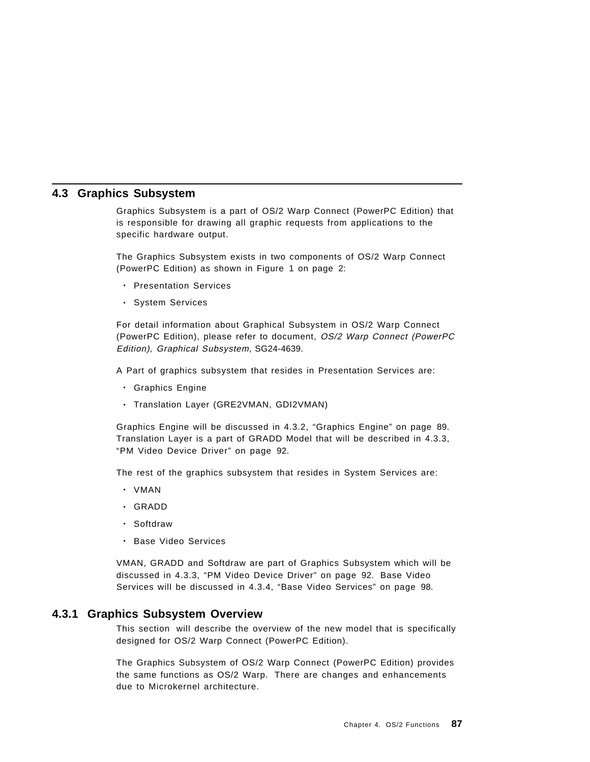## **4.3 Graphics Subsystem**

Graphics Subsystem is a part of OS/2 Warp Connect (PowerPC Edition) that is responsible for drawing all graphic requests from applications to the specific hardware output.

The Graphics Subsystem exists in two components of OS/2 Warp Connect (PowerPC Edition) as shown in Figure 1 on page 2:

- Presentation Services
- System Services

For detail information about Graphical Subsystem in OS/2 Warp Connect (PowerPC Edition), please refer to document, OS/2 Warp Connect (PowerPC Edition), Graphical Subsystem, SG24-4639.

A Part of graphics subsystem that resides in Presentation Services are:

- Graphics Engine
- Translation Layer (GRE2VMAN, GDI2VMAN)

Graphics Engine will be discussed in 4.3.2, "Graphics Engine" on page 89. Translation Layer is a part of GRADD Model that will be described in 4.3.3, "PM Video Device Driver" on page 92.

The rest of the graphics subsystem that resides in System Services are:

- VMAN
- GRADD
- Softdraw
- Base Video Services

VMAN, GRADD and Softdraw are part of Graphics Subsystem which will be discussed in 4.3.3, "PM Video Device Driver" on page 92. Base Video Services will be discussed in 4.3.4, "Base Video Services" on page 98.

## **4.3.1 Graphics Subsystem Overview**

This section will describe the overview of the new model that is specifically designed for OS/2 Warp Connect (PowerPC Edition).

The Graphics Subsystem of OS/2 Warp Connect (PowerPC Edition) provides the same functions as OS/2 Warp. There are changes and enhancements due to Microkernel architecture.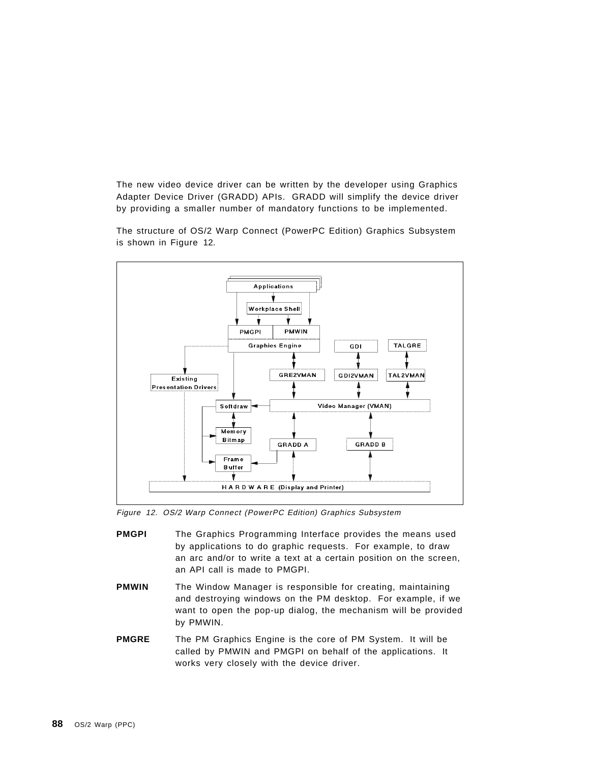The new video device driver can be written by the developer using Graphics Adapter Device Driver (GRADD) APIs. GRADD will simplify the device driver by providing a smaller number of mandatory functions to be implemented.

The structure of OS/2 Warp Connect (PowerPC Edition) Graphics Subsystem is shown in Figure 12.



Figure 12. OS/2 Warp Connect (PowerPC Edition) Graphics Subsystem

- **PMGPI** The Graphics Programming Interface provides the means used by applications to do graphic requests. For example, to draw an arc and/or to write a text at a certain position on the screen, an API call is made to PMGPI.
- **PMWIN** The Window Manager is responsible for creating, maintaining and destroying windows on the PM desktop. For example, if we want to open the pop-up dialog, the mechanism will be provided by PMWIN.
- **PMGRE** The PM Graphics Engine is the core of PM System. It will be called by PMWIN and PMGPI on behalf of the applications. It works very closely with the device driver.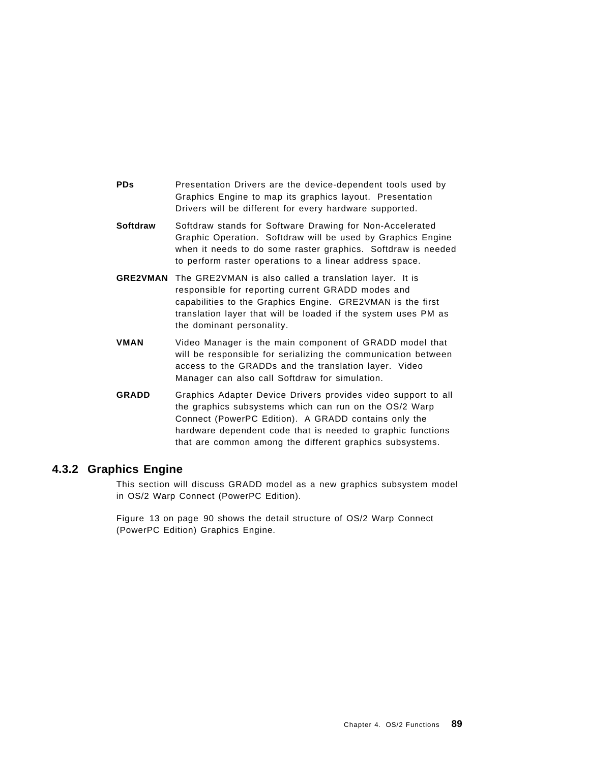- **PDs** Presentation Drivers are the device-dependent tools used by Graphics Engine to map its graphics layout. Presentation Drivers will be different for every hardware supported.
- **Softdraw** Softdraw stands for Software Drawing for Non-Accelerated Graphic Operation. Softdraw will be used by Graphics Engine when it needs to do some raster graphics. Softdraw is needed to perform raster operations to a linear address space.
- **GRE2VMAN** The GRE2VMAN is also called a translation layer. It is responsible for reporting current GRADD modes and capabilities to the Graphics Engine. GRE2VMAN is the first translation layer that will be loaded if the system uses PM as the dominant personality.
- **VMAN** Video Manager is the main component of GRADD model that will be responsible for serializing the communication between access to the GRADDs and the translation layer. Video Manager can also call Softdraw for simulation.
- **GRADD** Graphics Adapter Device Drivers provides video support to all the graphics subsystems which can run on the OS/2 Warp Connect (PowerPC Edition). A GRADD contains only the hardware dependent code that is needed to graphic functions that are common among the different graphics subsystems.

# **4.3.2 Graphics Engine**

This section will discuss GRADD model as a new graphics subsystem model in OS/2 Warp Connect (PowerPC Edition).

Figure 13 on page 90 shows the detail structure of OS/2 Warp Connect (PowerPC Edition) Graphics Engine.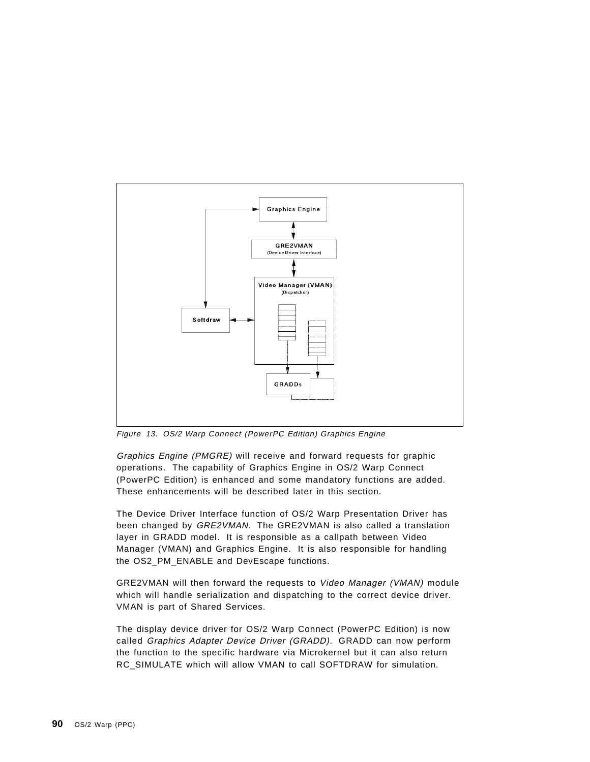

Figure 13. OS/2 Warp Connect (PowerPC Edition) Graphics Engine

Graphics Engine (PMGRE) will receive and forward requests for graphic operations. The capability of Graphics Engine in OS/2 Warp Connect (PowerPC Edition) is enhanced and some mandatory functions are added. These enhancements will be described later in this section.

The Device Driver Interface function of OS/2 Warp Presentation Driver has been changed by GRE2VMAN. The GRE2VMAN is also called a translation layer in GRADD model. It is responsible as a callpath between Video Manager (VMAN) and Graphics Engine. It is also responsible for handling the OS2\_PM\_ENABLE and DevEscape functions.

GRE2VMAN will then forward the requests to Video Manager (VMAN) module which will handle serialization and dispatching to the correct device driver. VMAN is part of Shared Services.

The display device driver for OS/2 Warp Connect (PowerPC Edition) is now called Graphics Adapter Device Driver (GRADD). GRADD can now perform the function to the specific hardware via Microkernel but it can also return RC\_SIMULATE which will allow VMAN to call SOFTDRAW for simulation.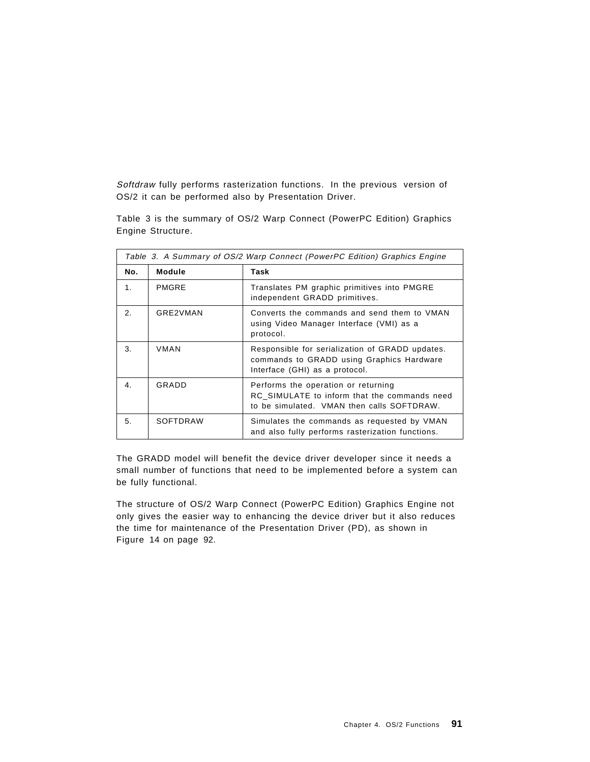Softdraw fully performs rasterization functions. In the previous version of OS/2 it can be performed also by Presentation Driver.

Table 3 is the summary of OS/2 Warp Connect (PowerPC Edition) Graphics Engine Structure.

| Table 3. A Summary of OS/2 Warp Connect (PowerPC Edition) Graphics Engine |                 |                                                                                                                                   |  |  |  |  |
|---------------------------------------------------------------------------|-----------------|-----------------------------------------------------------------------------------------------------------------------------------|--|--|--|--|
| No.                                                                       | Module          | Task                                                                                                                              |  |  |  |  |
| 1.                                                                        | <b>PMGRE</b>    | Translates PM graphic primitives into PMGRE<br>independent GRADD primitives.                                                      |  |  |  |  |
| 2.                                                                        | GRE2VMAN        | Converts the commands and send them to VMAN<br>using Video Manager Interface (VMI) as a<br>protocol.                              |  |  |  |  |
| 3.                                                                        | VMAN            | Responsible for serialization of GRADD updates.<br>commands to GRADD using Graphics Hardware<br>Interface (GHI) as a protocol.    |  |  |  |  |
| 4.                                                                        | GRADD           | Performs the operation or returning<br>RC SIMULATE to inform that the commands need<br>to be simulated. VMAN then calls SOFTDRAW. |  |  |  |  |
| 5.                                                                        | <b>SOFTDRAW</b> | Simulates the commands as requested by VMAN<br>and also fully performs rasterization functions.                                   |  |  |  |  |

The GRADD model will benefit the device driver developer since it needs a small number of functions that need to be implemented before a system can be fully functional.

The structure of OS/2 Warp Connect (PowerPC Edition) Graphics Engine not only gives the easier way to enhancing the device driver but it also reduces the time for maintenance of the Presentation Driver (PD), as shown in Figure 14 on page 92.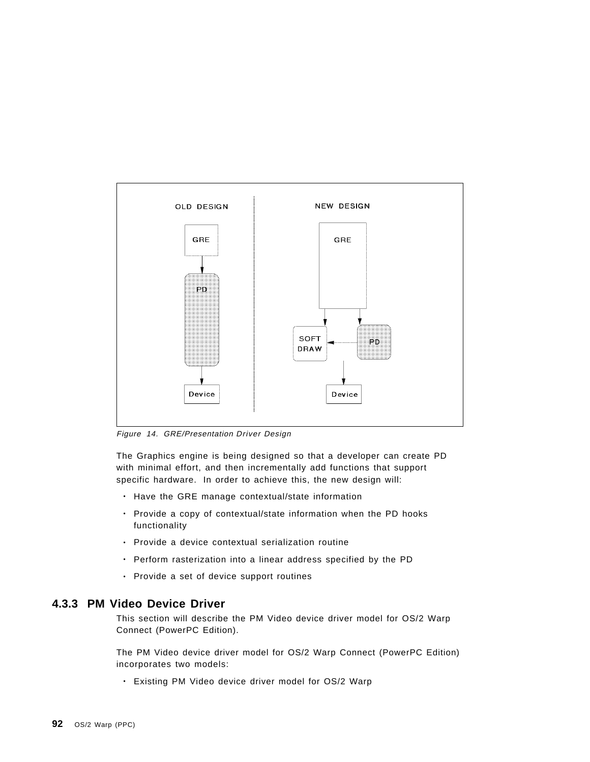

Figure 14. GRE/Presentation Driver Design

The Graphics engine is being designed so that a developer can create PD with minimal effort, and then incrementally add functions that support specific hardware. In order to achieve this, the new design will:

- Have the GRE manage contextual/state information
- Provide a copy of contextual/state information when the PD hooks functionality
- Provide a device contextual serialization routine
- Perform rasterization into a linear address specified by the PD
- Provide a set of device support routines

## **4.3.3 PM Video Device Driver**

This section will describe the PM Video device driver model for OS/2 Warp Connect (PowerPC Edition).

The PM Video device driver model for OS/2 Warp Connect (PowerPC Edition) incorporates two models:

• Existing PM Video device driver model for OS/2 Warp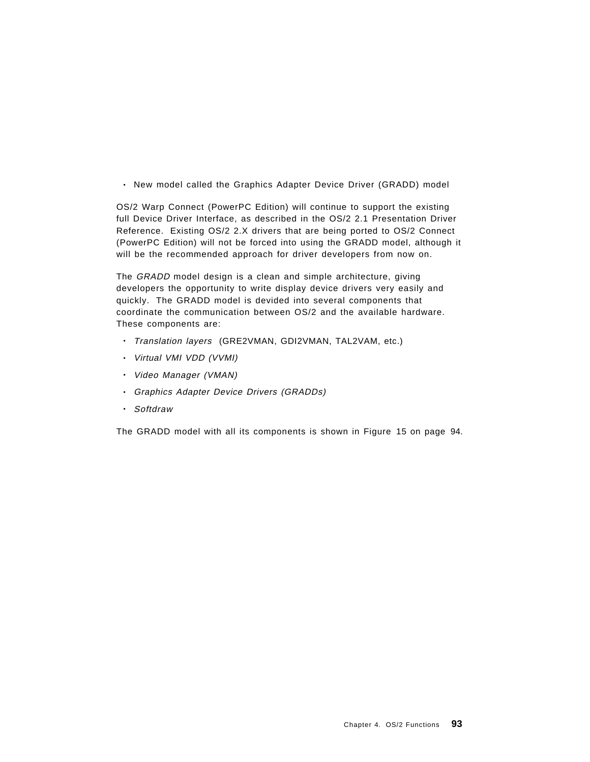• New model called the Graphics Adapter Device Driver (GRADD) model

OS/2 Warp Connect (PowerPC Edition) will continue to support the existing full Device Driver Interface, as described in the OS/2 2.1 Presentation Driver Reference. Existing OS/2 2.X drivers that are being ported to OS/2 Connect (PowerPC Edition) will not be forced into using the GRADD model, although it will be the recommended approach for driver developers from now on.

The GRADD model design is a clean and simple architecture, giving developers the opportunity to write display device drivers very easily and quickly. The GRADD model is devided into several components that coordinate the communication between OS/2 and the available hardware. These components are:

- Translation layers (GRE2VMAN, GDI2VMAN, TAL2VAM, etc.)
- Virtual VMI VDD (VVMI)
- Video Manager (VMAN)
- Graphics Adapter Device Drivers (GRADDs)
- Softdraw

The GRADD model with all its components is shown in Figure 15 on page 94.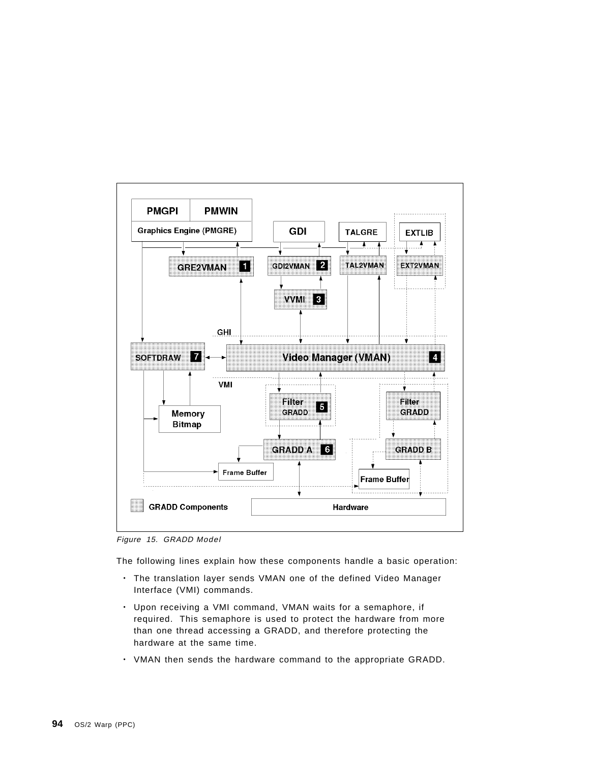

Figure 15. GRADD Model

The following lines explain how these components handle a basic operation:

- The translation layer sends VMAN one of the defined Video Manager Interface (VMI) commands.
- Upon receiving a VMI command, VMAN waits for a semaphore, if required. This semaphore is used to protect the hardware from more than one thread accessing a GRADD, and therefore protecting the hardware at the same time.
- VMAN then sends the hardware command to the appropriate GRADD.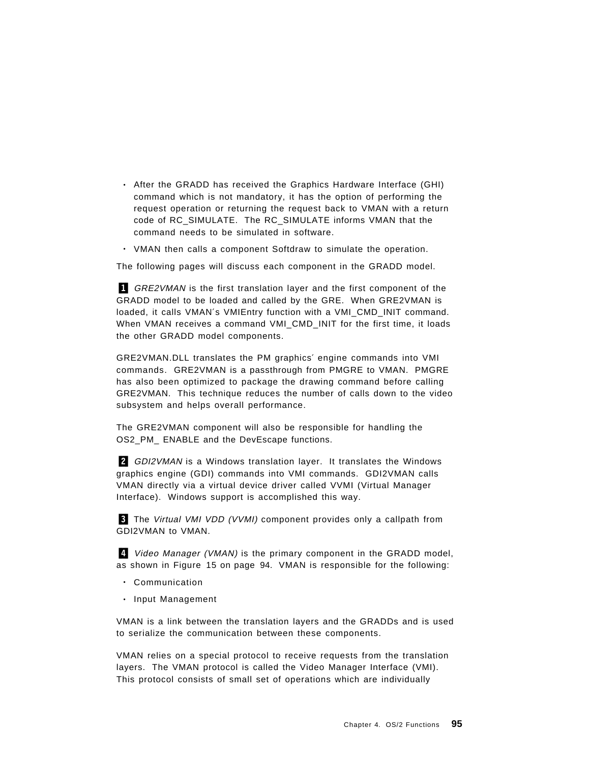- After the GRADD has received the Graphics Hardware Interface (GHI) command which is not mandatory, it has the option of performing the request operation or returning the request back to VMAN with a return code of RC\_SIMULATE. The RC\_SIMULATE informs VMAN that the command needs to be simulated in software.
- VMAN then calls a component Softdraw to simulate the operation.

The following pages will discuss each component in the GRADD model.

**1** GRE2VMAN is the first translation layer and the first component of the GRADD model to be loaded and called by the GRE. When GRE2VMAN is loaded, it calls VMAN′s VMIEntry function with a VMI\_CMD\_INIT command. When VMAN receives a command VMI\_CMD\_INIT for the first time, it loads the other GRADD model components.

GRE2VMAN.DLL translates the PM graphics′ engine commands into VMI commands. GRE2VMAN is a passthrough from PMGRE to VMAN. PMGRE has also been optimized to package the drawing command before calling GRE2VMAN. This technique reduces the number of calls down to the video subsystem and helps overall performance.

The GRE2VMAN component will also be responsible for handling the OS2\_PM\_ ENABLE and the DevEscape functions.

2 GDI2VMAN is a Windows translation layer. It translates the Windows graphics engine (GDI) commands into VMI commands. GDI2VMAN calls VMAN directly via a virtual device driver called VVMI (Virtual Manager Interface). Windows support is accomplished this way.

**3** The Virtual VMI VDD (VVMI) component provides only a callpath from GDI2VMAN to VMAN.

4 Video Manager (VMAN) is the primary component in the GRADD model, as shown in Figure 15 on page 94. VMAN is responsible for the following:

- Communication
- Input Management

VMAN is a link between the translation layers and the GRADDs and is used to serialize the communication between these components.

VMAN relies on a special protocol to receive requests from the translation layers. The VMAN protocol is called the Video Manager Interface (VMI). This protocol consists of small set of operations which are individually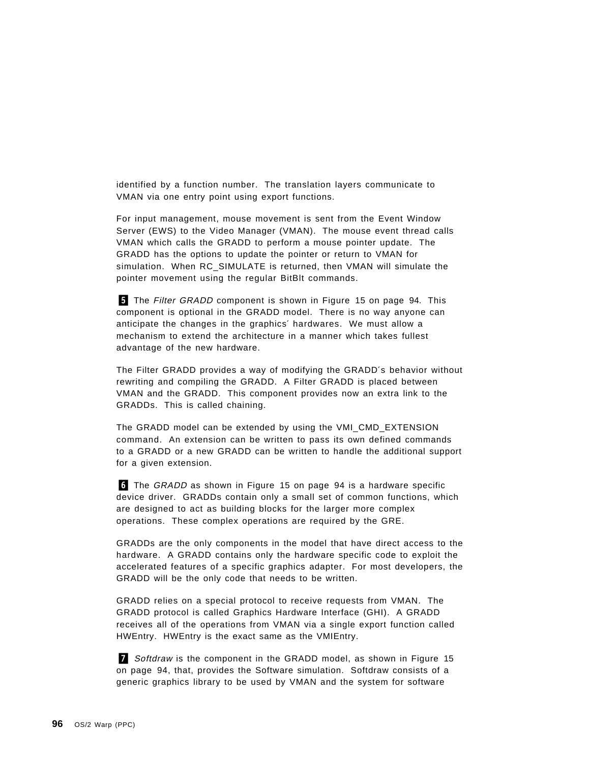identified by a function number. The translation layers communicate to VMAN via one entry point using export functions.

For input management, mouse movement is sent from the Event Window Server (EWS) to the Video Manager (VMAN). The mouse event thread calls VMAN which calls the GRADD to perform a mouse pointer update. The GRADD has the options to update the pointer or return to VMAN for simulation. When RC\_SIMULATE is returned, then VMAN will simulate the pointer movement using the regular BitBlt commands.

**5** The Filter GRADD component is shown in Figure 15 on page 94. This component is optional in the GRADD model. There is no way anyone can anticipate the changes in the graphics′ hardwares. We must allow a mechanism to extend the architecture in a manner which takes fullest advantage of the new hardware.

The Filter GRADD provides a way of modifying the GRADD′s behavior without rewriting and compiling the GRADD. A Filter GRADD is placed between VMAN and the GRADD. This component provides now an extra link to the GRADDs. This is called chaining.

The GRADD model can be extended by using the VMI\_CMD\_EXTENSION command. An extension can be written to pass its own defined commands to a GRADD or a new GRADD can be written to handle the additional support for a given extension.

**6** The *GRADD* as shown in Figure 15 on page 94 is a hardware specific device driver. GRADDs contain only a small set of common functions, which are designed to act as building blocks for the larger more complex operations. These complex operations are required by the GRE.

GRADDs are the only components in the model that have direct access to the hardware. A GRADD contains only the hardware specific code to exploit the accelerated features of a specific graphics adapter. For most developers, the GRADD will be the only code that needs to be written.

GRADD relies on a special protocol to receive requests from VMAN. The GRADD protocol is called Graphics Hardware Interface (GHI). A GRADD receives all of the operations from VMAN via a single export function called HWEntry. HWEntry is the exact same as the VMIEntry.

**7** Softdraw is the component in the GRADD model, as shown in Figure 15 on page 94, that, provides the Software simulation. Softdraw consists of a generic graphics library to be used by VMAN and the system for software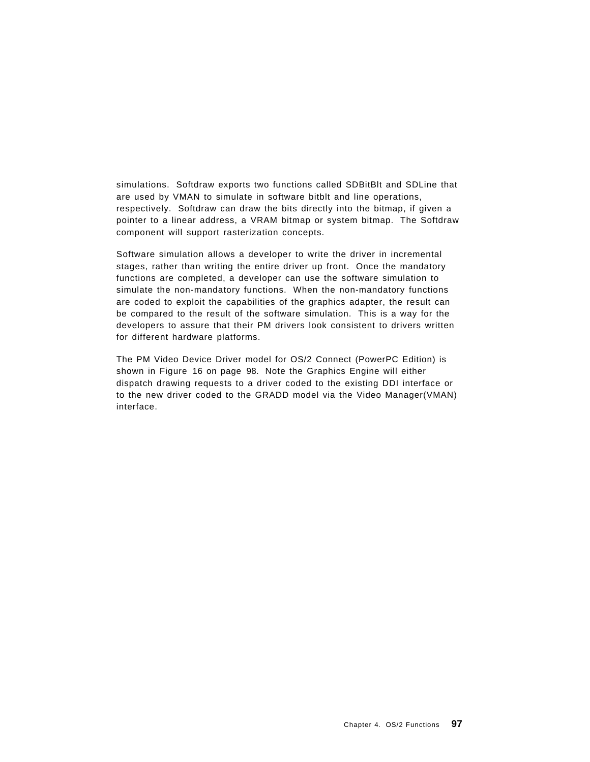simulations. Softdraw exports two functions called SDBitBlt and SDLine that are used by VMAN to simulate in software bitblt and line operations, respectively. Softdraw can draw the bits directly into the bitmap, if given a pointer to a linear address, a VRAM bitmap or system bitmap. The Softdraw component will support rasterization concepts.

Software simulation allows a developer to write the driver in incremental stages, rather than writing the entire driver up front. Once the mandatory functions are completed, a developer can use the software simulation to simulate the non-mandatory functions. When the non-mandatory functions are coded to exploit the capabilities of the graphics adapter, the result can be compared to the result of the software simulation. This is a way for the developers to assure that their PM drivers look consistent to drivers written for different hardware platforms.

The PM Video Device Driver model for OS/2 Connect (PowerPC Edition) is shown in Figure 16 on page 98. Note the Graphics Engine will either dispatch drawing requests to a driver coded to the existing DDI interface or to the new driver coded to the GRADD model via the Video Manager(VMAN) interface.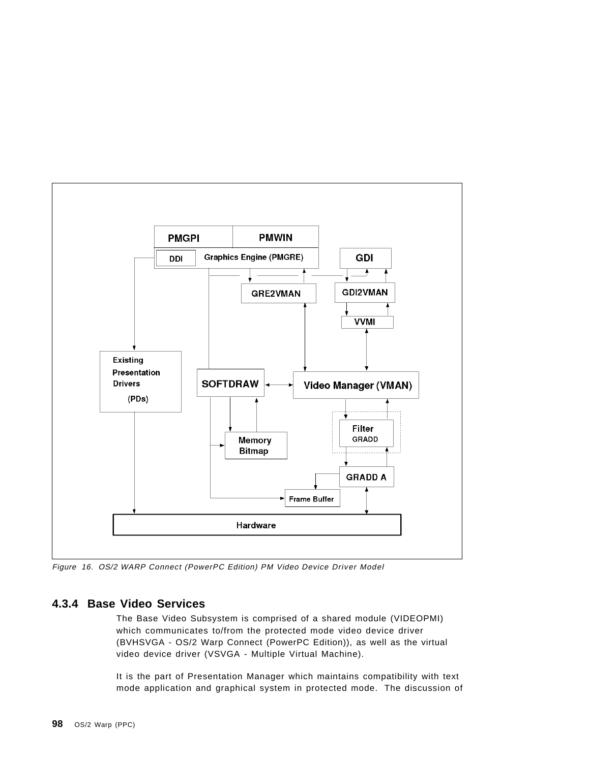

Figure 16. OS/2 WARP Connect (PowerPC Edition) PM Video Device Driver Model

# **4.3.4 Base Video Services**

The Base Video Subsystem is comprised of a shared module (VIDEOPMI) which communicates to/from the protected mode video device driver (BVHSVGA - OS/2 Warp Connect (PowerPC Edition)), as well as the virtual video device driver (VSVGA - Multiple Virtual Machine).

It is the part of Presentation Manager which maintains compatibility with text mode application and graphical system in protected mode. The discussion of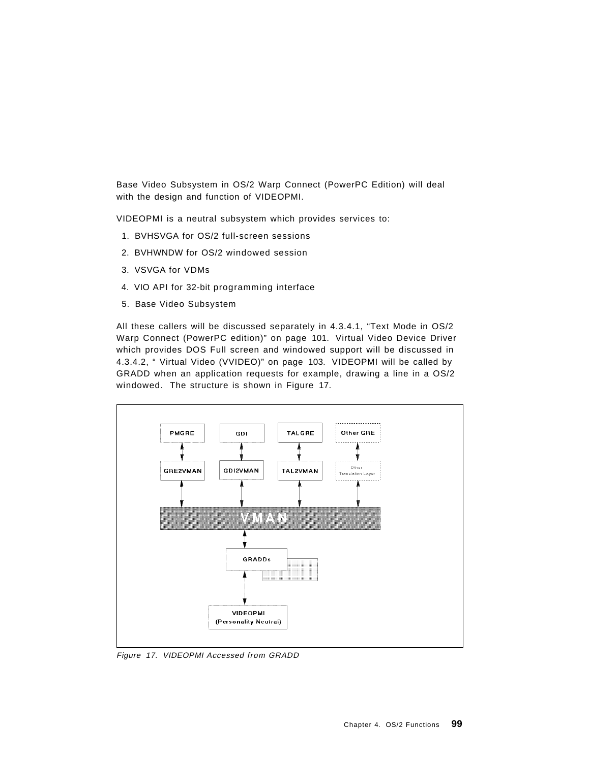Base Video Subsystem in OS/2 Warp Connect (PowerPC Edition) will deal with the design and function of VIDEOPMI.

VIDEOPMI is a neutral subsystem which provides services to:

- 1. BVHSVGA for OS/2 full-screen sessions
- 2. BVHWNDW for OS/2 windowed session
- 3. VSVGA for VDMs
- 4. VIO API for 32-bit programming interface
- 5. Base Video Subsystem

All these callers will be discussed separately in 4.3.4.1, "Text Mode in OS/2 Warp Connect (PowerPC edition)" on page 101. Virtual Video Device Driver which provides DOS Full screen and windowed support will be discussed in 4.3.4.2, " Virtual Video (VVIDEO)" on page 103. VIDEOPMI will be called by GRADD when an application requests for example, drawing a line in a OS/2 windowed. The structure is shown in Figure 17.



Figure 17. VIDEOPMI Accessed from GRADD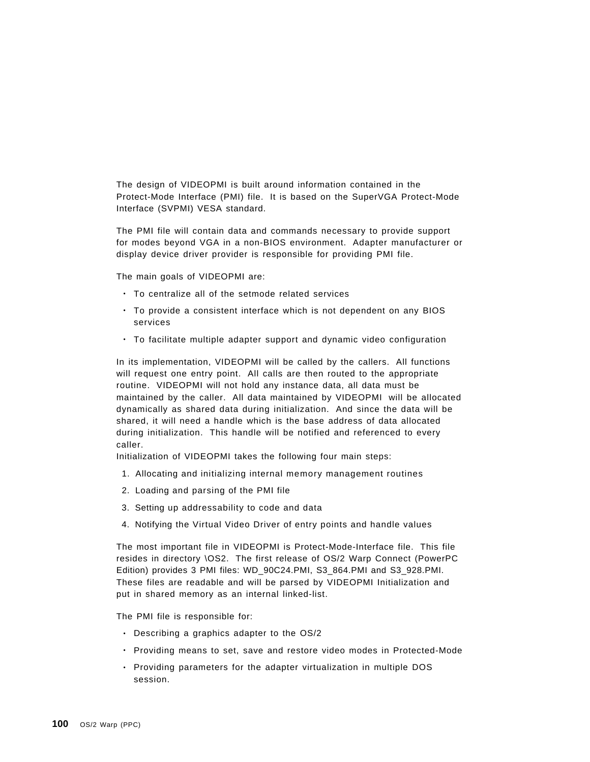The design of VIDEOPMI is built around information contained in the Protect-Mode Interface (PMI) file. It is based on the SuperVGA Protect-Mode Interface (SVPMI) VESA standard.

The PMI file will contain data and commands necessary to provide support for modes beyond VGA in a non-BIOS environment. Adapter manufacturer or display device driver provider is responsible for providing PMI file.

The main goals of VIDEOPMI are:

- To centralize all of the setmode related services
- To provide a consistent interface which is not dependent on any BIOS services
- To facilitate multiple adapter support and dynamic video configuration

In its implementation, VIDEOPMI will be called by the callers. All functions will request one entry point. All calls are then routed to the appropriate routine. VIDEOPMI will not hold any instance data, all data must be maintained by the caller. All data maintained by VIDEOPMI will be allocated dynamically as shared data during initialization. And since the data will be shared, it will need a handle which is the base address of data allocated during initialization. This handle will be notified and referenced to every caller.

Initialization of VIDEOPMI takes the following four main steps:

- 1. Allocating and initializing internal memory management routines
- 2. Loading and parsing of the PMI file
- 3. Setting up addressability to code and data
- 4. Notifying the Virtual Video Driver of entry points and handle values

The most important file in VIDEOPMI is Protect-Mode-Interface file. This file resides in directory \OS2. The first release of OS/2 Warp Connect (PowerPC Edition) provides 3 PMI files: WD\_90C24.PMI, S3\_864.PMI and S3\_928.PMI. These files are readable and will be parsed by VIDEOPMI Initialization and put in shared memory as an internal linked-list.

The PMI file is responsible for:

- Describing a graphics adapter to the OS/2
- Providing means to set, save and restore video modes in Protected-Mode
- Providing parameters for the adapter virtualization in multiple DOS session.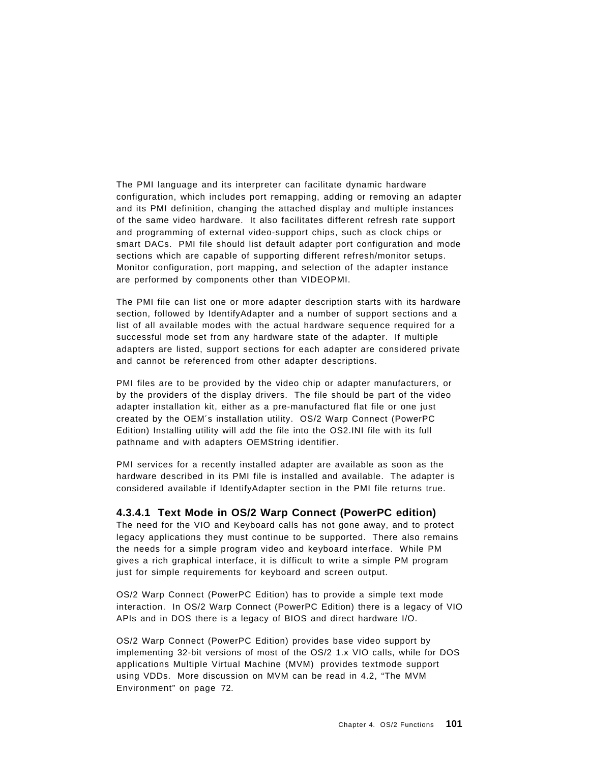The PMI language and its interpreter can facilitate dynamic hardware configuration, which includes port remapping, adding or removing an adapter and its PMI definition, changing the attached display and multiple instances of the same video hardware. It also facilitates different refresh rate support and programming of external video-support chips, such as clock chips or smart DACs. PMI file should list default adapter port configuration and mode sections which are capable of supporting different refresh/monitor setups. Monitor configuration, port mapping, and selection of the adapter instance are performed by components other than VIDEOPMI.

The PMI file can list one or more adapter description starts with its hardware section, followed by IdentifyAdapter and a number of support sections and a list of all available modes with the actual hardware sequence required for a successful mode set from any hardware state of the adapter. If multiple adapters are listed, support sections for each adapter are considered private and cannot be referenced from other adapter descriptions.

PMI files are to be provided by the video chip or adapter manufacturers, or by the providers of the display drivers. The file should be part of the video adapter installation kit, either as a pre-manufactured flat file or one just created by the OEM′s installation utility. OS/2 Warp Connect (PowerPC Edition) Installing utility will add the file into the OS2.INI file with its full pathname and with adapters OEMString identifier.

PMI services for a recently installed adapter are available as soon as the hardware described in its PMI file is installed and available. The adapter is considered available if IdentifyAdapter section in the PMI file returns true.

#### **4.3.4.1 Text Mode in OS/2 Warp Connect (PowerPC edition)**

The need for the VIO and Keyboard calls has not gone away, and to protect legacy applications they must continue to be supported. There also remains the needs for a simple program video and keyboard interface. While PM gives a rich graphical interface, it is difficult to write a simple PM program just for simple requirements for keyboard and screen output.

OS/2 Warp Connect (PowerPC Edition) has to provide a simple text mode interaction. In OS/2 Warp Connect (PowerPC Edition) there is a legacy of VIO APIs and in DOS there is a legacy of BIOS and direct hardware I/O.

OS/2 Warp Connect (PowerPC Edition) provides base video support by implementing 32-bit versions of most of the OS/2 1.x VIO calls, while for DOS applications Multiple Virtual Machine (MVM) provides textmode support using VDDs. More discussion on MVM can be read in 4.2, "The MVM Environment" on page 72.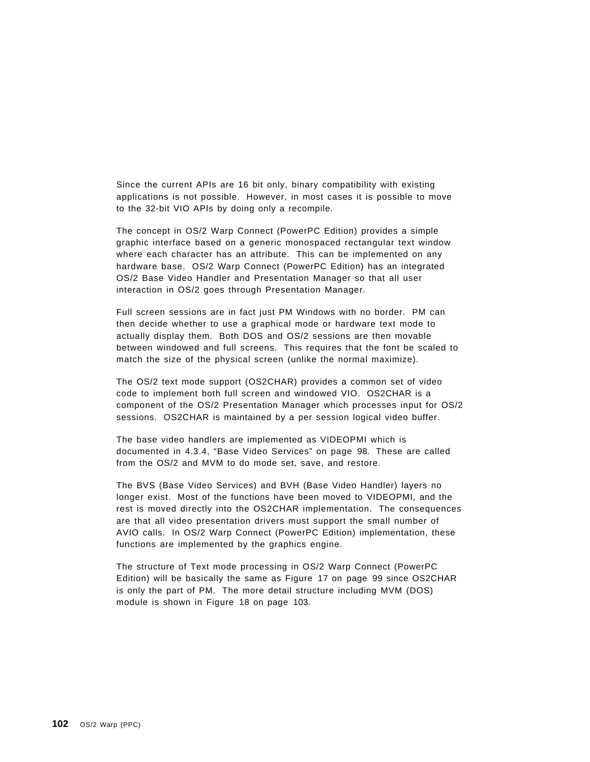Since the current APIs are 16 bit only, binary compatibility with existing applications is not possible. However, in most cases it is possible to move to the 32-bit VIO APIs by doing only a recompile.

The concept in OS/2 Warp Connect (PowerPC Edition) provides a simple graphic interface based on a generic monospaced rectangular text window where each character has an attribute. This can be implemented on any hardware base. OS/2 Warp Connect (PowerPC Edition) has an integrated OS/2 Base Video Handler and Presentation Manager so that all user interaction in OS/2 goes through Presentation Manager.

Full screen sessions are in fact just PM Windows with no border. PM can then decide whether to use a graphical mode or hardware text mode to actually display them. Both DOS and OS/2 sessions are then movable between windowed and full screens. This requires that the font be scaled to match the size of the physical screen (unlike the normal maximize).

The OS/2 text mode support (OS2CHAR) provides a common set of video code to implement both full screen and windowed VIO. OS2CHAR is a component of the OS/2 Presentation Manager which processes input for OS/2 sessions. OS2CHAR is maintained by a per session logical video buffer.

The base video handlers are implemented as VIDEOPMI which is documented in 4.3.4, "Base Video Services" on page 98. These are called from the OS/2 and MVM to do mode set, save, and restore.

The BVS (Base Video Services) and BVH (Base Video Handler) layers no longer exist. Most of the functions have been moved to VIDEOPMI, and the rest is moved directly into the OS2CHAR implementation. The consequences are that all video presentation drivers must support the small number of AVIO calls. In OS/2 Warp Connect (PowerPC Edition) implementation, these functions are implemented by the graphics engine.

The structure of Text mode processing in OS/2 Warp Connect (PowerPC Edition) will be basically the same as Figure 17 on page 99 since OS2CHAR is only the part of PM. The more detail structure including MVM (DOS) module is shown in Figure 18 on page 103.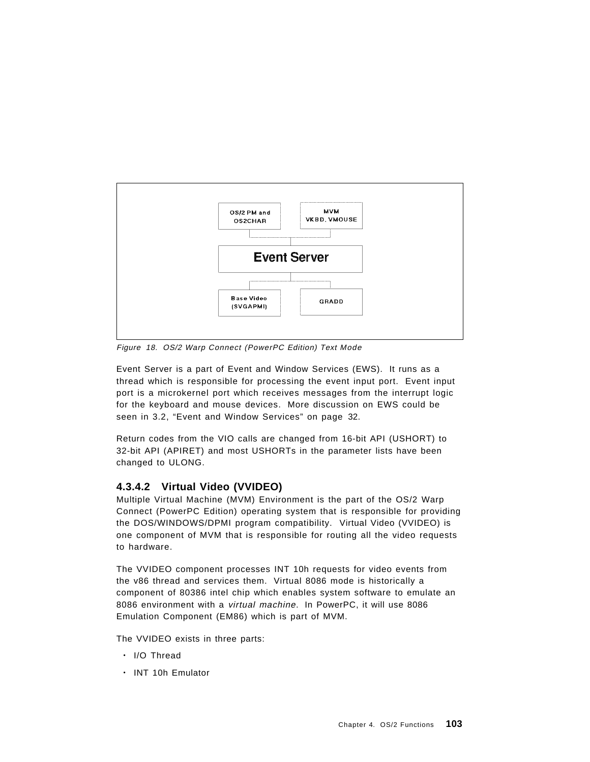

Figure 18. OS/2 Warp Connect (PowerPC Edition) Text Mode

Event Server is a part of Event and Window Services (EWS). It runs as a thread which is responsible for processing the event input port. Event input port is a microkernel port which receives messages from the interrupt logic for the keyboard and mouse devices. More discussion on EWS could be seen in 3.2, "Event and Window Services" on page 32.

Return codes from the VIO calls are changed from 16-bit API (USHORT) to 32-bit API (APIRET) and most USHORTs in the parameter lists have been changed to ULONG.

# **4.3.4.2 Virtual Video (VVIDEO)**

Multiple Virtual Machine (MVM) Environment is the part of the OS/2 Warp Connect (PowerPC Edition) operating system that is responsible for providing the DOS/WINDOWS/DPMI program compatibility. Virtual Video (VVIDEO) is one component of MVM that is responsible for routing all the video requests to hardware.

The VVIDEO component processes INT 10h requests for video events from the v86 thread and services them. Virtual 8086 mode is historically a component of 80386 intel chip which enables system software to emulate an 8086 environment with a virtual machine. In PowerPC, it will use 8086 Emulation Component (EM86) which is part of MVM.

The VVIDEO exists in three parts:

- I/O Thread
- INT 10h Emulator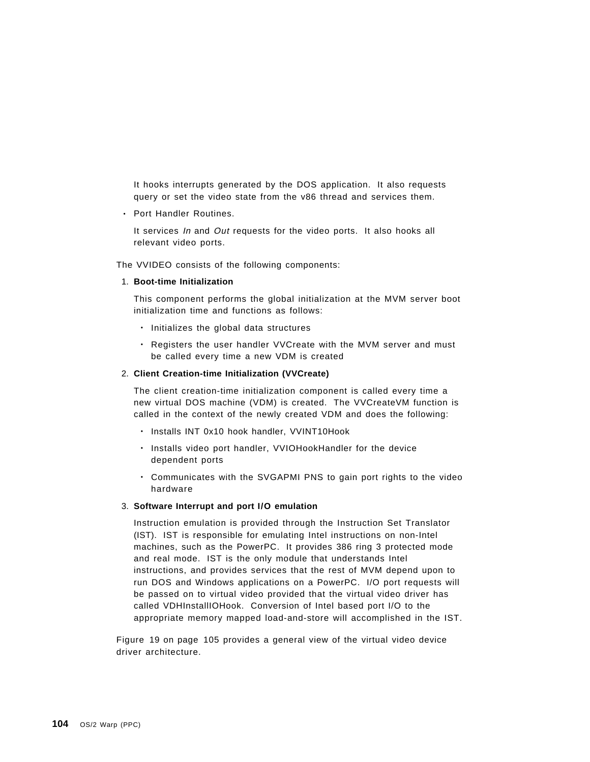It hooks interrupts generated by the DOS application. It also requests query or set the video state from the v86 thread and services them.

• Port Handler Routines.

It services In and Out requests for the video ports. It also hooks all relevant video ports.

The VVIDEO consists of the following components:

#### 1. **Boot-time Initialization**

This component performs the global initialization at the MVM server boot initialization time and functions as follows:

- Initializes the global data structures
- Registers the user handler VVCreate with the MVM server and must be called every time a new VDM is created

#### 2. **Client Creation-time Initialization (VVCreate)**

The client creation-time initialization component is called every time a new virtual DOS machine (VDM) is created. The VVCreateVM function is called in the context of the newly created VDM and does the following:

- Installs INT 0x10 hook handler, VVINT10Hook
- Installs video port handler, VVIOHookHandler for the device dependent ports
- Communicates with the SVGAPMI PNS to gain port rights to the video hardware

#### 3. **Software Interrupt and port I/O emulation**

Instruction emulation is provided through the Instruction Set Translator (IST). IST is responsible for emulating Intel instructions on non-Intel machines, such as the PowerPC. It provides 386 ring 3 protected mode and real mode. IST is the only module that understands Intel instructions, and provides services that the rest of MVM depend upon to run DOS and Windows applications on a PowerPC. I/O port requests will be passed on to virtual video provided that the virtual video driver has called VDHInstallIOHook. Conversion of Intel based port I/O to the appropriate memory mapped load-and-store will accomplished in the IST.

Figure 19 on page 105 provides a general view of the virtual video device driver architecture.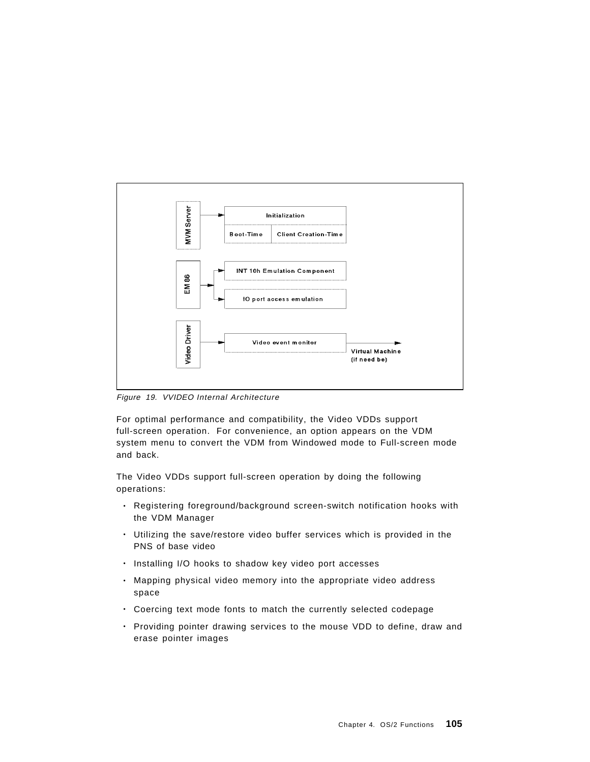

Figure 19. VVIDEO Internal Architecture

For optimal performance and compatibility, the Video VDDs support full-screen operation. For convenience, an option appears on the VDM system menu to convert the VDM from Windowed mode to Full-screen mode and back.

The Video VDDs support full-screen operation by doing the following operations:

- Registering foreground/background screen-switch notification hooks with the VDM Manager
- Utilizing the save/restore video buffer services which is provided in the PNS of base video
- Installing I/O hooks to shadow key video port accesses
- Mapping physical video memory into the appropriate video address space
- Coercing text mode fonts to match the currently selected codepage
- Providing pointer drawing services to the mouse VDD to define, draw and erase pointer images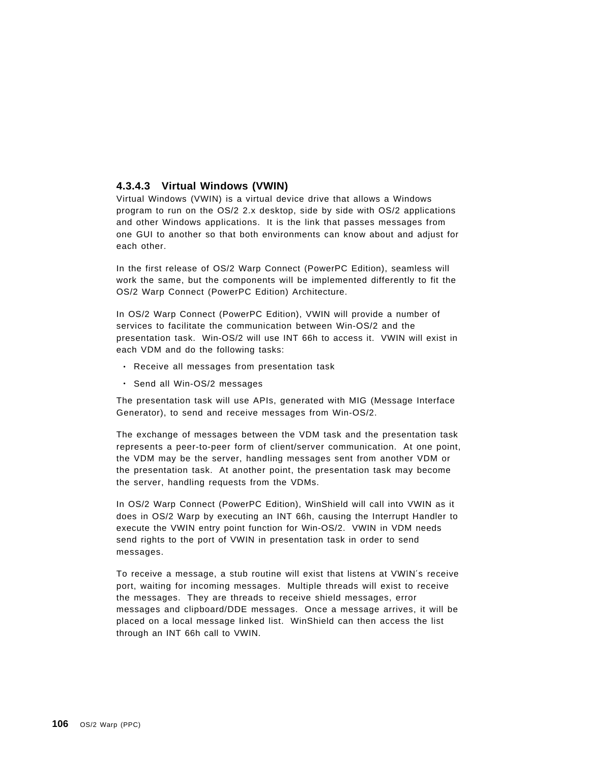# **4.3.4.3 Virtual Windows (VWIN)**

Virtual Windows (VWIN) is a virtual device drive that allows a Windows program to run on the OS/2 2.x desktop, side by side with OS/2 applications and other Windows applications. It is the link that passes messages from one GUI to another so that both environments can know about and adjust for each other.

In the first release of OS/2 Warp Connect (PowerPC Edition), seamless will work the same, but the components will be implemented differently to fit the OS/2 Warp Connect (PowerPC Edition) Architecture.

In OS/2 Warp Connect (PowerPC Edition), VWIN will provide a number of services to facilitate the communication between Win-OS/2 and the presentation task. Win-OS/2 will use INT 66h to access it. VWIN will exist in each VDM and do the following tasks:

- Receive all messages from presentation task
- Send all Win-OS/2 messages

The presentation task will use APIs, generated with MIG (Message Interface Generator), to send and receive messages from Win-OS/2.

The exchange of messages between the VDM task and the presentation task represents a peer-to-peer form of client/server communication. At one point, the VDM may be the server, handling messages sent from another VDM or the presentation task. At another point, the presentation task may become the server, handling requests from the VDMs.

In OS/2 Warp Connect (PowerPC Edition), WinShield will call into VWIN as it does in OS/2 Warp by executing an INT 66h, causing the Interrupt Handler to execute the VWIN entry point function for Win-OS/2. VWIN in VDM needs send rights to the port of VWIN in presentation task in order to send messages.

To receive a message, a stub routine will exist that listens at VWIN′s receive port, waiting for incoming messages. Multiple threads will exist to receive the messages. They are threads to receive shield messages, error messages and clipboard/DDE messages. Once a message arrives, it will be placed on a local message linked list. WinShield can then access the list through an INT 66h call to VWIN.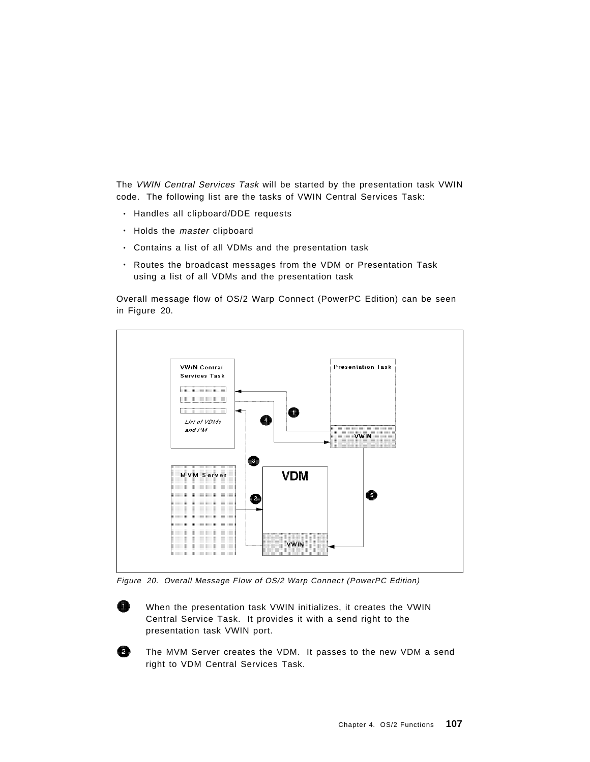The VWIN Central Services Task will be started by the presentation task VWIN code. The following list are the tasks of VWIN Central Services Task:

- Handles all clipboard/DDE requests
- Holds the master clipboard

ੋ

●

- Contains a list of all VDMs and the presentation task
- Routes the broadcast messages from the VDM or Presentation Task using a list of all VDMs and the presentation task

Overall message flow of OS/2 Warp Connect (PowerPC Edition) can be seen in Figure 20.



Figure 20. Overall Message Flow of OS/2 Warp Connect (PowerPC Edition)

When the presentation task VWIN initializes, it creates the VWIN Central Service Task. It provides it with a send right to the presentation task VWIN port.

The MVM Server creates the VDM. It passes to the new VDM a send right to VDM Central Services Task.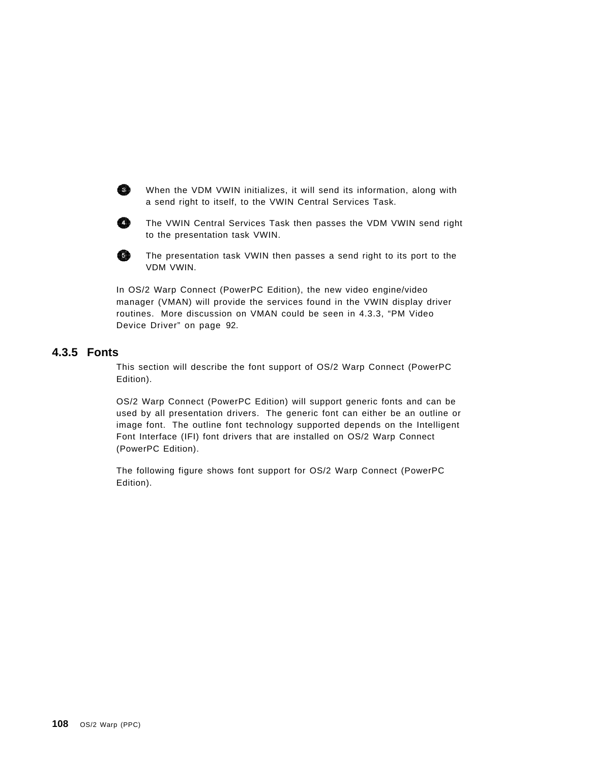

When the VDM VWIN initializes, it will send its information, along with a send right to itself, to the VWIN Central Services Task.



The VWIN Central Services Task then passes the VDM VWIN send right to the presentation task VWIN.



The presentation task VWIN then passes a send right to its port to the VDM VWIN.

In OS/2 Warp Connect (PowerPC Edition), the new video engine/video manager (VMAN) will provide the services found in the VWIN display driver routines. More discussion on VMAN could be seen in 4.3.3, "PM Video Device Driver" on page 92.

# **4.3.5 Fonts**

This section will describe the font support of OS/2 Warp Connect (PowerPC Edition).

OS/2 Warp Connect (PowerPC Edition) will support generic fonts and can be used by all presentation drivers. The generic font can either be an outline or image font. The outline font technology supported depends on the Intelligent Font Interface (IFI) font drivers that are installed on OS/2 Warp Connect (PowerPC Edition).

The following figure shows font support for OS/2 Warp Connect (PowerPC Edition).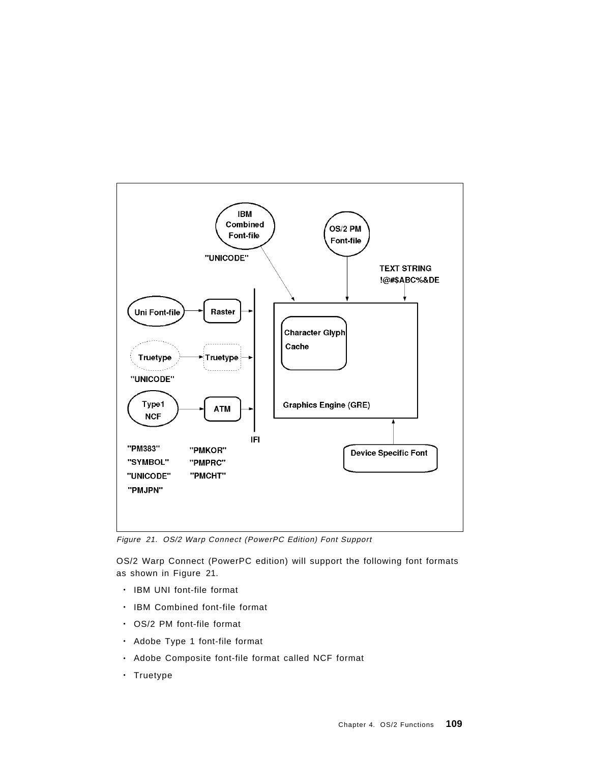

Figure 21. OS/2 Warp Connect (PowerPC Edition) Font Support

OS/2 Warp Connect (PowerPC edition) will support the following font formats as shown in Figure 21.

- IBM UNI font-file format
- IBM Combined font-file format
- OS/2 PM font-file format
- Adobe Type 1 font-file format
- Adobe Composite font-file format called NCF format
- Truetype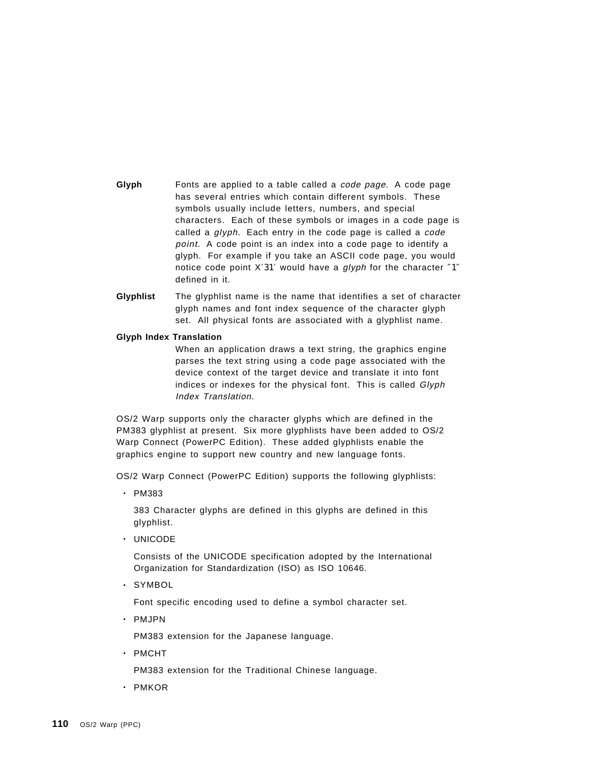- **Glyph** Fonts are applied to a table called a code page. A code page has several entries which contain different symbols. These symbols usually include letters, numbers, and special characters. Each of these symbols or images in a code page is called a glyph. Each entry in the code page is called a code point. A code point is an index into a code page to identify a glyph. For example if you take an ASCII code page, you would notice code point X'31' would have a glyph for the character "1" defined in it.
- **Glyphlist** The glyphlist name is the name that identifies a set of character glyph names and font index sequence of the character glyph set. All physical fonts are associated with a glyphlist name.

#### **Glyph Index Translation**

When an application draws a text string, the graphics engine parses the text string using a code page associated with the device context of the target device and translate it into font indices or indexes for the physical font. This is called Glyph Index Translation.

OS/2 Warp supports only the character glyphs which are defined in the PM383 glyphlist at present. Six more glyphlists have been added to OS/2 Warp Connect (PowerPC Edition). These added glyphlists enable the graphics engine to support new country and new language fonts.

OS/2 Warp Connect (PowerPC Edition) supports the following glyphlists:

• PM383

383 Character glyphs are defined in this glyphs are defined in this glyphlist.

• UNICODE

Consists of the UNICODE specification adopted by the International Organization for Standardization (ISO) as ISO 10646.

• SYMBOL

Font specific encoding used to define a symbol character set.

• PMJPN

PM383 extension for the Japanese language.

• PMCHT

PM383 extension for the Traditional Chinese language.

• PMKOR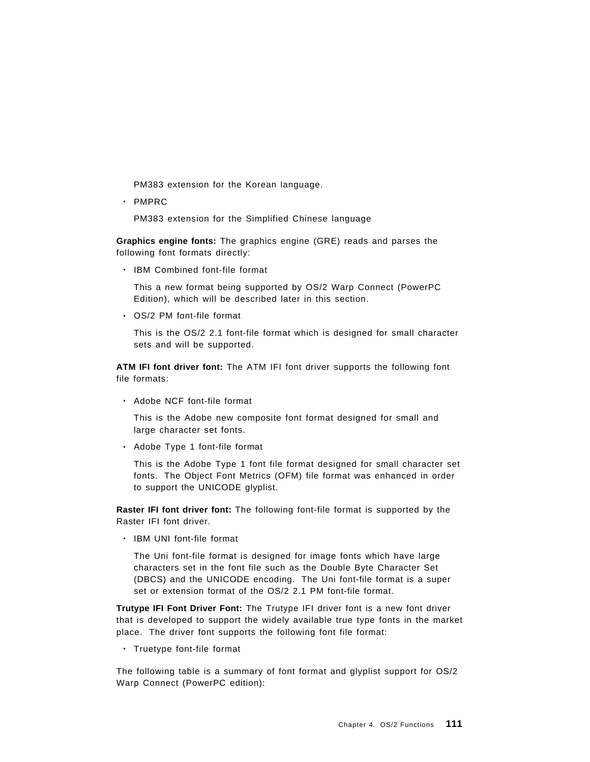PM383 extension for the Korean language.

• PMPRC

PM383 extension for the Simplified Chinese language

**Graphics engine fonts:** The graphics engine (GRE) reads and parses the following font formats directly:

• IBM Combined font-file format

This a new format being supported by OS/2 Warp Connect (PowerPC Edition), which will be described later in this section.

• OS/2 PM font-file format

This is the OS/2 2.1 font-file format which is designed for small character sets and will be supported.

**ATM IFI font driver font:** The ATM IFI font driver supports the following font file formats:

• Adobe NCF font-file format

This is the Adobe new composite font format designed for small and large character set fonts.

• Adobe Type 1 font-file format

This is the Adobe Type 1 font file format designed for small character set fonts. The Object Font Metrics (OFM) file format was enhanced in order to support the UNICODE glyplist.

**Raster IFI font driver font:** The following font-file format is supported by the Raster IFI font driver.

• IBM UNI font-file format

The Uni font-file format is designed for image fonts which have large characters set in the font file such as the Double Byte Character Set (DBCS) and the UNICODE encoding. The Uni font-file format is a super set or extension format of the OS/2 2.1 PM font-file format.

**Trutype IFI Font Driver Font:** The Trutype IFI driver font is a new font driver that is developed to support the widely available true type fonts in the market place. The driver font supports the following font file format:

• Truetype font-file format

The following table is a summary of font format and glyplist support for OS/2 Warp Connect (PowerPC edition):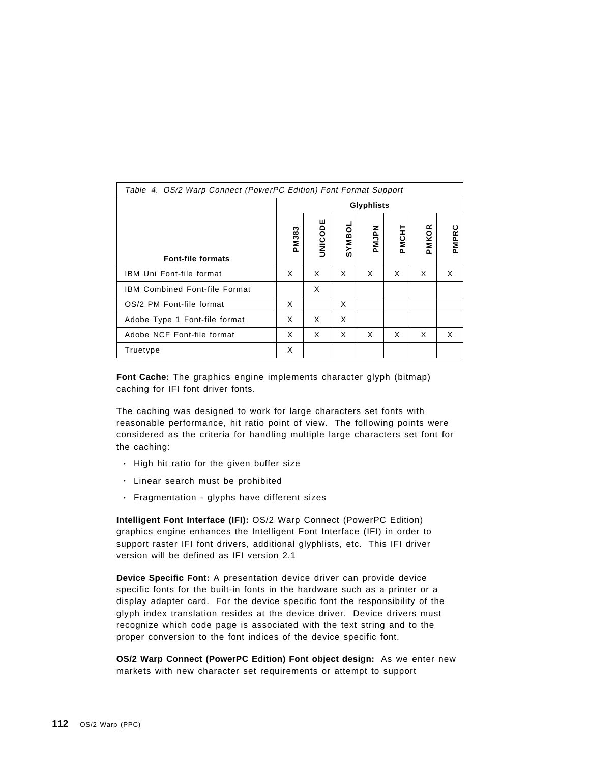| Table 4. OS/2 Warp Connect (PowerPC Edition) Font Format Support |                   |                    |       |              |       |       |           |
|------------------------------------------------------------------|-------------------|--------------------|-------|--------------|-------|-------|-----------|
|                                                                  | <b>Glyphlists</b> |                    |       |              |       |       |           |
| <b>Font-file formats</b>                                         | ∾<br><b>PM38</b>  | ш<br><b>UNICOD</b> | SYMBO | <b>NALMA</b> | PMCHT | PMKOR | ပ<br>PMPR |
| <b>IBM Uni Font-file format</b>                                  | X                 | X                  | X     | X            | X     | X     | X         |
| <b>IBM Combined Font-file Format</b>                             |                   | X                  |       |              |       |       |           |
| OS/2 PM Font-file format                                         | X                 |                    | X     |              |       |       |           |
| Adobe Type 1 Font-file format                                    | X                 | X                  | X     |              |       |       |           |
| Adobe NCF Font-file format                                       | X                 | X                  | X     | X            | X     | X     | X         |
| Truetype                                                         | X                 |                    |       |              |       |       |           |

**Font Cache:** The graphics engine implements character glyph (bitmap) caching for IFI font driver fonts.

The caching was designed to work for large characters set fonts with reasonable performance, hit ratio point of view. The following points were considered as the criteria for handling multiple large characters set font for the caching:

- High hit ratio for the given buffer size
- Linear search must be prohibited
- Fragmentation glyphs have different sizes

**Intelligent Font Interface (IFI):** OS/2 Warp Connect (PowerPC Edition) graphics engine enhances the Intelligent Font Interface (IFI) in order to support raster IFI font drivers, additional glyphlists, etc. This IFI driver version will be defined as IFI version 2.1

**Device Specific Font:** A presentation device driver can provide device specific fonts for the built-in fonts in the hardware such as a printer or a display adapter card. For the device specific font the responsibility of the glyph index translation resides at the device driver. Device drivers must recognize which code page is associated with the text string and to the proper conversion to the font indices of the device specific font.

**OS/2 Warp Connect (PowerPC Edition) Font object design:** As we enter new markets with new character set requirements or attempt to support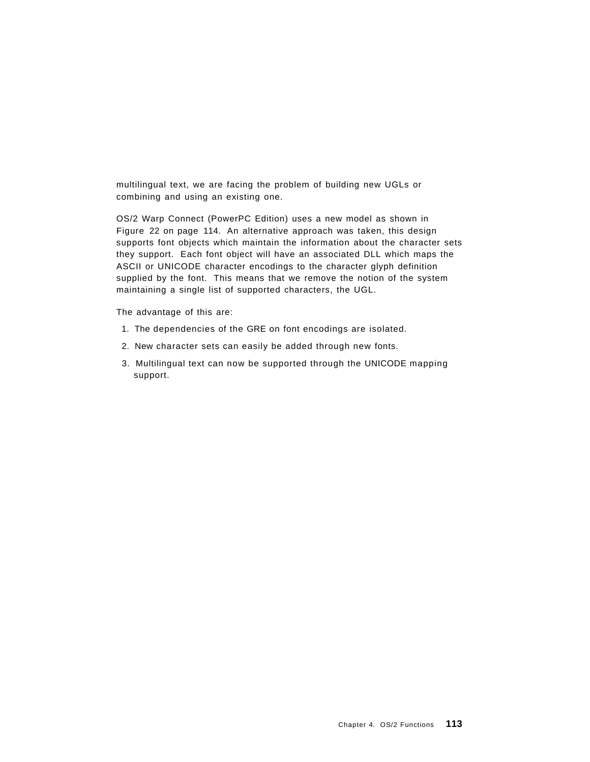multilingual text, we are facing the problem of building new UGLs or combining and using an existing one.

OS/2 Warp Connect (PowerPC Edition) uses a new model as shown in Figure 22 on page 114. An alternative approach was taken, this design supports font objects which maintain the information about the character sets they support. Each font object will have an associated DLL which maps the ASCII or UNICODE character encodings to the character glyph definition supplied by the font. This means that we remove the notion of the system maintaining a single list of supported characters, the UGL.

The advantage of this are:

- 1. The dependencies of the GRE on font encodings are isolated.
- 2. New character sets can easily be added through new fonts.
- 3. Multilingual text can now be supported through the UNICODE mapping support.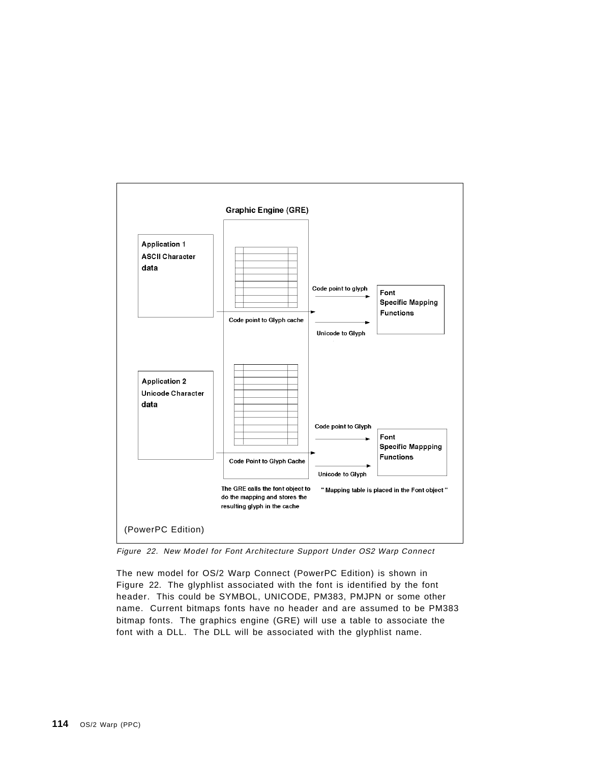

Figure 22. New Model for Font Architecture Support Under OS2 Warp Connect

The new model for OS/2 Warp Connect (PowerPC Edition) is shown in Figure 22. The glyphlist associated with the font is identified by the font header. This could be SYMBOL, UNICODE, PM383, PMJPN or some other name. Current bitmaps fonts have no header and are assumed to be PM383 bitmap fonts. The graphics engine (GRE) will use a table to associate the font with a DLL. The DLL will be associated with the glyphlist name.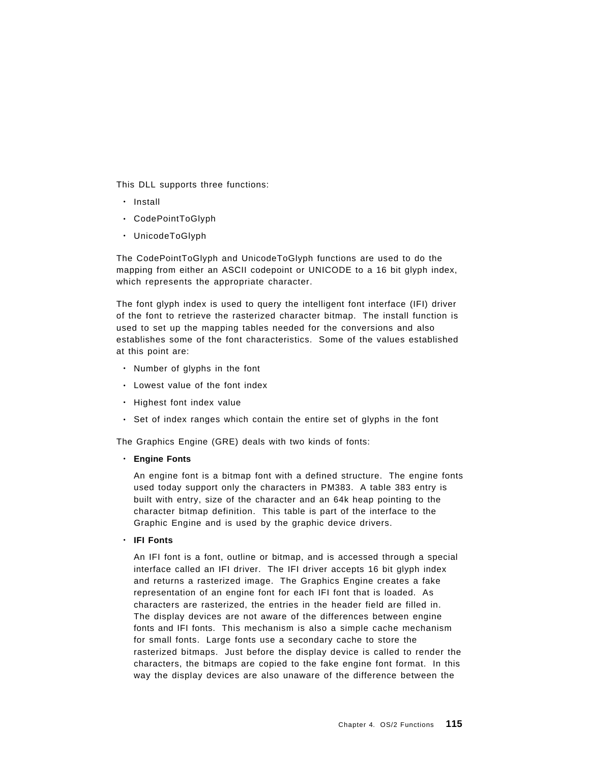This DLL supports three functions:

- Install
- CodePointToGlyph
- UnicodeToGlyph

The CodePointToGlyph and UnicodeToGlyph functions are used to do the mapping from either an ASCII codepoint or UNICODE to a 16 bit glyph index, which represents the appropriate character.

The font glyph index is used to query the intelligent font interface (IFI) driver of the font to retrieve the rasterized character bitmap. The install function is used to set up the mapping tables needed for the conversions and also establishes some of the font characteristics. Some of the values established at this point are:

- Number of glyphs in the font
- Lowest value of the font index
- Highest font index value
- Set of index ranges which contain the entire set of glyphs in the font

The Graphics Engine (GRE) deals with two kinds of fonts:

#### • **Engine Fonts**

An engine font is a bitmap font with a defined structure. The engine fonts used today support only the characters in PM383. A table 383 entry is built with entry, size of the character and an 64k heap pointing to the character bitmap definition. This table is part of the interface to the Graphic Engine and is used by the graphic device drivers.

• **IFI Fonts**

An IFI font is a font, outline or bitmap, and is accessed through a special interface called an IFI driver. The IFI driver accepts 16 bit glyph index and returns a rasterized image. The Graphics Engine creates a fake representation of an engine font for each IFI font that is loaded. As characters are rasterized, the entries in the header field are filled in. The display devices are not aware of the differences between engine fonts and IFI fonts. This mechanism is also a simple cache mechanism for small fonts. Large fonts use a secondary cache to store the rasterized bitmaps. Just before the display device is called to render the characters, the bitmaps are copied to the fake engine font format. In this way the display devices are also unaware of the difference between the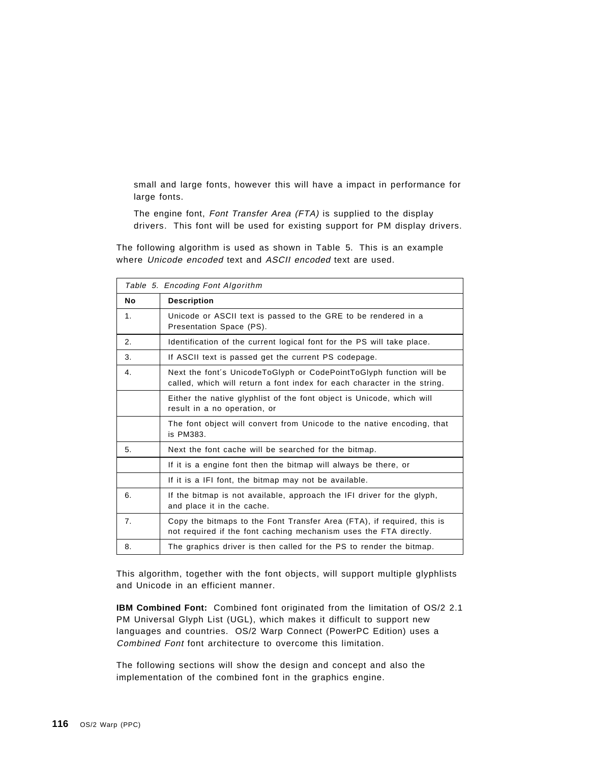small and large fonts, however this will have a impact in performance for large fonts.

The engine font, Font Transfer Area (FTA) is supplied to the display drivers. This font will be used for existing support for PM display drivers.

The following algorithm is used as shown in Table 5. This is an example where Unicode encoded text and ASCII encoded text are used.

| Table 5. Encoding Font Algorithm |                                                                                                                                                 |  |  |  |
|----------------------------------|-------------------------------------------------------------------------------------------------------------------------------------------------|--|--|--|
| <b>No</b>                        | <b>Description</b>                                                                                                                              |  |  |  |
| 1.                               | Unicode or ASCII text is passed to the GRE to be rendered in a<br>Presentation Space (PS).                                                      |  |  |  |
| 2.                               | Identification of the current logical font for the PS will take place.                                                                          |  |  |  |
| 3.                               | If ASCII text is passed get the current PS codepage.                                                                                            |  |  |  |
| 4.                               | Next the font's UnicodeToGlyph or CodePointToGlyph function will be<br>called, which will return a font index for each character in the string. |  |  |  |
|                                  | Either the native glyphlist of the font object is Unicode, which will<br>result in a no operation, or                                           |  |  |  |
|                                  | The font object will convert from Unicode to the native encoding, that<br>is PM383.                                                             |  |  |  |
| 5.                               | Next the font cache will be searched for the bitmap.                                                                                            |  |  |  |
|                                  | If it is a engine font then the bitmap will always be there, or                                                                                 |  |  |  |
|                                  | If it is a IFI font, the bitmap may not be available.                                                                                           |  |  |  |
| 6.                               | If the bitmap is not available, approach the IFI driver for the glyph,<br>and place it in the cache.                                            |  |  |  |
| 7.                               | Copy the bitmaps to the Font Transfer Area (FTA), if required, this is<br>not required if the font caching mechanism uses the FTA directly.     |  |  |  |
| 8.                               | The graphics driver is then called for the PS to render the bitmap.                                                                             |  |  |  |

This algorithm, together with the font objects, will support multiple glyphlists and Unicode in an efficient manner.

**IBM Combined Font:** Combined font originated from the limitation of OS/2 2.1 PM Universal Glyph List (UGL), which makes it difficult to support new languages and countries. OS/2 Warp Connect (PowerPC Edition) uses a Combined Font font architecture to overcome this limitation.

The following sections will show the design and concept and also the implementation of the combined font in the graphics engine.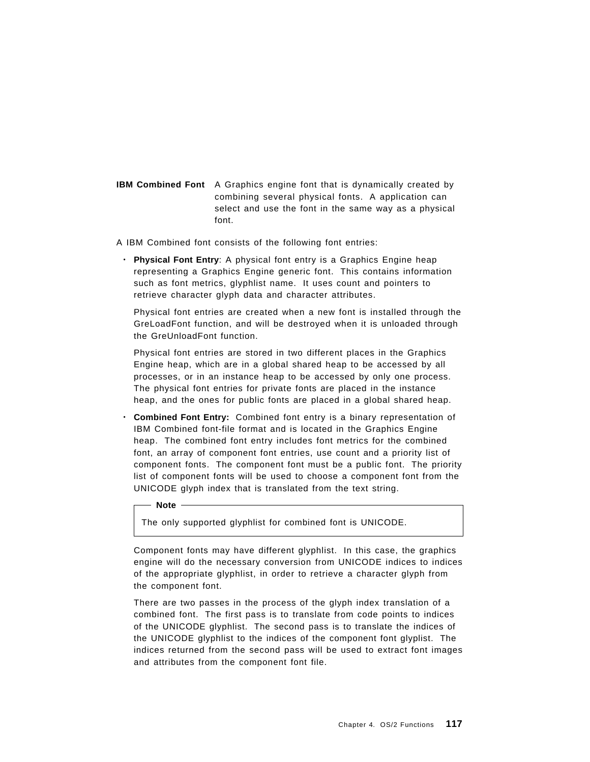**IBM Combined Font** A Graphics engine font that is dynamically created by combining several physical fonts. A application can select and use the font in the same way as a physical font.

A IBM Combined font consists of the following font entries:

• **Physical Font Entry**: A physical font entry is a Graphics Engine heap representing a Graphics Engine generic font. This contains information such as font metrics, glyphlist name. It uses count and pointers to retrieve character glyph data and character attributes.

Physical font entries are created when a new font is installed through the GreLoadFont function, and will be destroyed when it is unloaded through the GreUnloadFont function.

Physical font entries are stored in two different places in the Graphics Engine heap, which are in a global shared heap to be accessed by all processes, or in an instance heap to be accessed by only one process. The physical font entries for private fonts are placed in the instance heap, and the ones for public fonts are placed in a global shared heap.

• **Combined Font Entry:** Combined font entry is a binary representation of IBM Combined font-file format and is located in the Graphics Engine heap. The combined font entry includes font metrics for the combined font, an array of component font entries, use count and a priority list of component fonts. The component font must be a public font. The priority list of component fonts will be used to choose a component font from the UNICODE glyph index that is translated from the text string.

 **Note** 

The only supported glyphlist for combined font is UNICODE.

Component fonts may have different glyphlist. In this case, the graphics engine will do the necessary conversion from UNICODE indices to indices of the appropriate glyphlist, in order to retrieve a character glyph from the component font.

There are two passes in the process of the glyph index translation of a combined font. The first pass is to translate from code points to indices of the UNICODE glyphlist. The second pass is to translate the indices of the UNICODE glyphlist to the indices of the component font glyplist. The indices returned from the second pass will be used to extract font images and attributes from the component font file.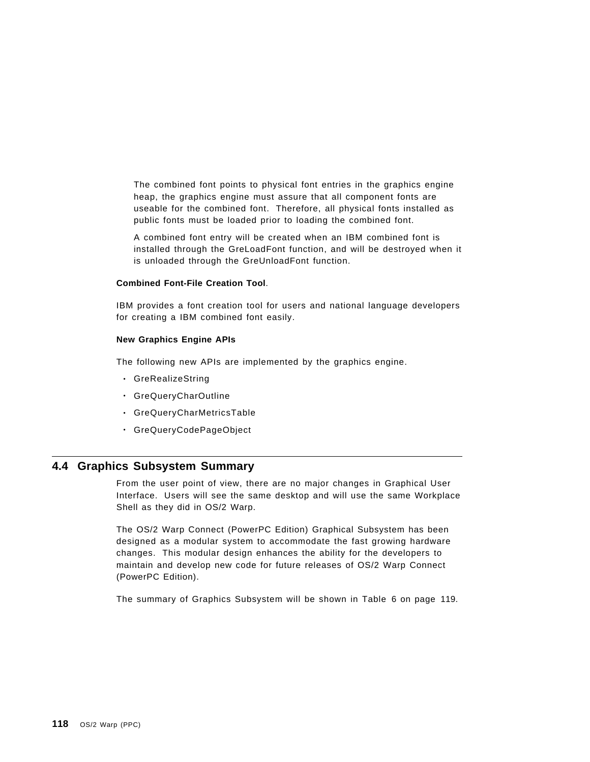The combined font points to physical font entries in the graphics engine heap, the graphics engine must assure that all component fonts are useable for the combined font. Therefore, all physical fonts installed as public fonts must be loaded prior to loading the combined font.

A combined font entry will be created when an IBM combined font is installed through the GreLoadFont function, and will be destroyed when it is unloaded through the GreUnloadFont function.

#### **Combined Font-File Creation Tool**.

IBM provides a font creation tool for users and national language developers for creating a IBM combined font easily.

#### **New Graphics Engine APIs**

The following new APIs are implemented by the graphics engine.

- GreRealizeString
- GreQueryCharOutline
- GreQueryCharMetricsTable
- GreQueryCodePageObject

### **4.4 Graphics Subsystem Summary**

From the user point of view, there are no major changes in Graphical User Interface. Users will see the same desktop and will use the same Workplace Shell as they did in OS/2 Warp.

The OS/2 Warp Connect (PowerPC Edition) Graphical Subsystem has been designed as a modular system to accommodate the fast growing hardware changes. This modular design enhances the ability for the developers to maintain and develop new code for future releases of OS/2 Warp Connect (PowerPC Edition).

The summary of Graphics Subsystem will be shown in Table 6 on page 119.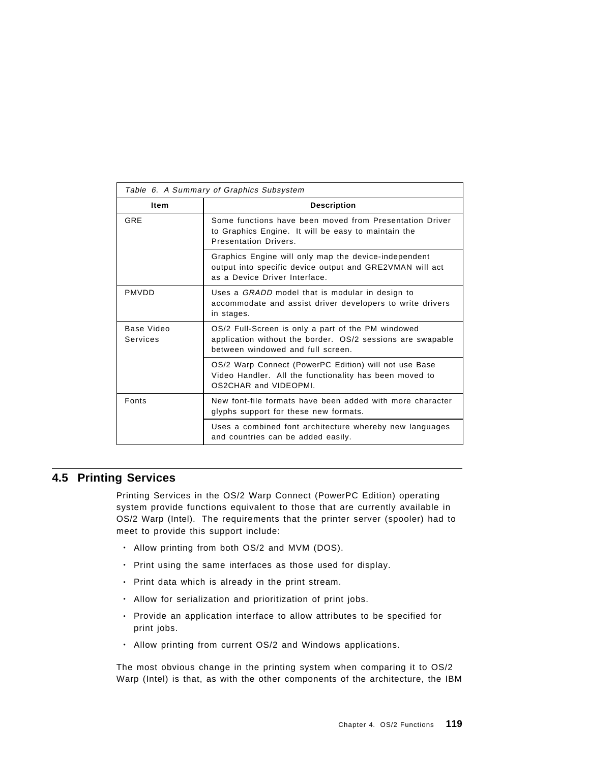| Table 6. A Summary of Graphics Subsystem |                                                                                                                                                       |  |  |  |  |  |
|------------------------------------------|-------------------------------------------------------------------------------------------------------------------------------------------------------|--|--|--|--|--|
| <b>Item</b>                              | <b>Description</b>                                                                                                                                    |  |  |  |  |  |
| GRE                                      | Some functions have been moved from Presentation Driver<br>to Graphics Engine. It will be easy to maintain the<br>Presentation Drivers.               |  |  |  |  |  |
|                                          | Graphics Engine will only map the device-independent<br>output into specific device output and GRE2VMAN will act<br>as a Device Driver Interface.     |  |  |  |  |  |
| <b>PMVDD</b>                             | Uses a <i>GRADD</i> model that is modular in design to<br>accommodate and assist driver developers to write drivers<br>in stages.                     |  |  |  |  |  |
| Base Video<br>Services                   | OS/2 Full-Screen is only a part of the PM windowed<br>application without the border. OS/2 sessions are swapable<br>between windowed and full screen. |  |  |  |  |  |
|                                          | OS/2 Warp Connect (PowerPC Edition) will not use Base<br>Video Handler. All the functionality has been moved to<br>OS2CHAR and VIDEOPMI.              |  |  |  |  |  |
| <b>Fonts</b>                             | New font-file formats have been added with more character<br>glyphs support for these new formats.                                                    |  |  |  |  |  |
|                                          | Uses a combined font architecture whereby new languages<br>and countries can be added easily.                                                         |  |  |  |  |  |

# **4.5 Printing Services**

Printing Services in the OS/2 Warp Connect (PowerPC Edition) operating system provide functions equivalent to those that are currently available in OS/2 Warp (Intel). The requirements that the printer server (spooler) had to meet to provide this support include:

- Allow printing from both OS/2 and MVM (DOS).
- Print using the same interfaces as those used for display.
- Print data which is already in the print stream.
- Allow for serialization and prioritization of print jobs.
- Provide an application interface to allow attributes to be specified for print jobs.
- Allow printing from current OS/2 and Windows applications.

The most obvious change in the printing system when comparing it to OS/2 Warp (Intel) is that, as with the other components of the architecture, the IBM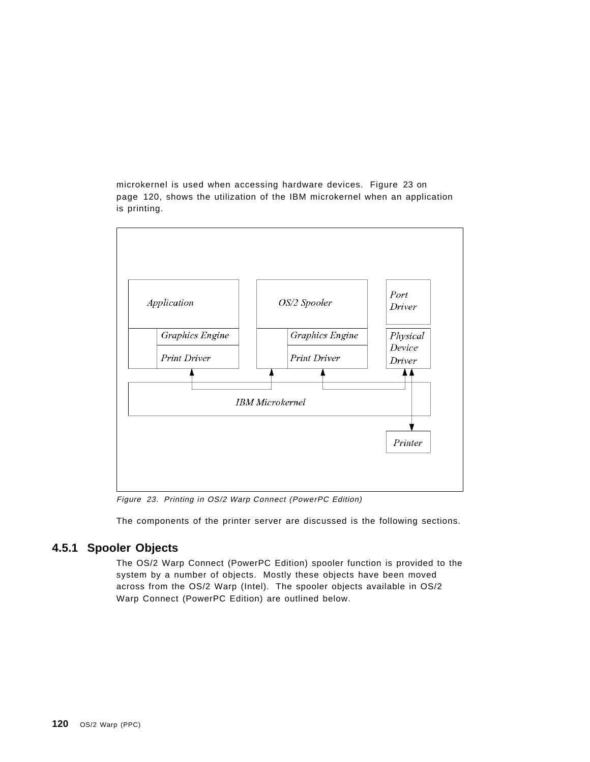microkernel is used when accessing hardware devices. Figure 23 on page 120, shows the utilization of the IBM microkernel when an application is printing.



Figure 23. Printing in OS/2 Warp Connect (PowerPC Edition)

The components of the printer server are discussed is the following sections.

# **4.5.1 Spooler Objects**

The OS/2 Warp Connect (PowerPC Edition) spooler function is provided to the system by a number of objects. Mostly these objects have been moved across from the OS/2 Warp (Intel). The spooler objects available in OS/2 Warp Connect (PowerPC Edition) are outlined below.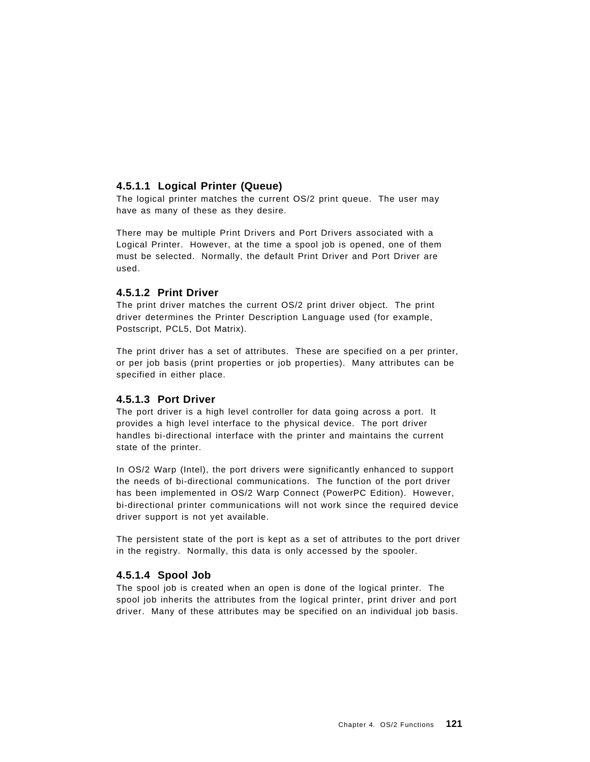# **4.5.1.1 Logical Printer (Queue)**

The logical printer matches the current OS/2 print queue. The user may have as many of these as they desire.

There may be multiple Print Drivers and Port Drivers associated with a Logical Printer. However, at the time a spool job is opened, one of them must be selected. Normally, the default Print Driver and Port Driver are used.

#### **4.5.1.2 Print Driver**

The print driver matches the current OS/2 print driver object. The print driver determines the Printer Description Language used (for example, Postscript, PCL5, Dot Matrix).

The print driver has a set of attributes. These are specified on a per printer, or per job basis (print properties or job properties). Many attributes can be specified in either place.

#### **4.5.1.3 Port Driver**

The port driver is a high level controller for data going across a port. It provides a high level interface to the physical device. The port driver handles bi-directional interface with the printer and maintains the current state of the printer.

In OS/2 Warp (Intel), the port drivers were significantly enhanced to support the needs of bi-directional communications. The function of the port driver has been implemented in OS/2 Warp Connect (PowerPC Edition). However, bi-directional printer communications will not work since the required device driver support is not yet available.

The persistent state of the port is kept as a set of attributes to the port driver in the registry. Normally, this data is only accessed by the spooler.

# **4.5.1.4 Spool Job**

The spool job is created when an open is done of the logical printer. The spool job inherits the attributes from the logical printer, print driver and port driver. Many of these attributes may be specified on an individual job basis.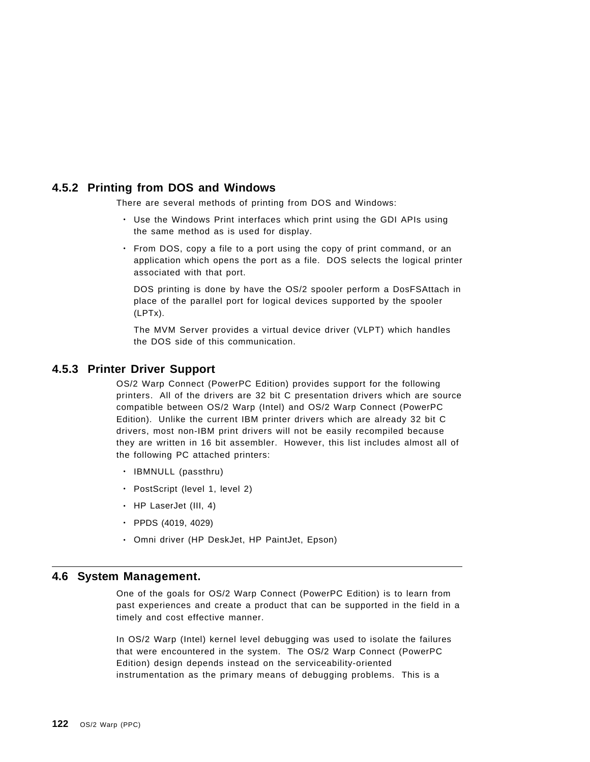# **4.5.2 Printing from DOS and Windows**

There are several methods of printing from DOS and Windows:

- Use the Windows Print interfaces which print using the GDI APIs using the same method as is used for display.
- From DOS, copy a file to a port using the copy of print command, or an application which opens the port as a file. DOS selects the logical printer associated with that port.

DOS printing is done by have the OS/2 spooler perform a DosFSAttach in place of the parallel port for logical devices supported by the spooler (LPTx).

The MVM Server provides a virtual device driver (VLPT) which handles the DOS side of this communication.

## **4.5.3 Printer Driver Support**

OS/2 Warp Connect (PowerPC Edition) provides support for the following printers. All of the drivers are 32 bit C presentation drivers which are source compatible between OS/2 Warp (Intel) and OS/2 Warp Connect (PowerPC Edition). Unlike the current IBM printer drivers which are already 32 bit C drivers, most non-IBM print drivers will not be easily recompiled because they are written in 16 bit assembler. However, this list includes almost all of the following PC attached printers:

- IBMNULL (passthru)
- PostScript (level 1, level 2)
- HP LaserJet (III, 4)
- PPDS (4019, 4029)
- Omni driver (HP DeskJet, HP PaintJet, Epson)

## **4.6 System Management.**

One of the goals for OS/2 Warp Connect (PowerPC Edition) is to learn from past experiences and create a product that can be supported in the field in a timely and cost effective manner.

In OS/2 Warp (Intel) kernel level debugging was used to isolate the failures that were encountered in the system. The OS/2 Warp Connect (PowerPC Edition) design depends instead on the serviceability-oriented instrumentation as the primary means of debugging problems. This is a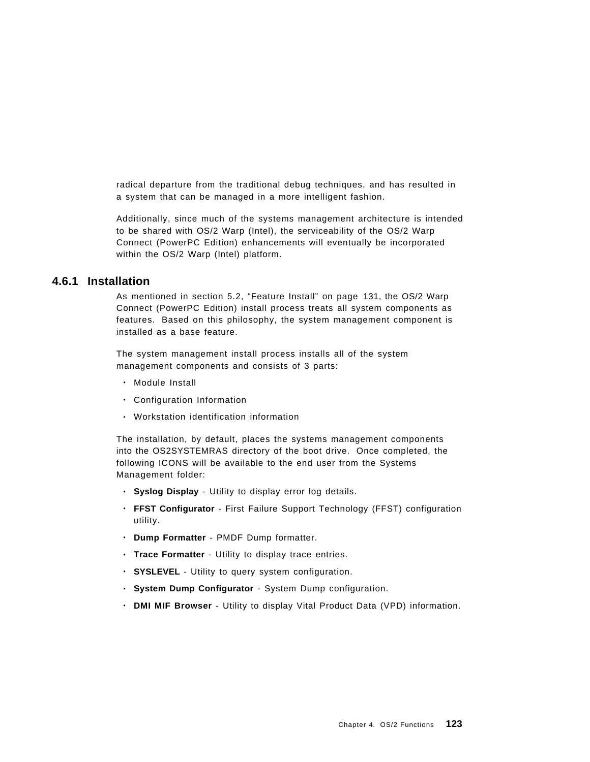radical departure from the traditional debug techniques, and has resulted in a system that can be managed in a more intelligent fashion.

Additionally, since much of the systems management architecture is intended to be shared with OS/2 Warp (Intel), the serviceability of the OS/2 Warp Connect (PowerPC Edition) enhancements will eventually be incorporated within the OS/2 Warp (Intel) platform.

#### **4.6.1 Installation**

As mentioned in section 5.2, "Feature Install" on page 131, the OS/2 Warp Connect (PowerPC Edition) install process treats all system components as features. Based on this philosophy, the system management component is installed as a base feature.

The system management install process installs all of the system management components and consists of 3 parts:

- Module Install
- Configuration Information
- Workstation identification information

The installation, by default, places the systems management components into the OS2SYSTEMRAS directory of the boot drive. Once completed, the following ICONS will be available to the end user from the Systems Management folder:

- **Syslog Display** Utility to display error log details.
- **FFST Configurator** First Failure Support Technology (FFST) configuration utility.
- **Dump Formatter** PMDF Dump formatter.
- **Trace Formatter** Utility to display trace entries.
- **SYSLEVEL** Utility to query system configuration.
- **System Dump Configurator** System Dump configuration.
- **DMI MIF Browser** Utility to display Vital Product Data (VPD) information.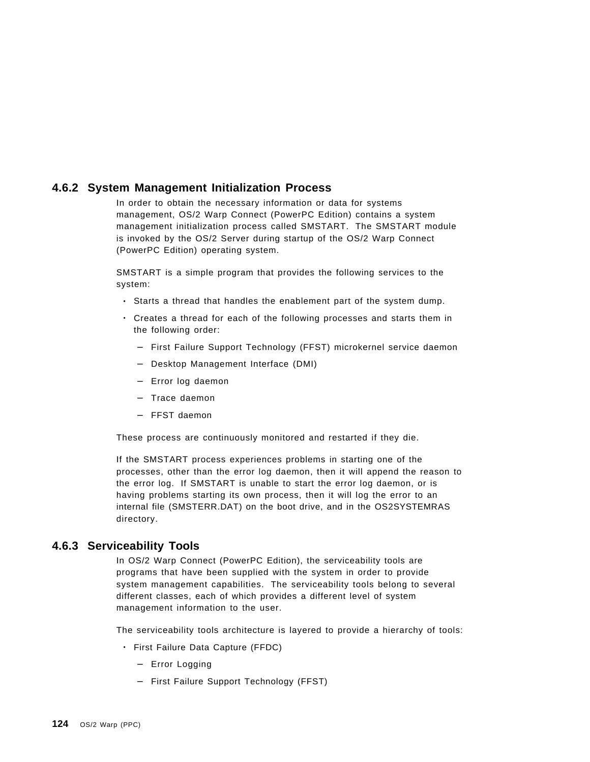#### **4.6.2 System Management Initialization Process**

In order to obtain the necessary information or data for systems management, OS/2 Warp Connect (PowerPC Edition) contains a system management initialization process called SMSTART. The SMSTART module is invoked by the OS/2 Server during startup of the OS/2 Warp Connect (PowerPC Edition) operating system.

SMSTART is a simple program that provides the following services to the system:

- Starts a thread that handles the enablement part of the system dump.
- Creates a thread for each of the following processes and starts them in the following order:
	- − First Failure Support Technology (FFST) microkernel service daemon
	- − Desktop Management Interface (DMI)
	- − Error log daemon
	- − Trace daemon
	- − FFST daemon

These process are continuously monitored and restarted if they die.

If the SMSTART process experiences problems in starting one of the processes, other than the error log daemon, then it will append the reason to the error log. If SMSTART is unable to start the error log daemon, or is having problems starting its own process, then it will log the error to an internal file (SMSTERR.DAT) on the boot drive, and in the OS2SYSTEMRAS directory.

#### **4.6.3 Serviceability Tools**

In OS/2 Warp Connect (PowerPC Edition), the serviceability tools are programs that have been supplied with the system in order to provide system management capabilities. The serviceability tools belong to several different classes, each of which provides a different level of system management information to the user.

The serviceability tools architecture is layered to provide a hierarchy of tools:

- First Failure Data Capture (FFDC)
	- − Error Logging
	- − First Failure Support Technology (FFST)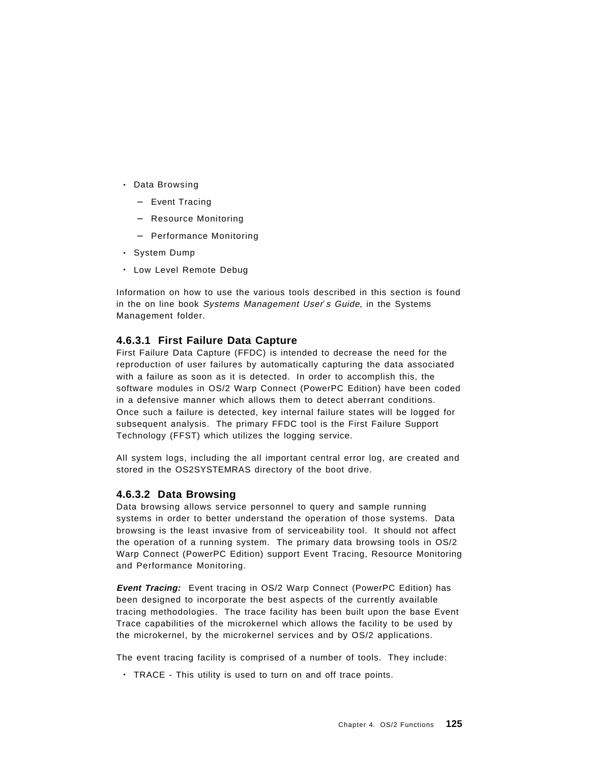- Data Browsing
	- − Event Tracing
	- − Resource Monitoring
	- − Performance Monitoring
- System Dump
- Low Level Remote Debug

Information on how to use the various tools described in this section is found in the on line book Systems Management User's Guide, in the Systems Management folder.

#### **4.6.3.1 First Failure Data Capture**

First Failure Data Capture (FFDC) is intended to decrease the need for the reproduction of user failures by automatically capturing the data associated with a failure as soon as it is detected. In order to accomplish this, the software modules in OS/2 Warp Connect (PowerPC Edition) have been coded in a defensive manner which allows them to detect aberrant conditions. Once such a failure is detected, key internal failure states will be logged for subsequent analysis. The primary FFDC tool is the First Failure Support Technology (FFST) which utilizes the logging service.

All system logs, including the all important central error log, are created and stored in the OS2SYSTEMRAS directory of the boot drive.

#### **4.6.3.2 Data Browsing**

Data browsing allows service personnel to query and sample running systems in order to better understand the operation of those systems. Data browsing is the least invasive from of serviceability tool. It should not affect the operation of a running system. The primary data browsing tools in OS/2 Warp Connect (PowerPC Edition) support Event Tracing, Resource Monitoring and Performance Monitoring.

**Event Tracing:** Event tracing in OS/2 Warp Connect (PowerPC Edition) has been designed to incorporate the best aspects of the currently available tracing methodologies. The trace facility has been built upon the base Event Trace capabilities of the microkernel which allows the facility to be used by the microkernel, by the microkernel services and by OS/2 applications.

The event tracing facility is comprised of a number of tools. They include:

• TRACE - This utility is used to turn on and off trace points.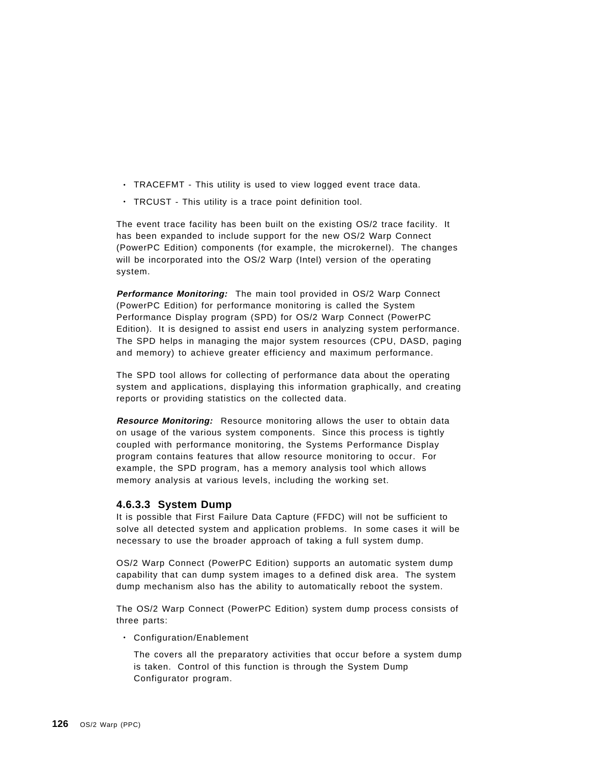- TRACEFMT This utility is used to view logged event trace data.
- TRCUST This utility is a trace point definition tool.

The event trace facility has been built on the existing OS/2 trace facility. It has been expanded to include support for the new OS/2 Warp Connect (PowerPC Edition) components (for example, the microkernel). The changes will be incorporated into the OS/2 Warp (Intel) version of the operating system.

**Performance Monitoring:** The main tool provided in OS/2 Warp Connect (PowerPC Edition) for performance monitoring is called the System Performance Display program (SPD) for OS/2 Warp Connect (PowerPC Edition). It is designed to assist end users in analyzing system performance. The SPD helps in managing the major system resources (CPU, DASD, paging and memory) to achieve greater efficiency and maximum performance.

The SPD tool allows for collecting of performance data about the operating system and applications, displaying this information graphically, and creating reports or providing statistics on the collected data.

**Resource Monitoring:** Resource monitoring allows the user to obtain data on usage of the various system components. Since this process is tightly coupled with performance monitoring, the Systems Performance Display program contains features that allow resource monitoring to occur. For example, the SPD program, has a memory analysis tool which allows memory analysis at various levels, including the working set.

#### **4.6.3.3 System Dump**

It is possible that First Failure Data Capture (FFDC) will not be sufficient to solve all detected system and application problems. In some cases it will be necessary to use the broader approach of taking a full system dump.

OS/2 Warp Connect (PowerPC Edition) supports an automatic system dump capability that can dump system images to a defined disk area. The system dump mechanism also has the ability to automatically reboot the system.

The OS/2 Warp Connect (PowerPC Edition) system dump process consists of three parts:

• Configuration/Enablement

The covers all the preparatory activities that occur before a system dump is taken. Control of this function is through the System Dump Configurator program.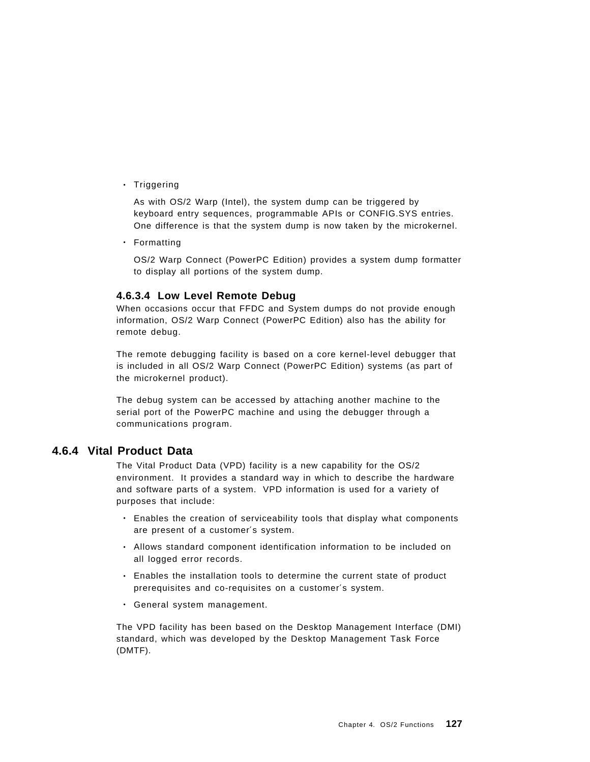• Triggering

As with OS/2 Warp (Intel), the system dump can be triggered by keyboard entry sequences, programmable APIs or CONFIG.SYS entries. One difference is that the system dump is now taken by the microkernel.

• Formatting

OS/2 Warp Connect (PowerPC Edition) provides a system dump formatter to display all portions of the system dump.

#### **4.6.3.4 Low Level Remote Debug**

When occasions occur that FFDC and System dumps do not provide enough information, OS/2 Warp Connect (PowerPC Edition) also has the ability for remote debug.

The remote debugging facility is based on a core kernel-level debugger that is included in all OS/2 Warp Connect (PowerPC Edition) systems (as part of the microkernel product).

The debug system can be accessed by attaching another machine to the serial port of the PowerPC machine and using the debugger through a communications program.

#### **4.6.4 Vital Product Data**

The Vital Product Data (VPD) facility is a new capability for the OS/2 environment. It provides a standard way in which to describe the hardware and software parts of a system. VPD information is used for a variety of purposes that include:

- Enables the creation of serviceability tools that display what components are present of a customer′s system.
- Allows standard component identification information to be included on all logged error records.
- Enables the installation tools to determine the current state of product prerequisites and co-requisites on a customer′s system.
- General system management.

The VPD facility has been based on the Desktop Management Interface (DMI) standard, which was developed by the Desktop Management Task Force (DMTF).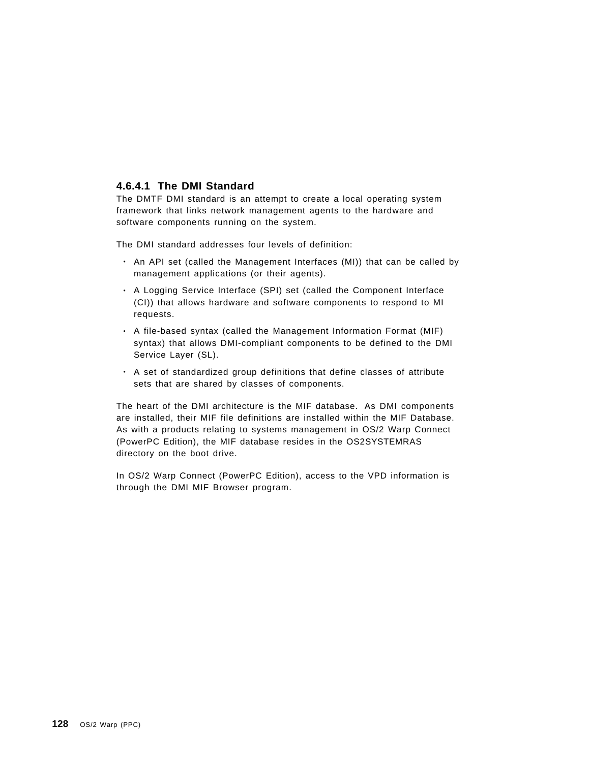#### **4.6.4.1 The DMI Standard**

The DMTF DMI standard is an attempt to create a local operating system framework that links network management agents to the hardware and software components running on the system.

The DMI standard addresses four levels of definition:

- An API set (called the Management Interfaces (MI)) that can be called by management applications (or their agents).
- A Logging Service Interface (SPI) set (called the Component Interface (CI)) that allows hardware and software components to respond to MI requests.
- A file-based syntax (called the Management Information Format (MIF) syntax) that allows DMI-compliant components to be defined to the DMI Service Layer (SL).
- A set of standardized group definitions that define classes of attribute sets that are shared by classes of components.

The heart of the DMI architecture is the MIF database. As DMI components are installed, their MIF file definitions are installed within the MIF Database. As with a products relating to systems management in OS/2 Warp Connect (PowerPC Edition), the MIF database resides in the OS2SYSTEMRAS directory on the boot drive.

In OS/2 Warp Connect (PowerPC Edition), access to the VPD information is through the DMI MIF Browser program.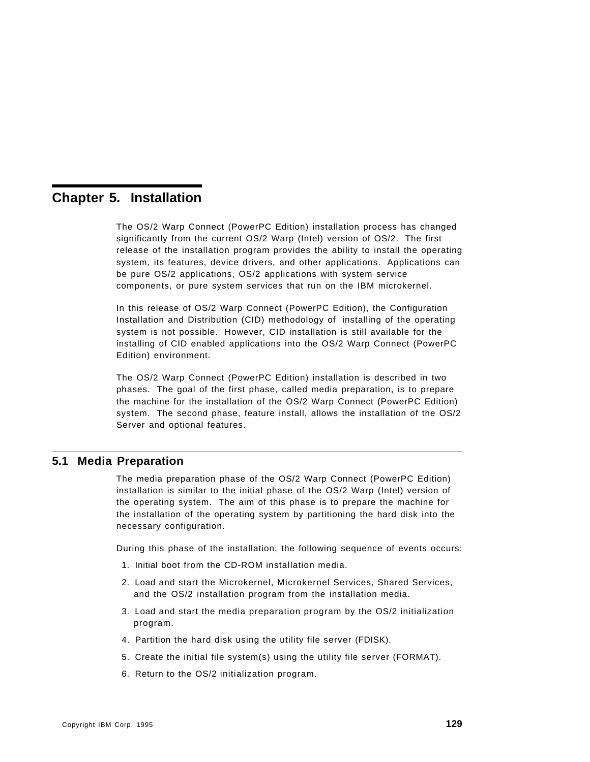### **Chapter 5. Installation**

The OS/2 Warp Connect (PowerPC Edition) installation process has changed significantly from the current OS/2 Warp (Intel) version of OS/2. The first release of the installation program provides the ability to install the operating system, its features, device drivers, and other applications. Applications can be pure OS/2 applications, OS/2 applications with system service components, or pure system services that run on the IBM microkernel.

In this release of OS/2 Warp Connect (PowerPC Edition), the Configuration Installation and Distribution (CID) methodology of installing of the operating system is not possible. However, CID installation is still available for the installing of CID enabled applications into the OS/2 Warp Connect (PowerPC Edition) environment.

The OS/2 Warp Connect (PowerPC Edition) installation is described in two phases. The goal of the first phase, called media preparation, is to prepare the machine for the installation of the OS/2 Warp Connect (PowerPC Edition) system. The second phase, feature install, allows the installation of the OS/2 Server and optional features.

#### **5.1 Media Preparation**

The media preparation phase of the OS/2 Warp Connect (PowerPC Edition) installation is similar to the initial phase of the OS/2 Warp (Intel) version of the operating system. The aim of this phase is to prepare the machine for the installation of the operating system by partitioning the hard disk into the necessary configuration.

During this phase of the installation, the following sequence of events occurs:

- 1. Initial boot from the CD-ROM installation media.
- 2. Load and start the Microkernel, Microkernel Services, Shared Services, and the OS/2 installation program from the installation media.
- 3. Load and start the media preparation program by the OS/2 initialization program.
- 4. Partition the hard disk using the utility file server (FDISK).
- 5. Create the initial file system(s) using the utility file server (FORMAT).
- 6. Return to the OS/2 initialization program.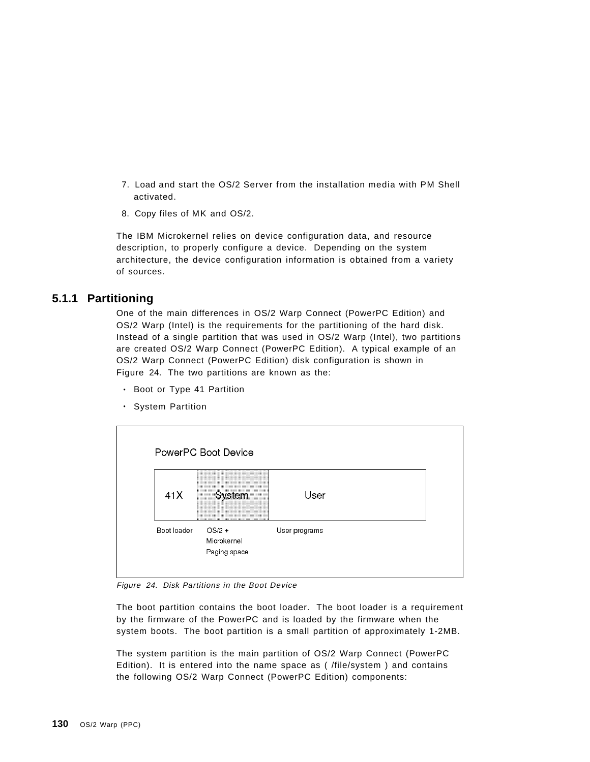- 7. Load and start the OS/2 Server from the installation media with PM Shell activated.
- 8. Copy files of MK and OS/2.

The IBM Microkernel relies on device configuration data, and resource description, to properly configure a device. Depending on the system architecture, the device configuration information is obtained from a variety of sources.

#### **5.1.1 Partitioning**

One of the main differences in OS/2 Warp Connect (PowerPC Edition) and OS/2 Warp (Intel) is the requirements for the partitioning of the hard disk. Instead of a single partition that was used in OS/2 Warp (Intel), two partitions are created OS/2 Warp Connect (PowerPC Edition). A typical example of an OS/2 Warp Connect (PowerPC Edition) disk configuration is shown in Figure 24. The two partitions are known as the:

- Boot or Type 41 Partition
- System Partition



Figure 24. Disk Partitions in the Boot Device

The boot partition contains the boot loader. The boot loader is a requirement by the firmware of the PowerPC and is loaded by the firmware when the system boots. The boot partition is a small partition of approximately 1-2MB.

The system partition is the main partition of OS/2 Warp Connect (PowerPC Edition). It is entered into the name space as ( /file/system ) and contains the following OS/2 Warp Connect (PowerPC Edition) components: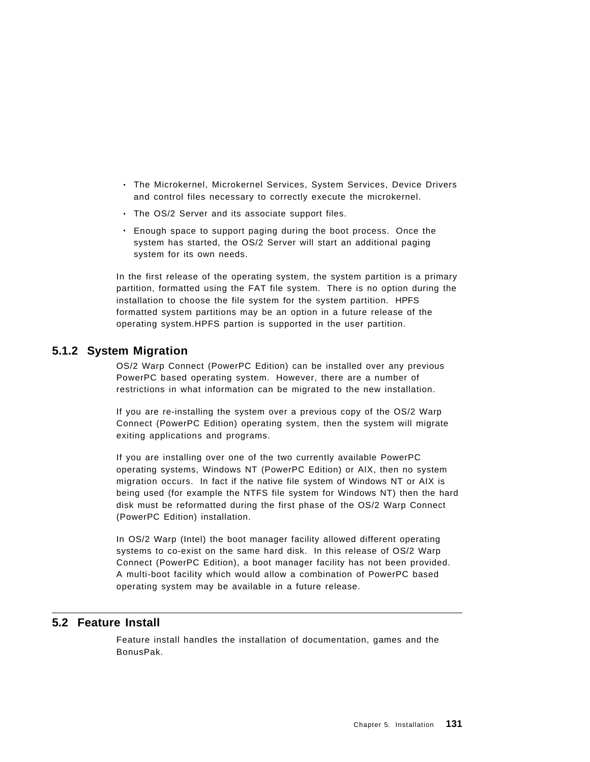- The Microkernel, Microkernel Services, System Services, Device Drivers and control files necessary to correctly execute the microkernel.
- The OS/2 Server and its associate support files.
- Enough space to support paging during the boot process. Once the system has started, the OS/2 Server will start an additional paging system for its own needs.

In the first release of the operating system, the system partition is a primary partition, formatted using the FAT file system. There is no option during the installation to choose the file system for the system partition. HPFS formatted system partitions may be an option in a future release of the operating system.HPFS partion is supported in the user partition.

#### **5.1.2 System Migration**

OS/2 Warp Connect (PowerPC Edition) can be installed over any previous PowerPC based operating system. However, there are a number of restrictions in what information can be migrated to the new installation.

If you are re-installing the system over a previous copy of the OS/2 Warp Connect (PowerPC Edition) operating system, then the system will migrate exiting applications and programs.

If you are installing over one of the two currently available PowerPC operating systems, Windows NT (PowerPC Edition) or AIX, then no system migration occurs. In fact if the native file system of Windows NT or AIX is being used (for example the NTFS file system for Windows NT) then the hard disk must be reformatted during the first phase of the OS/2 Warp Connect (PowerPC Edition) installation.

In OS/2 Warp (Intel) the boot manager facility allowed different operating systems to co-exist on the same hard disk. In this release of OS/2 Warp Connect (PowerPC Edition), a boot manager facility has not been provided. A multi-boot facility which would allow a combination of PowerPC based operating system may be available in a future release.

#### **5.2 Feature Install**

Feature install handles the installation of documentation, games and the BonusPak.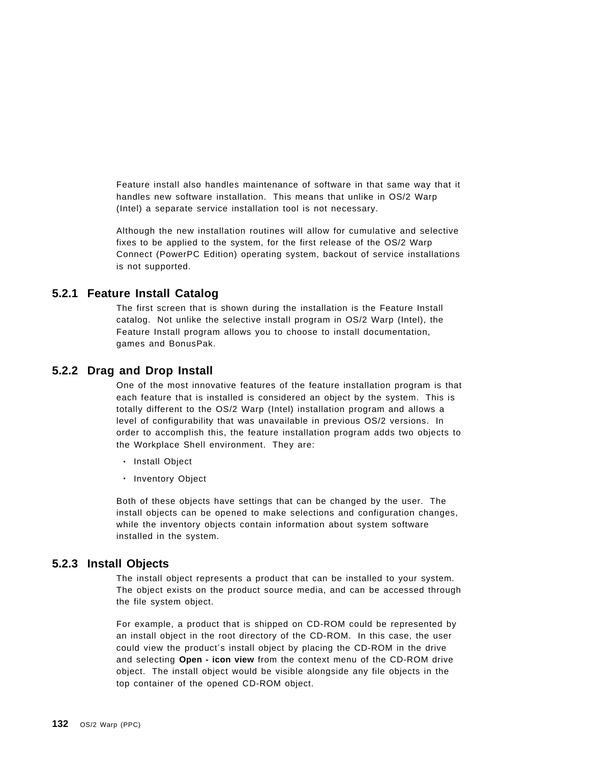Feature install also handles maintenance of software in that same way that it handles new software installation. This means that unlike in OS/2 Warp (Intel) a separate service installation tool is not necessary.

Although the new installation routines will allow for cumulative and selective fixes to be applied to the system, for the first release of the OS/2 Warp Connect (PowerPC Edition) operating system, backout of service installations is not supported.

#### **5.2.1 Feature Install Catalog**

The first screen that is shown during the installation is the Feature Install catalog. Not unlike the selective install program in OS/2 Warp (Intel), the Feature Install program allows you to choose to install documentation, games and BonusPak.

#### **5.2.2 Drag and Drop Install**

One of the most innovative features of the feature installation program is that each feature that is installed is considered an object by the system. This is totally different to the OS/2 Warp (Intel) installation program and allows a level of configurability that was unavailable in previous OS/2 versions. In order to accomplish this, the feature installation program adds two objects to the Workplace Shell environment. They are:

- Install Object
- Inventory Object

Both of these objects have settings that can be changed by the user. The install objects can be opened to make selections and configuration changes, while the inventory objects contain information about system software installed in the system.

#### **5.2.3 Install Objects**

The install object represents a product that can be installed to your system. The object exists on the product source media, and can be accessed through the file system object.

For example, a product that is shipped on CD-ROM could be represented by an install object in the root directory of the CD-ROM. In this case, the user could view the product′s install object by placing the CD-ROM in the drive and selecting **Open - icon view** from the context menu of the CD-ROM drive object. The install object would be visible alongside any file objects in the top container of the opened CD-ROM object.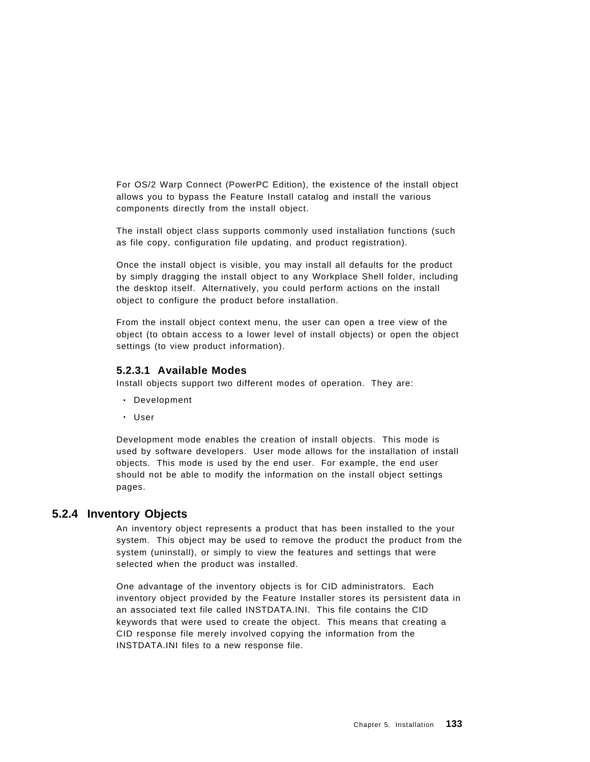For OS/2 Warp Connect (PowerPC Edition), the existence of the install object allows you to bypass the Feature Install catalog and install the various components directly from the install object.

The install object class supports commonly used installation functions (such as file copy, configuration file updating, and product registration).

Once the install object is visible, you may install all defaults for the product by simply dragging the install object to any Workplace Shell folder, including the desktop itself. Alternatively, you could perform actions on the install object to configure the product before installation.

From the install object context menu, the user can open a tree view of the object (to obtain access to a lower level of install objects) or open the object settings (to view product information).

#### **5.2.3.1 Available Modes**

Install objects support two different modes of operation. They are:

- Development
- User

Development mode enables the creation of install objects. This mode is used by software developers. User mode allows for the installation of install objects. This mode is used by the end user. For example, the end user should not be able to modify the information on the install object settings pages.

#### **5.2.4 Inventory Objects**

An inventory object represents a product that has been installed to the your system. This object may be used to remove the product the product from the system (uninstall), or simply to view the features and settings that were selected when the product was installed.

One advantage of the inventory objects is for CID administrators. Each inventory object provided by the Feature Installer stores its persistent data in an associated text file called INSTDATA.INI. This file contains the CID keywords that were used to create the object. This means that creating a CID response file merely involved copying the information from the INSTDATA.INI files to a new response file.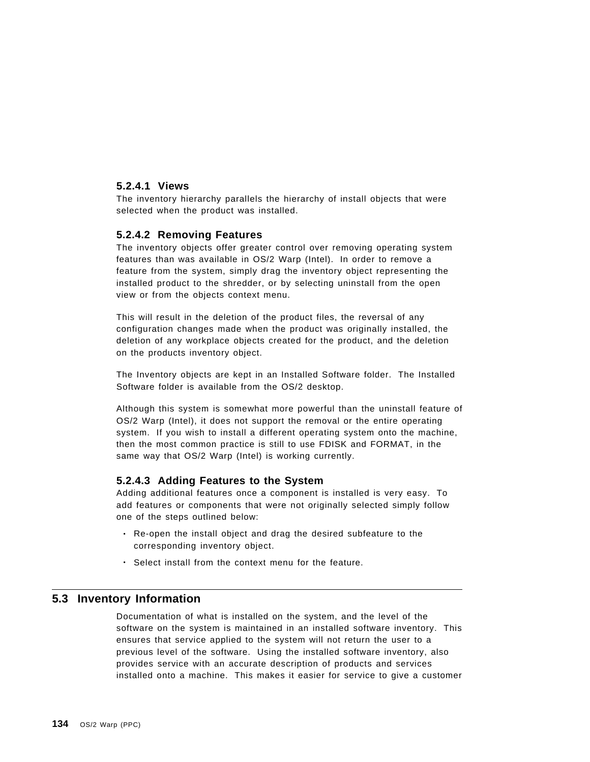#### **5.2.4.1 Views**

The inventory hierarchy parallels the hierarchy of install objects that were selected when the product was installed.

#### **5.2.4.2 Removing Features**

The inventory objects offer greater control over removing operating system features than was available in OS/2 Warp (Intel). In order to remove a feature from the system, simply drag the inventory object representing the installed product to the shredder, or by selecting uninstall from the open view or from the objects context menu.

This will result in the deletion of the product files, the reversal of any configuration changes made when the product was originally installed, the deletion of any workplace objects created for the product, and the deletion on the products inventory object.

The Inventory objects are kept in an Installed Software folder. The Installed Software folder is available from the OS/2 desktop.

Although this system is somewhat more powerful than the uninstall feature of OS/2 Warp (Intel), it does not support the removal or the entire operating system. If you wish to install a different operating system onto the machine, then the most common practice is still to use FDISK and FORMAT, in the same way that OS/2 Warp (Intel) is working currently.

#### **5.2.4.3 Adding Features to the System**

Adding additional features once a component is installed is very easy. To add features or components that were not originally selected simply follow one of the steps outlined below:

- Re-open the install object and drag the desired subfeature to the corresponding inventory object.
- Select install from the context menu for the feature.

#### **5.3 Inventory Information**

Documentation of what is installed on the system, and the level of the software on the system is maintained in an installed software inventory. This ensures that service applied to the system will not return the user to a previous level of the software. Using the installed software inventory, also provides service with an accurate description of products and services installed onto a machine. This makes it easier for service to give a customer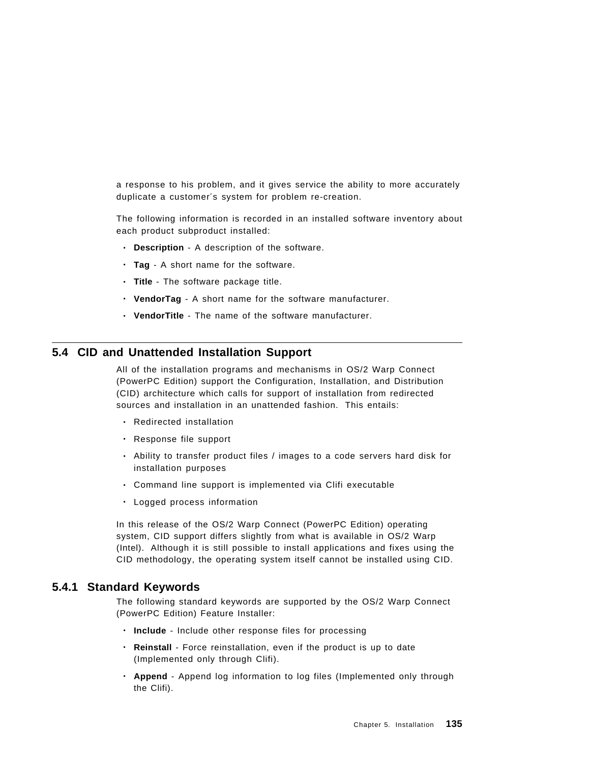a response to his problem, and it gives service the ability to more accurately duplicate a customer′s system for problem re-creation.

The following information is recorded in an installed software inventory about each product subproduct installed:

- **Description** A description of the software.
- **Tag** A short name for the software.
- **Title** The software package title.
- **VendorTag** A short name for the software manufacturer.
- **VendorTitle** The name of the software manufacturer.

### **5.4 CID and Unattended Installation Support**

All of the installation programs and mechanisms in OS/2 Warp Connect (PowerPC Edition) support the Configuration, Installation, and Distribution (CID) architecture which calls for support of installation from redirected sources and installation in an unattended fashion. This entails:

- Redirected installation
- Response file support
- Ability to transfer product files / images to a code servers hard disk for installation purposes
- Command line support is implemented via Clifi executable
- Logged process information

In this release of the OS/2 Warp Connect (PowerPC Edition) operating system, CID support differs slightly from what is available in OS/2 Warp (Intel). Although it is still possible to install applications and fixes using the CID methodology, the operating system itself cannot be installed using CID.

#### **5.4.1 Standard Keywords**

The following standard keywords are supported by the OS/2 Warp Connect (PowerPC Edition) Feature Installer:

- **Include** Include other response files for processing
- **Reinstall** Force reinstallation, even if the product is up to date (Implemented only through Clifi).
- **Append** Append log information to log files (Implemented only through the Clifi).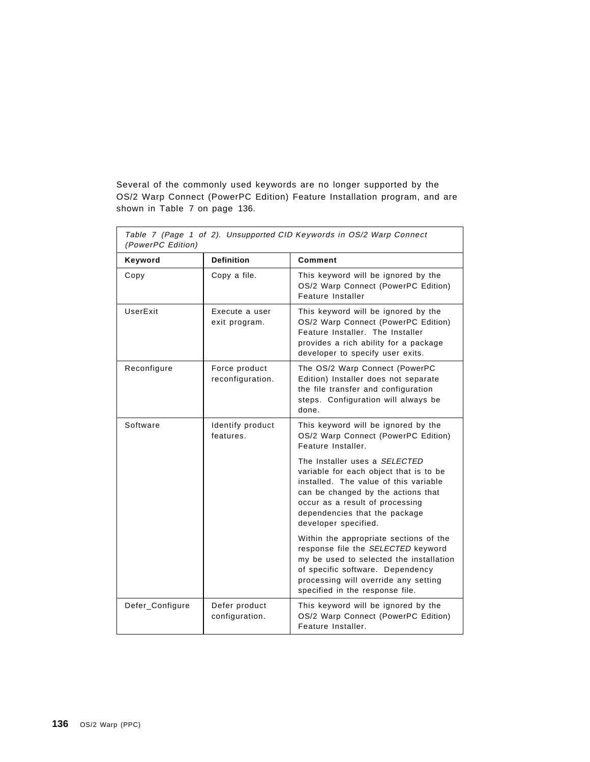Several of the commonly used keywords are no longer supported by the OS/2 Warp Connect (PowerPC Edition) Feature Installation program, and are shown in Table 7 on page 136.

| Table 7 (Page 1 of 2). Unsupported CID Keywords in OS/2 Warp Connect<br>(PowerPC Edition) |                                   |                                                                                                                                                                                                                                                           |  |  |
|-------------------------------------------------------------------------------------------|-----------------------------------|-----------------------------------------------------------------------------------------------------------------------------------------------------------------------------------------------------------------------------------------------------------|--|--|
| Keyword                                                                                   | <b>Definition</b>                 | Comment                                                                                                                                                                                                                                                   |  |  |
| Copy                                                                                      | Copy a file.                      | This keyword will be ignored by the<br>OS/2 Warp Connect (PowerPC Edition)<br>Feature Installer                                                                                                                                                           |  |  |
| UserExit                                                                                  | Execute a user<br>exit program.   | This keyword will be ignored by the<br>OS/2 Warp Connect (PowerPC Edition)<br>Feature Installer. The Installer<br>provides a rich ability for a package<br>developer to specify user exits.                                                               |  |  |
| Reconfigure                                                                               | Force product<br>reconfiguration. | The OS/2 Warp Connect (PowerPC<br>Edition) Installer does not separate<br>the file transfer and configuration<br>steps. Configuration will always be<br>done.                                                                                             |  |  |
| Software                                                                                  | Identify product<br>features.     | This keyword will be ignored by the<br>OS/2 Warp Connect (PowerPC Edition)<br>Feature Installer.                                                                                                                                                          |  |  |
|                                                                                           |                                   | The Installer uses a <i>SELECTED</i><br>variable for each object that is to be<br>installed. The value of this variable<br>can be changed by the actions that<br>occur as a result of processing<br>dependencies that the package<br>developer specified. |  |  |
|                                                                                           |                                   | Within the appropriate sections of the<br>response file the SELECTED keyword<br>my be used to selected the installation<br>of specific software. Dependency<br>processing will override any setting<br>specified in the response file.                    |  |  |
| Defer_Configure                                                                           | Defer product<br>configuration.   | This keyword will be ignored by the<br>OS/2 Warp Connect (PowerPC Edition)<br>Feature Installer.                                                                                                                                                          |  |  |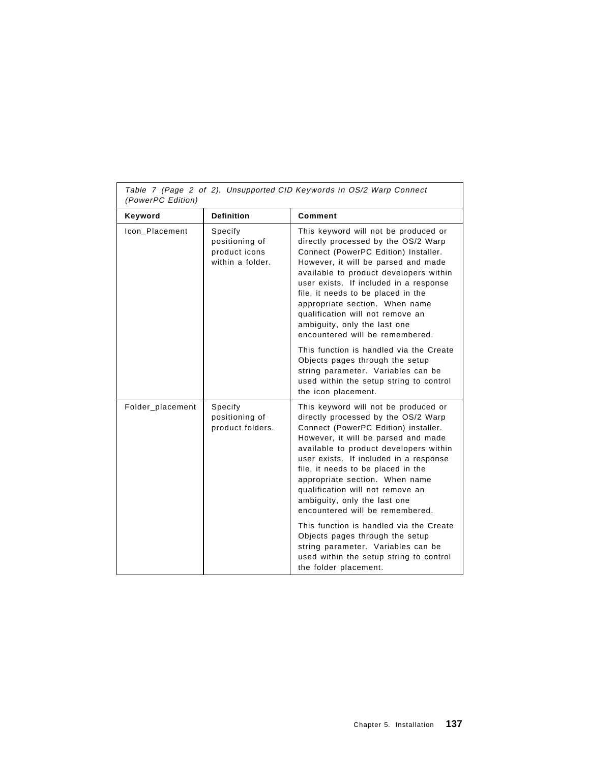| Table 7 (Page 2 of 2). Unsupported CID Keywords in OS/2 Warp Connect<br>(PowerPC Edition) |                                                                |                                                                                                                                                                                                                                                                                                                                                                                                                               |  |  |
|-------------------------------------------------------------------------------------------|----------------------------------------------------------------|-------------------------------------------------------------------------------------------------------------------------------------------------------------------------------------------------------------------------------------------------------------------------------------------------------------------------------------------------------------------------------------------------------------------------------|--|--|
| Keyword                                                                                   | <b>Definition</b>                                              | <b>Comment</b>                                                                                                                                                                                                                                                                                                                                                                                                                |  |  |
| Icon_Placement                                                                            | Specify<br>positioning of<br>product icons<br>within a folder. | This keyword will not be produced or<br>directly processed by the OS/2 Warp<br>Connect (PowerPC Edition) Installer.<br>However, it will be parsed and made<br>available to product developers within<br>user exists. If included in a response<br>file, it needs to be placed in the<br>appropriate section. When name<br>qualification will not remove an<br>ambiguity, only the last one<br>encountered will be remembered. |  |  |
|                                                                                           |                                                                | This function is handled via the Create<br>Objects pages through the setup<br>string parameter. Variables can be<br>used within the setup string to control<br>the icon placement.                                                                                                                                                                                                                                            |  |  |
| Folder_placement                                                                          | Specify<br>positioning of<br>product folders.                  | This keyword will not be produced or<br>directly processed by the OS/2 Warp<br>Connect (PowerPC Edition) installer.<br>However, it will be parsed and made<br>available to product developers within<br>user exists. If included in a response<br>file, it needs to be placed in the<br>appropriate section. When name<br>qualification will not remove an<br>ambiguity, only the last one<br>encountered will be remembered. |  |  |
|                                                                                           |                                                                | This function is handled via the Create<br>Objects pages through the setup<br>string parameter. Variables can be<br>used within the setup string to control<br>the folder placement.                                                                                                                                                                                                                                          |  |  |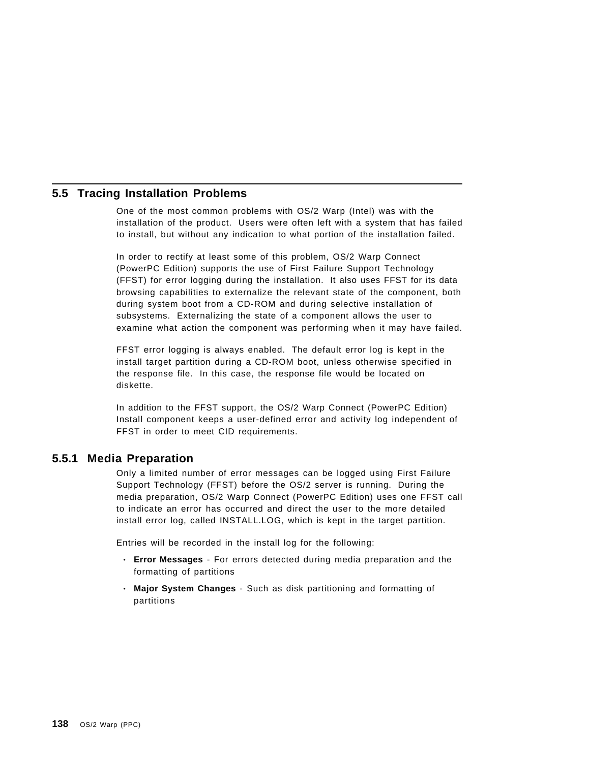#### **5.5 Tracing Installation Problems**

One of the most common problems with OS/2 Warp (Intel) was with the installation of the product. Users were often left with a system that has failed to install, but without any indication to what portion of the installation failed.

In order to rectify at least some of this problem, OS/2 Warp Connect (PowerPC Edition) supports the use of First Failure Support Technology (FFST) for error logging during the installation. It also uses FFST for its data browsing capabilities to externalize the relevant state of the component, both during system boot from a CD-ROM and during selective installation of subsystems. Externalizing the state of a component allows the user to examine what action the component was performing when it may have failed.

FFST error logging is always enabled. The default error log is kept in the install target partition during a CD-ROM boot, unless otherwise specified in the response file. In this case, the response file would be located on diskette.

In addition to the FFST support, the OS/2 Warp Connect (PowerPC Edition) Install component keeps a user-defined error and activity log independent of FFST in order to meet CID requirements.

#### **5.5.1 Media Preparation**

Only a limited number of error messages can be logged using First Failure Support Technology (FFST) before the OS/2 server is running. During the media preparation, OS/2 Warp Connect (PowerPC Edition) uses one FFST call to indicate an error has occurred and direct the user to the more detailed install error log, called INSTALL.LOG, which is kept in the target partition.

Entries will be recorded in the install log for the following:

- **Error Messages** For errors detected during media preparation and the formatting of partitions
- **Major System Changes** Such as disk partitioning and formatting of partitions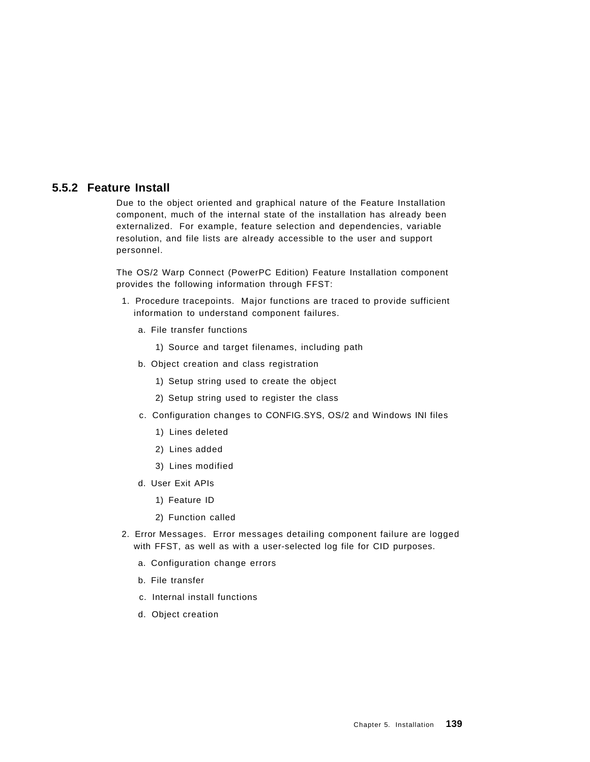#### **5.5.2 Feature Install**

Due to the object oriented and graphical nature of the Feature Installation component, much of the internal state of the installation has already been externalized. For example, feature selection and dependencies, variable resolution, and file lists are already accessible to the user and support personnel.

The OS/2 Warp Connect (PowerPC Edition) Feature Installation component provides the following information through FFST:

- 1. Procedure tracepoints. Major functions are traced to provide sufficient information to understand component failures.
	- a. File transfer functions
		- 1) Source and target filenames, including path
	- b. Object creation and class registration
		- 1) Setup string used to create the object
		- 2) Setup string used to register the class
	- c. Configuration changes to CONFIG.SYS, OS/2 and Windows INI files
		- 1) Lines deleted
		- 2) Lines added
		- 3) Lines modified
	- d. User Exit APIs
		- 1) Feature ID
		- 2) Function called
- 2. Error Messages. Error messages detailing component failure are logged with FFST, as well as with a user-selected log file for CID purposes.
	- a. Configuration change errors
	- b. File transfer
	- c. Internal install functions
	- d. Object creation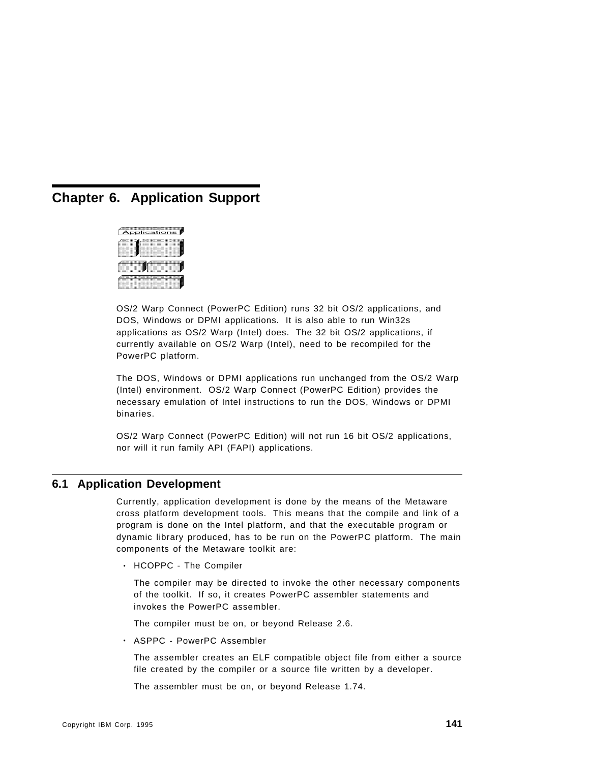### **Chapter 6. Application Support**



OS/2 Warp Connect (PowerPC Edition) runs 32 bit OS/2 applications, and DOS, Windows or DPMI applications. It is also able to run Win32s applications as OS/2 Warp (Intel) does. The 32 bit OS/2 applications, if currently available on OS/2 Warp (Intel), need to be recompiled for the PowerPC platform.

The DOS, Windows or DPMI applications run unchanged from the OS/2 Warp (Intel) environment. OS/2 Warp Connect (PowerPC Edition) provides the necessary emulation of Intel instructions to run the DOS, Windows or DPMI binaries.

OS/2 Warp Connect (PowerPC Edition) will not run 16 bit OS/2 applications, nor will it run family API (FAPI) applications.

#### **6.1 Application Development**

Currently, application development is done by the means of the Metaware cross platform development tools. This means that the compile and link of a program is done on the Intel platform, and that the executable program or dynamic library produced, has to be run on the PowerPC platform. The main components of the Metaware toolkit are:

• HCOPPC - The Compiler

The compiler may be directed to invoke the other necessary components of the toolkit. If so, it creates PowerPC assembler statements and invokes the PowerPC assembler.

The compiler must be on, or beyond Release 2.6.

• ASPPC - PowerPC Assembler

The assembler creates an ELF compatible object file from either a source file created by the compiler or a source file written by a developer.

The assembler must be on, or beyond Release 1.74.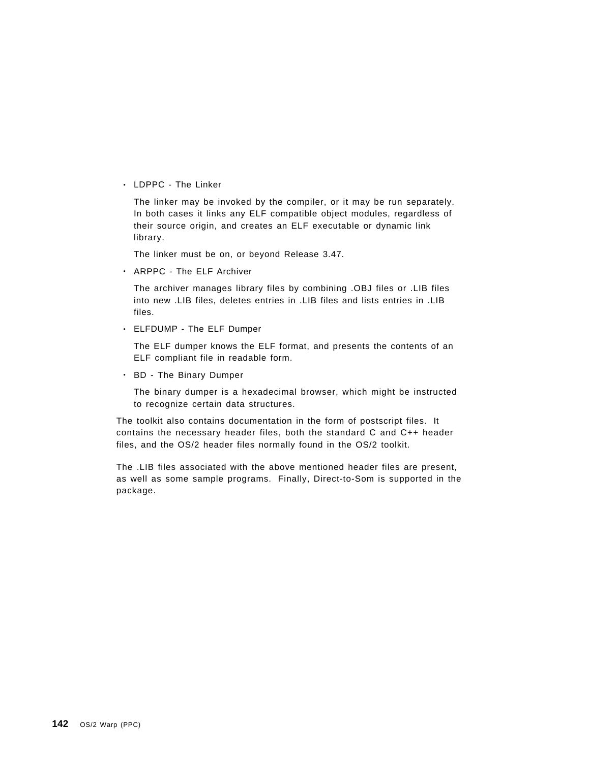• LDPPC - The Linker

The linker may be invoked by the compiler, or it may be run separately. In both cases it links any ELF compatible object modules, regardless of their source origin, and creates an ELF executable or dynamic link library.

The linker must be on, or beyond Release 3.47.

• ARPPC - The ELF Archiver

The archiver manages library files by combining .OBJ files or .LIB files into new .LIB files, deletes entries in .LIB files and lists entries in .LIB files.

• ELFDUMP - The ELF Dumper

The ELF dumper knows the ELF format, and presents the contents of an ELF compliant file in readable form.

• BD - The Binary Dumper

The binary dumper is a hexadecimal browser, which might be instructed to recognize certain data structures.

The toolkit also contains documentation in the form of postscript files. It contains the necessary header files, both the standard C and C++ header files, and the OS/2 header files normally found in the OS/2 toolkit.

The .LIB files associated with the above mentioned header files are present, as well as some sample programs. Finally, Direct-to-Som is supported in the package.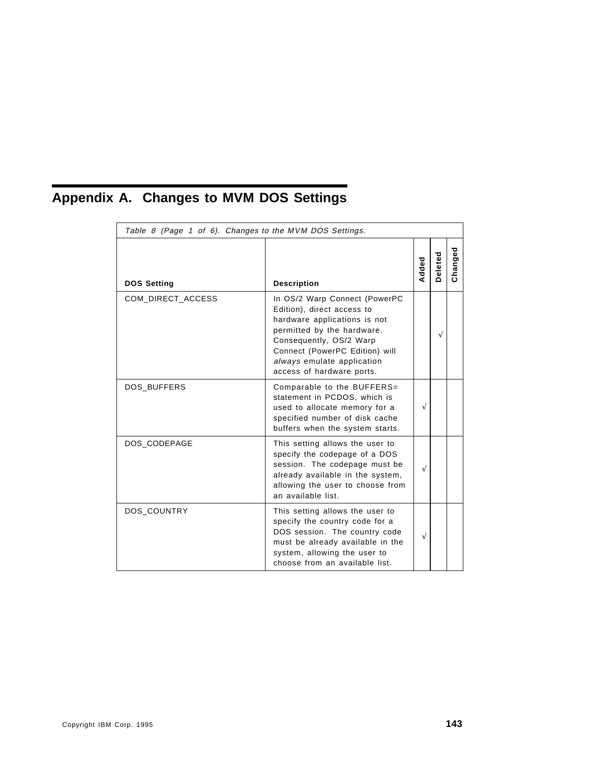# **Appendix A. Changes to MVM DOS Settings**

| Table 8 (Page 1 of 6). Changes to the MVM DOS Settings. |                                                                                                                                                                                                                                                   |            |            |         |
|---------------------------------------------------------|---------------------------------------------------------------------------------------------------------------------------------------------------------------------------------------------------------------------------------------------------|------------|------------|---------|
| <b>DOS Setting</b>                                      | <b>Description</b>                                                                                                                                                                                                                                | Added      | Deleted    | Changed |
| COM DIRECT ACCESS                                       | In OS/2 Warp Connect (PowerPC<br>Edition), direct access to<br>hardware applications is not<br>permitted by the hardware.<br>Consequently, OS/2 Warp<br>Connect (PowerPC Edition) will<br>always emulate application<br>access of hardware ports. |            | $\sqrt{ }$ |         |
| <b>DOS BUFFERS</b>                                      | Comparable to the BUFFERS=<br>statement in PCDOS, which is<br>used to allocate memory for a<br>specified number of disk cache<br>buffers when the system starts.                                                                                  | V          |            |         |
| DOS_CODEPAGE                                            | This setting allows the user to<br>specify the codepage of a DOS<br>session. The codepage must be<br>already available in the system,<br>allowing the user to choose from<br>an available list.                                                   | $\sqrt{ }$ |            |         |
| <b>DOS COUNTRY</b>                                      | This setting allows the user to<br>specify the country code for a<br>DOS session. The country code<br>must be already available in the<br>system, allowing the user to<br>choose from an available list.                                          | $\sqrt{ }$ |            |         |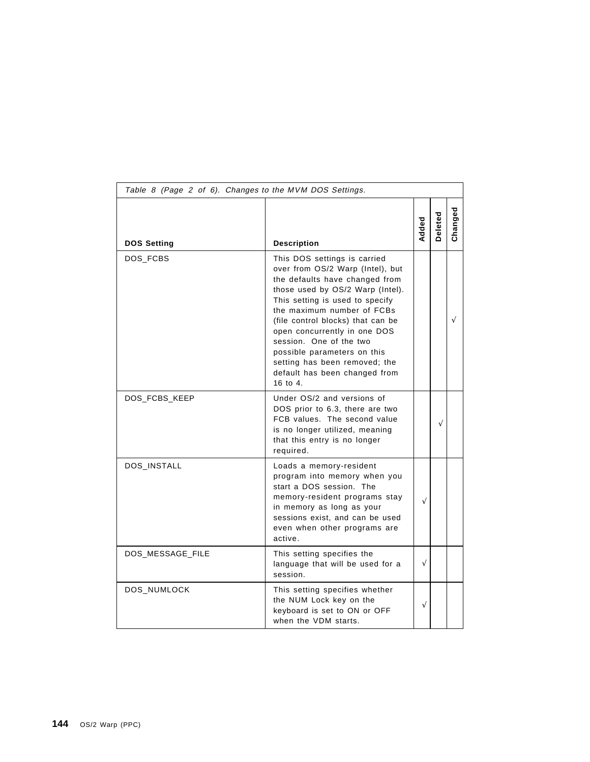| Table 8 (Page 2 of 6). Changes to the MVM DOS Settings. |                                                                                                                                                                                                                                                                                                                                                                                                                      |            |           |         |  |
|---------------------------------------------------------|----------------------------------------------------------------------------------------------------------------------------------------------------------------------------------------------------------------------------------------------------------------------------------------------------------------------------------------------------------------------------------------------------------------------|------------|-----------|---------|--|
| <b>DOS Setting</b>                                      | <b>Description</b>                                                                                                                                                                                                                                                                                                                                                                                                   | Added      | Deleted   | Changed |  |
| DOS_FCBS                                                | This DOS settings is carried<br>over from OS/2 Warp (Intel), but<br>the defaults have changed from<br>those used by OS/2 Warp (Intel).<br>This setting is used to specify<br>the maximum number of FCBs<br>(file control blocks) that can be<br>open concurrently in one DOS<br>session. One of the two<br>possible parameters on this<br>setting has been removed; the<br>default has been changed from<br>16 to 4. |            |           |         |  |
| DOS_FCBS_KEEP                                           | Under OS/2 and versions of<br>DOS prior to 6.3, there are two<br>FCB values. The second value<br>is no longer utilized, meaning<br>that this entry is no longer<br>required.                                                                                                                                                                                                                                         |            | $\sqrt{}$ |         |  |
| DOS_INSTALL                                             | Loads a memory-resident<br>program into memory when you<br>start a DOS session. The<br>memory-resident programs stay<br>in memory as long as your<br>sessions exist, and can be used<br>even when other programs are<br>active.                                                                                                                                                                                      | $\sqrt{}$  |           |         |  |
| DOS_MESSAGE_FILE                                        | This setting specifies the<br>language that will be used for a<br>session.                                                                                                                                                                                                                                                                                                                                           | $\sqrt{ }$ |           |         |  |
| DOS NUMLOCK                                             | This setting specifies whether<br>the NUM Lock key on the<br>keyboard is set to ON or OFF<br>when the VDM starts.                                                                                                                                                                                                                                                                                                    | $\sqrt{ }$ |           |         |  |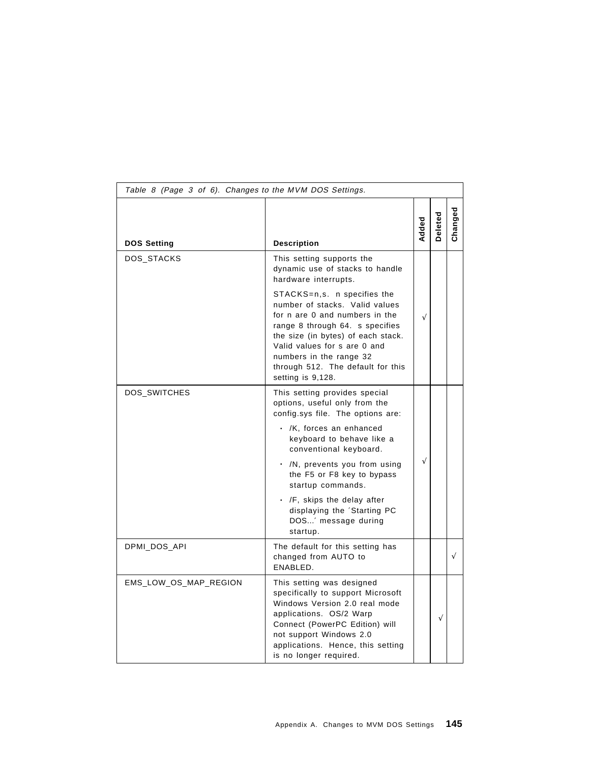|                       | Table 8 (Page 3 of 6). Changes to the MVM DOS Settings.                                                                                                                                                                                                                                       |            |           |            |  |  |
|-----------------------|-----------------------------------------------------------------------------------------------------------------------------------------------------------------------------------------------------------------------------------------------------------------------------------------------|------------|-----------|------------|--|--|
| <b>DOS Setting</b>    | <b>Description</b>                                                                                                                                                                                                                                                                            | Added      | Deleted   | Changed    |  |  |
| DOS_STACKS            | This setting supports the<br>dynamic use of stacks to handle<br>hardware interrupts.                                                                                                                                                                                                          |            |           |            |  |  |
|                       | STACKS=n,s. n specifies the<br>number of stacks. Valid values<br>for n are 0 and numbers in the<br>range 8 through 64. s specifies<br>the size (in bytes) of each stack.<br>Valid values for s are 0 and<br>numbers in the range 32<br>through 512. The default for this<br>setting is 9,128. | $\sqrt{}$  |           |            |  |  |
| DOS_SWITCHES          | This setting provides special<br>options, useful only from the<br>config.sys file. The options are:                                                                                                                                                                                           |            |           |            |  |  |
|                       | • /K, forces an enhanced<br>keyboard to behave like a<br>conventional keyboard.                                                                                                                                                                                                               |            |           |            |  |  |
|                       | • /N, prevents you from using<br>the F5 or F8 key to bypass<br>startup commands.                                                                                                                                                                                                              | $\sqrt{ }$ |           |            |  |  |
|                       | $\cdot$ /F, skips the delay after<br>displaying the 'Starting PC<br>DOS' message during<br>startup.                                                                                                                                                                                           |            |           |            |  |  |
| DPMI_DOS_API          | The default for this setting has<br>changed from AUTO to<br>ENABLED.                                                                                                                                                                                                                          |            |           | $\sqrt{ }$ |  |  |
| EMS_LOW_OS_MAP_REGION | This setting was designed<br>specifically to support Microsoft<br>Windows Version 2.0 real mode<br>applications. OS/2 Warp<br>Connect (PowerPC Edition) will<br>not support Windows 2.0<br>applications. Hence, this setting<br>is no longer required.                                        |            | $\sqrt{}$ |            |  |  |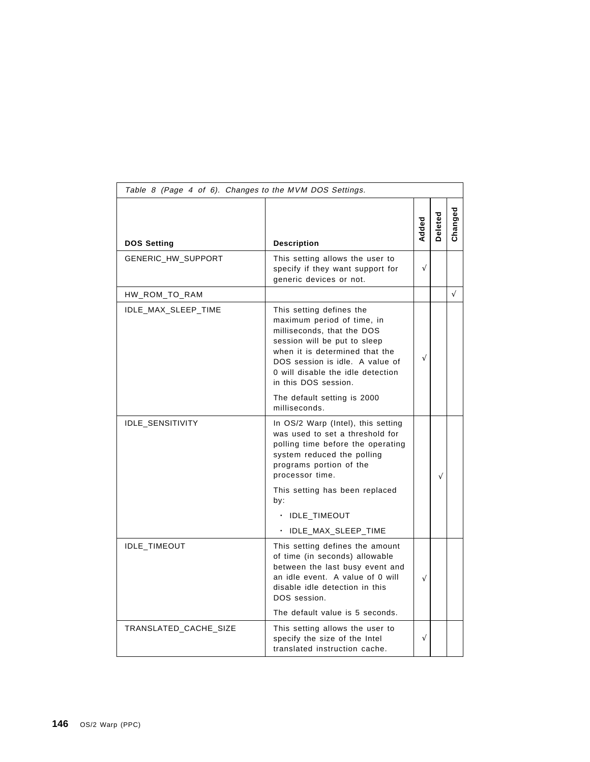| Table 8 (Page 4 of 6). Changes to the MVM DOS Settings. |                                                                                                                                                                                                                                                        |           |           |            |
|---------------------------------------------------------|--------------------------------------------------------------------------------------------------------------------------------------------------------------------------------------------------------------------------------------------------------|-----------|-----------|------------|
| <b>DOS Setting</b>                                      | <b>Description</b>                                                                                                                                                                                                                                     | Added     | Deleted   | Changed    |
| GENERIC_HW_SUPPORT                                      | This setting allows the user to<br>specify if they want support for<br>generic devices or not.                                                                                                                                                         | $\sqrt{}$ |           |            |
| HW_ROM_TO_RAM                                           |                                                                                                                                                                                                                                                        |           |           | $\sqrt{ }$ |
| IDLE_MAX_SLEEP_TIME                                     | This setting defines the<br>maximum period of time, in<br>milliseconds, that the DOS<br>session will be put to sleep<br>when it is determined that the<br>DOS session is idle. A value of<br>0 will disable the idle detection<br>in this DOS session. | $\sqrt{}$ |           |            |
|                                                         | The default setting is 2000<br>milliseconds.                                                                                                                                                                                                           |           |           |            |
| <b>IDLE SENSITIVITY</b>                                 | In OS/2 Warp (Intel), this setting<br>was used to set a threshold for<br>polling time before the operating<br>system reduced the polling<br>programs portion of the<br>processor time.                                                                 |           | $\sqrt{}$ |            |
|                                                         | This setting has been replaced<br>by:                                                                                                                                                                                                                  |           |           |            |
|                                                         | • IDLE_TIMEOUT<br>• IDLE_MAX_SLEEP_TIME                                                                                                                                                                                                                |           |           |            |
| IDLE_TIMEOUT                                            | This setting defines the amount<br>of time (in seconds) allowable<br>between the last busy event and<br>an idle event. A value of 0 will<br>disable idle detection in this<br>DOS session.                                                             | $\sqrt{}$ |           |            |
|                                                         | The default value is 5 seconds.                                                                                                                                                                                                                        |           |           |            |
| TRANSLATED_CACHE_SIZE                                   | This setting allows the user to<br>specify the size of the Intel<br>translated instruction cache.                                                                                                                                                      | $\sqrt{}$ |           |            |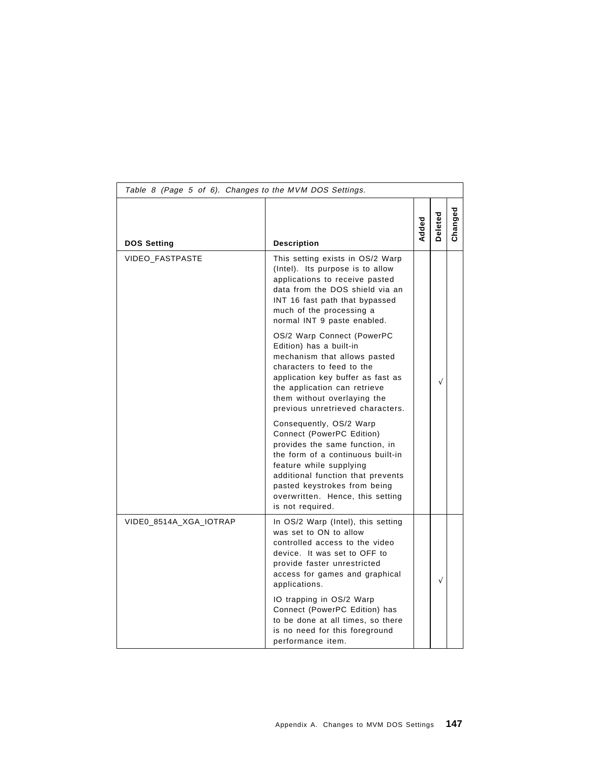| Table 8 (Page 5 of 6). Changes to the MVM DOS Settings. |                                                                                                                                                                                                                                                                                     |       |           |         |
|---------------------------------------------------------|-------------------------------------------------------------------------------------------------------------------------------------------------------------------------------------------------------------------------------------------------------------------------------------|-------|-----------|---------|
| <b>DOS Setting</b>                                      | <b>Description</b>                                                                                                                                                                                                                                                                  | Added | Deleted   | Changed |
| <b>VIDEO FASTPASTE</b>                                  | This setting exists in OS/2 Warp<br>(Intel). Its purpose is to allow<br>applications to receive pasted<br>data from the DOS shield via an<br>INT 16 fast path that bypassed<br>much of the processing a<br>normal INT 9 paste enabled.                                              |       |           |         |
|                                                         | OS/2 Warp Connect (PowerPC<br>Edition) has a built-in<br>mechanism that allows pasted<br>characters to feed to the<br>application key buffer as fast as<br>the application can retrieve<br>them without overlaying the<br>previous unretrieved characters.                          |       | $\sqrt{}$ |         |
|                                                         | Consequently, OS/2 Warp<br>Connect (PowerPC Edition)<br>provides the same function, in<br>the form of a continuous built-in<br>feature while supplying<br>additional function that prevents<br>pasted keystrokes from being<br>overwritten. Hence, this setting<br>is not required. |       |           |         |
| VIDE0_8514A_XGA_IOTRAP                                  | In OS/2 Warp (Intel), this setting<br>was set to ON to allow<br>controlled access to the video<br>device. It was set to OFF to<br>provide faster unrestricted<br>access for games and graphical<br>applications.                                                                    |       | $\sqrt{}$ |         |
|                                                         | IO trapping in OS/2 Warp<br>Connect (PowerPC Edition) has<br>to be done at all times, so there<br>is no need for this foreground<br>performance item.                                                                                                                               |       |           |         |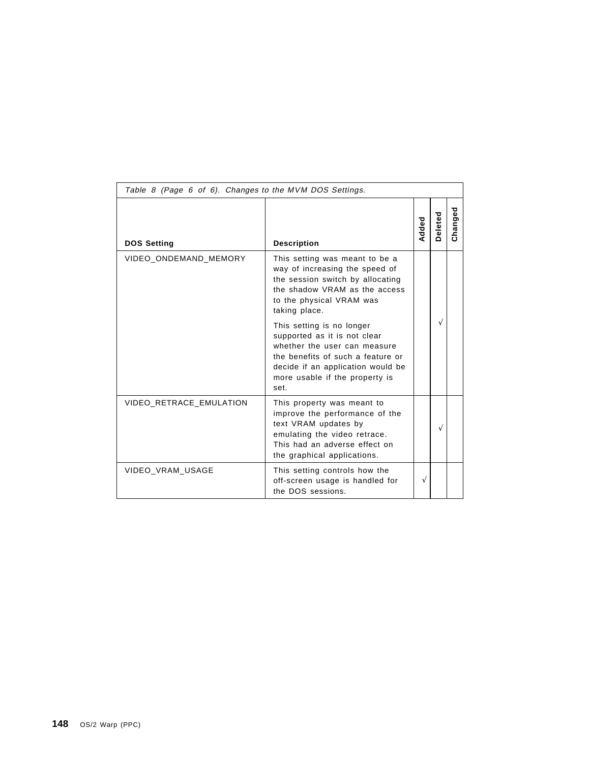| Table 8 (Page 6 of 6). Changes to the MVM DOS Settings. |                                                                                                                                                                                                               |           |           |         |
|---------------------------------------------------------|---------------------------------------------------------------------------------------------------------------------------------------------------------------------------------------------------------------|-----------|-----------|---------|
| <b>DOS Setting</b>                                      | <b>Description</b>                                                                                                                                                                                            | Added     | Deleted   | Changed |
| VIDEO_ONDEMAND_MEMORY                                   | This setting was meant to be a<br>way of increasing the speed of<br>the session switch by allocating<br>the shadow VRAM as the access<br>to the physical VRAM was<br>taking place.                            |           |           |         |
|                                                         | This setting is no longer<br>supported as it is not clear<br>whether the user can measure<br>the benefits of such a feature or<br>decide if an application would be<br>more usable if the property is<br>set. |           | $\sqrt{}$ |         |
| VIDEO_RETRACE_EMULATION                                 | This property was meant to<br>improve the performance of the<br>text VRAM updates by<br>emulating the video retrace.<br>This had an adverse effect on<br>the graphical applications.                          |           | $\sqrt{}$ |         |
| VIDEO VRAM USAGE                                        | This setting controls how the<br>off-screen usage is handled for<br>the DOS sessions.                                                                                                                         | $\sqrt{}$ |           |         |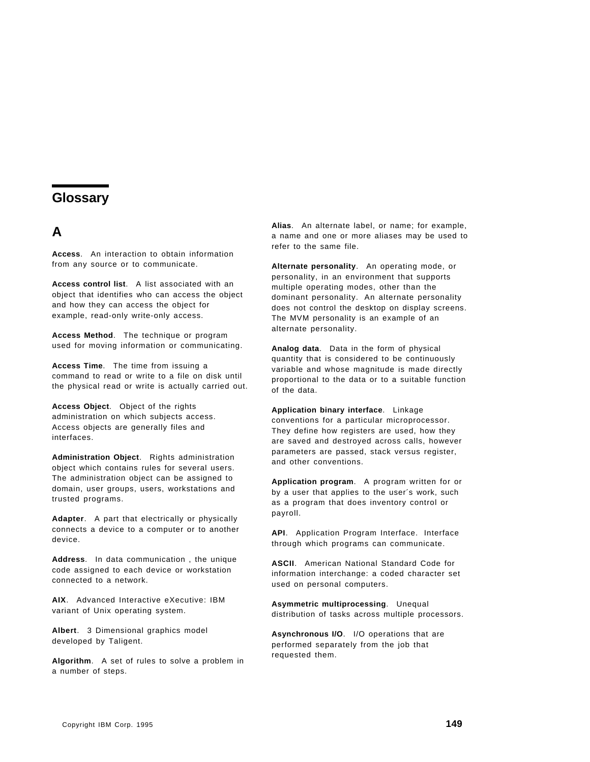### **Glossary**

### **A**

**Access**. An interaction to obtain information from any source or to communicate.

**Access control list**. A list associated with an object that identifies who can access the object and how they can access the object for example, read-only write-only access.

**Access Method**. The technique or program used for moving information or communicating.

**Access Time**. The time from issuing a command to read or write to a file on disk until the physical read or write is actually carried out.

**Access Object**. Object of the rights administration on which subjects access. Access objects are generally files and interfaces.

**Administration Object**. Rights administration object which contains rules for several users. The administration object can be assigned to domain, user groups, users, workstations and trusted programs.

**Adapter**. A part that electrically or physically connects a device to a computer or to another device.

**Address**. In data communication , the unique code assigned to each device or workstation connected to a network.

**AIX**. Advanced Interactive eXecutive: IBM variant of Unix operating system.

**Albert**. 3 Dimensional graphics model developed by Taligent.

**Algorithm**. A set of rules to solve a problem in a number of steps.

**Alias**. An alternate label, or name; for example, a name and one or more aliases may be used to refer to the same file.

**Alternate personality**. An operating mode, or personality, in an environment that supports multiple operating modes, other than the dominant personality. An alternate personality does not control the desktop on display screens. The MVM personality is an example of an alternate personality.

**Analog data**. Data in the form of physical quantity that is considered to be continuously variable and whose magnitude is made directly proportional to the data or to a suitable function of the data.

**Application binary interface**. Linkage conventions for a particular microprocessor. They define how registers are used, how they are saved and destroyed across calls, however parameters are passed, stack versus register, and other conventions.

**Application program**. A program written for or by a user that applies to the user′s work, such as a program that does inventory control or payroll.

**API**. Application Program Interface. Interface through which programs can communicate.

**ASCII**. American National Standard Code for information interchange: a coded character set used on personal computers.

**Asymmetric multiprocessing**. Unequal distribution of tasks across multiple processors.

**Asynchronous I/O**. I/O operations that are performed separately from the job that requested them.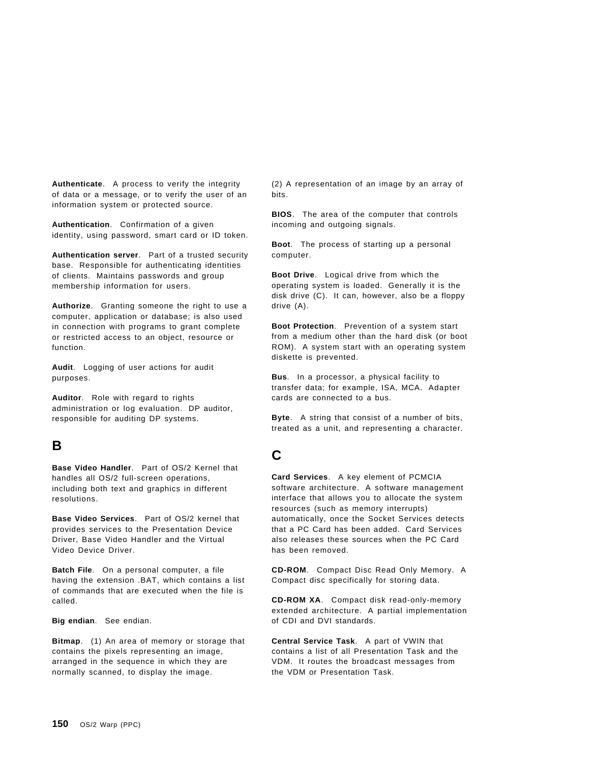**Authenticate**. A process to verify the integrity of data or a message, or to verify the user of an information system or protected source.

**Authentication**. Confirmation of a given identity, using password, smart card or ID token.

**Authentication server**. Part of a trusted security base. Responsible for authenticating identities of clients. Maintains passwords and group membership information for users.

**Authorize**. Granting someone the right to use a computer, application or database; is also used in connection with programs to grant complete or restricted access to an object, resource or function.

**Audit**. Logging of user actions for audit purposes.

**Auditor**. Role with regard to rights administration or log evaluation. DP auditor, responsible for auditing DP systems.

### **B**

**Base Video Handler**. Part of OS/2 Kernel that handles all OS/2 full-screen operations, including both text and graphics in different resolutions.

**Base Video Services**. Part of OS/2 kernel that provides services to the Presentation Device Driver, Base Video Handler and the Virtual Video Device Driver.

**Batch File**. On a personal computer, a file having the extension .BAT, which contains a list of commands that are executed when the file is called.

**Big endian**. See endian.

**Bitmap**. (1) An area of memory or storage that contains the pixels representing an image, arranged in the sequence in which they are normally scanned, to display the image.

(2) A representation of an image by an array of bits.

**BIOS**. The area of the computer that controls incoming and outgoing signals.

**Boot**. The process of starting up a personal computer.

**Boot Drive**. Logical drive from which the operating system is loaded. Generally it is the disk drive (C). It can, however, also be a floppy drive (A).

**Boot Protection**. Prevention of a system start from a medium other than the hard disk (or boot ROM). A system start with an operating system diskette is prevented.

**Bus**. In a processor, a physical facility to transfer data; for example, ISA, MCA. Adapter cards are connected to a bus.

**Byte**. A string that consist of a number of bits, treated as a unit, and representing a character.

## **C**

**Card Services**. A key element of PCMCIA software architecture. A software management interface that allows you to allocate the system resources (such as memory interrupts) automatically, once the Socket Services detects that a PC Card has been added. Card Services also releases these sources when the PC Card has been removed.

**CD-ROM**. Compact Disc Read Only Memory. A Compact disc specifically for storing data.

**CD-ROM XA**. Compact disk read-only-memory extended architecture. A partial implementation of CDI and DVI standards.

**Central Service Task**. A part of VWIN that contains a list of all Presentation Task and the VDM. It routes the broadcast messages from the VDM or Presentation Task.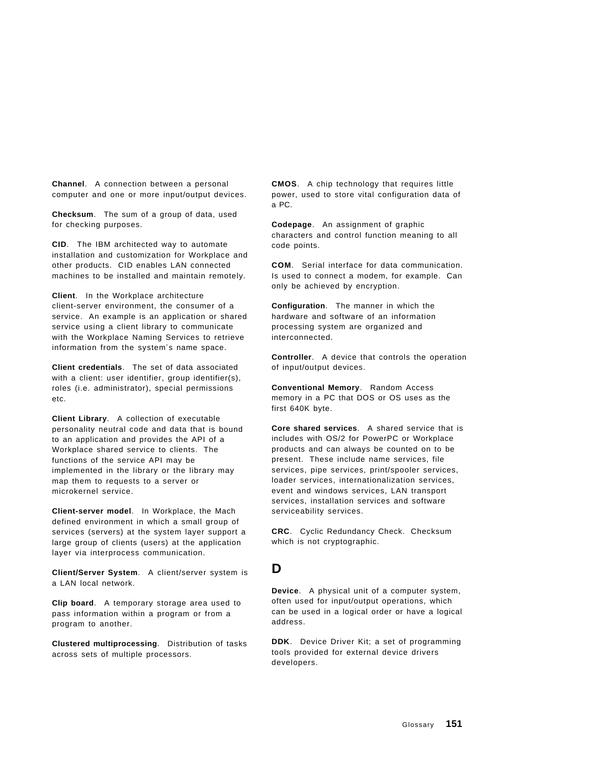**Channel**. A connection between a personal computer and one or more input/output devices.

**Checksum**. The sum of a group of data, used for checking purposes.

**CID**. The IBM architected way to automate installation and customization for Workplace and other products. CID enables LAN connected machines to be installed and maintain remotely.

**Client**. In the Workplace architecture client-server environment, the consumer of a service. An example is an application or shared service using a client library to communicate with the Workplace Naming Services to retrieve information from the system′s name space.

**Client credentials**. The set of data associated with a client: user identifier, group identifier(s), roles (i.e. administrator), special permissions etc.

**Client Library**. A collection of executable personality neutral code and data that is bound to an application and provides the API of a Workplace shared service to clients. The functions of the service API may be implemented in the library or the library may map them to requests to a server or microkernel service.

**Client-server model**. In Workplace, the Mach defined environment in which a small group of services (servers) at the system layer support a large group of clients (users) at the application layer via interprocess communication.

**Client/Server System**. A client/server system is a LAN local network.

**Clip board**. A temporary storage area used to pass information within a program or from a program to another.

**Clustered multiprocessing**. Distribution of tasks across sets of multiple processors.

**CMOS**. A chip technology that requires little power, used to store vital configuration data of a PC.

**Codepage**. An assignment of graphic characters and control function meaning to all code points.

**COM**. Serial interface for data communication. Is used to connect a modem, for example. Can only be achieved by encryption.

**Configuration**. The manner in which the hardware and software of an information processing system are organized and interconnected.

**Controller**. A device that controls the operation of input/output devices.

**Conventional Memory**. Random Access memory in a PC that DOS or OS uses as the first 640K byte.

**Core shared services**. A shared service that is includes with OS/2 for PowerPC or Workplace products and can always be counted on to be present. These include name services, file services, pipe services, print/spooler services, loader services, internationalization services, event and windows services, LAN transport services, installation services and software serviceability services.

**CRC**. Cyclic Redundancy Check. Checksum which is not cryptographic.

### **D**

**Device**. A physical unit of a computer system, often used for input/output operations, which can be used in a logical order or have a logical address.

**DDK**. Device Driver Kit; a set of programming tools provided for external device drivers developers.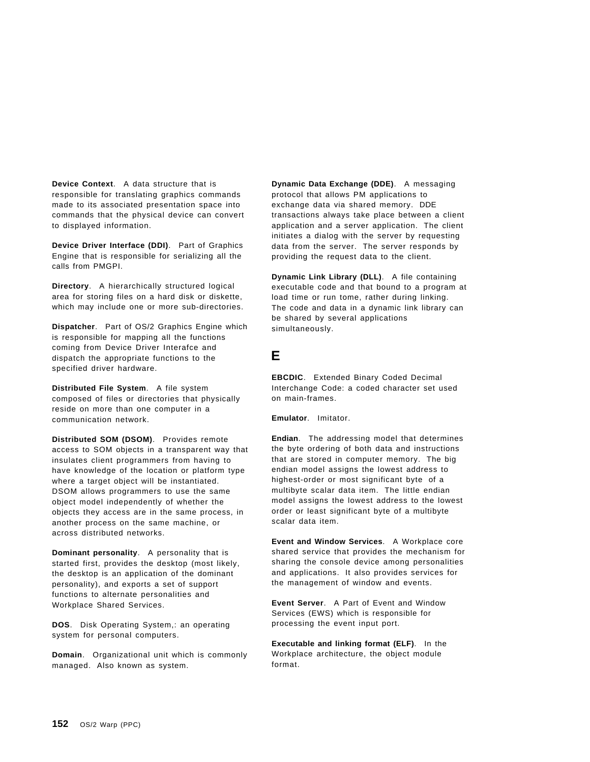**Device Context**. A data structure that is responsible for translating graphics commands made to its associated presentation space into commands that the physical device can convert to displayed information.

**Device Driver Interface (DDI)**. Part of Graphics Engine that is responsible for serializing all the calls from PMGPI.

**Directory**. A hierarchically structured logical area for storing files on a hard disk or diskette, which may include one or more sub-directories.

**Dispatcher**. Part of OS/2 Graphics Engine which is responsible for mapping all the functions coming from Device Driver Interafce and dispatch the appropriate functions to the specified driver hardware.

**Distributed File System**. A file system composed of files or directories that physically reside on more than one computer in a communication network.

**Distributed SOM (DSOM)**. Provides remote access to SOM objects in a transparent way that insulates client programmers from having to have knowledge of the location or platform type where a target object will be instantiated. DSOM allows programmers to use the same object model independently of whether the objects they access are in the same process, in another process on the same machine, or across distributed networks.

**Dominant personality**. A personality that is started first, provides the desktop (most likely, the desktop is an application of the dominant personality), and exports a set of support functions to alternate personalities and Workplace Shared Services.

**DOS**. Disk Operating System,: an operating system for personal computers.

**Domain**. Organizational unit which is commonly managed. Also known as system.

**Dynamic Data Exchange (DDE)**. A messaging protocol that allows PM applications to exchange data via shared memory. DDE transactions always take place between a client application and a server application. The client initiates a dialog with the server by requesting data from the server. The server responds by providing the request data to the client.

**Dynamic Link Library (DLL)**. A file containing executable code and that bound to a program at load time or run tome, rather during linking. The code and data in a dynamic link library can be shared by several applications simultaneously.

### **E**

**EBCDIC**. Extended Binary Coded Decimal Interchange Code: a coded character set used on main-frames.

**Emulator**. Imitator.

**Endian**. The addressing model that determines the byte ordering of both data and instructions that are stored in computer memory. The big endian model assigns the lowest address to highest-order or most significant byte of a multibyte scalar data item. The little endian model assigns the lowest address to the lowest order or least significant byte of a multibyte scalar data item.

**Event and Window Services**. A Workplace core shared service that provides the mechanism for sharing the console device among personalities and applications. It also provides services for the management of window and events.

**Event Server**. A Part of Event and Window Services (EWS) which is responsible for processing the event input port.

**Executable and linking format (ELF)**. In the Workplace architecture, the object module format.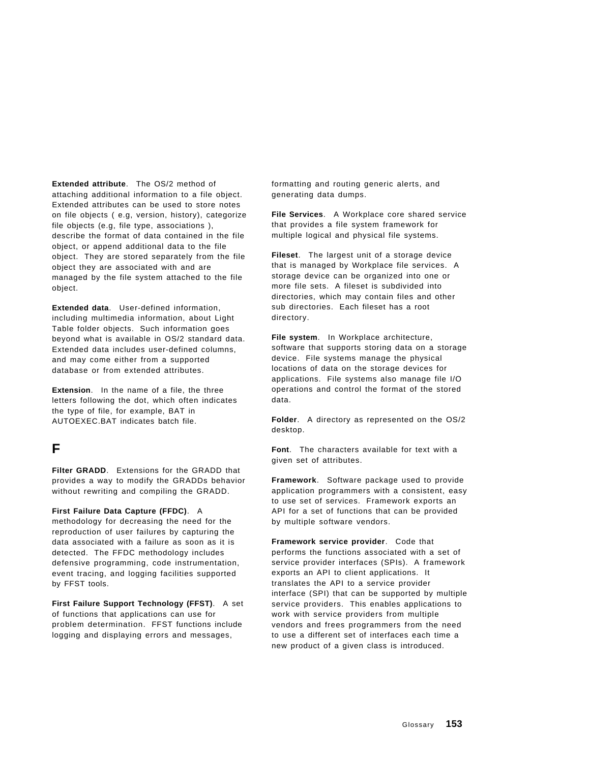**Extended attribute**. The OS/2 method of attaching additional information to a file object. Extended attributes can be used to store notes on file objects ( e.g, version, history), categorize file objects (e.g, file type, associations ), describe the format of data contained in the file object, or append additional data to the file object. They are stored separately from the file object they are associated with and are managed by the file system attached to the file object.

**Extended data**. User-defined information, including multimedia information, about Light Table folder objects. Such information goes beyond what is available in OS/2 standard data. Extended data includes user-defined columns, and may come either from a supported database or from extended attributes.

**Extension**. In the name of a file, the three letters following the dot, which often indicates the type of file, for example, BAT in AUTOEXEC.BAT indicates batch file.

### **F**

**Filter GRADD**. Extensions for the GRADD that provides a way to modify the GRADDs behavior without rewriting and compiling the GRADD.

#### **First Failure Data Capture (FFDC)**. A

methodology for decreasing the need for the reproduction of user failures by capturing the data associated with a failure as soon as it is detected. The FFDC methodology includes defensive programming, code instrumentation, event tracing, and logging facilities supported by FFST tools.

**First Failure Support Technology (FFST)**. A set of functions that applications can use for problem determination. FFST functions include logging and displaying errors and messages,

formatting and routing generic alerts, and generating data dumps.

**File Services**. A Workplace core shared service that provides a file system framework for multiple logical and physical file systems.

**Fileset**. The largest unit of a storage device that is managed by Workplace file services. A storage device can be organized into one or more file sets. A fileset is subdivided into directories, which may contain files and other sub directories. Each fileset has a root directory.

**File system**. In Workplace architecture, software that supports storing data on a storage device. File systems manage the physical locations of data on the storage devices for applications. File systems also manage file I/O operations and control the format of the stored data.

**Folder**. A directory as represented on the OS/2 desktop.

**Font**. The characters available for text with a given set of attributes.

**Framework**. Software package used to provide application programmers with a consistent, easy to use set of services. Framework exports an API for a set of functions that can be provided by multiple software vendors.

**Framework service provider**. Code that performs the functions associated with a set of service provider interfaces (SPIs). A framework exports an API to client applications. It translates the API to a service provider interface (SPI) that can be supported by multiple service providers. This enables applications to work with service providers from multiple vendors and frees programmers from the need to use a different set of interfaces each time a new product of a given class is introduced.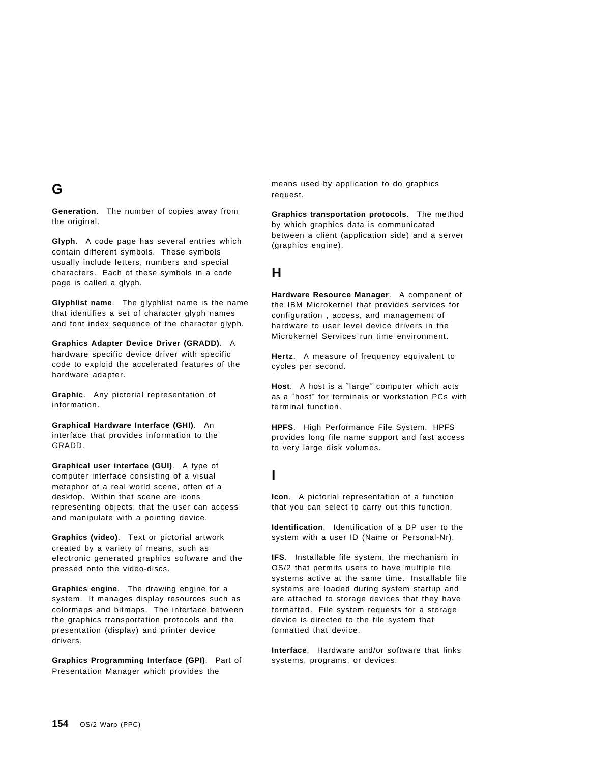### **G**

**Generation**. The number of copies away from the original.

**Glyph**. A code page has several entries which contain different symbols. These symbols usually include letters, numbers and special characters. Each of these symbols in a code page is called a glyph.

**Glyphlist name**. The glyphlist name is the name that identifies a set of character glyph names and font index sequence of the character glyph.

**Graphics Adapter Device Driver (GRADD)**. A hardware specific device driver with specific code to exploid the accelerated features of the hardware adapter.

**Graphic**. Any pictorial representation of information.

**Graphical Hardware Interface (GHI)**. An interface that provides information to the GRADD.

**Graphical user interface (GUI)**. A type of computer interface consisting of a visual metaphor of a real world scene, often of a desktop. Within that scene are icons representing objects, that the user can access and manipulate with a pointing device.

**Graphics (video)**. Text or pictorial artwork created by a variety of means, such as electronic generated graphics software and the pressed onto the video-discs.

**Graphics engine**. The drawing engine for a system. It manages display resources such as colormaps and bitmaps. The interface between the graphics transportation protocols and the presentation (display) and printer device drivers.

**Graphics Programming Interface (GPI)**. Part of Presentation Manager which provides the

means used by application to do graphics request.

**Graphics transportation protocols**. The method by which graphics data is communicated between a client (application side) and a server (graphics engine).

## **H**

**Hardware Resource Manager**. A component of the IBM Microkernel that provides services for configuration , access, and management of hardware to user level device drivers in the Microkernel Services run time environment.

**Hertz**. A measure of frequency equivalent to cycles per second.

**Host**. A host is a ″large″ computer which acts as a ″host″ for terminals or workstation PCs with terminal function.

**HPFS**. High Performance File System. HPFS provides long file name support and fast access to very large disk volumes.

## **I**

**Icon**. A pictorial representation of a function that you can select to carry out this function.

**Identification**. Identification of a DP user to the system with a user ID (Name or Personal-Nr).

**IFS**. Installable file system, the mechanism in OS/2 that permits users to have multiple file systems active at the same time. Installable file systems are loaded during system startup and are attached to storage devices that they have formatted. File system requests for a storage device is directed to the file system that formatted that device.

**Interface**. Hardware and/or software that links systems, programs, or devices.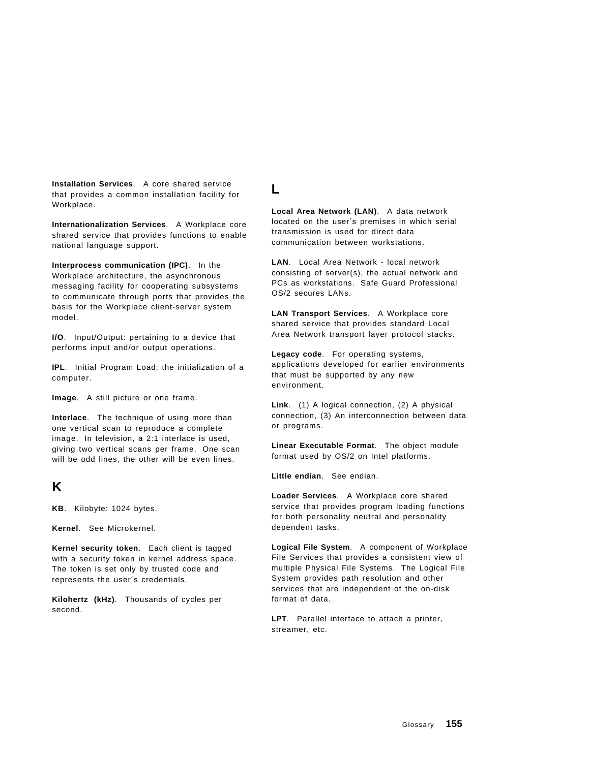**Installation Services**. A core shared service that provides a common installation facility for Workplace.

**Internationalization Services**. A Workplace core shared service that provides functions to enable national language support.

**Interprocess communication (IPC)**. In the Workplace architecture, the asynchronous messaging facility for cooperating subsystems to communicate through ports that provides the basis for the Workplace client-server system model.

**I/O**. Input/Output: pertaining to a device that performs input and/or output operations.

**IPL**. Initial Program Load; the initialization of a computer.

**Image**. A still picture or one frame.

**Interlace**. The technique of using more than one vertical scan to reproduce a complete image. In television, a 2:1 interlace is used, giving two vertical scans per frame. One scan will be odd lines, the other will be even lines.

### **K**

**KB**. Kilobyte: 1024 bytes.

**Kernel**. See Microkernel.

**Kernel security token**. Each client is tagged with a security token in kernel address space. The token is set only by trusted code and represents the user′s credentials.

**Kilohertz (kHz)**. Thousands of cycles per second.

## **L**

**Local Area Network (LAN)**. A data network located on the user′s premises in which serial transmission is used for direct data communication between workstations.

**LAN**. Local Area Network - local network consisting of server(s), the actual network and PCs as workstations. Safe Guard Professional OS/2 secures LANs.

**LAN Transport Services**. A Workplace core shared service that provides standard Local Area Network transport layer protocol stacks.

**Legacy code**. For operating systems, applications developed for earlier environments that must be supported by any new environment.

**Link**. (1) A logical connection, (2) A physical connection, (3) An interconnection between data or programs.

**Linear Executable Format**. The object module format used by OS/2 on Intel platforms.

**Little endian**. See endian.

**Loader Services**. A Workplace core shared service that provides program loading functions for both personality neutral and personality dependent tasks.

**Logical File System**. A component of Workplace File Services that provides a consistent view of multiple Physical File Systems. The Logical File System provides path resolution and other services that are independent of the on-disk format of data.

**LPT**. Parallel interface to attach a printer, streamer, etc.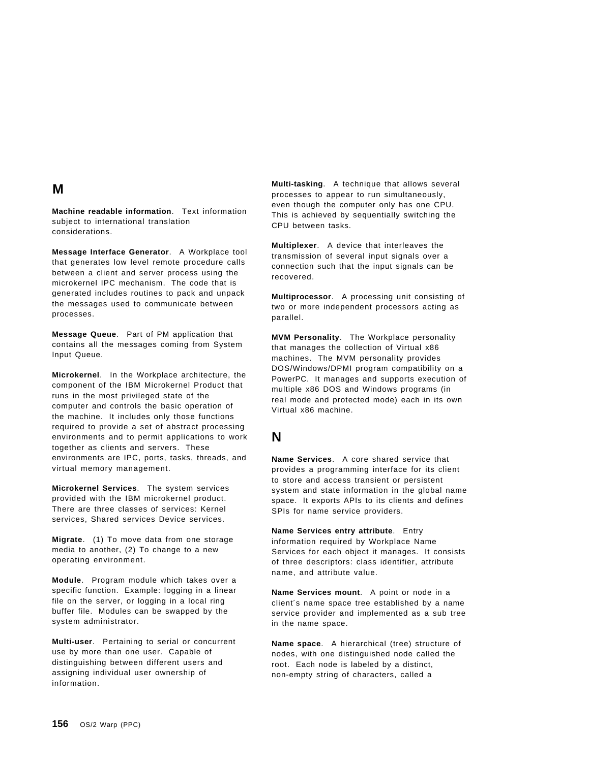#### **M**

**Machine readable information**. Text information subject to international translation considerations.

**Message Interface Generator**. A Workplace tool that generates low level remote procedure calls between a client and server process using the microkernel IPC mechanism. The code that is generated includes routines to pack and unpack the messages used to communicate between processes.

**Message Queue**. Part of PM application that contains all the messages coming from System Input Queue.

**Microkernel**. In the Workplace architecture, the component of the IBM Microkernel Product that runs in the most privileged state of the computer and controls the basic operation of the machine. It includes only those functions required to provide a set of abstract processing environments and to permit applications to work together as clients and servers. These environments are IPC, ports, tasks, threads, and virtual memory management.

**Microkernel Services**. The system services provided with the IBM microkernel product. There are three classes of services: Kernel services, Shared services Device services.

**Migrate**. (1) To move data from one storage media to another, (2) To change to a new operating environment.

**Module**. Program module which takes over a specific function. Example: logging in a linear file on the server, or logging in a local ring buffer file. Modules can be swapped by the system administrator.

**Multi-user**. Pertaining to serial or concurrent use by more than one user. Capable of distinguishing between different users and assigning individual user ownership of information.

**Multi-tasking**. A technique that allows several processes to appear to run simultaneously, even though the computer only has one CPU. This is achieved by sequentially switching the CPU between tasks.

**Multiplexer**. A device that interleaves the transmission of several input signals over a connection such that the input signals can be recovered.

**Multiprocessor**. A processing unit consisting of two or more independent processors acting as parallel.

**MVM Personality**. The Workplace personality that manages the collection of Virtual x86 machines. The MVM personality provides DOS/Windows/DPMI program compatibility on a PowerPC. It manages and supports execution of multiple x86 DOS and Windows programs (in real mode and protected mode) each in its own Virtual x86 machine.

### **N**

**Name Services**. A core shared service that provides a programming interface for its client to store and access transient or persistent system and state information in the global name space. It exports APIs to its clients and defines SPIs for name service providers.

**Name Services entry attribute**. Entry information required by Workplace Name Services for each object it manages. It consists of three descriptors: class identifier, attribute name, and attribute value.

**Name Services mount**. A point or node in a client′s name space tree established by a name service provider and implemented as a sub tree in the name space.

**Name space**. A hierarchical (tree) structure of nodes, with one distinguished node called the root. Each node is labeled by a distinct, non-empty string of characters, called a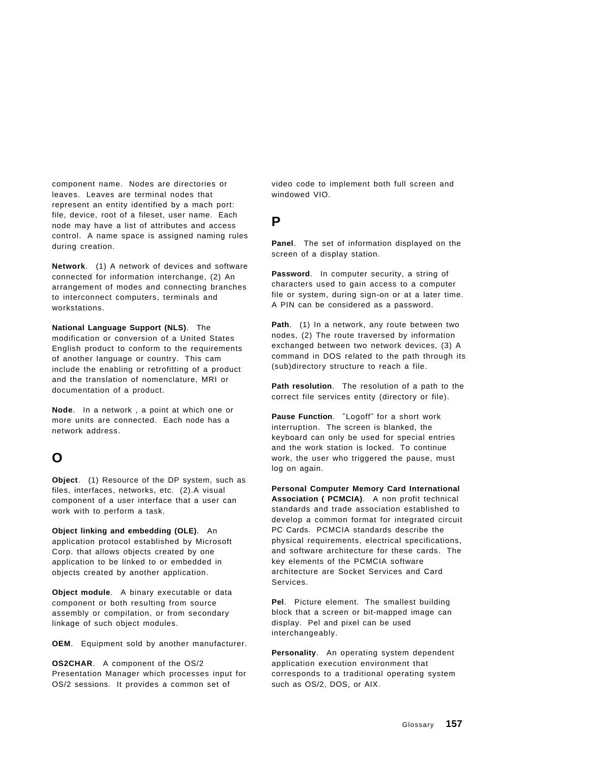component name. Nodes are directories or leaves. Leaves are terminal nodes that represent an entity identified by a mach port: file, device, root of a fileset, user name. Each node may have a list of attributes and access control. A name space is assigned naming rules during creation.

**Network**. (1) A network of devices and software connected for information interchange, (2) An arrangement of modes and connecting branches to interconnect computers, terminals and workstations.

**National Language Support (NLS)**. The modification or conversion of a United States English product to conform to the requirements of another language or country. This cam include the enabling or retrofitting of a product and the translation of nomenclature, MRI or documentation of a product.

**Node**. In a network , a point at which one or more units are connected. Each node has a network address.

### **O**

**Object**. (1) Resource of the DP system, such as files, interfaces, networks, etc. (2).A visual component of a user interface that a user can work with to perform a task.

**Object linking and embedding (OLE)**. An application protocol established by Microsoft Corp. that allows objects created by one application to be linked to or embedded in objects created by another application.

**Object module**. A binary executable or data component or both resulting from source assembly or compilation, or from secondary linkage of such object modules.

**OEM**. Equipment sold by another manufacturer.

**OS2CHAR**. A component of the OS/2 Presentation Manager which processes input for OS/2 sessions. It provides a common set of

video code to implement both full screen and windowed VIO.

#### **P**

**Panel**. The set of information displayed on the screen of a display station.

**Password**. In computer security, a string of characters used to gain access to a computer file or system, during sign-on or at a later time. A PIN can be considered as a password.

**Path**. (1) In a network, any route between two nodes, (2) The route traversed by information exchanged between two network devices, (3) A command in DOS related to the path through its (sub)directory structure to reach a file.

**Path resolution**. The resolution of a path to the correct file services entity (directory or file).

**Pause Function**. ″Logoff″ for a short work interruption. The screen is blanked, the keyboard can only be used for special entries and the work station is locked. To continue work, the user who triggered the pause, must log on again.

**Personal Computer Memory Card International Association ( PCMCIA)**. A non profit technical standards and trade association established to develop a common format for integrated circuit PC Cards. PCMCIA standards describe the physical requirements, electrical specifications, and software architecture for these cards. The key elements of the PCMCIA software architecture are Socket Services and Card Services.

**Pel**. Picture element. The smallest building block that a screen or bit-mapped image can display. Pel and pixel can be used interchangeably.

**Personality**. An operating system dependent application execution environment that corresponds to a traditional operating system such as OS/2, DOS, or AIX.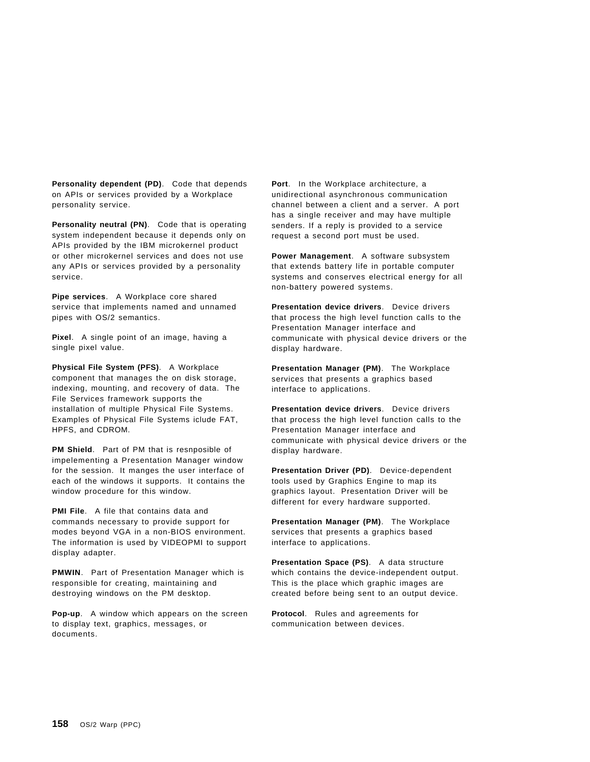**Personality dependent (PD)**. Code that depends on APIs or services provided by a Workplace personality service.

**Personality neutral (PN)**. Code that is operating system independent because it depends only on APIs provided by the IBM microkernel product or other microkernel services and does not use any APIs or services provided by a personality service.

**Pipe services**. A Workplace core shared service that implements named and unnamed pipes with OS/2 semantics.

**Pixel**. A single point of an image, having a single pixel value.

**Physical File System (PFS)**. A Workplace component that manages the on disk storage, indexing, mounting, and recovery of data. The File Services framework supports the installation of multiple Physical File Systems. Examples of Physical File Systems iclude FAT, HPFS, and CDROM.

**PM Shield**. Part of PM that is resnposible of impelementing a Presentation Manager window for the session. It manges the user interface of each of the windows it supports. It contains the window procedure for this window.

**PMI File**. A file that contains data and commands necessary to provide support for modes beyond VGA in a non-BIOS environment. The information is used by VIDEOPMI to support display adapter.

**PMWIN**. Part of Presentation Manager which is responsible for creating, maintaining and destroying windows on the PM desktop.

**Pop-up**. A window which appears on the screen to display text, graphics, messages, or documents.

**Port**. In the Workplace architecture, a unidirectional asynchronous communication channel between a client and a server. A port has a single receiver and may have multiple senders. If a reply is provided to a service request a second port must be used.

**Power Management**. A software subsystem that extends battery life in portable computer systems and conserves electrical energy for all non-battery powered systems.

**Presentation device drivers**. Device drivers that process the high level function calls to the Presentation Manager interface and communicate with physical device drivers or the display hardware.

**Presentation Manager (PM)**. The Workplace services that presents a graphics based interface to applications.

**Presentation device drivers**. Device drivers that process the high level function calls to the Presentation Manager interface and communicate with physical device drivers or the display hardware.

**Presentation Driver (PD)**. Device-dependent tools used by Graphics Engine to map its graphics layout. Presentation Driver will be different for every hardware supported.

**Presentation Manager (PM)**. The Workplace services that presents a graphics based interface to applications.

**Presentation Space (PS)**. A data structure which contains the device-independent output. This is the place which graphic images are created before being sent to an output device.

**Protocol**. Rules and agreements for communication between devices.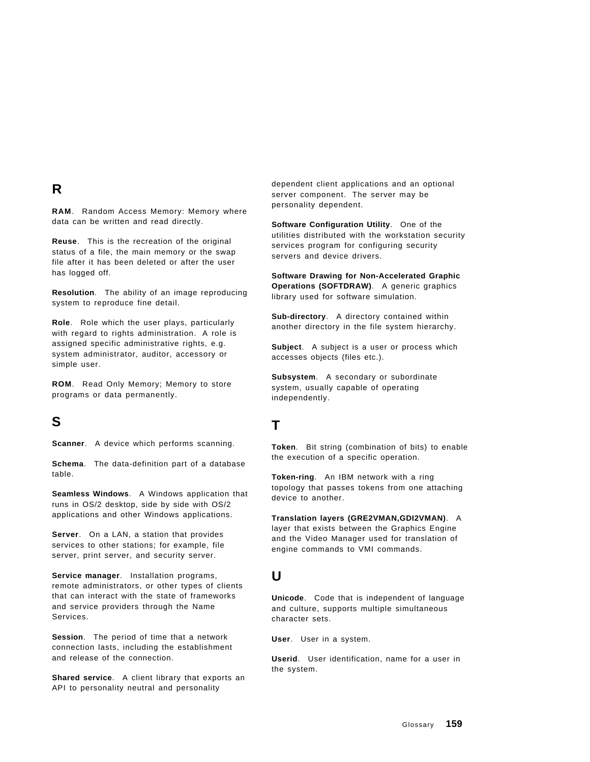### **R**

**RAM**. Random Access Memory: Memory where data can be written and read directly.

**Reuse**. This is the recreation of the original status of a file, the main memory or the swap file after it has been deleted or after the user has logged off.

**Resolution**. The ability of an image reproducing system to reproduce fine detail.

**Role**. Role which the user plays, particularly with regard to rights administration. A role is assigned specific administrative rights, e.g. system administrator, auditor, accessory or simple user.

**ROM**. Read Only Memory; Memory to store programs or data permanently.

# **S**

**Scanner**. A device which performs scanning.

**Schema**. The data-definition part of a database table.

**Seamless Windows**. A Windows application that runs in OS/2 desktop, side by side with OS/2 applications and other Windows applications.

**Server**. On a LAN, a station that provides services to other stations; for example, file server, print server, and security server.

**Service manager**. Installation programs, remote administrators, or other types of clients that can interact with the state of frameworks and service providers through the Name Services.

**Session**. The period of time that a network connection lasts, including the establishment and release of the connection.

**Shared service**. A client library that exports an API to personality neutral and personality

dependent client applications and an optional server component. The server may be personality dependent.

**Software Configuration Utility**. One of the utilities distributed with the workstation security services program for configuring security servers and device drivers.

**Software Drawing for Non-Accelerated Graphic Operations (SOFTDRAW)**. A generic graphics library used for software simulation.

**Sub-directory**. A directory contained within another directory in the file system hierarchy.

**Subject**. A subject is a user or process which accesses objects (files etc.).

**Subsystem**. A secondary or subordinate system, usually capable of operating independently.

# **T**

**Token**. Bit string (combination of bits) to enable the execution of a specific operation.

**Token-ring**. An IBM network with a ring topology that passes tokens from one attaching device to another.

**Translation layers (GRE2VMAN,GDI2VMAN)**. A layer that exists between the Graphics Engine and the Video Manager used for translation of engine commands to VMI commands.

# **U**

**Unicode**. Code that is independent of language and culture, supports multiple simultaneous character sets.

**User**. User in a system.

**Userid**. User identification, name for a user in the system.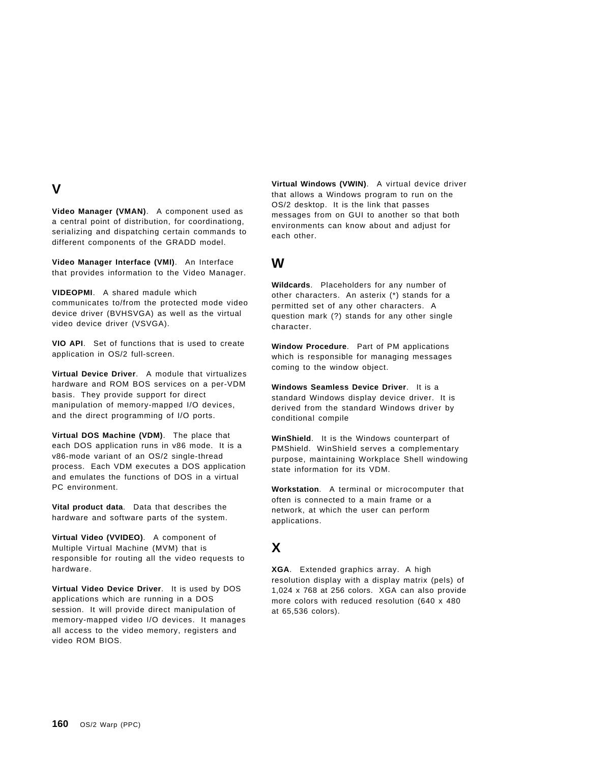#### **V**

**Video Manager (VMAN)**. A component used as a central point of distribution, for coordinationg, serializing and dispatching certain commands to different components of the GRADD model.

**Video Manager Interface (VMI)**. An Interface that provides information to the Video Manager.

**VIDEOPMI**. A shared madule which communicates to/from the protected mode video device driver (BVHSVGA) as well as the virtual video device driver (VSVGA).

**VIO API**. Set of functions that is used to create application in OS/2 full-screen.

**Virtual Device Driver**. A module that virtualizes hardware and ROM BOS services on a per-VDM basis. They provide support for direct manipulation of memory-mapped I/O devices, and the direct programming of I/O ports.

**Virtual DOS Machine (VDM)**. The place that each DOS application runs in v86 mode. It is a v86-mode variant of an OS/2 single-thread process. Each VDM executes a DOS application and emulates the functions of DOS in a virtual PC environment.

**Vital product data**. Data that describes the hardware and software parts of the system.

**Virtual Video (VVIDEO)**. A component of Multiple Virtual Machine (MVM) that is responsible for routing all the video requests to hardware.

**Virtual Video Device Driver**. It is used by DOS applications which are running in a DOS session. It will provide direct manipulation of memory-mapped video I/O devices. It manages all access to the video memory, registers and video ROM BIOS.

**Virtual Windows (VWIN)**. A virtual device driver that allows a Windows program to run on the OS/2 desktop. It is the link that passes messages from on GUI to another so that both environments can know about and adjust for each other.

#### **W**

**Wildcards**. Placeholders for any number of other characters. An asterix (\*) stands for a permitted set of any other characters. A question mark (?) stands for any other single character.

**Window Procedure**. Part of PM applications which is responsible for managing messages coming to the window object.

**Windows Seamless Device Driver**. It is a standard Windows display device driver. It is derived from the standard Windows driver by conditional compile

**WinShield**. It is the Windows counterpart of PMShield. WinShield serves a complementary purpose, maintaining Workplace Shell windowing state information for its VDM.

**Workstation**. A terminal or microcomputer that often is connected to a main frame or a network, at which the user can perform applications.

# **X**

**XGA**. Extended graphics array. A high resolution display with a display matrix (pels) of 1,024 x 768 at 256 colors. XGA can also provide more colors with reduced resolution (640 x 480 at 65,536 colors).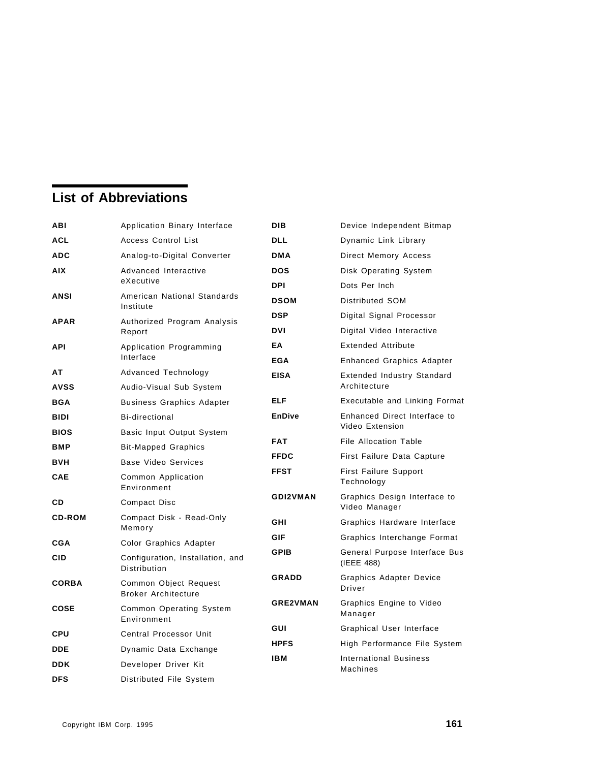# **List of Abbreviations**

| ABI           | Application Binary Interface                        | DIB             | Device Independent Bitmap                       |  |
|---------------|-----------------------------------------------------|-----------------|-------------------------------------------------|--|
| <b>ACL</b>    | <b>Access Control List</b>                          | <b>DLL</b>      | Dynamic Link Library                            |  |
| <b>ADC</b>    | Analog-to-Digital Converter                         | <b>DMA</b>      | Direct Memory Access                            |  |
| <b>AIX</b>    | Advanced Interactive                                | <b>DOS</b>      | Disk Operating System                           |  |
|               | eXecutive                                           | <b>DPI</b>      | Dots Per Inch                                   |  |
| <b>ANSI</b>   | American National Standards<br>Institute            | <b>DSOM</b>     | Distributed SOM                                 |  |
| <b>APAR</b>   | Authorized Program Analysis                         | <b>DSP</b>      | Digital Signal Processor                        |  |
|               | Report                                              | DVI             | Digital Video Interactive                       |  |
| <b>API</b>    | Application Programming                             | ΕA              | <b>Extended Attribute</b>                       |  |
|               | Interface                                           | EGA             | <b>Enhanced Graphics Adapter</b>                |  |
| АT            | Advanced Technology                                 | <b>EISA</b>     | Extended Industry Standard                      |  |
| <b>AVSS</b>   | Audio-Visual Sub System                             |                 | Architecture                                    |  |
| <b>BGA</b>    | <b>Business Graphics Adapter</b>                    | <b>ELF</b>      | Executable and Linking Format                   |  |
| <b>BIDI</b>   | Bi-directional                                      | <b>EnDive</b>   | Enhanced Direct Interface to<br>Video Extension |  |
| <b>BIOS</b>   | Basic Input Output System                           | <b>FAT</b>      | <b>File Allocation Table</b>                    |  |
| <b>BMP</b>    | <b>Bit-Mapped Graphics</b>                          | <b>FFDC</b>     | First Failure Data Capture                      |  |
| <b>BVH</b>    | <b>Base Video Services</b>                          | <b>FFST</b>     | <b>First Failure Support</b>                    |  |
| <b>CAE</b>    | Common Application<br>Environment                   |                 | Technology                                      |  |
| CD            | Compact Disc                                        | <b>GDI2VMAN</b> | Graphics Design Interface to<br>Video Manager   |  |
| <b>CD-ROM</b> | Compact Disk - Read-Only<br>Memory                  | GHI             | Graphics Hardware Interface                     |  |
| <b>CGA</b>    | Color Graphics Adapter                              | GIF             | Graphics Interchange Format                     |  |
| <b>CID</b>    | Configuration, Installation, and<br>Distribution    | <b>GPIB</b>     | General Purpose Interface Bus<br>(IEEE 488)     |  |
| <b>CORBA</b>  | Common Object Request<br><b>Broker Architecture</b> | <b>GRADD</b>    | Graphics Adapter Device<br>Driver               |  |
| <b>COSE</b>   | Common Operating System<br>Environment              | <b>GRE2VMAN</b> | Graphics Engine to Video<br>Manager             |  |
| <b>CPU</b>    | Central Processor Unit                              | GUI             | Graphical User Interface                        |  |
| <b>DDE</b>    | Dynamic Data Exchange                               | <b>HPFS</b>     | High Performance File System                    |  |
| <b>DDK</b>    | Developer Driver Kit                                | <b>IBM</b>      | <b>International Business</b><br>Machines       |  |
| <b>DFS</b>    | Distributed File System                             |                 |                                                 |  |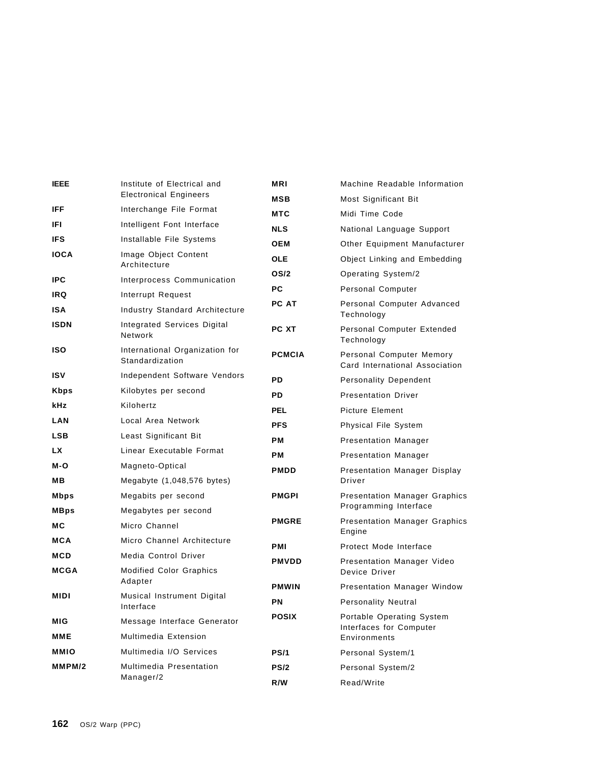| <b>IEEE</b> | Institute of Electrical and                       | MRI           | Machine Readable Information                               |  |
|-------------|---------------------------------------------------|---------------|------------------------------------------------------------|--|
|             | <b>Electronical Engineers</b>                     | <b>MSB</b>    | Most Significant Bit                                       |  |
| IFF.        | Interchange File Format                           | MTC           | Midi Time Code                                             |  |
| IFI         | Intelligent Font Interface                        | <b>NLS</b>    | National Language Support                                  |  |
| <b>IFS</b>  | Installable File Systems                          | <b>OEM</b>    | Other Equipment Manufacturer                               |  |
| <b>IOCA</b> | Image Object Content<br>Architecture              | <b>OLE</b>    | Object Linking and Embedding                               |  |
| IPC         | Interprocess Communication                        | <b>OS/2</b>   | Operating System/2                                         |  |
| IRQ         | Interrupt Request                                 | <b>PC</b>     | Personal Computer                                          |  |
| ISA         | Industry Standard Architecture                    | PC AT         | Personal Computer Advanced<br>Technology                   |  |
| <b>ISDN</b> | Integrated Services Digital<br>Network            | <b>PC XT</b>  | Personal Computer Extended<br>Technology                   |  |
| <b>ISO</b>  | International Organization for<br>Standardization | <b>PCMCIA</b> | Personal Computer Memory<br>Card International Association |  |
| <b>ISV</b>  | Independent Software Vendors                      | <b>PD</b>     | <b>Personality Dependent</b>                               |  |
| <b>Kbps</b> | Kilobytes per second                              | PD            | <b>Presentation Driver</b>                                 |  |
| kHz.        | Kilohertz                                         | <b>PEL</b>    | <b>Picture Element</b>                                     |  |
| <b>LAN</b>  | Local Area Network                                | <b>PFS</b>    | Physical File System                                       |  |
| <b>LSB</b>  | Least Significant Bit                             | РM            | <b>Presentation Manager</b>                                |  |
| <b>LX</b>   | Linear Executable Format                          | <b>PM</b>     | <b>Presentation Manager</b>                                |  |
| М-О         | Magneto-Optical                                   | <b>PMDD</b>   | Presentation Manager Display                               |  |
| MВ          | Megabyte (1,048,576 bytes)                        |               | Driver                                                     |  |
| Mbps        | Megabits per second                               | <b>PMGPI</b>  | <b>Presentation Manager Graphics</b>                       |  |
| <b>MBps</b> | Megabytes per second                              |               | Programming Interface                                      |  |
| МC          | Micro Channel                                     | <b>PMGRE</b>  | <b>Presentation Manager Graphics</b><br>Engine             |  |
| MCA         | Micro Channel Architecture                        | PMI           | Protect Mode Interface                                     |  |
| <b>MCD</b>  | Media Control Driver                              | <b>PMVDD</b>  | Presentation Manager Video                                 |  |
| <b>MCGA</b> | <b>Modified Color Graphics</b><br>Adapter         |               | Device Driver                                              |  |
| MIDI        | Musical Instrument Digital                        | <b>PMWIN</b>  | Presentation Manager Window                                |  |
|             | Interface                                         | PN            | <b>Personality Neutral</b>                                 |  |
| MIG         | Message Interface Generator                       | <b>POSIX</b>  | Portable Operating System<br>Interfaces for Computer       |  |
| MME         | Multimedia Extension                              |               | Environments                                               |  |
| <b>MMIO</b> | Multimedia I/O Services                           | <b>PS/1</b>   | Personal System/1                                          |  |
| MMPM/2      | Multimedia Presentation                           | <b>PS/2</b>   | Personal System/2                                          |  |
|             | Manager/2                                         | R/W           | Read/Write                                                 |  |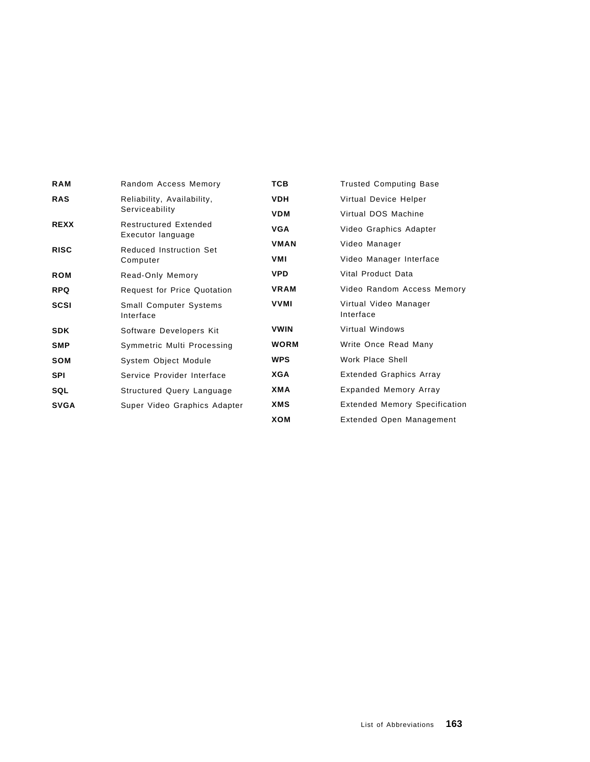| <b>RAM</b>  | Random Access Memory                       | <b>TCB</b>  | <b>Trusted Computing Base</b>        |
|-------------|--------------------------------------------|-------------|--------------------------------------|
| <b>RAS</b>  | Reliability, Availability,                 | <b>VDH</b>  | Virtual Device Helper                |
|             | Serviceability                             | <b>VDM</b>  | Virtual DOS Machine                  |
| <b>REXX</b> | Restructured Extended<br>Executor language | <b>VGA</b>  | Video Graphics Adapter               |
| <b>RISC</b> | Reduced Instruction Set                    | <b>VMAN</b> | Video Manager                        |
|             | Computer                                   | VMI         | Video Manager Interface              |
| <b>ROM</b>  | Read-Only Memory                           | <b>VPD</b>  | Vital Product Data                   |
| <b>RPQ</b>  | <b>Request for Price Quotation</b>         | <b>VRAM</b> | Video Random Access Memory           |
| <b>SCSI</b> | <b>Small Computer Systems</b><br>Interface | <b>VVMI</b> | Virtual Video Manager<br>Interface   |
| <b>SDK</b>  | Software Developers Kit                    | <b>VWIN</b> | Virtual Windows                      |
| <b>SMP</b>  | Symmetric Multi Processing                 | <b>WORM</b> | Write Once Read Many                 |
| <b>SOM</b>  | System Object Module                       | <b>WPS</b>  | Work Place Shell                     |
| <b>SPI</b>  | Service Provider Interface                 | <b>XGA</b>  | <b>Extended Graphics Array</b>       |
| SQL         | Structured Query Language                  | <b>XMA</b>  | Expanded Memory Array                |
| <b>SVGA</b> | Super Video Graphics Adapter               | XMS         | <b>Extended Memory Specification</b> |
|             |                                            | <b>XOM</b>  | Extended Open Management             |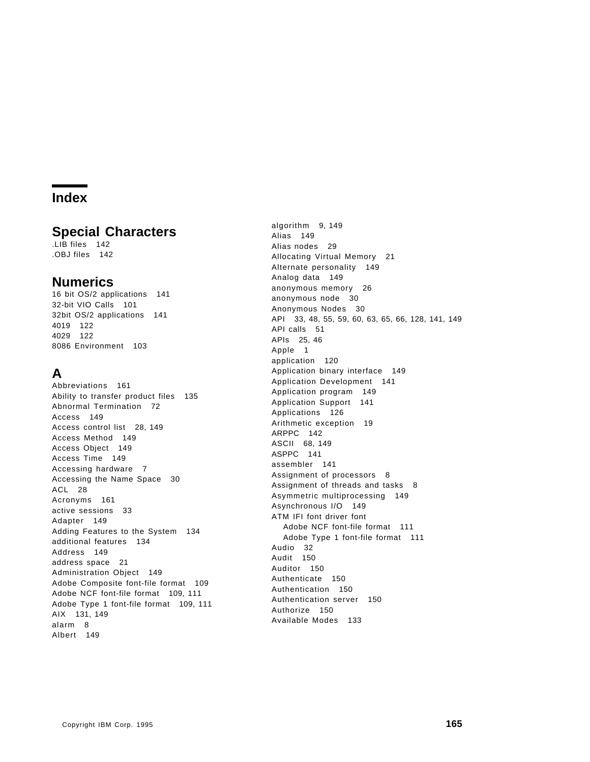### **Index**

#### **Special Characters**

.LIB files 142 .OBJ files 142

#### **Numerics**

16 bit OS/2 applications 141 32-bit VIO Calls 101 32bit OS/2 applications 141 4019 122 4029 122 8086 Environment 103

## **A**

Abbreviations 161 Ability to transfer product files 135 Abnormal Termination 72 Access 149 Access control list 28, 149 Access Method 149 Access Object 149 Access Time 149 Accessing hardware 7 Accessing the Name Space 30 ACL 28 Acronyms 161 active sessions 33 Adapter 149 Adding Features to the System 134 additional features 134 Address 149 address space 21 Administration Object 149 Adobe Composite font-file format 109 Adobe NCF font-file format 109, 111 Adobe Type 1 font-file format 109, 111 AIX 131, 149 alarm 8 Albert 149

algorithm 9, 149 Alias 149 Alias nodes 29 Allocating Virtual Memory 21 Alternate personality 149 Analog data 149 anonymous memory 26 anonymous node 30 Anonymous Nodes 30 API 33, 48, 55, 59, 60, 63, 65, 66, 128, 141, 149 API calls 51 APIs 25, 46 Apple 1 application 120 Application binary interface 149 Application Development 141 Application program 149 Application Support 141 Applications 126 Arithmetic exception 19 ARPPC 142 ASCII 68, 149 ASPPC 141 assembler 141 Assignment of processors 8 Assignment of threads and tasks 8 Asymmetric multiprocessing 149 Asynchronous I/O 149 ATM IFI font driver font Adobe NCF font-file format 111 Adobe Type 1 font-file format 111 Audio 32 Audit 150 Auditor 150 Authenticate 150 Authentication 150 Authentication server 150 Authorize 150 Available Modes 133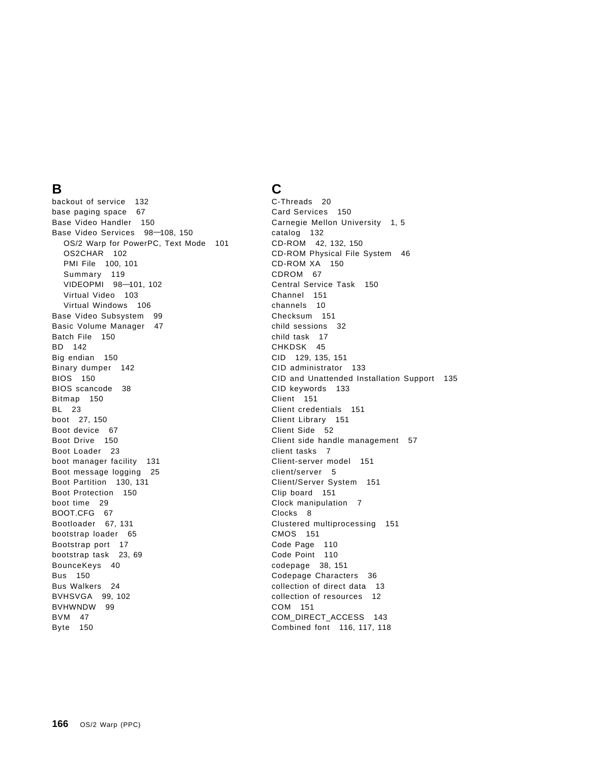#### **B**

backout of service 132 base paging space 67 Base Video Handler 150 Base Video Services 98—108, 150 OS/2 Warp for PowerPC, Text Mode 101 OS2CHAR 102 PMI File 100, 101 Summary 119 VIDEOPMI 98—101, 102 Virtual Video 103 Virtual Windows 106 Base Video Subsystem 99 Basic Volume Manager 47 Batch File 150 BD 142 Big endian 150 Binary dumper 142 BIOS 150 BIOS scancode 38 Bitmap 150 BL 23 boot 27, 150 Boot device 67 Boot Drive 150 Boot Loader 23 boot manager facility 131 Boot message logging 25 Boot Partition 130, 131 Boot Protection 150 boot time 29 BOOT.CFG 67 Bootloader 67, 131 bootstrap loader 65 Bootstrap port 17 bootstrap task 23, 69 BounceKeys 40 Bus 150 Bus Walkers 24 BVHSVGA 99, 102 BVHWNDW 99 BVM 47 Byte 150

## **C**

C-Threads 20 Card Services 150 Carnegie Mellon University 1, 5 catalog 132 CD-ROM 42, 132, 150 CD-ROM Physical File System 46 CD-ROM XA 150 CDROM 67 Central Service Task 150 Channel 151 channels 10 Checksum 151 child sessions 32 child task 17 CHKDSK 45 CID 129, 135, 151 CID administrator 133 CID and Unattended Installation Support 135 CID keywords 133 Client 151 Client credentials 151 Client Library 151 Client Side 52 Client side handle management 57 client tasks 7 Client-server model 151 client/server 5 Client/Server System 151 Clip board 151 Clock manipulation 7 Clocks 8 Clustered multiprocessing 151 CMOS 151 Code Page 110 Code Point 110 codepage 38, 151 Codepage Characters 36 collection of direct data 13 collection of resources 12 COM 151 COM\_DIRECT\_ACCESS 143 Combined font 116, 117, 118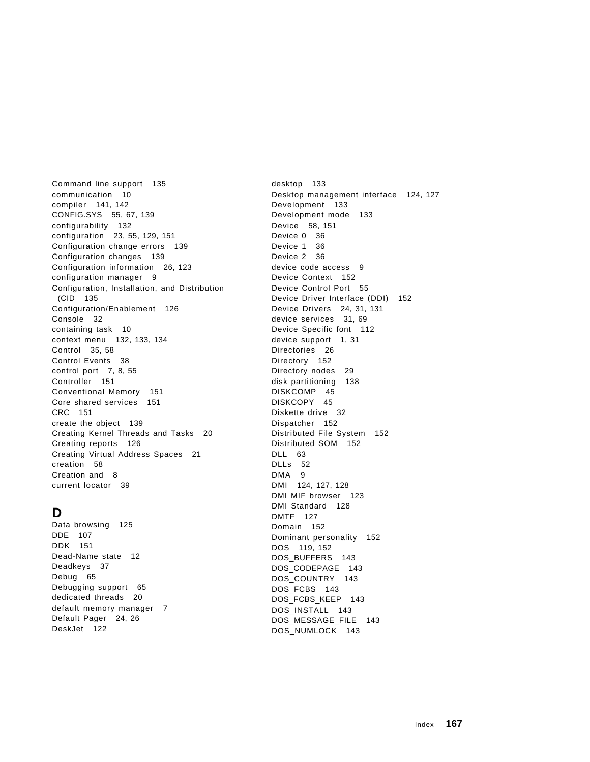Command line support 135 communication 10 compiler 141, 142 CONFIG.SYS 55, 67, 139 configurability 132 configuration 23, 55, 129, 151 Configuration change errors 139 Configuration changes 139 Configuration information 26, 123 configuration manager 9 Configuration, Installation, and Distribution (CID 135 Configuration/Enablement 126 Console 32 containing task 10 context menu 132, 133, 134 Control 35, 58 Control Events 38 control port 7, 8, 55 Controller 151 Conventional Memory 151 Core shared services 151 CRC 151 create the object 139 Creating Kernel Threads and Tasks 20 Creating reports 126 Creating Virtual Address Spaces 21 creation 58 Creation and 8 current locator 39

## **D**

Data browsing 125 DDE 107 DDK 151 Dead-Name state 12 Deadkeys 37 Debug 65 Debugging support 65 dedicated threads 20 default memory manager 7 Default Pager 24, 26 DeskJet 122

desktop 133 Desktop management interface 124, 127 Development 133 Development mode 133 Device 58, 151 Device 0 36 Device 1 36 Device 2 36 device code access 9 Device Context 152 Device Control Port 55 Device Driver Interface (DDI) 152 Device Drivers 24, 31, 131 device services 31, 69 Device Specific font 112 device support 1, 31 Directories 26 Directory 152 Directory nodes 29 disk partitioning 138 DISKCOMP 45 DISKCOPY 45 Diskette drive 32 Dispatcher 152 Distributed File System 152 Distributed SOM 152 DLL 63 DLLs 52 DMA 9 DMI 124, 127, 128 DMI MIF browser 123 DMI Standard 128 DMTF 127 Domain 152 Dominant personality 152 DOS 119, 152 DOS\_BUFFERS 143 DOS\_CODEPAGE 143 DOS\_COUNTRY 143 DOS FCBS 143 DOS\_FCBS\_KEEP 143 DOS\_INSTALL 143 DOS\_MESSAGE\_FILE 143 DOS\_NUMLOCK 143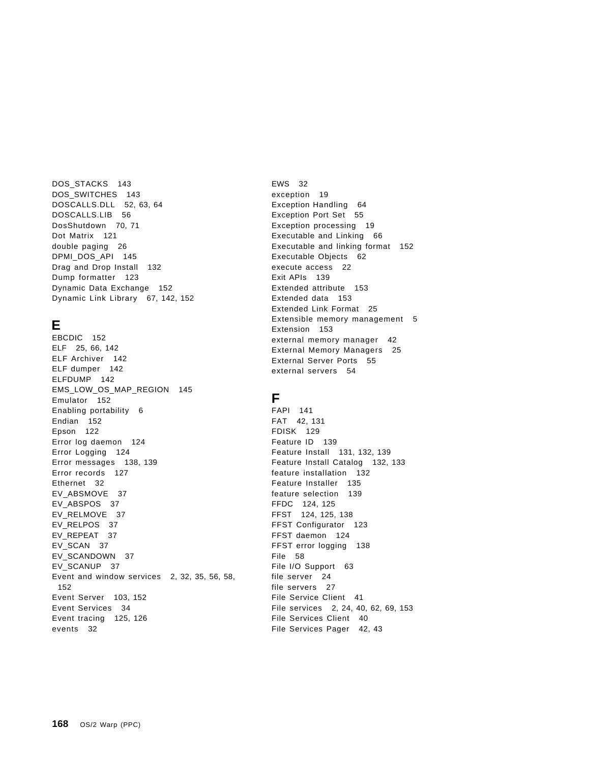DOS\_STACKS 143 DOS\_SWITCHES 143 DOSCALLS.DLL 52, 63, 64 DOSCALLS.LIB 56 DosShutdown 70, 71 Dot Matrix 121 double paging 26 DPMI\_DOS\_API 145 Drag and Drop Install 132 Dump formatter 123 Dynamic Data Exchange 152 Dynamic Link Library 67, 142, 152

#### **E**

EBCDIC 152 ELF 25, 66, 142 ELF Archiver 142 ELF dumper 142 ELFDUMP 142 EMS\_LOW\_OS\_MAP\_REGION 145 Emulator 152 Enabling portability 6 Endian 152 Epson 122 Error log daemon 124 Error Logging 124 Error messages 138, 139 Error records 127 Ethernet 32 EV\_ABSMOVE 37 EV\_ABSPOS 37 EV\_RELMOVE 37 EV\_RELPOS 37 EV\_REPEAT 37 EV\_SCAN 37 EV\_SCANDOWN 37 EV\_SCANUP 37 Event and window services 2, 32, 35, 56, 58, 152 Event Server 103, 152 Event Services 34 Event tracing 125, 126 events 32

EWS 32 exception 19 Exception Handling 64 Exception Port Set 55 Exception processing 19 Executable and Linking 66 Executable and linking format 152 Executable Objects 62 execute access 22 Exit APIs 139 Extended attribute 153 Extended data 153 Extended Link Format 25 Extensible memory management 5 Extension 153 external memory manager 42 External Memory Managers 25 External Server Ports 55 external servers 54

## **F**

FAPI 141 FAT 42, 131 FDISK 129 Feature ID 139 Feature Install 131, 132, 139 Feature Install Catalog 132, 133 feature installation 132 Feature Installer 135 feature selection 139 FFDC 124, 125 FFST 124, 125, 138 FFST Configurator 123 FFST daemon 124 FFST error logging 138 File 58 File I/O Support 63 file server 24 file servers 27 File Service Client 41 File services 2, 24, 40, 62, 69, 153 File Services Client 40 File Services Pager 42, 43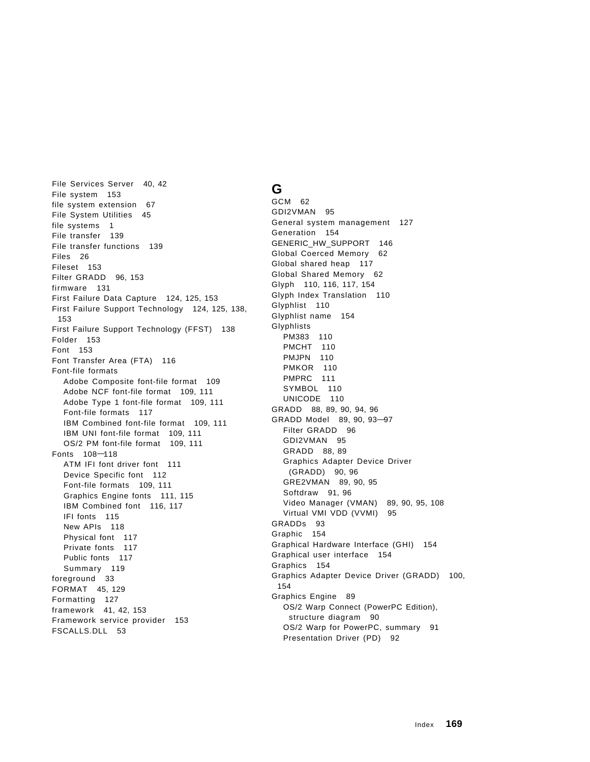File Services Server 40, 42 File system 153 file system extension 67 File System Utilities 45 file systems 1 File transfer 139 File transfer functions 139 Files 26 Fileset 153 Filter GRADD 96, 153 firmware 131 First Failure Data Capture 124, 125, 153 First Failure Support Technology 124, 125, 138, 153 First Failure Support Technology (FFST) 138 Folder 153 Font 153 Font Transfer Area (FTA) 116 Font-file formats Adobe Composite font-file format 109 Adobe NCF font-file format 109, 111 Adobe Type 1 font-file format 109, 111 Font-file formats 117 IBM Combined font-file format 109, 111 IBM UNI font-file format 109, 111 OS/2 PM font-file format 109, 111 Fonts 108—118 ATM IFI font driver font 111 Device Specific font 112 Font-file formats 109, 111 Graphics Engine fonts 111, 115 IBM Combined font 116, 117 IFI fonts 115 New APIs 118 Physical font 117 Private fonts 117 Public fonts 117 Summary 119 foreground 33 FORMAT 45, 129 Formatting 127 framework 41, 42, 153 Framework service provider 153 FSCALLS.DLL 53

#### **G**

GCM 62 GDI2VMAN 95 General system management 127 Generation 154 GENERIC\_HW\_SUPPORT 146 Global Coerced Memory 62 Global shared heap 117 Global Shared Memory 62 Glyph 110, 116, 117, 154 Glyph Index Translation 110 Glyphlist 110 Glyphlist name 154 Glyphlists PM383 110 PMCHT 110 PMJPN 110 PMKOR 110 PMPRC 111 SYMBOL 110 UNICODE 110 GRADD 88, 89, 90, 94, 96 GRADD Model 89, 90, 93—97 Filter GRADD 96 GDI2VMAN 95 GRADD 88, 89 Graphics Adapter Device Driver (GRADD) 90, 96 GRE2VMAN 89, 90, 95 Softdraw 91, 96 Video Manager (VMAN) 89, 90, 95, 108 Virtual VMI VDD (VVMI) 95 GRADDs 93 Graphic 154 Graphical Hardware Interface (GHI) 154 Graphical user interface 154 Graphics 154 Graphics Adapter Device Driver (GRADD) 100, 154 Graphics Engine 89 OS/2 Warp Connect (PowerPC Edition), structure diagram 90 OS/2 Warp for PowerPC, summary 91 Presentation Driver (PD) 92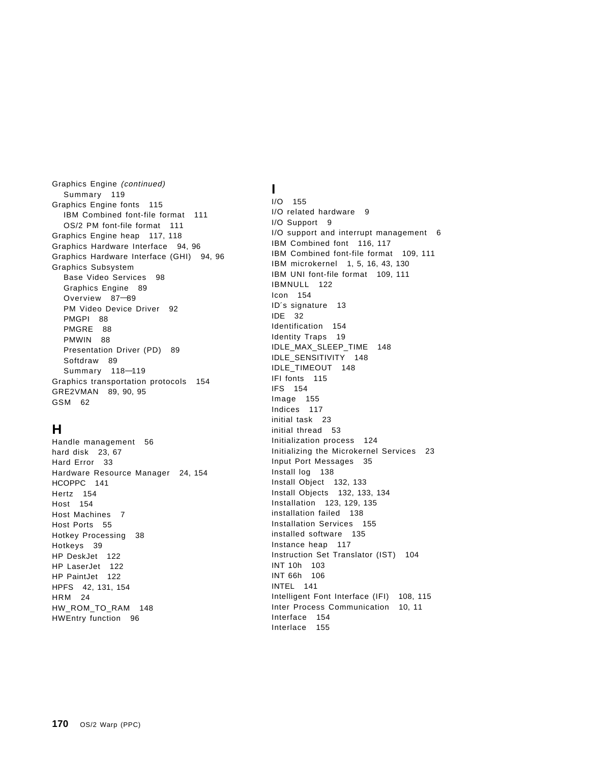Graphics Engine (continued) Summary 119 Graphics Engine fonts 115 IBM Combined font-file format 111 OS/2 PM font-file format 111 Graphics Engine heap 117, 118 Graphics Hardware Interface 94, 96 Graphics Hardware Interface (GHI) 94, 96 Graphics Subsystem Base Video Services 98 Graphics Engine 89 Overview 87—89 PM Video Device Driver 92 PMGPI 88 PMGRE 88 PMWIN 88 Presentation Driver (PD) 89 Softdraw 89 Summary 118—119 Graphics transportation protocols 154 GRE2VMAN 89, 90, 95 GSM 62

### **H**

Handle management 56 hard disk 23, 67 Hard Error 33 Hardware Resource Manager 24, 154 HCOPPC 141 Hertz 154 Host 154 Host Machines 7 Host Ports 55 Hotkey Processing 38 Hotkeys 39 HP DeskJet 122 HP LaserJet 122 HP PaintJet 122 HPFS 42, 131, 154 HRM 24 HW\_ROM\_TO\_RAM 148 HWEntry function 96

**I**

I/O 155 I/O related hardware 9 I/O Support 9 I/O support and interrupt management 6 IBM Combined font 116, 117 IBM Combined font-file format 109, 111 IBM microkernel 1, 5, 16, 43, 130 IBM UNI font-file format 109, 111 IBMNULL 122 Icon 154 ID′s signature 13 IDE 32 Identification 154 Identity Traps 19 IDLE\_MAX\_SLEEP\_TIME 148 IDLE\_SENSITIVITY 148 IDLE\_TIMEOUT 148 IFI fonts 115 IFS 154 Image 155 Indices 117 initial task 23 initial thread 53 Initialization process 124 Initializing the Microkernel Services 23 Input Port Messages 35 Install log 138 Install Object 132, 133 Install Objects 132, 133, 134 Installation 123, 129, 135 installation failed 138 Installation Services 155 installed software 135 Instance heap 117 Instruction Set Translator (IST) 104 INT 10h 103 INT 66h 106 INTEL 141 Intelligent Font Interface (IFI) 108, 115 Inter Process Communication 10, 11 Interface 154 Interlace 155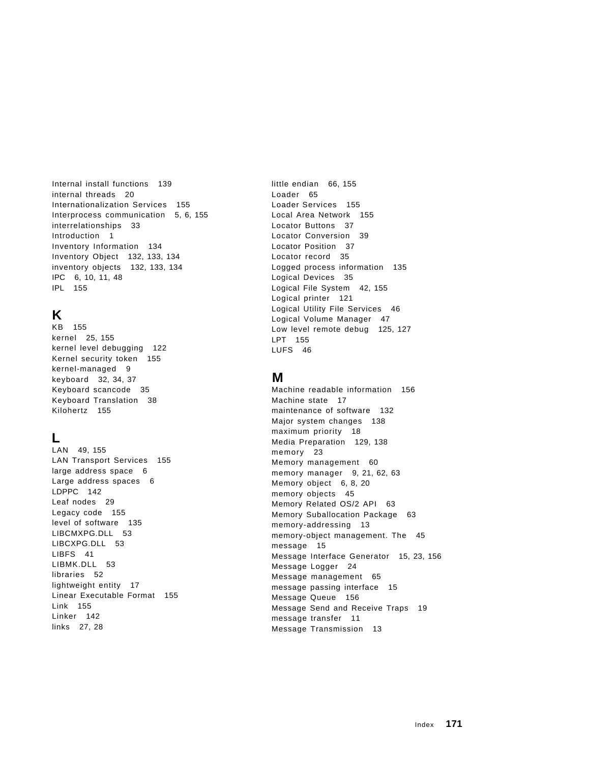Internal install functions 139 internal threads 20 Internationalization Services 155 Interprocess communication 5, 6, 155 interrelationships 33 Introduction 1 Inventory Information 134 Inventory Object 132, 133, 134 inventory objects 132, 133, 134 IPC 6, 10, 11, 48 IPL 155

# **K**

KB 155 kernel 25, 155 kernel level debugging 122 Kernel security token 155 kernel-managed 9 keyboard 32, 34, 37 Keyboard scancode 35 Keyboard Translation 38 Kilohertz 155

# **L**

LAN 49, 155 LAN Transport Services 155 large address space 6 Large address spaces 6 LDPPC 142 Leaf nodes 29 Legacy code 155 level of software 135 LIBCMXPG.DLL 53 LIBCXPG.DLL 53 LIBFS 41 LIBMK.DLL 53 libraries 52 lightweight entity 17 Linear Executable Format 155 Link 155 Linker 142 links 27, 28

little endian 66, 155 Loader 65 Loader Services 155 Local Area Network 155 Locator Buttons 37 Locator Conversion 39 Locator Position 37 Locator record 35 Logged process information 135 Logical Devices 35 Logical File System 42, 155 Logical printer 121 Logical Utility File Services 46 Logical Volume Manager 47 Low level remote debug 125, 127 LPT 155 LUFS 46

## **M**

Machine readable information 156 Machine state 17 maintenance of software 132 Major system changes 138 maximum priority 18 Media Preparation 129, 138 memory 23 Memory management 60 memory manager 9, 21, 62, 63 Memory object 6, 8, 20 memory objects 45 Memory Related OS/2 API 63 Memory Suballocation Package 63 memory-addressing 13 memory-object management. The 45 message 15 Message Interface Generator 15, 23, 156 Message Logger 24 Message management 65 message passing interface 15 Message Queue 156 Message Send and Receive Traps 19 message transfer 11 Message Transmission 13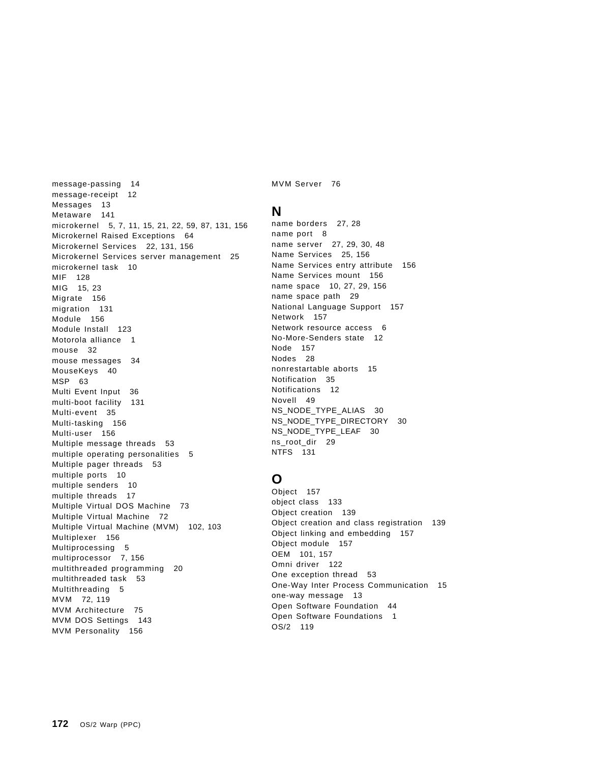MVM Server 76

message-passing 14 message-receipt 12 Messages 13 Metaware 141 microkernel 5, 7, 11, 15, 21, 22, 59, 87, 131, 156 Microkernel Raised Exceptions 64 Microkernel Services 22, 131, 156 Microkernel Services server management 25 microkernel task 10 MIF 128 MIG 15, 23 Migrate 156 migration 131 Module 156 Module Install 123 Motorola alliance 1 mouse 32 mouse messages 34 MouseKeys 40 MSP 63 Multi Event Input 36 multi-boot facility 131 Multi-event 35 Multi-tasking 156 Multi-user 156 Multiple message threads 53 multiple operating personalities 5 Multiple pager threads 53 multiple ports 10 multiple senders 10 multiple threads 17 Multiple Virtual DOS Machine 73 Multiple Virtual Machine 72 Multiple Virtual Machine (MVM) 102, 103 Multiplexer 156 Multiprocessing 5 multiprocessor 7, 156 multithreaded programming 20 multithreaded task 53 Multithreading 5 MVM 72, 119 MVM Architecture 75 MVM DOS Settings 143 MVM Personality 156

#### **N**

name borders 27, 28 name port 8 name server 27, 29, 30, 48 Name Services 25, 156 Name Services entry attribute 156 Name Services mount 156 name space 10, 27, 29, 156 name space path 29 National Language Support 157 Network 157 Network resource access 6 No-More-Senders state 12 Node 157 Nodes 28 nonrestartable aborts 15 Notification 35 Notifications 12 Novell 49 NS\_NODE\_TYPE\_ALIAS 30 NS\_NODE\_TYPE\_DIRECTORY 30 NS\_NODE\_TYPE\_LEAF 30 ns\_root\_dir 29 NTFS 131

## **O**

Object 157 object class 133 Object creation 139 Object creation and class registration 139 Object linking and embedding 157 Object module 157 OEM 101, 157 Omni driver 122 One exception thread 53 One-Way Inter Process Communication 15 one-way message 13 Open Software Foundation 44 Open Software Foundations 1 OS/2 119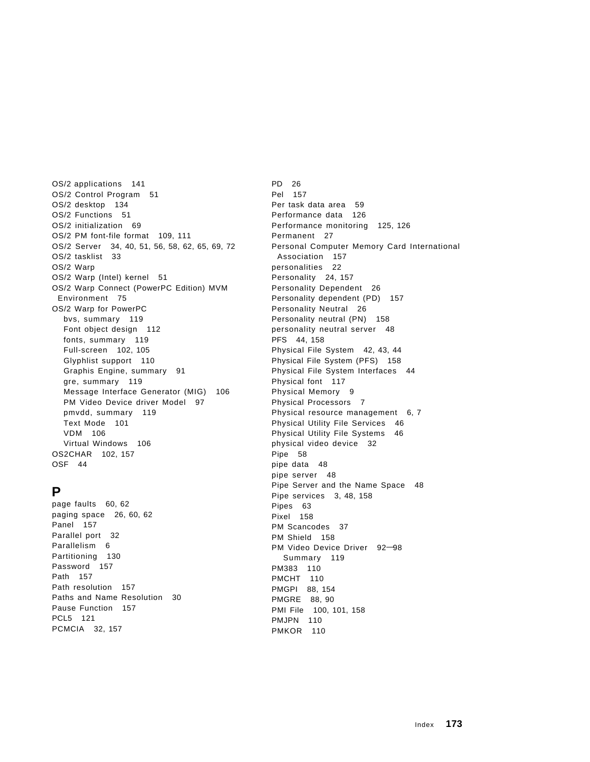OS/2 applications 141 OS/2 Control Program 51 OS/2 desktop 134 OS/2 Functions 51 OS/2 initialization 69 OS/2 PM font-file format 109, 111 OS/2 Server 34, 40, 51, 56, 58, 62, 65, 69, 72 OS/2 tasklist 33 OS/2 Warp OS/2 Warp (Intel) kernel 51 OS/2 Warp Connect (PowerPC Edition) MVM Environment 75 OS/2 Warp for PowerPC bvs, summary 119 Font object design 112 fonts, summary 119 Full-screen 102, 105 Glyphlist support 110 Graphis Engine, summary 91 gre, summary 119 Message Interface Generator (MIG) 106 PM Video Device driver Model 97 pmvdd, summary 119 Text Mode 101 VDM 106 Virtual Windows 106 OS2CHAR 102, 157 OSF 44

#### **P**

page faults 60, 62 paging space 26, 60, 62 Panel 157 Parallel port 32 Parallelism 6 Partitioning 130 Password 157 Path 157 Path resolution 157 Paths and Name Resolution 30 Pause Function 157 PCL5 121 PCMCIA 32, 157

PD 26 Pel 157 Per task data area 59 Performance data 126 Performance monitoring 125, 126 Permanent 27 Personal Computer Memory Card International Association 157 personalities 22 Personality 24, 157 Personality Dependent 26 Personality dependent (PD) 157 Personality Neutral 26 Personality neutral (PN) 158 personality neutral server 48 PFS 44, 158 Physical File System 42, 43, 44 Physical File System (PFS) 158 Physical File System Interfaces 44 Physical font 117 Physical Memory 9 Physical Processors 7 Physical resource management 6, 7 Physical Utility File Services 46 Physical Utility File Systems 46 physical video device 32 Pipe 58 pipe data 48 pipe server 48 Pipe Server and the Name Space 48 Pipe services 3, 48, 158 Pipes 63 Pixel 158 PM Scancodes 37 PM Shield 158 PM Video Device Driver 92—98 Summary 119 PM383 110 PMCHT 110 PMGPI 88, 154 PMGRE 88, 90 PMI File 100, 101, 158 PMJPN 110 PMKOR 110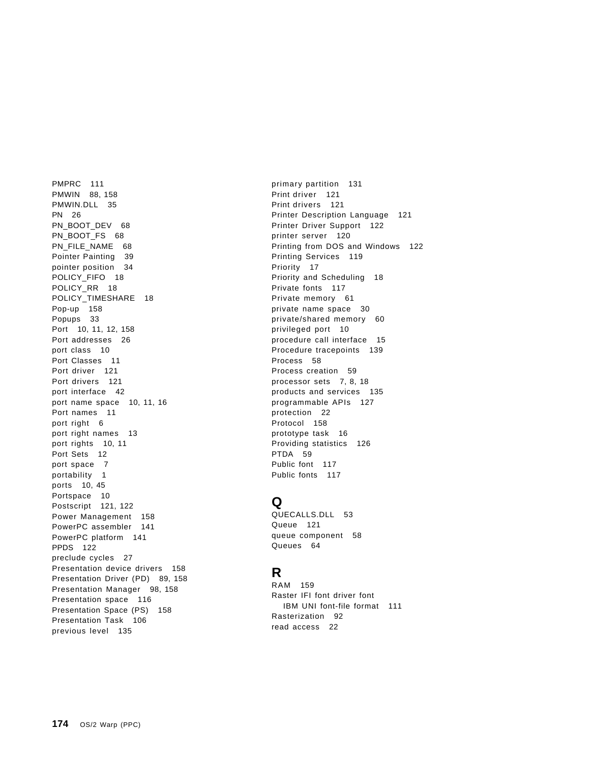PMPRC 111 PMWIN 88, 158 PMWIN.DLL 35 PN 26 PN\_BOOT\_DEV 68 PN\_BOOT\_FS 68 PN\_FILE\_NAME 68 Pointer Painting 39 pointer position 34 POLICY FIFO 18 POLICY\_RR 18 POLICY\_TIMESHARE 18 Pop-up 158 Popups 33 Port 10, 11, 12, 158 Port addresses 26 port class 10 Port Classes 11 Port driver 121 Port drivers 121 port interface 42 port name space 10, 11, 16 Port names 11 port right 6 port right names 13 port rights 10, 11 Port Sets 12 port space 7 portability 1 ports 10, 45 Portspace 10 Postscript 121, 122 Power Management 158 PowerPC assembler 141 PowerPC platform 141 PPDS 122 preclude cycles 27 Presentation device drivers 158 Presentation Driver (PD) 89, 158 Presentation Manager 98, 158 Presentation space 116 Presentation Space (PS) 158 Presentation Task 106 previous level 135

primary partition 131 Print driver 121 Print drivers 121 Printer Description Language 121 Printer Driver Support 122 printer server 120 Printing from DOS and Windows 122 Printing Services 119 Priority 17 Priority and Scheduling 18 Private fonts 117 Private memory 61 private name space 30 private/shared memory 60 privileged port 10 procedure call interface 15 Procedure tracepoints 139 Process 58 Process creation 59 processor sets 7, 8, 18 products and services 135 programmable APIs 127 protection 22 Protocol 158 prototype task 16 Providing statistics 126 PTDA 59 Public font 117 Public fonts 117

# **Q**

QUECALLS.DLL 53 Queue 121 queue component 58 Queues 64

## **R**

RAM 159 Raster IFI font driver font IBM UNI font-file format 111 Rasterization 92 read access 22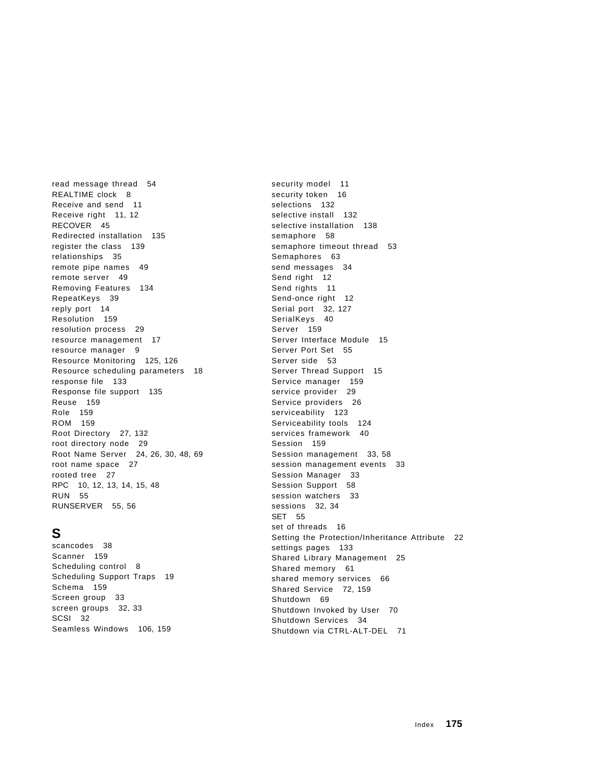read message thread 54 REALTIME clock 8 Receive and send 11 Receive right 11, 12 RECOVER 45 Redirected installation 135 register the class 139 relationships 35 remote pipe names 49 remote server 49 Removing Features 134 RepeatKeys 39 reply port 14 Resolution 159 resolution process 29 resource management 17 resource manager 9 Resource Monitoring 125, 126 Resource scheduling parameters 18 response file 133 Response file support 135 Reuse 159 Role 159 ROM 159 Root Directory 27, 132 root directory node 29 Root Name Server 24, 26, 30, 48, 69 root name space 27 rooted tree 27 RPC 10, 12, 13, 14, 15, 48 RUN 55 RUNSERVER 55, 56

# **S**

scancodes 38 Scanner 159 Scheduling control 8 Scheduling Support Traps 19 Schema 159 Screen group 33 screen groups 32, 33 SCSI 32 Seamless Windows 106, 159

security model 11 security token 16 selections 132 selective install 132 selective installation 138 semaphore 58 semaphore timeout thread 53 Semaphores 63 send messages 34 Send right 12 Send rights 11 Send-once right 12 Serial port 32, 127 SerialKeys 40 Server 159 Server Interface Module 15 Server Port Set 55 Server side 53 Server Thread Support 15 Service manager 159 service provider 29 Service providers 26 serviceability 123 Serviceability tools 124 services framework 40 Session 159 Session management 33, 58 session management events 33 Session Manager 33 Session Support 58 session watchers 33 sessions 32, 34 SET 55 set of threads 16 Setting the Protection/Inheritance Attribute 22 settings pages 133 Shared Library Management 25 Shared memory 61 shared memory services 66 Shared Service 72, 159 Shutdown 69 Shutdown Invoked by User 70 Shutdown Services 34 Shutdown via CTRL-ALT-DEL 71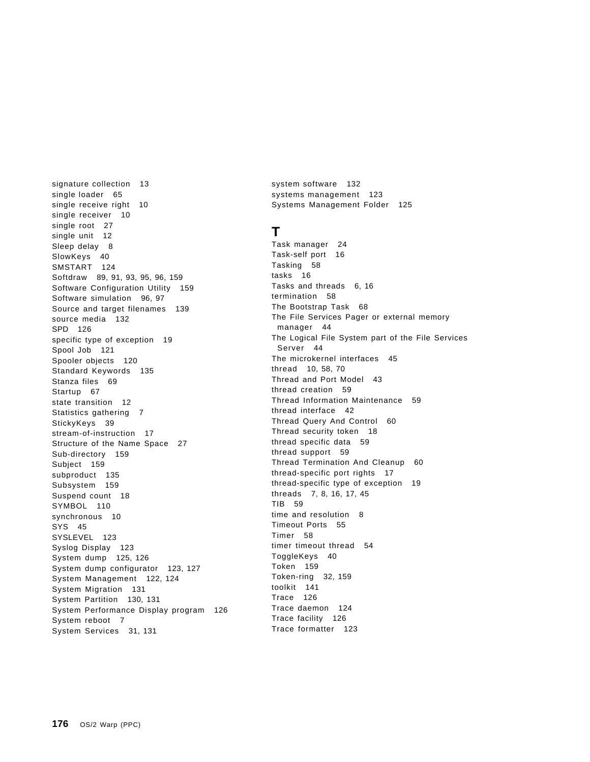signature collection 13 single loader 65 single receive right 10 single receiver 10 single root 27 single unit 12 Sleep delay 8 SlowKeys 40 SMSTART 124 Softdraw 89, 91, 93, 95, 96, 159 Software Configuration Utility 159 Software simulation 96, 97 Source and target filenames 139 source media 132 SPD 126 specific type of exception 19 Spool Job 121 Spooler objects 120 Standard Keywords 135 Stanza files 69 Startup 67 state transition 12 Statistics gathering 7 StickyKeys 39 stream-of-instruction 17 Structure of the Name Space 27 Sub-directory 159 Subject 159 subproduct 135 Subsystem 159 Suspend count 18 SYMBOL 110 synchronous 10 SYS 45 SYSLEVEL 123 Syslog Display 123 System dump 125, 126 System dump configurator 123, 127 System Management 122, 124 System Migration 131 System Partition 130, 131 System Performance Display program 126 System reboot 7 System Services 31, 131

system software 132 systems management 123 Systems Management Folder 125

## **T**

Task manager 24 Task-self port 16 Tasking 58 tasks 16 Tasks and threads 6, 16 termination 58 The Bootstrap Task 68 The File Services Pager or external memory manager 44 The Logical File System part of the File Services Server 44 The microkernel interfaces 45 thread 10, 58, 70 Thread and Port Model 43 thread creation 59 Thread Information Maintenance 59 thread interface 42 Thread Query And Control 60 Thread security token 18 thread specific data 59 thread support 59 Thread Termination And Cleanup 60 thread-specific port rights 17 thread-specific type of exception 19 threads 7, 8, 16, 17, 45 TIB 59 time and resolution 8 Timeout Ports 55 Timer 58 timer timeout thread 54 ToggleKeys 40 Token 159 Token-ring 32, 159 toolkit 141 Trace 126 Trace daemon 124 Trace facility 126 Trace formatter 123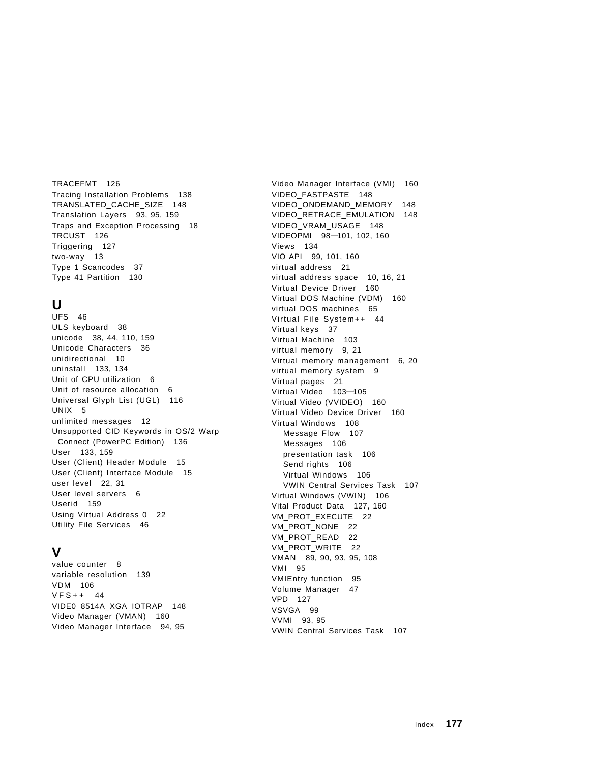TRACEFMT 126 Tracing Installation Problems 138 TRANSLATED\_CACHE\_SIZE 148 Translation Layers 93, 95, 159 Traps and Exception Processing 18 TRCUST 126 Triggering 127 two-way 13 Type 1 Scancodes 37 Type 41 Partition 130

### **U**

UFS 46 ULS keyboard 38 unicode 38, 44, 110, 159 Unicode Characters 36 unidirectional 10 uninstall 133, 134 Unit of CPU utilization 6 Unit of resource allocation 6 Universal Glyph List (UGL) 116 UNIX 5 unlimited messages 12 Unsupported CID Keywords in OS/2 Warp Connect (PowerPC Edition) 136 User 133, 159 User (Client) Header Module 15 User (Client) Interface Module 15 user level 22, 31 User level servers 6 Userid 159 Using Virtual Address 0 22 Utility File Services 46

## **V**

value counter 8 variable resolution 139 VDM 106  $VFS++$  44 VIDE0\_8514A\_XGA\_IOTRAP 148 Video Manager (VMAN) 160 Video Manager Interface 94, 95

Video Manager Interface (VMI) 160 VIDEO\_FASTPASTE 148 VIDEO\_ONDEMAND\_MEMORY 148 VIDEO\_RETRACE\_EMULATION 148 VIDEO\_VRAM\_USAGE 148 VIDEOPMI 98—101, 102, 160 Views 134 VIO API 99, 101, 160 virtual address 21 virtual address space 10, 16, 21 Virtual Device Driver 160 Virtual DOS Machine (VDM) 160 virtual DOS machines 65 Virtual File System++ 44 Virtual keys 37 Virtual Machine 103 virtual memory 9, 21 Virtual memory management 6, 20 virtual memory system 9 Virtual pages 21 Virtual Video 103—105 Virtual Video (VVIDEO) 160 Virtual Video Device Driver 160 Virtual Windows 108 Message Flow 107 Messages 106 presentation task 106 Send rights 106 Virtual Windows 106 VWIN Central Services Task 107 Virtual Windows (VWIN) 106 Vital Product Data 127, 160 VM\_PROT\_EXECUTE 22 VM\_PROT\_NONE 22 VM\_PROT\_READ 22 VM\_PROT\_WRITE 22 VMAN 89, 90, 93, 95, 108 VMI 95 VMIEntry function 95 Volume Manager 47 VPD 127 VSVGA 99 VVMI 93, 95 VWIN Central Services Task 107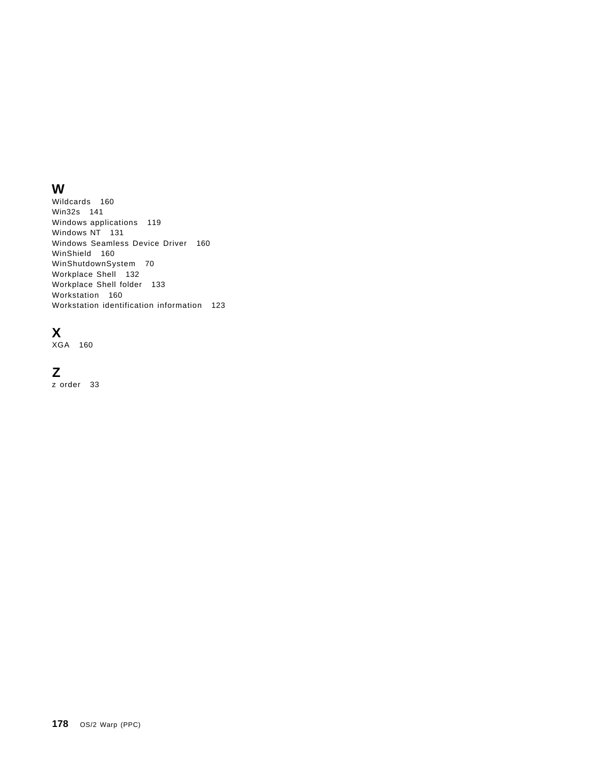#### **W**

Wildcards 160 Win32s 141 Windows applications 119 Windows NT 131 Windows Seamless Device Driver 160 WinShield 160 WinShutdownSystem 70 Workplace Shell 132 Workplace Shell folder 133 Workstation 160 Workstation identification information 123

## **X**

XGA 160

### **Z**

z order 33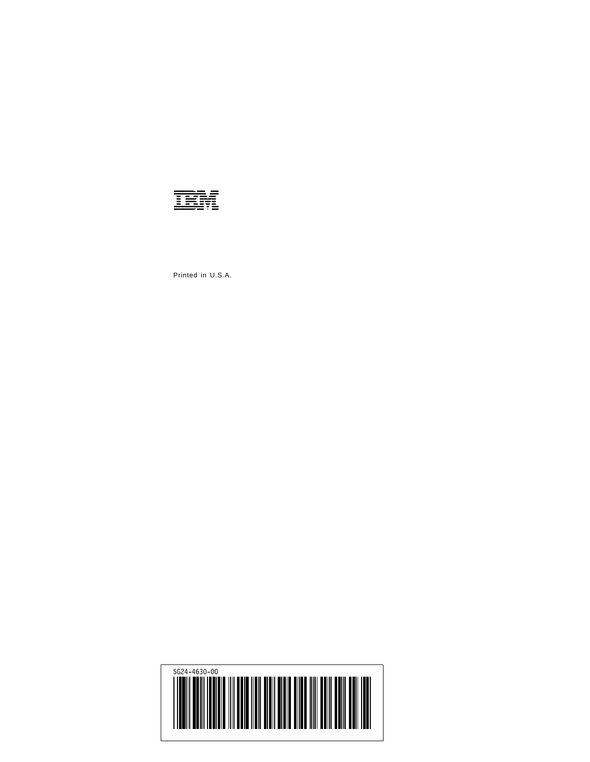

Printed in U.S.A.

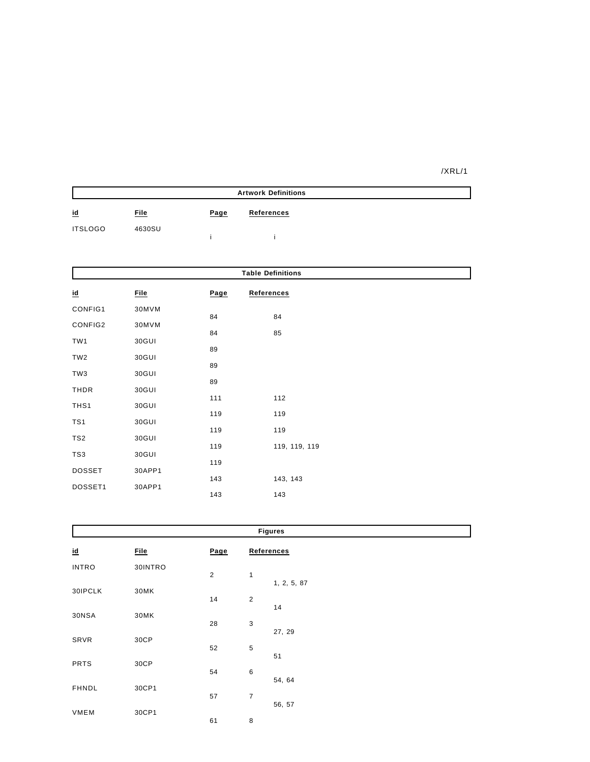| <b>Artwork Definitions</b> |             |      |            |  |  |
|----------------------------|-------------|------|------------|--|--|
| $\underline{\mathsf{id}}$  | <b>File</b> | Page | References |  |  |
| <b>ITSLOGO</b>             | 4630SU      |      |            |  |  |

| <b>Table Definitions</b> |             |      |                   |  |  |  |
|--------------------------|-------------|------|-------------------|--|--|--|
| $\underline{\text{id}}$  | <b>File</b> | Page | <b>References</b> |  |  |  |
| CONFIG1                  | 30MVM       |      |                   |  |  |  |
| CONFIG2                  | 30MVM       | 84   | 84                |  |  |  |
| TW1                      | 30GUI       | 84   | 85                |  |  |  |
| TW <sub>2</sub>          | 30GUI       | 89   |                   |  |  |  |
| TW3                      | 30GUI       | 89   |                   |  |  |  |
| <b>THDR</b>              | 30GUI       | 89   |                   |  |  |  |
| THS1                     | 30GUI       | 111  | 112               |  |  |  |
| TS1                      | 30GUI       | 119  | 119               |  |  |  |
| TS <sub>2</sub>          | 30GUI       | 119  | 119               |  |  |  |
| TS3                      | 30GUI       | 119  | 119, 119, 119     |  |  |  |
| <b>DOSSET</b>            | 30APP1      | 119  |                   |  |  |  |
| DOSSET1                  | 30APP1      | 143  | 143, 143          |  |  |  |
|                          |             | 143  | 143               |  |  |  |

| <b>Figures</b>          |             |            |                |                   |  |  |  |
|-------------------------|-------------|------------|----------------|-------------------|--|--|--|
| $\underline{\text{id}}$ | <b>File</b> | Page       |                | <b>References</b> |  |  |  |
| <b>INTRO</b>            | 30INTRO     | $\sqrt{2}$ | $\mathbf{1}$   |                   |  |  |  |
| 30IPCLK                 | 30MK        | 14         | $\overline{2}$ | 1, 2, 5, 87       |  |  |  |
| 30NSA                   | 30MK        | 28         | $\mathsf 3$    | 14                |  |  |  |
| SRVR                    | 30CP        | 52         | 5              | 27, 29            |  |  |  |
| <b>PRTS</b>             | 30CP        | 54         | 6              | 51                |  |  |  |
| FHNDL                   | 30CP1       |            |                | 54, 64            |  |  |  |
| VMEM                    | 30CP1       | 57         | $\overline{7}$ | 56, 57            |  |  |  |
|                         |             | 61         | 8              |                   |  |  |  |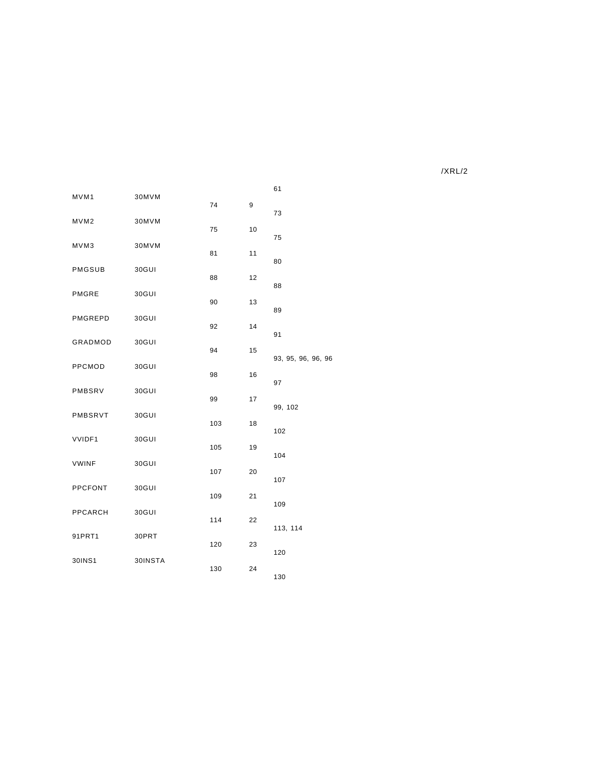|     |                              | 61                         |
|-----|------------------------------|----------------------------|
| 74  | 9                            | 73                         |
| 75  | 10                           |                            |
|     |                              | 75                         |
|     |                              | 80                         |
| 88  | 12                           | 88                         |
| 90  | 13                           |                            |
|     |                              | 89                         |
|     |                              | 91                         |
|     |                              | 93, 95, 96, 96, 96         |
| 98  | 16                           | 97                         |
| 99  | 17                           |                            |
|     |                              | 99, 102                    |
|     |                              | 102                        |
| 105 | 19                           | 104                        |
| 107 | 20                           | 107                        |
| 109 | 21                           |                            |
|     |                              | 109                        |
|     |                              | 113, 114                   |
| 120 | 23                           | 120                        |
| 130 | 24                           | 130                        |
|     | 81<br>92<br>94<br>103<br>114 | 11<br>14<br>15<br>18<br>22 |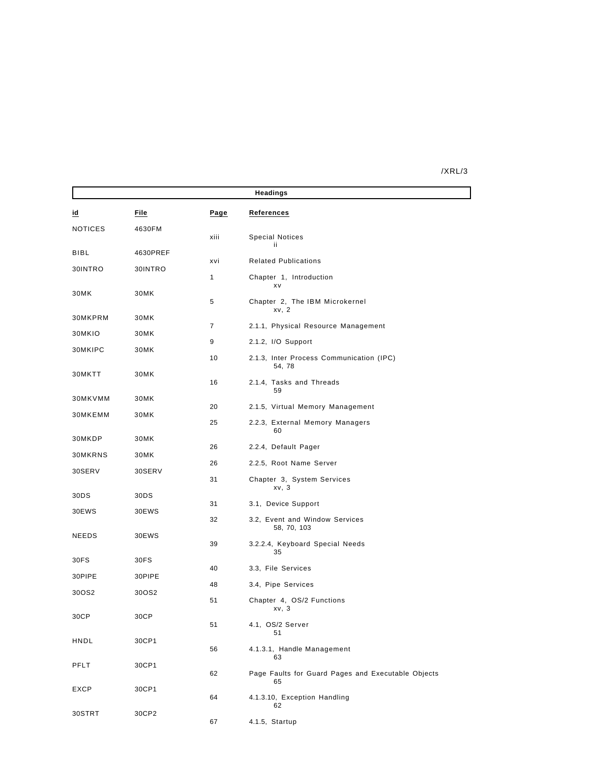|                | Headings |      |                                                          |  |  |  |
|----------------|----------|------|----------------------------------------------------------|--|--|--|
| <u>id</u>      | File     | Page | References                                               |  |  |  |
| <b>NOTICES</b> | 4630FM   | xiii | <b>Special Notices</b><br>Ϊİ                             |  |  |  |
| BIBL           | 4630PREF | xvi  | <b>Related Publications</b>                              |  |  |  |
| 30INTRO        | 30INTRO  | 1    | Chapter 1, Introduction                                  |  |  |  |
| 30MK           | 30MK     | 5    | XV<br>Chapter 2, The IBM Microkernel                     |  |  |  |
| 30MKPRM        | 30MK     |      | xv, 2                                                    |  |  |  |
| 30MKIO         | 30MK     | 7    | 2.1.1, Physical Resource Management                      |  |  |  |
| 30MKIPC        | 30MK     | 9    | 2.1.2, I/O Support                                       |  |  |  |
|                |          | 10   | 2.1.3, Inter Process Communication (IPC)<br>54, 78       |  |  |  |
| 30MKTT         | 30MK     | 16   | 2.1.4, Tasks and Threads<br>59                           |  |  |  |
| 30MKVMM        | 30MK     | 20   | 2.1.5, Virtual Memory Management                         |  |  |  |
| 30MKEMM        | 30MK     | 25   | 2.2.3, External Memory Managers<br>60                    |  |  |  |
| 30MKDP         | 30MK     | 26   | 2.2.4, Default Pager                                     |  |  |  |
| 30MKRNS        | 30MK     | 26   | 2.2.5, Root Name Server                                  |  |  |  |
| 30SERV         | 30SERV   | 31   | Chapter 3, System Services<br>xv, 3                      |  |  |  |
| 30DS           | 30DS     | 31   | 3.1, Device Support                                      |  |  |  |
| 30EWS          | 30EWS    | 32   | 3.2, Event and Window Services<br>58, 70, 103            |  |  |  |
| <b>NEEDS</b>   | 30EWS    | 39   | 3.2.2.4, Keyboard Special Needs<br>35                    |  |  |  |
| 30FS           | 30FS     | 40   | 3.3, File Services                                       |  |  |  |
| 30PIPE         | 30PIPE   | 48   | 3.4, Pipe Services                                       |  |  |  |
| 30OS2          | 30OS2    | 51   | Chapter 4, OS/2 Functions<br>xv, 3                       |  |  |  |
| 30CP           | 30CP     | 51   | 4.1, OS/2 Server<br>51                                   |  |  |  |
| <b>HNDL</b>    | 30CP1    | 56   | 4.1.3.1, Handle Management<br>63                         |  |  |  |
| PFLT           | 30CP1    | 62   | Page Faults for Guard Pages and Executable Objects<br>65 |  |  |  |
| EXCP           | 30CP1    | 64   | 4.1.3.10, Exception Handling                             |  |  |  |
| 30STRT         | 30CP2    | 67   | 62<br>4.1.5, Startup                                     |  |  |  |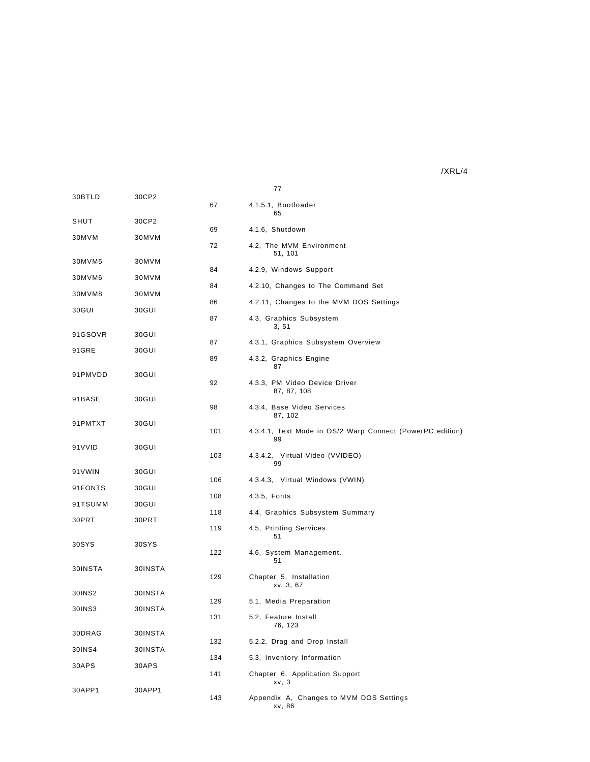|          |         |     | 77                                                        |
|----------|---------|-----|-----------------------------------------------------------|
| 30BTLD   | 30CP2   | 67  | 4.1.5.1, Bootloader                                       |
| SHUT     | 30CP2   |     | 65                                                        |
| 30MVM    | 30MVM   | 69  | 4.1.6, Shutdown                                           |
|          |         | 72  | 4.2, The MVM Environment                                  |
| 30MVM5   | 30MVM   |     | 51, 101                                                   |
| 30MVM6   | 30MVM   | 84  | 4.2.9, Windows Support                                    |
|          |         | 84  | 4.2.10, Changes to The Command Set                        |
| 30MVM8   | 30MVM   | 86  | 4.2.11, Changes to the MVM DOS Settings                   |
| 30GUI    | 30GUI   | 87  | 4.3, Graphics Subsystem<br>3, 51                          |
| 91GSOVR  | 30GUI   |     |                                                           |
| 91GRE    | 30GUI   | 87  | 4.3.1, Graphics Subsystem Overview                        |
|          |         | 89  | 4.3.2, Graphics Engine<br>87                              |
| 91PMVDD  | 30GUI   |     |                                                           |
|          |         | 92  | 4.3.3, PM Video Device Driver<br>87, 87, 108              |
| 91BASE   | 30GUI   | 98  | 4.3.4, Base Video Services<br>87, 102                     |
| 91PMTXT  | 30GUI   | 101 | 4.3.4.1, Text Mode in OS/2 Warp Connect (PowerPC edition) |
| 91 V VID | 30GUI   |     | 99                                                        |
|          |         | 103 | 4.3.4.2, Virtual Video (VVIDEO)                           |
| 91 VWIN  | 30GUI   |     | 99                                                        |
| 91FONTS  | 30GUI   | 106 | 4.3.4.3, Virtual Windows (VWIN)                           |
| 91TSUMM  | 30GUI   | 108 | 4.3.5, Fonts                                              |
|          |         | 118 | 4.4, Graphics Subsystem Summary                           |
| 30PRT    | 30PRT   | 119 | 4.5, Printing Services                                    |
| 30SYS    | 30SYS   |     | 51                                                        |
|          |         | 122 | 4.6, System Management.<br>51                             |
| 30INSTA  | 30INSTA | 129 | Chapter 5, Installation                                   |
|          |         |     | xv, 3, 67                                                 |
| 30INS2   | 30INSTA | 129 | 5.1, Media Preparation                                    |
| 30INS3   | 30INSTA | 131 | 5.2, Feature Install                                      |
|          |         |     | 76, 123                                                   |
| 30DRAG   | 30INSTA | 132 | 5.2.2, Drag and Drop Install                              |
| 30INS4   | 30INSTA | 134 | 5.3, Inventory Information                                |
| 30APS    | 30APS   | 141 | Chapter 6, Application Support                            |
|          |         |     | xv, 3                                                     |
| 30APP1   | 30APP1  | 143 | Appendix A, Changes to MVM DOS Settings                   |

xv, 86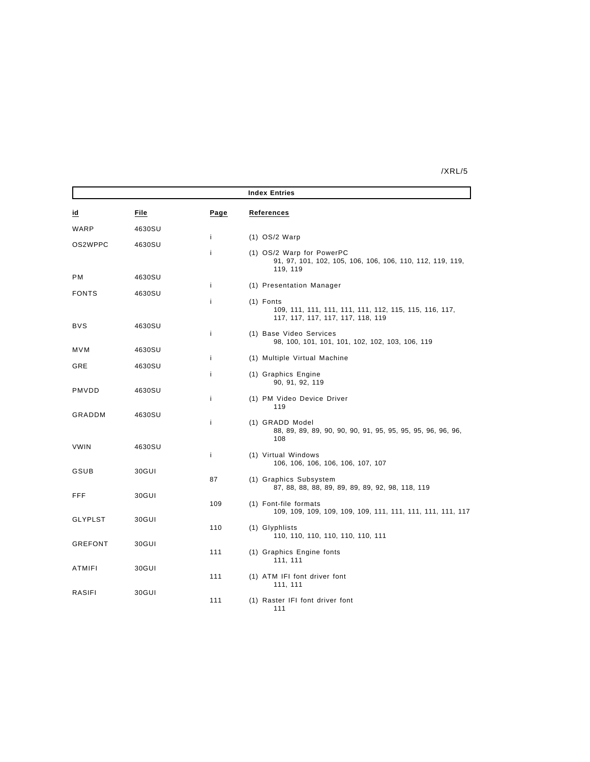|                |        |      | <b>Index Entries</b>                                                                               |
|----------------|--------|------|----------------------------------------------------------------------------------------------------|
| <u>id</u>      | File   | Page | References                                                                                         |
| WARP           | 4630SU |      |                                                                                                    |
| OS2WPPC        | 4630SU | j.   | $(1)$ OS/2 Warp                                                                                    |
|                |        | i.   | (1) OS/2 Warp for PowerPC<br>91, 97, 101, 102, 105, 106, 106, 106, 110, 112, 119, 119,<br>119, 119 |
| <b>PM</b>      | 4630SU | i.   | (1) Presentation Manager                                                                           |
| <b>FONTS</b>   | 4630SU |      |                                                                                                    |
|                |        | i.   | $(1)$ Fonts<br>117, 117, 117, 117, 117, 118, 119                                                   |
| <b>BVS</b>     | 4630SU | i.   | (1) Base Video Services                                                                            |
|                |        |      | 98, 100, 101, 101, 101, 102, 102, 103, 106, 119                                                    |
| MVM            | 4630SU | i.   | (1) Multiple Virtual Machine                                                                       |
| GRE            | 4630SU | i.   | (1) Graphics Engine<br>90, 91, 92, 119                                                             |
| PMVDD          | 4630SU | i.   | (1) PM Video Device Driver                                                                         |
| GRADDM         | 4630SU |      | 119                                                                                                |
|                |        | Ť    | (1) GRADD Model<br>88, 89, 89, 89, 90, 90, 90, 91, 95, 95, 95, 95, 96, 96, 96,<br>108              |
| <b>VWIN</b>    | 4630SU |      |                                                                                                    |
|                |        | j.   | (1) Virtual Windows<br>106, 106, 106, 106, 106, 107, 107                                           |
| GSUB           | 30GUI  | 87   | (1) Graphics Subsystem<br>87, 88, 88, 88, 89, 89, 89, 89, 92, 98, 118, 119                         |
| <b>FFF</b>     | 30GUI  |      |                                                                                                    |
|                |        | 109  | (1) Font-file formats                                                                              |
| <b>GLYPLST</b> | 30GUI  | 110  | (1) Glyphlists                                                                                     |
|                |        |      | 110, 110, 110, 110, 110, 110, 111                                                                  |
| <b>GREFONT</b> | 30GUI  | 111  | (1) Graphics Engine fonts<br>111, 111                                                              |
| <b>ATMIFI</b>  | 30GUI  | 111  | (1) ATM IFI font driver font                                                                       |
| RASIFI         | 30GUI  | 111  | 111, 111<br>(1) Raster IFI font driver font                                                        |

111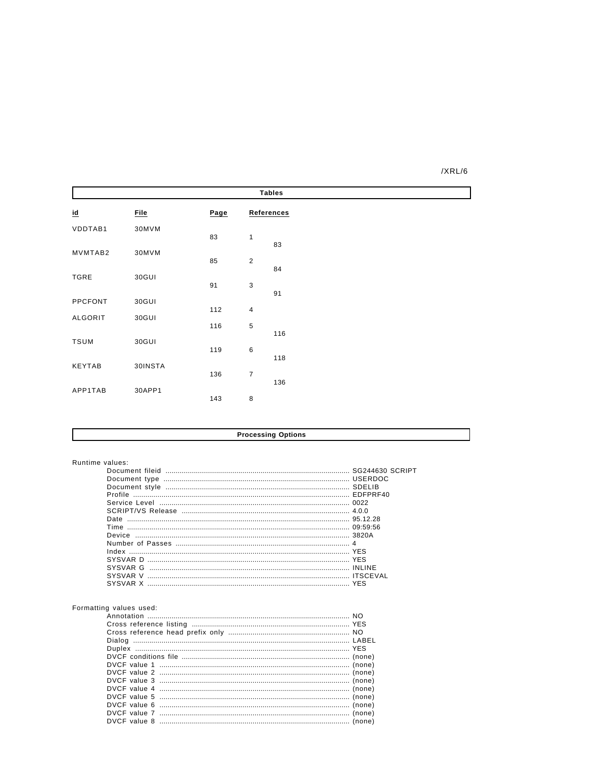|                         |             |            |                 | <b>Tables</b> |
|-------------------------|-------------|------------|-----------------|---------------|
| $\underline{\text{id}}$ | <b>File</b> | Page       |                 | References    |
| VDDTAB1                 | 30MVM       | 83         | $\mathbf{1}$    |               |
| MVMTAB2                 | 30MVM       | 85         | $\overline{2}$  | 83            |
| <b>TGRE</b>             | 30GUI       | 91         | 3               | 84            |
| PPCFONT                 | 30GUI       |            |                 | 91            |
| ALGORIT                 | 30GUI       | 112<br>116 | 4<br>$\sqrt{5}$ |               |
| <b>TSUM</b>             | 30GUI       |            |                 | 116           |
| KEYTAB                  | 30INSTA     | 119        | 6               | 118           |
|                         |             | 136        | $\overline{7}$  | 136           |
| APP1TAB                 | 30APP1      | 143        | 8               |               |

#### **Processing Options**

Runtime values:

#### Formatting values used:

| nu values useu. |  |
|-----------------|--|
|                 |  |
|                 |  |
|                 |  |
|                 |  |
|                 |  |
|                 |  |
|                 |  |
|                 |  |
|                 |  |
|                 |  |
|                 |  |
|                 |  |
|                 |  |
|                 |  |
|                 |  |